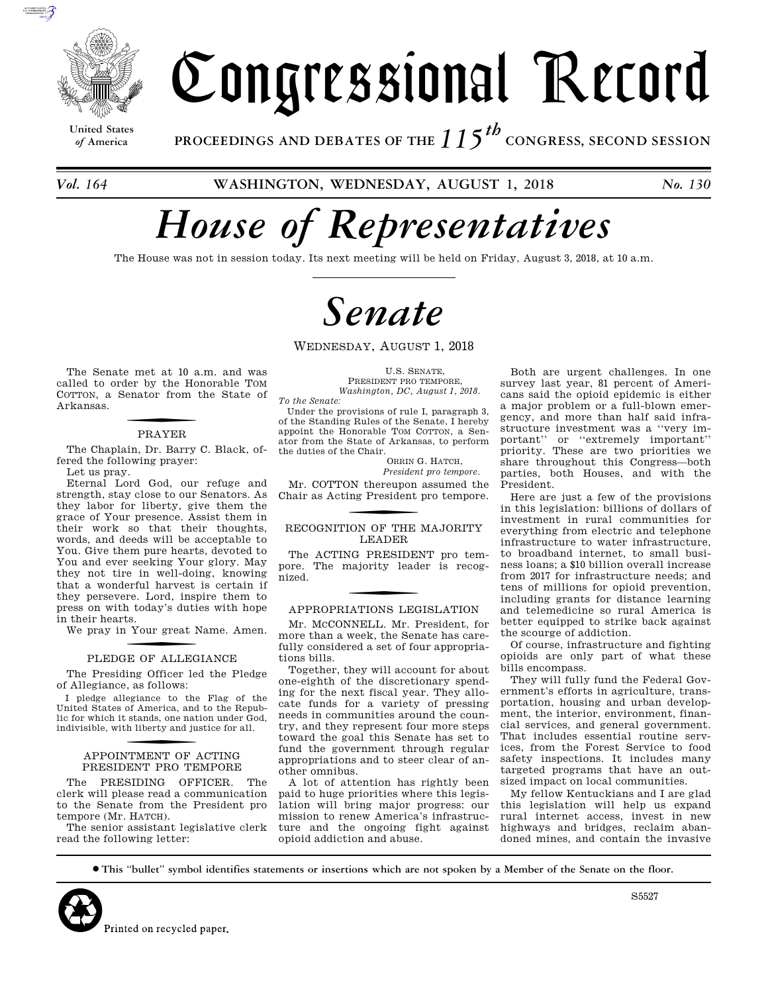

# Congressional Record

**United States**

*of* **America PROCEEDINGS AND DEBATES OF THE** *115th*  **CONGRESS, SECOND SESSION**

*Vol. 164* **WASHINGTON, WEDNESDAY, AUGUST 1, 2018** *No. 130* 

# *House of Representatives*

The House was not in session today. Its next meeting will be held on Friday, August 3, 2018, at 10 a.m.

# *Senate*

WEDNESDAY, AUGUST 1, 2018

The Senate met at 10 a.m. and was called to order by the Honorable TOM COTTON, a Senator from the State of Arkansas.

### **PRAYER**

The Chaplain, Dr. Barry C. Black, offered the following prayer: Let us pray.

Eternal Lord God, our refuge and strength, stay close to our Senators. As they labor for liberty, give them the grace of Your presence. Assist them in their work so that their thoughts, words, and deeds will be acceptable to You. Give them pure hearts, devoted to You and ever seeking Your glory. May they not tire in well-doing, knowing that a wonderful harvest is certain if they persevere. Lord, inspire them to press on with today's duties with hope in their hearts.

We pray in Your great Name. Amen.

### PLEDGE OF ALLEGIANCE

The Presiding Officer led the Pledge of Allegiance, as follows:

I pledge allegiance to the Flag of the United States of America, and to the Republic for which it stands, one nation under God, indivisible, with liberty and justice for all.

### f APPOINTMENT OF ACTING PRESIDENT PRO TEMPORE

The PRESIDING OFFICER. The clerk will please read a communication to the Senate from the President pro tempore (Mr. HATCH).

The senior assistant legislative clerk read the following letter:

U.S. SENATE, PRESIDENT PRO TEMPORE, *Washington, DC, August 1, 2018. To the Senate:* 

Under the provisions of rule I, paragraph 3, of the Standing Rules of the Senate, I hereby appoint the Honorable TOM COTTON, a Senator from the State of Arkansas, to perform the duties of the Chair.

ORRIN G. HATCH, *President pro tempore.* 

Mr. COTTON thereupon assumed the Chair as Acting President pro tempore.

### RECOGNITION OF THE MAJORITY LEADER

The ACTING PRESIDENT pro tempore. The majority leader is recognized.

## f APPROPRIATIONS LEGISLATION

Mr. MCCONNELL. Mr. President, for more than a week, the Senate has carefully considered a set of four appropriations bills.

Together, they will account for about one-eighth of the discretionary spending for the next fiscal year. They allocate funds for a variety of pressing needs in communities around the country, and they represent four more steps toward the goal this Senate has set to fund the government through regular appropriations and to steer clear of another omnibus.

A lot of attention has rightly been paid to huge priorities where this legislation will bring major progress: our mission to renew America's infrastructure and the ongoing fight against opioid addiction and abuse.

Both are urgent challenges. In one survey last year, 81 percent of Americans said the opioid epidemic is either a major problem or a full-blown emergency, and more than half said infrastructure investment was a ''very important'' or ''extremely important'' priority. These are two priorities we share throughout this Congress—both parties, both Houses, and with the President.

Here are just a few of the provisions in this legislation: billions of dollars of investment in rural communities for everything from electric and telephone infrastructure to water infrastructure, to broadband internet, to small business loans; a \$10 billion overall increase from 2017 for infrastructure needs; and tens of millions for opioid prevention, including grants for distance learning and telemedicine so rural America is better equipped to strike back against the scourge of addiction.

Of course, infrastructure and fighting opioids are only part of what these bills encompass.

They will fully fund the Federal Government's efforts in agriculture, transportation, housing and urban development, the interior, environment, financial services, and general government. That includes essential routine services, from the Forest Service to food safety inspections. It includes many targeted programs that have an outsized impact on local communities.

My fellow Kentuckians and I are glad this legislation will help us expand rural internet access, invest in new highways and bridges, reclaim abandoned mines, and contain the invasive

∑ **This ''bullet'' symbol identifies statements or insertions which are not spoken by a Member of the Senate on the floor.**



S5527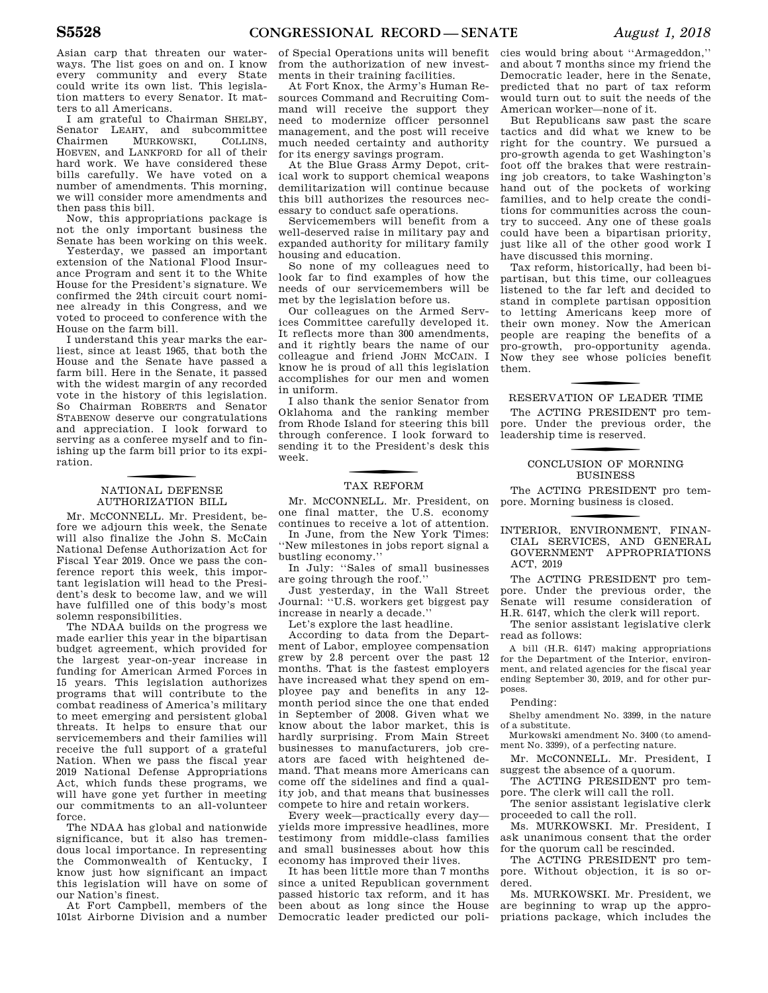Asian carp that threaten our waterways. The list goes on and on. I know every community and every State could write its own list. This legislation matters to every Senator. It matters to all Americans.

I am grateful to Chairman SHELBY, Senator LEAHY, and subcommittee Chairmen MURKOWSKI, COLLINS, HOEVEN, and LANKFORD for all of their hard work. We have considered these bills carefully. We have voted on a number of amendments. This morning, we will consider more amendments and then pass this bill.

Now, this appropriations package is not the only important business the Senate has been working on this week.

Yesterday, we passed an important extension of the National Flood Insurance Program and sent it to the White House for the President's signature. We confirmed the 24th circuit court nominee already in this Congress, and we voted to proceed to conference with the House on the farm bill.

I understand this year marks the earliest, since at least 1965, that both the House and the Senate have passed a farm bill. Here in the Senate, it passed with the widest margin of any recorded vote in the history of this legislation. So Chairman ROBERTS and Senator STABENOW deserve our congratulations and appreciation. I look forward to serving as a conferee myself and to finishing up the farm bill prior to its expiration.

### f NATIONAL DEFENSE AUTHORIZATION BILL

Mr. MCCONNELL. Mr. President, before we adjourn this week, the Senate will also finalize the John S. McCain National Defense Authorization Act for Fiscal Year 2019. Once we pass the conference report this week, this important legislation will head to the President's desk to become law, and we will have fulfilled one of this body's most solemn responsibilities.

The NDAA builds on the progress we made earlier this year in the bipartisan budget agreement, which provided for the largest year-on-year increase in funding for American Armed Forces in 15 years. This legislation authorizes programs that will contribute to the combat readiness of America's military to meet emerging and persistent global threats. It helps to ensure that our servicemembers and their families will receive the full support of a grateful Nation. When we pass the fiscal year 2019 National Defense Appropriations Act, which funds these programs, we will have gone yet further in meeting our commitments to an all-volunteer force.

The NDAA has global and nationwide significance, but it also has tremendous local importance. In representing the Commonwealth of Kentucky, I know just how significant an impact this legislation will have on some of our Nation's finest.

At Fort Campbell, members of the 101st Airborne Division and a number

of Special Operations units will benefit from the authorization of new investments in their training facilities.

At Fort Knox, the Army's Human Resources Command and Recruiting Command will receive the support they need to modernize officer personnel management, and the post will receive much needed certainty and authority for its energy savings program.

At the Blue Grass Army Depot, critical work to support chemical weapons demilitarization will continue because this bill authorizes the resources necessary to conduct safe operations.

Servicemembers will benefit from a well-deserved raise in military pay and expanded authority for military family housing and education.

So none of my colleagues need to look far to find examples of how the needs of our servicemembers will be met by the legislation before us.

Our colleagues on the Armed Services Committee carefully developed it. It reflects more than 300 amendments, and it rightly bears the name of our colleague and friend JOHN MCCAIN. I know he is proud of all this legislation accomplishes for our men and women in uniform.

I also thank the senior Senator from Oklahoma and the ranking member from Rhode Island for steering this bill through conference. I look forward to sending it to the President's desk this week.

### TAX REFORM

Mr. MCCONNELL. Mr. President, on one final matter, the U.S. economy continues to receive a lot of attention.

In June, from the New York Times: ''New milestones in jobs report signal a bustling economy.''

In July: ''Sales of small businesses are going through the roof.''

Just yesterday, in the Wall Street Journal: ''U.S. workers get biggest pay increase in nearly a decade.''

Let's explore the last headline.

According to data from the Department of Labor, employee compensation grew by 2.8 percent over the past 12 months. That is the fastest employers have increased what they spend on employee pay and benefits in any 12 month period since the one that ended in September of 2008. Given what we know about the labor market, this is hardly surprising. From Main Street businesses to manufacturers, job creators are faced with heightened demand. That means more Americans can come off the sidelines and find a quality job, and that means that businesses compete to hire and retain workers.

Every week—practically every day yields more impressive headlines, more testimony from middle-class families and small businesses about how this economy has improved their lives.

It has been little more than 7 months since a united Republican government passed historic tax reform, and it has been about as long since the House Democratic leader predicted our poli-

cies would bring about ''Armageddon,'' and about 7 months since my friend the Democratic leader, here in the Senate, predicted that no part of tax reform would turn out to suit the needs of the American worker—none of it.

But Republicans saw past the scare tactics and did what we knew to be right for the country. We pursued a pro-growth agenda to get Washington's foot off the brakes that were restraining job creators, to take Washington's hand out of the pockets of working families, and to help create the conditions for communities across the country to succeed. Any one of these goals could have been a bipartisan priority, just like all of the other good work I have discussed this morning.

Tax reform, historically, had been bipartisan, but this time, our colleagues listened to the far left and decided to stand in complete partisan opposition to letting Americans keep more of their own money. Now the American people are reaping the benefits of a pro-growth, pro-opportunity agenda. Now they see whose policies benefit them.

### RESERVATION OF LEADER TIME

The ACTING PRESIDENT pro tempore. Under the previous order, the leadership time is reserved.

### CONCLUSION OF MORNING BUSINESS

The ACTING PRESIDENT pro tempore. Morning business is closed.

f INTERIOR, ENVIRONMENT, FINAN-CIAL SERVICES, AND GENERAL GOVERNMENT APPROPRIATIONS ACT, 2019

The ACTING PRESIDENT pro tempore. Under the previous order, the Senate will resume consideration of H.R. 6147, which the clerk will report.

The senior assistant legislative clerk read as follows:

A bill (H.R. 6147) making appropriations for the Department of the Interior, environment, and related agencies for the fiscal year ending September 30, 2019, and for other purposes.

### Pending:

Shelby amendment No. 3399, in the nature of a substitute.

Murkowski amendment No. 3400 (to amendment No. 3399), of a perfecting nature.

Mr. MCCONNELL. Mr. President, I suggest the absence of a quorum.

The ACTING PRESIDENT pro tempore. The clerk will call the roll.

The senior assistant legislative clerk proceeded to call the roll.

Ms. MURKOWSKI. Mr. President, I ask unanimous consent that the order for the quorum call be rescinded.

The ACTING PRESIDENT pro tempore. Without objection, it is so ordered.

Ms. MURKOWSKI. Mr. President, we are beginning to wrap up the appropriations package, which includes the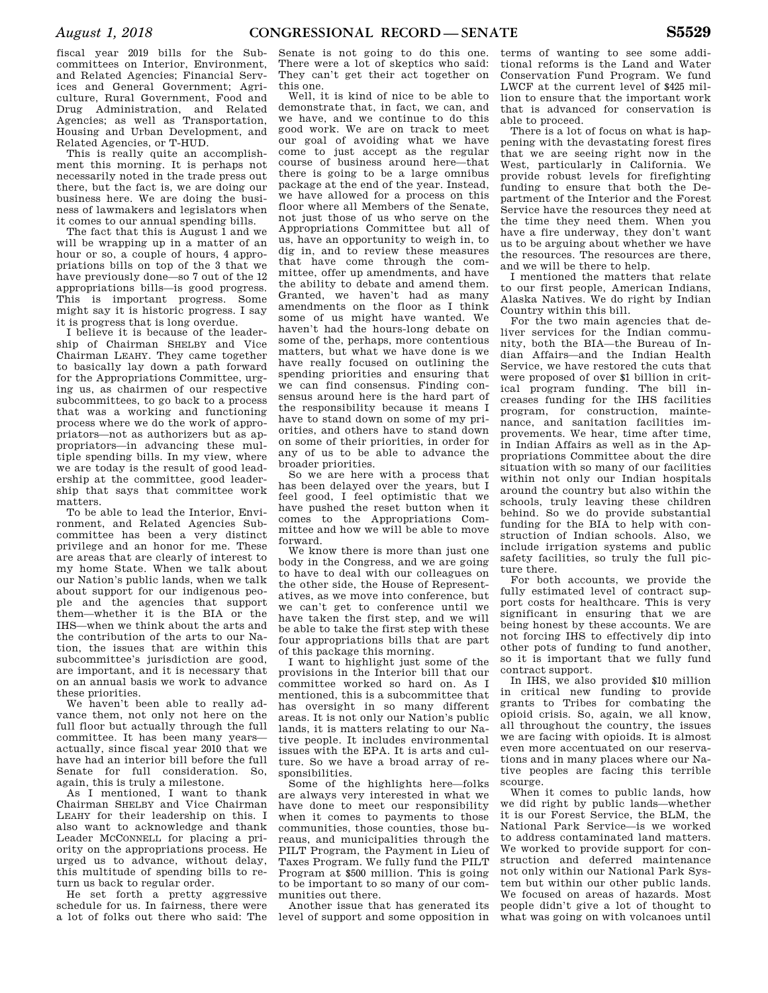fiscal year 2019 bills for the Subcommittees on Interior, Environment, and Related Agencies; Financial Services and General Government; Agriculture, Rural Government, Food and Drug Administration, and Related Agencies; as well as Transportation, Housing and Urban Development, and Related Agencies, or T-HUD.

This is really quite an accomplishment this morning. It is perhaps not necessarily noted in the trade press out there, but the fact is, we are doing our business here. We are doing the business of lawmakers and legislators when it comes to our annual spending bills.

The fact that this is August 1 and we will be wrapping up in a matter of an hour or so, a couple of hours, 4 appropriations bills on top of the 3 that we have previously done—so 7 out of the 12 appropriations bills—is good progress. This is important progress. Some might say it is historic progress. I say it is progress that is long overdue.

I believe it is because of the leadership of Chairman SHELBY and Vice Chairman LEAHY. They came together to basically lay down a path forward for the Appropriations Committee, urging us, as chairmen of our respective subcommittees, to go back to a process that was a working and functioning process where we do the work of appropriators—not as authorizers but as appropriators—in advancing these multiple spending bills. In my view, where we are today is the result of good leadership at the committee, good leadership that says that committee work matters.

To be able to lead the Interior, Environment, and Related Agencies Subcommittee has been a very distinct privilege and an honor for me. These are areas that are clearly of interest to my home State. When we talk about our Nation's public lands, when we talk about support for our indigenous people and the agencies that support them—whether it is the BIA or the IHS—when we think about the arts and the contribution of the arts to our Nation, the issues that are within this subcommittee's jurisdiction are good, are important, and it is necessary that on an annual basis we work to advance these priorities.

We haven't been able to really advance them, not only not here on the full floor but actually through the full committee. It has been many years actually, since fiscal year 2010 that we have had an interior bill before the full Senate for full consideration. So, again, this is truly a milestone.

As I mentioned, I want to thank Chairman SHELBY and Vice Chairman LEAHY for their leadership on this. I also want to acknowledge and thank Leader MCCONNELL for placing a priority on the appropriations process. He urged us to advance, without delay, this multitude of spending bills to return us back to regular order.

He set forth a pretty aggressive schedule for us. In fairness, there were a lot of folks out there who said: The Senate is not going to do this one. There were a lot of skeptics who said: They can't get their act together on this one.

Well, it is kind of nice to be able to demonstrate that, in fact, we can, and we have, and we continue to do this good work. We are on track to meet our goal of avoiding what we have come to just accept as the regular course of business around here—that there is going to be a large omnibus package at the end of the year. Instead, we have allowed for a process on this floor where all Members of the Senate not just those of us who serve on the Appropriations Committee but all of us, have an opportunity to weigh in, to dig in, and to review these measures that have come through the committee, offer up amendments, and have the ability to debate and amend them. Granted, we haven't had as many amendments on the floor as I think some of us might have wanted. We haven't had the hours-long debate on some of the, perhaps, more contentious matters, but what we have done is we have really focused on outlining the spending priorities and ensuring that we can find consensus. Finding consensus around here is the hard part of the responsibility because it means I have to stand down on some of my priorities, and others have to stand down on some of their priorities, in order for any of us to be able to advance the broader priorities.

So we are here with a process that has been delayed over the years, but I feel good, I feel optimistic that we have pushed the reset button when it comes to the Appropriations Committee and how we will be able to move forward.

We know there is more than just one body in the Congress, and we are going to have to deal with our colleagues on the other side, the House of Representatives, as we move into conference, but we can't get to conference until we have taken the first step, and we will be able to take the first step with these four appropriations bills that are part of this package this morning.

I want to highlight just some of the provisions in the Interior bill that our committee worked so hard on. As I mentioned, this is a subcommittee that has oversight in so many different areas. It is not only our Nation's public lands, it is matters relating to our Native people. It includes environmental issues with the EPA. It is arts and culture. So we have a broad array of responsibilities.

Some of the highlights here—folks are always very interested in what we have done to meet our responsibility when it comes to payments to those communities, those counties, those bureaus, and municipalities through the PILT Program, the Payment in Lieu of Taxes Program. We fully fund the PILT Program at \$500 million. This is going to be important to so many of our communities out there.

Another issue that has generated its level of support and some opposition in

terms of wanting to see some additional reforms is the Land and Water Conservation Fund Program. We fund LWCF at the current level of \$425 million to ensure that the important work that is advanced for conservation is able to proceed.

There is a lot of focus on what is happening with the devastating forest fires that we are seeing right now in the West, particularly in California. We provide robust levels for firefighting funding to ensure that both the Department of the Interior and the Forest Service have the resources they need at the time they need them. When you have a fire underway, they don't want us to be arguing about whether we have the resources. The resources are there, and we will be there to help.

I mentioned the matters that relate to our first people, American Indians, Alaska Natives. We do right by Indian Country within this bill.

For the two main agencies that deliver services for the Indian community, both the BIA—the Bureau of Indian Affairs—and the Indian Health Service, we have restored the cuts that were proposed of over \$1 billion in critical program funding. The bill increases funding for the IHS facilities program, for construction, maintenance, and sanitation facilities improvements. We hear, time after time, in Indian Affairs as well as in the Appropriations Committee about the dire situation with so many of our facilities within not only our Indian hospitals around the country but also within the schools, truly leaving these children behind. So we do provide substantial funding for the BIA to help with construction of Indian schools. Also, we include irrigation systems and public safety facilities, so truly the full picture there.

For both accounts, we provide the fully estimated level of contract support costs for healthcare. This is very significant in ensuring that we are being honest by these accounts. We are not forcing IHS to effectively dip into other pots of funding to fund another, so it is important that we fully fund contract support.

In IHS, we also provided \$10 million in critical new funding to provide grants to Tribes for combating the opioid crisis. So, again, we all know, all throughout the country, the issues we are facing with opioids. It is almost even more accentuated on our reservations and in many places where our Native peoples are facing this terrible scourge.

When it comes to public lands, how we did right by public lands—whether it is our Forest Service, the BLM, the National Park Service—is we worked to address contaminated land matters. We worked to provide support for construction and deferred maintenance not only within our National Park System but within our other public lands. We focused on areas of hazards. Most people didn't give a lot of thought to what was going on with volcanoes until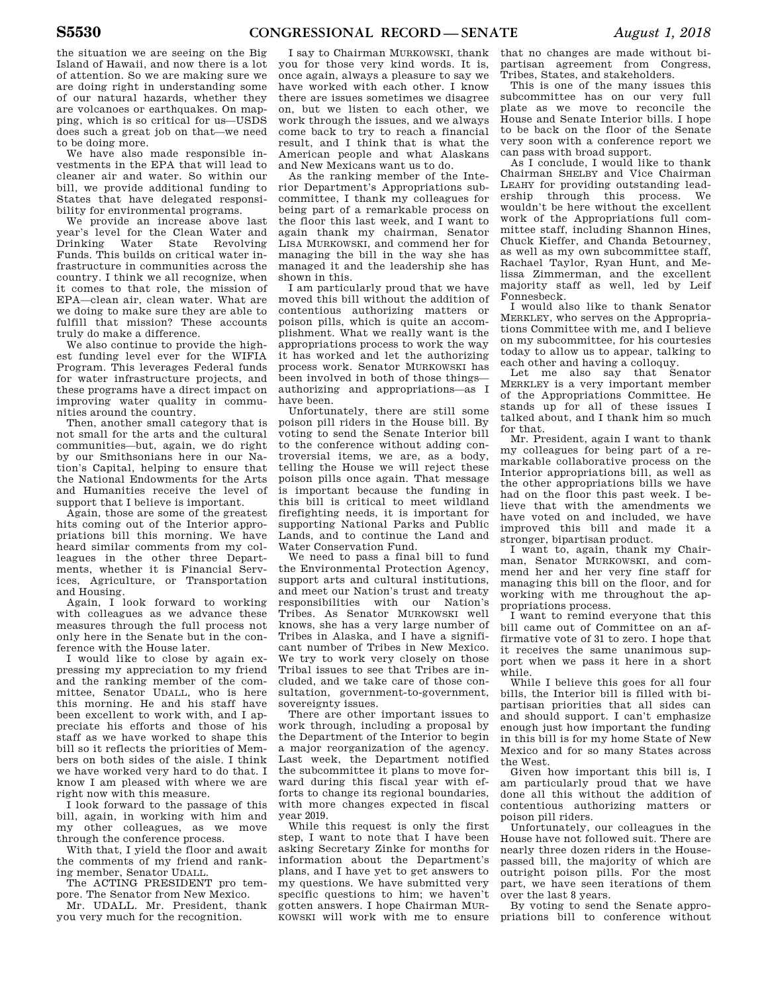the situation we are seeing on the Big Island of Hawaii, and now there is a lot of attention. So we are making sure we are doing right in understanding some of our natural hazards, whether they are volcanoes or earthquakes. On mapping, which is so critical for us—USDS does such a great job on that—we need to be doing more.

We have also made responsible investments in the EPA that will lead to cleaner air and water. So within our bill, we provide additional funding to States that have delegated responsibility for environmental programs.

We provide an increase above last year's level for the Clean Water and Drinking Water State Revolving Funds. This builds on critical water infrastructure in communities across the country. I think we all recognize, when it comes to that role, the mission of EPA—clean air, clean water. What are we doing to make sure they are able to fulfill that mission? These accounts truly do make a difference.

We also continue to provide the highest funding level ever for the WIFIA Program. This leverages Federal funds for water infrastructure projects, and these programs have a direct impact on improving water quality in communities around the country.

Then, another small category that is not small for the arts and the cultural communities—but, again, we do right by our Smithsonians here in our Nation's Capital, helping to ensure that the National Endowments for the Arts and Humanities receive the level of support that I believe is important.

Again, those are some of the greatest hits coming out of the Interior appropriations bill this morning. We have heard similar comments from my colleagues in the other three Departments, whether it is Financial Services, Agriculture, or Transportation and Housing.

Again, I look forward to working with colleagues as we advance these measures through the full process not only here in the Senate but in the conference with the House later.

I would like to close by again expressing my appreciation to my friend and the ranking member of the committee, Senator UDALL, who is here this morning. He and his staff have been excellent to work with, and I appreciate his efforts and those of his staff as we have worked to shape this bill so it reflects the priorities of Members on both sides of the aisle. I think we have worked very hard to do that. I know I am pleased with where we are right now with this measure.

I look forward to the passage of this bill, again, in working with him and my other colleagues, as we move through the conference process.

With that, I yield the floor and await the comments of my friend and ranking member, Senator UDALL.

The ACTING PRESIDENT pro tempore. The Senator from New Mexico.

Mr. UDALL. Mr. President, thank you very much for the recognition.

I say to Chairman MURKOWSKI, thank you for those very kind words. It is, once again, always a pleasure to say we have worked with each other. I know there are issues sometimes we disagree on, but we listen to each other, we work through the issues, and we always come back to try to reach a financial result, and I think that is what the American people and what Alaskans and New Mexicans want us to do.

As the ranking member of the Interior Department's Appropriations subcommittee, I thank my colleagues for being part of a remarkable process on the floor this last week, and I want to again thank my chairman, Senator LISA MURKOWSKI, and commend her for managing the bill in the way she has managed it and the leadership she has shown in this.

I am particularly proud that we have moved this bill without the addition of contentious authorizing matters or poison pills, which is quite an accomplishment. What we really want is the appropriations process to work the way it has worked and let the authorizing process work. Senator MURKOWSKI has been involved in both of those things authorizing and appropriations—as I have been.

Unfortunately, there are still some poison pill riders in the House bill. By voting to send the Senate Interior bill to the conference without adding controversial items, we are, as a body, telling the House we will reject these poison pills once again. That message is important because the funding in this bill is critical to meet wildland firefighting needs, it is important for supporting National Parks and Public Lands, and to continue the Land and Water Conservation Fund.

We need to pass a final bill to fund the Environmental Protection Agency, support arts and cultural institutions, and meet our Nation's trust and treaty responsibilities with our Nation's Tribes. As Senator MURKOWSKI well knows, she has a very large number of Tribes in Alaska, and I have a significant number of Tribes in New Mexico. We try to work very closely on those Tribal issues to see that Tribes are included, and we take care of those consultation, government-to-government, sovereignty issues.

There are other important issues to work through, including a proposal by the Department of the Interior to begin a major reorganization of the agency. Last week, the Department notified the subcommittee it plans to move forward during this fiscal year with efforts to change its regional boundaries, with more changes expected in fiscal year 2019.

While this request is only the first step, I want to note that I have been asking Secretary Zinke for months for information about the Department's plans, and I have yet to get answers to my questions. We have submitted very specific questions to him; we haven't gotten answers. I hope Chairman MUR-KOWSKI will work with me to ensure

that no changes are made without bipartisan agreement from Congress, Tribes, States, and stakeholders.

This is one of the many issues this subcommittee has on our very full plate as we move to reconcile the House and Senate Interior bills. I hope to be back on the floor of the Senate very soon with a conference report we can pass with broad support.

As I conclude, I would like to thank Chairman SHELBY and Vice Chairman LEAHY for providing outstanding leadership through this process. We wouldn't be here without the excellent work of the Appropriations full committee staff, including Shannon Hines, Chuck Kieffer, and Chanda Betourney, as well as my own subcommittee staff, Rachael Taylor, Ryan Hunt, and Melissa Zimmerman, and the excellent majority staff as well, led by Leif Fonnesbeck.

I would also like to thank Senator MERKLEY, who serves on the Appropriations Committee with me, and I believe on my subcommittee, for his courtesies today to allow us to appear, talking to each other and having a colloquy.

Let me also say that Senator MERKLEY is a very important member of the Appropriations Committee. He stands up for all of these issues I talked about, and I thank him so much for that.

Mr. President, again I want to thank my colleagues for being part of a remarkable collaborative process on the Interior appropriations bill, as well as the other appropriations bills we have had on the floor this past week. I believe that with the amendments we have voted on and included, we have improved this bill and made it a stronger, bipartisan product.

I want to, again, thank my Chairman, Senator MURKOWSKI, and commend her and her very fine staff for managing this bill on the floor, and for working with me throughout the appropriations process.

I want to remind everyone that this bill came out of Committee on an affirmative vote of 31 to zero. I hope that it receives the same unanimous support when we pass it here in a short while.

While I believe this goes for all four bills, the Interior bill is filled with bipartisan priorities that all sides can and should support. I can't emphasize enough just how important the funding in this bill is for my home State of New Mexico and for so many States across the West.

Given how important this bill is, I am particularly proud that we have done all this without the addition of contentious authorizing matters or poison pill riders.

Unfortunately, our colleagues in the House have not followed suit. There are nearly three dozen riders in the Housepassed bill, the majority of which are outright poison pills. For the most part, we have seen iterations of them over the last 8 years.

By voting to send the Senate appropriations bill to conference without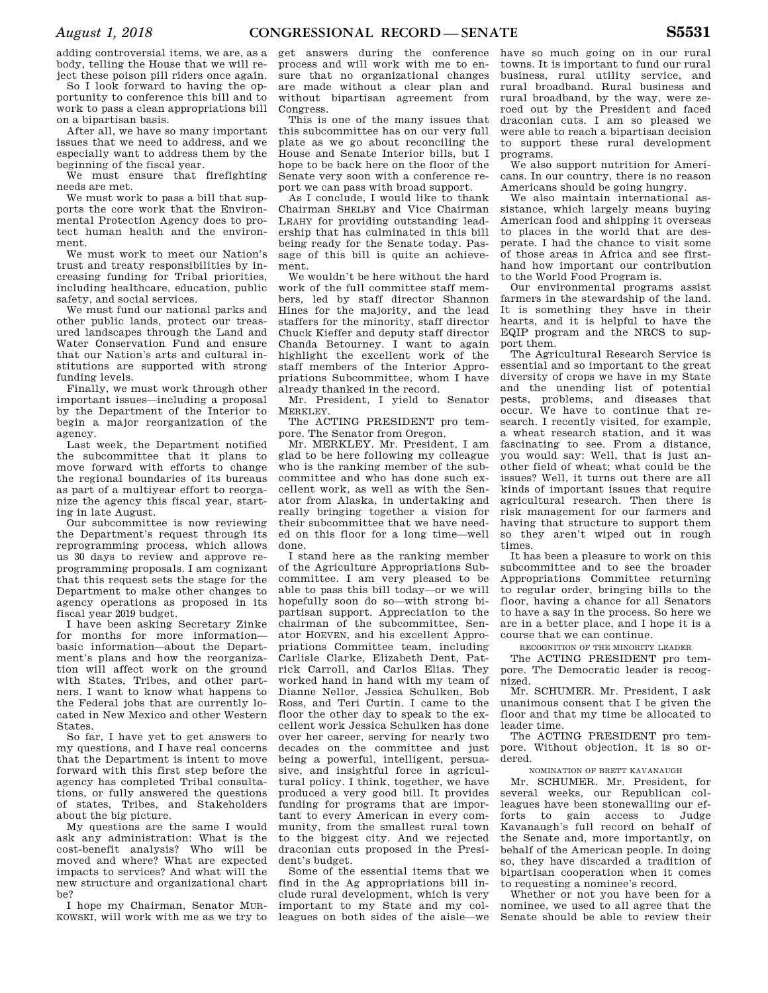adding controversial items, we are, as a body, telling the House that we will reject these poison pill riders once again.

So I look forward to having the opportunity to conference this bill and to work to pass a clean appropriations bill on a bipartisan basis.

After all, we have so many important issues that we need to address, and we especially want to address them by the beginning of the fiscal year.

We must ensure that firefighting needs are met.

We must work to pass a bill that supports the core work that the Environmental Protection Agency does to protect human health and the environment.

We must work to meet our Nation's trust and treaty responsibilities by increasing funding for Tribal priorities, including healthcare, education, public safety, and social services.

We must fund our national parks and other public lands, protect our treasured landscapes through the Land and Water Conservation Fund and ensure that our Nation's arts and cultural institutions are supported with strong funding levels.

Finally, we must work through other important issues—including a proposal by the Department of the Interior to begin a major reorganization of the agency.

Last week, the Department notified the subcommittee that it plans to move forward with efforts to change the regional boundaries of its bureaus as part of a multiyear effort to reorganize the agency this fiscal year, starting in late August.

Our subcommittee is now reviewing the Department's request through its reprogramming process, which allows us 30 days to review and approve reprogramming proposals. I am cognizant that this request sets the stage for the Department to make other changes to agency operations as proposed in its fiscal year 2019 budget.

I have been asking Secretary Zinke for months for more information basic information—about the Department's plans and how the reorganization will affect work on the ground with States, Tribes, and other partners. I want to know what happens to the Federal jobs that are currently located in New Mexico and other Western States.

So far, I have yet to get answers to my questions, and I have real concerns that the Department is intent to move forward with this first step before the agency has completed Tribal consultations, or fully answered the questions of states, Tribes, and Stakeholders about the big picture.

My questions are the same I would ask any administration: What is the cost-benefit analysis? Who will be moved and where? What are expected impacts to services? And what will the new structure and organizational chart be?

I hope my Chairman, Senator MUR-KOWSKI, will work with me as we try to

get answers during the conference process and will work with me to ensure that no organizational changes are made without a clear plan and without bipartisan agreement from Congress.

This is one of the many issues that this subcommittee has on our very full plate as we go about reconciling the House and Senate Interior bills, but I hope to be back here on the floor of the Senate very soon with a conference report we can pass with broad support.

As I conclude, I would like to thank Chairman SHELBY and Vice Chairman LEAHY for providing outstanding leadership that has culminated in this bill being ready for the Senate today. Passage of this bill is quite an achievement.

We wouldn't be here without the hard work of the full committee staff members, led by staff director Shannon Hines for the majority, and the lead staffers for the minority, staff director Chuck Kieffer and deputy staff director Chanda Betourney. I want to again highlight the excellent work of the staff members of the Interior Appropriations Subcommittee, whom I have already thanked in the record.

Mr. President, I yield to Senator MERKLEY.

The ACTING PRESIDENT pro tempore. The Senator from Oregon.

Mr. MERKLEY. Mr. President, I am glad to be here following my colleague who is the ranking member of the subcommittee and who has done such excellent work, as well as with the Senator from Alaska, in undertaking and really bringing together a vision for their subcommittee that we have needed on this floor for a long time—well done.

I stand here as the ranking member of the Agriculture Appropriations Subcommittee. I am very pleased to be able to pass this bill today—or we will hopefully soon do so—with strong bipartisan support. Appreciation to the chairman of the subcommittee, Senator HOEVEN, and his excellent Appropriations Committee team, including Carlisle Clarke, Elizabeth Dent, Patrick Carroll, and Carlos Elias. They worked hand in hand with my team of Dianne Nellor, Jessica Schulken, Bob Ross, and Teri Curtin. I came to the floor the other day to speak to the excellent work Jessica Schulken has done over her career, serving for nearly two decades on the committee and just being a powerful, intelligent, persuasive, and insightful force in agricultural policy. I think, together, we have produced a very good bill. It provides funding for programs that are important to every American in every community, from the smallest rural town to the biggest city. And we rejected draconian cuts proposed in the President's budget.

Some of the essential items that we find in the Ag appropriations bill include rural development, which is very important to my State and my colleagues on both sides of the aisle—we

have so much going on in our rural towns. It is important to fund our rural business, rural utility service, and rural broadband. Rural business and rural broadband, by the way, were zeroed out by the President and faced draconian cuts. I am so pleased we were able to reach a bipartisan decision to support these rural development programs.

We also support nutrition for Americans. In our country, there is no reason Americans should be going hungry.

We also maintain international assistance, which largely means buying American food and shipping it overseas to places in the world that are desperate. I had the chance to visit some of those areas in Africa and see firsthand how important our contribution to the World Food Program is.

Our environmental programs assist farmers in the stewardship of the land. It is something they have in their hearts, and it is helpful to have the EQIP program and the NRCS to support them.

The Agricultural Research Service is essential and so important to the great diversity of crops we have in my State and the unending list of potential pests, problems, and diseases that occur. We have to continue that research. I recently visited, for example, a wheat research station, and it was fascinating to see. From a distance, you would say: Well, that is just another field of wheat; what could be the issues? Well, it turns out there are all kinds of important issues that require agricultural research. Then there is risk management for our farmers and having that structure to support them so they aren't wiped out in rough times.

It has been a pleasure to work on this subcommittee and to see the broader Appropriations Committee returning to regular order, bringing bills to the floor, having a chance for all Senators to have a say in the process. So here we are in a better place, and I hope it is a course that we can continue.

RECOGNITION OF THE MINORITY LEADER

The ACTING PRESIDENT pro tempore. The Democratic leader is recognized.

Mr. SCHUMER. Mr. President, I ask unanimous consent that I be given the floor and that my time be allocated to leader time.

The ACTING PRESIDENT pro tempore. Without objection, it is so ordered.

NOMINATION OF BRETT KAVANAUGH

Mr. SCHUMER. Mr. President, for several weeks, our Republican colleagues have been stonewalling our efforts to gain access to Judge Kavanaugh's full record on behalf of the Senate and, more importantly, on behalf of the American people. In doing so, they have discarded a tradition of bipartisan cooperation when it comes to requesting a nominee's record.

Whether or not you have been for a nominee, we used to all agree that the Senate should be able to review their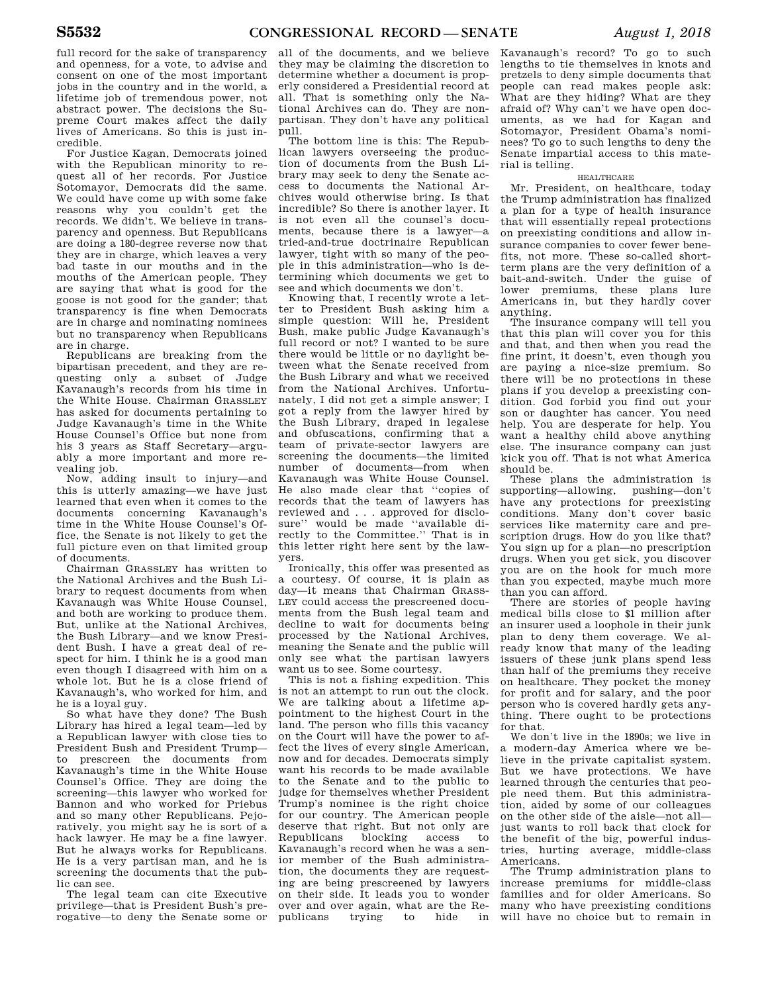full record for the sake of transparency and openness, for a vote, to advise and consent on one of the most important jobs in the country and in the world, a lifetime job of tremendous power, not abstract power. The decisions the Supreme Court makes affect the daily lives of Americans. So this is just incredible.

For Justice Kagan, Democrats joined with the Republican minority to request all of her records. For Justice Sotomayor, Democrats did the same. We could have come up with some fake reasons why you couldn't get the records. We didn't. We believe in transparency and openness. But Republicans are doing a 180-degree reverse now that they are in charge, which leaves a very bad taste in our mouths and in the mouths of the American people. They are saying that what is good for the goose is not good for the gander; that transparency is fine when Democrats are in charge and nominating nominees but no transparency when Republicans are in charge.

Republicans are breaking from the bipartisan precedent, and they are requesting only a subset of Judge Kavanaugh's records from his time in the White House. Chairman GRASSLEY has asked for documents pertaining to Judge Kavanaugh's time in the White House Counsel's Office but none from his 3 years as Staff Secretary—arguably a more important and more revealing job.

Now, adding insult to injury—and this is utterly amazing—we have just learned that even when it comes to the documents concerning Kavanaugh's time in the White House Counsel's Office, the Senate is not likely to get the full picture even on that limited group of documents.

Chairman GRASSLEY has written to the National Archives and the Bush Library to request documents from when Kavanaugh was White House Counsel, and both are working to produce them. But, unlike at the National Archives, the Bush Library—and we know President Bush. I have a great deal of respect for him. I think he is a good man even though I disagreed with him on a whole lot. But he is a close friend of Kavanaugh's, who worked for him, and he is a loyal guy.

So what have they done? The Bush Library has hired a legal team—led by a Republican lawyer with close ties to President Bush and President Trump to prescreen the documents from Kavanaugh's time in the White House Counsel's Office. They are doing the screening—this lawyer who worked for Bannon and who worked for Priebus and so many other Republicans. Pejoratively, you might say he is sort of a hack lawyer. He may be a fine lawyer. But he always works for Republicans. He is a very partisan man, and he is screening the documents that the public can see.

The legal team can cite Executive privilege—that is President Bush's prerogative—to deny the Senate some or

all of the documents, and we believe they may be claiming the discretion to determine whether a document is properly considered a Presidential record at all. That is something only the National Archives can do. They are nonpartisan. They don't have any political pull.

The bottom line is this: The Republican lawyers overseeing the production of documents from the Bush Library may seek to deny the Senate access to documents the National Archives would otherwise bring. Is that incredible? So there is another layer. It is not even all the counsel's documents, because there is a lawyer—a tried-and-true doctrinaire Republican lawyer, tight with so many of the people in this administration—who is determining which documents we get to see and which documents we don't.

Knowing that, I recently wrote a letter to President Bush asking him a simple question: Will he, President Bush, make public Judge Kavanaugh's full record or not? I wanted to be sure there would be little or no daylight between what the Senate received from the Bush Library and what we received from the National Archives. Unfortunately, I did not get a simple answer; I got a reply from the lawyer hired by the Bush Library, draped in legalese and obfuscations, confirming that a team of private-sector lawyers are screening the documents—the limited number of documents—from when Kavanaugh was White House Counsel. He also made clear that ''copies of records that the team of lawyers has reviewed and . . . approved for disclosure'' would be made ''available directly to the Committee.'' That is in this letter right here sent by the lawyers.

Ironically, this offer was presented as a courtesy. Of course, it is plain as day—it means that Chairman GRASS-LEY could access the prescreened documents from the Bush legal team and decline to wait for documents being processed by the National Archives, meaning the Senate and the public will only see what the partisan lawyers want us to see. Some courtesy.

This is not a fishing expedition. This is not an attempt to run out the clock. We are talking about a lifetime appointment to the highest Court in the land. The person who fills this vacancy on the Court will have the power to affect the lives of every single American, now and for decades. Democrats simply want his records to be made available to the Senate and to the public to judge for themselves whether President Trump's nominee is the right choice for our country. The American people deserve that right. But not only are Republicans blocking access to Kavanaugh's record when he was a senior member of the Bush administration, the documents they are requesting are being prescreened by lawyers on their side. It leads you to wonder over and over again, what are the Republicans trying to hide in

Kavanaugh's record? To go to such lengths to tie themselves in knots and pretzels to deny simple documents that people can read makes people ask: What are they hiding? What are they afraid of? Why can't we have open documents, as we had for Kagan and Sotomayor, President Obama's nominees? To go to such lengths to deny the Senate impartial access to this material is telling.

### HEALTHCARE

Mr. President, on healthcare, today the Trump administration has finalized a plan for a type of health insurance that will essentially repeal protections on preexisting conditions and allow insurance companies to cover fewer benefits, not more. These so-called shortterm plans are the very definition of a bait-and-switch. Under the guise of lower premiums, these plans lure Americans in, but they hardly cover anything.

The insurance company will tell you that this plan will cover you for this and that, and then when you read the fine print, it doesn't, even though you are paying a nice-size premium. So there will be no protections in these plans if you develop a preexisting condition. God forbid you find out your son or daughter has cancer. You need help. You are desperate for help. You want a healthy child above anything else. The insurance company can just kick you off. That is not what America should be.

These plans the administration is supporting—allowing, pushing—don't have any protections for preexisting conditions. Many don't cover basic services like maternity care and prescription drugs. How do you like that? You sign up for a plan—no prescription drugs. When you get sick, you discover you are on the hook for much more than you expected, maybe much more than you can afford.

There are stories of people having medical bills close to \$1 million after an insurer used a loophole in their junk plan to deny them coverage. We already know that many of the leading issuers of these junk plans spend less than half of the premiums they receive on healthcare. They pocket the money for profit and for salary, and the poor person who is covered hardly gets anything. There ought to be protections for that.

We don't live in the 1890s; we live in a modern-day America where we believe in the private capitalist system. But we have protections. We have learned through the centuries that people need them. But this administration, aided by some of our colleagues on the other side of the aisle—not all just wants to roll back that clock for the benefit of the big, powerful industries, hurting average, middle-class Americans.

The Trump administration plans to increase premiums for middle-class families and for older Americans. So many who have preexisting conditions will have no choice but to remain in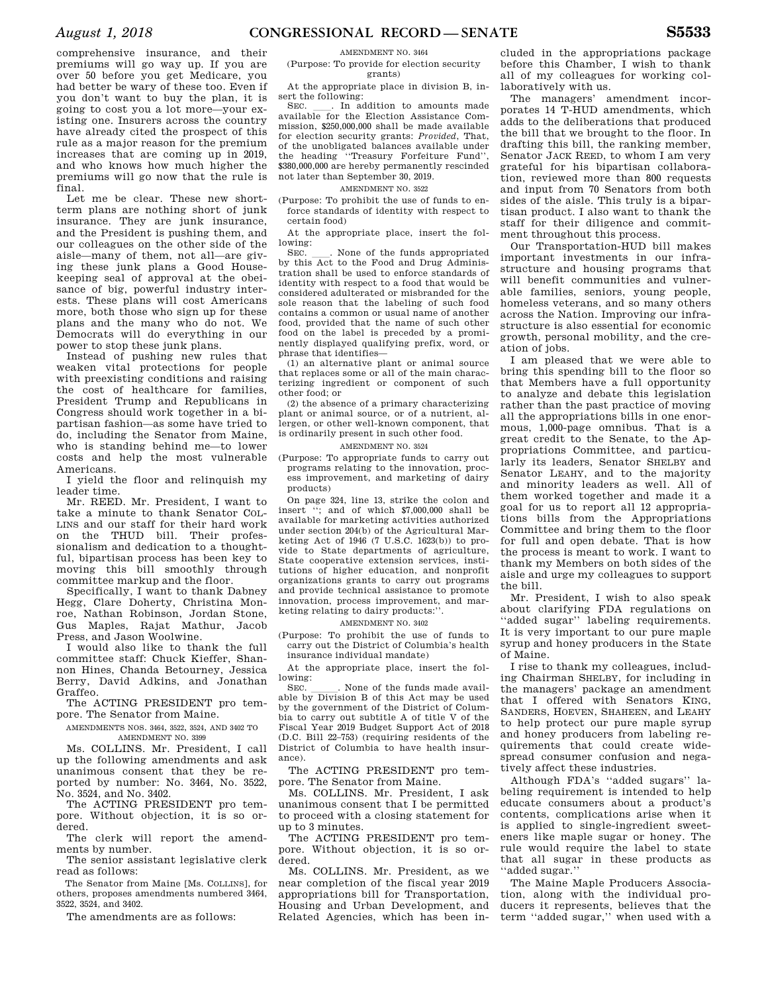comprehensive insurance, and their premiums will go way up. If you are over 50 before you get Medicare, you had better be wary of these too. Even if you don't want to buy the plan, it is going to cost you a lot more—your existing one. Insurers across the country have already cited the prospect of this rule as a major reason for the premium increases that are coming up in 2019, and who knows how much higher the premiums will go now that the rule is final.

Let me be clear. These new shortterm plans are nothing short of junk insurance. They are junk insurance, and the President is pushing them, and our colleagues on the other side of the aisle—many of them, not all—are giving these junk plans a Good Housekeeping seal of approval at the obeisance of big, powerful industry interests. These plans will cost Americans more, both those who sign up for these plans and the many who do not. We Democrats will do everything in our power to stop these junk plans.

Instead of pushing new rules that weaken vital protections for people with preexisting conditions and raising the cost of healthcare for families, President Trump and Republicans in Congress should work together in a bipartisan fashion—as some have tried to do, including the Senator from Maine, who is standing behind me—to lower costs and help the most vulnerable Americans.

I yield the floor and relinquish my leader time.

Mr. REED. Mr. President, I want to take a minute to thank Senator COL-LINS and our staff for their hard work on the THUD bill. Their professionalism and dedication to a thoughtful, bipartisan process has been key to moving this bill smoothly through committee markup and the floor.

Specifically, I want to thank Dabney Hegg, Clare Doherty, Christina Monroe, Nathan Robinson, Jordan Stone, Gus Maples, Rajat Mathur, Jacob Press, and Jason Woolwine.

I would also like to thank the full committee staff: Chuck Kieffer, Shannon Hines, Chanda Betourney, Jessica Berry, David Adkins, and Jonathan Graffeo.

The ACTING PRESIDENT pro tempore. The Senator from Maine.

AMENDMENTS NOS. 3464, 3522, 3524, AND 3402 TO AMENDMENT NO. 3399

Ms. COLLINS. Mr. President, I call up the following amendments and ask unanimous consent that they be reported by number: No. 3464, No. 3522, No. 3524, and No. 3402.

The ACTING PRESIDENT pro tempore. Without objection, it is so ordered.

The clerk will report the amendments by number.

The senior assistant legislative clerk read as follows:

The Senator from Maine [Ms. COLLINS], for others, proposes amendments numbered 3464, 3522, 3524, and 3402.

The amendments are as follows:

#### AMENDMENT NO. 3464

(Purpose: To provide for election security grants)

At the appropriate place in division B, insert the following:<br>SEC. In addition to amounts made

SEC.  $\quad$  In addition to amounts made available for the Election Assistance Commission, \$250,000,000 shall be made available for election security grants: *Provided*, That, of the unobligated balances available under the heading ''Treasury Forfeiture Fund'', \$380,000,000 are hereby permanently rescinded not later than September 30, 2019.

### AMENDMENT NO. 3522

(Purpose: To prohibit the use of funds to enforce standards of identity with respect to certain food)

At the appropriate place, insert the following:

SEC.  $\quad$  None of the funds appropriated by this Act to the Food and Drug Administration shall be used to enforce standards of identity with respect to a food that would be considered adulterated or misbranded for the sole reason that the labeling of such food contains a common or usual name of another food, provided that the name of such other food on the label is preceded by a prominently displayed qualifying prefix, word, or phrase that identifies—

(1) an alternative plant or animal source that replaces some or all of the main characterizing ingredient or component of such other food; or

(2) the absence of a primary characterizing plant or animal source, or of a nutrient, allergen, or other well-known component, that is ordinarily present in such other food.

### AMENDMENT NO. 3524

(Purpose: To appropriate funds to carry out programs relating to the innovation, process improvement, and marketing of dairy products)

On page 324, line 13, strike the colon and insert ''; and of which \$7,000,000 shall be available for marketing activities authorized under section 204(b) of the Agricultural Marketing Act of 1946 (7 U.S.C. 1623(b)) to provide to State departments of agriculture, State cooperative extension services, institutions of higher education, and nonprofit organizations grants to carry out programs and provide technical assistance to promote innovation, process improvement, and marketing relating to dairy products:''.

AMENDMENT NO. 3402

(Purpose: To prohibit the use of funds to carry out the District of Columbia's health insurance individual mandate)

At the appropriate place, insert the following:<br>SEC

SEC. Such a None of the funds made available by Division B of this Act may be used by the government of the District of Columbia to carry out subtitle A of title V of the Fiscal Year 2019 Budget Support Act of 2018 (D.C. Bill 22–753) (requiring residents of the District of Columbia to have health insurance).

The ACTING PRESIDENT pro tempore. The Senator from Maine.

Ms. COLLINS. Mr. President, I ask unanimous consent that I be permitted to proceed with a closing statement for up to 3 minutes.

The ACTING PRESIDENT pro tempore. Without objection, it is so ordered.

Ms. COLLINS. Mr. President, as we near completion of the fiscal year 2019 appropriations bill for Transportation, Housing and Urban Development, and Related Agencies, which has been in-

cluded in the appropriations package before this Chamber, I wish to thank all of my colleagues for working collaboratively with us.

The managers' amendment incorporates 14 T-HUD amendments, which adds to the deliberations that produced the bill that we brought to the floor. In drafting this bill, the ranking member, Senator JACK REED, to whom I am very grateful for his bipartisan collaboration, reviewed more than 800 requests and input from 70 Senators from both sides of the aisle. This truly is a bipartisan product. I also want to thank the staff for their diligence and commitment throughout this process.

Our Transportation-HUD bill makes important investments in our infrastructure and housing programs that will benefit communities and vulnerable families, seniors, young people, homeless veterans, and so many others across the Nation. Improving our infrastructure is also essential for economic growth, personal mobility, and the creation of jobs.

I am pleased that we were able to bring this spending bill to the floor so that Members have a full opportunity to analyze and debate this legislation rather than the past practice of moving all the appropriations bills in one enormous, 1,000-page omnibus. That is a great credit to the Senate, to the Appropriations Committee, and particularly its leaders, Senator SHELBY and Senator LEAHY, and to the majority and minority leaders as well. All of them worked together and made it a goal for us to report all 12 appropriations bills from the Appropriations Committee and bring them to the floor for full and open debate. That is how the process is meant to work. I want to thank my Members on both sides of the aisle and urge my colleagues to support the bill.

Mr. President, I wish to also speak about clarifying FDA regulations on "added sugar" labeling requirements. It is very important to our pure maple syrup and honey producers in the State of Maine.

I rise to thank my colleagues, including Chairman SHELBY, for including in the managers' package an amendment that I offered with Senators KING, SANDERS, HOEVEN, SHAHEEN, and LEAHY to help protect our pure maple syrup and honey producers from labeling requirements that could create widespread consumer confusion and negatively affect these industries.

Although FDA's ''added sugars'' labeling requirement is intended to help educate consumers about a product's contents, complications arise when it is applied to single-ingredient sweeteners like maple sugar or honey. The rule would require the label to state that all sugar in these products as ''added sugar.''

The Maine Maple Producers Association, along with the individual producers it represents, believes that the term ''added sugar,'' when used with a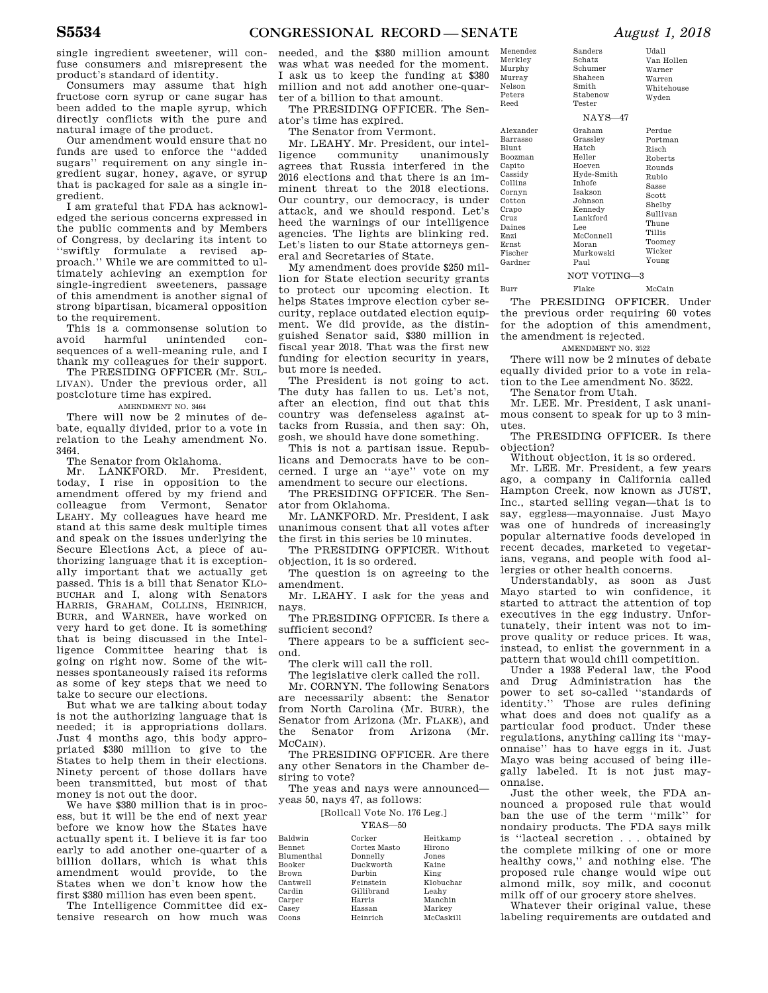single ingredient sweetener, will confuse consumers and misrepresent the product's standard of identity.

Consumers may assume that high fructose corn syrup or cane sugar has been added to the maple syrup, which directly conflicts with the pure and natural image of the product.

Our amendment would ensure that no funds are used to enforce the ''added sugars'' requirement on any single ingredient sugar, honey, agave, or syrup that is packaged for sale as a single ingredient.

I am grateful that FDA has acknowledged the serious concerns expressed in the public comments and by Members of Congress, by declaring its intent to ''swiftly formulate a revised approach.'' While we are committed to ultimately achieving an exemption for single-ingredient sweeteners, passage of this amendment is another signal of strong bipartisan, bicameral opposition to the requirement.

This is a commonsense solution to avoid harmful unintended consequences of a well-meaning rule, and I thank my colleagues for their support. The PRESIDING OFFICER (Mr. SUL-

LIVAN). Under the previous order, all postcloture time has expired.

AMENDMENT NO. 3464

There will now be 2 minutes of debate, equally divided, prior to a vote in relation to the Leahy amendment No. 3464.

The Senator from Oklahoma.

Mr. LANKFORD. Mr. President, today, I rise in opposition to the amendment offered by my friend and colleague from Vermont, Senator LEAHY. My colleagues have heard me stand at this same desk multiple times and speak on the issues underlying the Secure Elections Act, a piece of authorizing language that it is exceptionally important that we actually get passed. This is a bill that Senator KLO-BUCHAR and I, along with Senators HARRIS, GRAHAM, COLLINS, HEINRICH, BURR, and WARNER, have worked on very hard to get done. It is something that is being discussed in the Intelligence Committee hearing that is going on right now. Some of the witnesses spontaneously raised its reforms as some of key steps that we need to take to secure our elections.

But what we are talking about today is not the authorizing language that is needed; it is appropriations dollars. Just 4 months ago, this body appropriated \$380 million to give to the States to help them in their elections. Ninety percent of those dollars have been transmitted, but most of that money is not out the door.

We have \$380 million that is in process, but it will be the end of next year before we know how the States have actually spent it. I believe it is far too early to add another one-quarter of a billion dollars, which is what this amendment would provide, to the States when we don't know how the first \$380 million has even been spent.

The Intelligence Committee did extensive research on how much was Ca: Cas Coo

needed, and the \$380 million amount was what was needed for the moment. I ask us to keep the funding at \$380 million and not add another one-quarter of a billion to that amount.

The PRESIDING OFFICER. The Senator's time has expired.

The Senator from Vermont.

Mr. LEAHY. Mr. President, our intel-<br>ligence community unanimously community unanimously agrees that Russia interfered in the 2016 elections and that there is an imminent threat to the 2018 elections. Our country, our democracy, is under attack, and we should respond. Let's heed the warnings of our intelligence agencies. The lights are blinking red. Let's listen to our State attorneys general and Secretaries of State.

My amendment does provide \$250 million for State election security grants to protect our upcoming election. It helps States improve election cyber security, replace outdated election equipment. We did provide, as the distinguished Senator said, \$380 million in fiscal year 2018. That was the first new funding for election security in years, but more is needed.

The President is not going to act. The duty has fallen to us. Let's not, after an election, find out that this country was defenseless against attacks from Russia, and then say: Oh, gosh, we should have done something.

This is not a partisan issue. Republicans and Democrats have to be concerned. I urge an ''aye'' vote on my amendment to secure our elections.

The PRESIDING OFFICER. The Senator from Oklahoma.

Mr. LANKFORD. Mr. President, I ask unanimous consent that all votes after the first in this series be 10 minutes.

The PRESIDING OFFICER. Without objection, it is so ordered.

The question is on agreeing to the amendment.

Mr. LEAHY. I ask for the yeas and navs

The PRESIDING OFFICER. Is there a sufficient second?

There appears to be a sufficient second.

The clerk will call the roll.

The legislative clerk called the roll.

Mr. CORNYN. The following Senators are necessarily absent: the Senator from North Carolina (Mr. BURR), the Senator from Arizona (Mr. FLAKE), and the Senator from Arizona (Mr. MCCAIN).

The PRESIDING OFFICER. Are there any other Senators in the Chamber desiring to vote?

The yeas and nays were announced yeas 50, nays 47, as follows:

[Rollcall Vote No. 176 Leg.]

| 50<br>л<br>`<br>, , |  |
|---------------------|--|
|---------------------|--|

Ba

| Baldwin           | Corker       | Heitkamp  |
|-------------------|--------------|-----------|
| Bennet            | Cortez Masto | Hirono    |
| <b>Blumenthal</b> | Donnelly     | Jones     |
| Booker            | Duckworth    | Kaine     |
| <b>Brown</b>      | Durbin       | King      |
| Cantwell          | Feinstein    | Klobuchar |
| Cardin            | Gillibrand   | Leahv     |
| Carper            | Harris       | Manchin   |
| Casey             | Hassan       | Markey    |
| Coons             | Heinrich     | McCaskill |

| Menendez<br>Merkley<br>Murphy<br>Murray<br>Nelson<br>Peters | Sanders<br>Schatz<br>Schumer<br>Shaheen<br>Smith<br>Stabenow | Udall<br>Van Hollen<br>Warner<br>Warren<br>Whitehouse<br>Wyden |
|-------------------------------------------------------------|--------------------------------------------------------------|----------------------------------------------------------------|
| Reed                                                        | Tester                                                       |                                                                |
|                                                             | $NAYS-47$                                                    |                                                                |

| Alexander      | Graham              | Perdue   |
|----------------|---------------------|----------|
| Barrasso       | Grasslev            | Portman  |
| <b>Blunt</b>   | Hatch               | Risch    |
| Boozman        | Heller              | Roberts  |
| Capito         | Hoeven              | Rounds   |
| Cassidy        | Hyde-Smith          | Rubio    |
| Collins        | <b>Inhofe</b>       | Sasse    |
| Cornyn         | <b>Isakson</b>      | Scott    |
| Cotton         | Johnson             | Shelby   |
| Crapo          | Kennedy<br>Lankford | Sullivan |
| Cruz<br>Daines | Lee                 | Thune    |
| Enzi           | McConnell           | Tillis   |
| Ernst          | Moran               | Toomey   |
| Fischer        | Murkowski           | Wicker   |
| Gardner        | Paul                | Young    |
|                |                     |          |

NOT VOTING—3 Burr Flake McCain

The PRESIDING OFFICER. Under the previous order requiring 60 votes for the adoption of this amendment, the amendment is rejected.

AMENDMENT NO. 3522 There will now be 2 minutes of debate equally divided prior to a vote in relation to the Lee amendment No. 3522.

The Senator from Utah.

Mr. LEE. Mr. President, I ask unanimous consent to speak for up to 3 minutes.

The PRESIDING OFFICER. Is there objection?

Without objection, it is so ordered.

Mr. LEE. Mr. President, a few years ago, a company in California called Hampton Creek, now known as JUST, Inc., started selling vegan—that is to say, eggless—mayonnaise. Just Mayo was one of hundreds of increasingly popular alternative foods developed in recent decades, marketed to vegetarians, vegans, and people with food allergies or other health concerns.

Understandably, as soon as Just Mayo started to win confidence, it started to attract the attention of top executives in the egg industry. Unfortunately, their intent was not to improve quality or reduce prices. It was, instead, to enlist the government in a pattern that would chill competition.

Under a 1938 Federal law, the Food and Drug Administration has the power to set so-called ''standards of identity.'' Those are rules defining what does and does not qualify as a particular food product. Under these regulations, anything calling its ''mayonnaise'' has to have eggs in it. Just Mayo was being accused of being illegally labeled. It is not just mayonnaise.

Just the other week, the FDA announced a proposed rule that would ban the use of the term ''milk'' for nondairy products. The FDA says milk is ''lacteal secretion . . . obtained by the complete milking of one or more healthy cows,'' and nothing else. The proposed rule change would wipe out almond milk, soy milk, and coconut milk off of our grocery store shelves.

Whatever their original value, these labeling requirements are outdated and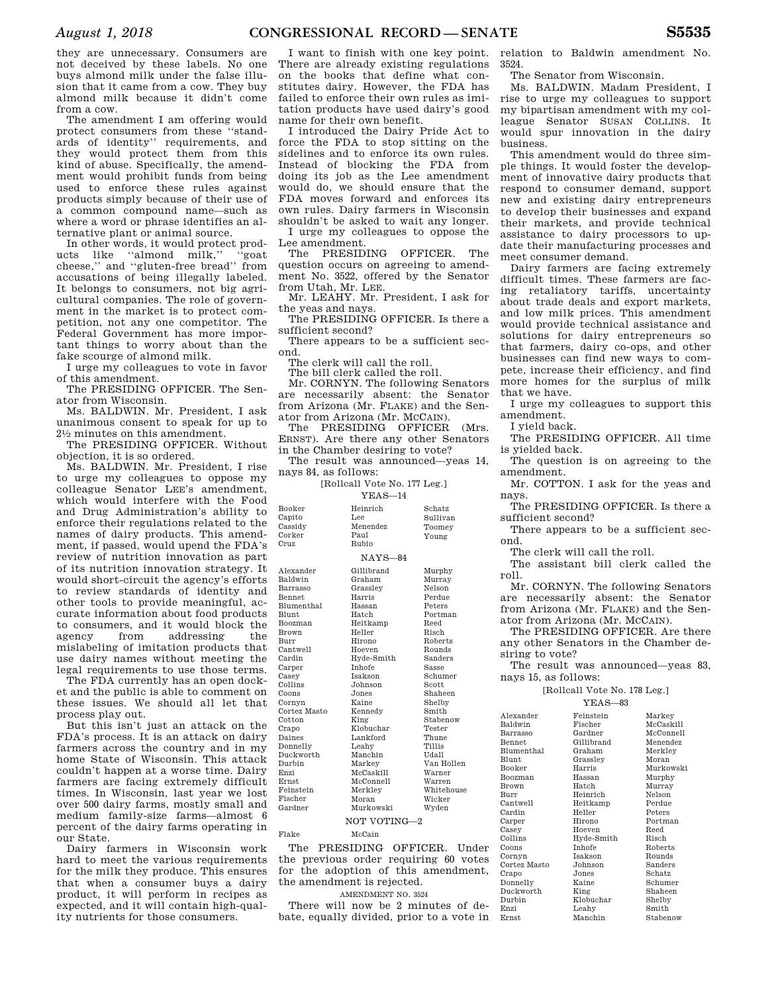they are unnecessary. Consumers are not deceived by these labels. No one buys almond milk under the false illusion that it came from a cow. They buy almond milk because it didn't come from a cow.

The amendment I am offering would protect consumers from these ''standards of identity'' requirements, and they would protect them from this kind of abuse. Specifically, the amendment would prohibit funds from being used to enforce these rules against products simply because of their use of a common compound name—such as where a word or phrase identifies an alternative plant or animal source.

In other words, it would protect products like ''almond milk,'' ''goat cheese,'' and ''gluten-free bread'' from accusations of being illegally labeled. It belongs to consumers, not big agricultural companies. The role of government in the market is to protect competition, not any one competitor. The Federal Government has more important things to worry about than the fake scourge of almond milk.

I urge my colleagues to vote in favor of this amendment.

The PRESIDING OFFICER. The Senator from Wisconsin.

Ms. BALDWIN. Mr. President, I ask unanimous consent to speak for up to 21⁄2 minutes on this amendment.

The PRESIDING OFFICER. Without objection, it is so ordered.

Ms. BALDWIN. Mr. President, I rise to urge my colleagues to oppose my colleague Senator LEE's amendment, which would interfere with the Food and Drug Administration's ability to enforce their regulations related to the names of dairy products. This amendment, if passed, would upend the FDA's review of nutrition innovation as part of its nutrition innovation strategy. It would short-circuit the agency's efforts to review standards of identity and other tools to provide meaningful, accurate information about food products to consumers, and it would block the<br>agency from addressing the agency from addressing the mislabeling of imitation products that use dairy names without meeting the legal requirements to use those terms.  $Bo$ Bu Ca

The FDA currently has an open docket and the public is able to comment on these issues. We should all let that process play out.

But this isn't just an attack on the FDA's process. It is an attack on dairy farmers across the country and in my home State of Wisconsin. This attack couldn't happen at a worse time. Dairy farmers are facing extremely difficult times. In Wisconsin, last year we lost over 500 dairy farms, mostly small and medium family-size farms—almost 6 percent of the dairy farms operating in our State.

Dairy farmers in Wisconsin work hard to meet the various requirements for the milk they produce. This ensures that when a consumer buys a dairy product, it will perform in recipes as expected, and it will contain high-quality nutrients for those consumers.

I want to finish with one key point. There are already existing regulations on the books that define what constitutes dairy. However, the FDA has failed to enforce their own rules as imitation products have used dairy's good name for their own benefit.

I introduced the Dairy Pride Act to force the FDA to stop sitting on the sidelines and to enforce its own rules. Instead of blocking the FDA from doing its job as the Lee amendment would do, we should ensure that the FDA moves forward and enforces its own rules. Dairy farmers in Wisconsin shouldn't be asked to wait any longer.

I urge my colleagues to oppose the Lee amendment.

The PRESIDING OFFICER. The question occurs on agreeing to amendment No. 3522, offered by the Senator from Utah, Mr. LEE.

Mr. LEAHY. Mr. President, I ask for the yeas and nays.

The PRESIDING OFFICER. Is there a sufficient second?

There appears to be a sufficient second.

The clerk will call the roll.

The bill clerk called the roll.

Mr. CORNYN. The following Senators are necessarily absent: the Senator from Arizona (Mr. FLAKE) and the Senator from Arizona (Mr. MCCAIN).

The PRESIDING OFFICER (Mrs. ERNST). Are there any other Senators in the Chamber desiring to vote?

The result was announced—yeas 14, nays 84, as follows:

[Rollcall Vote No. 177 Leg.]

| Booker<br>Heinrich<br>Capito<br>Lee<br>Menendez                                                                                                                                                                                                                                                                                                                                                                                                                                                                                                                                                                                                   | Schatz<br>Sullivan<br>Toomey<br>Young                                                                                                                                                                                                                                             |
|---------------------------------------------------------------------------------------------------------------------------------------------------------------------------------------------------------------------------------------------------------------------------------------------------------------------------------------------------------------------------------------------------------------------------------------------------------------------------------------------------------------------------------------------------------------------------------------------------------------------------------------------------|-----------------------------------------------------------------------------------------------------------------------------------------------------------------------------------------------------------------------------------------------------------------------------------|
| Cassidy<br>Corker<br>Paul<br>Cruz<br>Rubio                                                                                                                                                                                                                                                                                                                                                                                                                                                                                                                                                                                                        |                                                                                                                                                                                                                                                                                   |
| $NAYS-84$                                                                                                                                                                                                                                                                                                                                                                                                                                                                                                                                                                                                                                         |                                                                                                                                                                                                                                                                                   |
| Alexander<br>Gillibrand<br>Baldwin<br>Graham<br>Grasslev<br>Barrasso<br>Harris<br><b>Bennet</b><br><b>Blumenthal</b><br>Hassan<br><b>Blunt</b><br>Hatch<br>Heitkamp<br>Boozman<br>Heller<br><b>Brown</b><br>Burr<br>Hirono<br>Cantwell<br>Hoeven<br>Cardin<br>Hyde-Smith<br><b>Inhofe</b><br>Carper<br>Casey<br><b>Isakson</b><br>Collins<br>Johnson<br>Coons<br>Jones<br>Kaine<br>Cornyn<br>Cortez Masto<br>Kennedy<br>Cotton<br>King<br>Klobuchar<br>Crapo<br>Daines<br>Lankford<br>Donnelly<br>Leahy<br>Duckworth<br>Manchin<br>Durbin<br>Markey<br>McCaskill<br>Enzi<br>McConnell<br><b>Ernst</b><br>Feinstein<br>Merkley<br>Moran<br>Fischer | Murphy<br>Murray<br>Nelson<br>Perdue<br>Peters<br>Portman<br>Reed<br>Risch<br>Roberts<br>Rounds<br>Sanders<br>Sasse<br>Schumer<br>Scott<br>Shaheen<br>Shelby<br>Smith<br>Stabenow<br>Tester<br>Thune<br>Tillis<br>Udall<br>Van Hollen<br>Warner<br>Warren<br>Whitehouse<br>Wicker |
| Gardner<br>Murkowski                                                                                                                                                                                                                                                                                                                                                                                                                                                                                                                                                                                                                              | Wyden                                                                                                                                                                                                                                                                             |

NOT VOTING—2

Flake McCain

The PRESIDING OFFICER. Under the previous order requiring 60 votes for the adoption of this amendment, the amendment is rejected.

AMENDMENT NO. 3524

There will now be 2 minutes of debate, equally divided, prior to a vote in Ernst

relation to Baldwin amendment No. 3524.

The Senator from Wisconsin.

Ms. BALDWIN. Madam President, I rise to urge my colleagues to support my bipartisan amendment with my colleague Senator SUSAN COLLINS. It would spur innovation in the dairy business.

This amendment would do three simple things. It would foster the development of innovative dairy products that respond to consumer demand, support new and existing dairy entrepreneurs to develop their businesses and expand their markets, and provide technical assistance to dairy processors to update their manufacturing processes and meet consumer demand.

Dairy farmers are facing extremely difficult times. These farmers are facing retaliatory tariffs, uncertainty about trade deals and export markets, and low milk prices. This amendment would provide technical assistance and solutions for dairy entrepreneurs so that farmers, dairy co-ops, and other businesses can find new ways to compete, increase their efficiency, and find more homes for the surplus of milk that we have.

I urge my colleagues to support this amendment.

I yield back.

The PRESIDING OFFICER. All time is yielded back.

The question is on agreeing to the amendment.

Mr. COTTON. I ask for the yeas and nays.

The PRESIDING OFFICER. Is there a sufficient second?

There appears to be a sufficient second.

The clerk will call the roll.

The assistant bill clerk called the roll.

Mr. CORNYN. The following Senators are necessarily absent: the Senator from Arizona (Mr. FLAKE) and the Senator from Arizona (Mr. MCCAIN).

The PRESIDING OFFICER. Are there any other Senators in the Chamber desiring to vote?

The result was announced—yeas 83, nays 15, as follows:

[Rollcall Vote No. 178 Leg.]

YEAS—83

|              | + ⊥⊥⊥⊾<br>ັບບ |           |
|--------------|---------------|-----------|
| Alexander    | Feinstein     | Markey    |
| Baldwin      | Fischer       | McCaskill |
| Barrasso     | Gardner       | McConnell |
| Bennet       | Gillibrand    | Menendez  |
| Blumenthal   | Graham        | Merkley   |
| Blunt        | Grassley      | Moran     |
| Booker       | Harris        | Murkowski |
| Boozman      | Hassan        | Murphy    |
| Brown        | Hatch         | Murray    |
| Burr         | Heinrich      | Nelson    |
| Cantwell     | Heitkamp      | Perdue    |
| Cardin       | Heller        | Peters    |
| Carper       | Hirono        | Portman   |
| Casey        | Hoeven        | Reed      |
| Collins      | Hyde-Smith    | Risch     |
| Coons        | <b>Inhofe</b> | Roberts   |
| Cornyn       | Isakson       | Rounds    |
| Cortez Masto | Johnson       | Sanders   |
| Crapo        | Jones         | Schatz    |
| Donnelly     | Kaine         | Schumer   |
| Duckworth    | King          | Shaheen   |
| Durbin       | Klobuchar     | Shelby    |
| Enzi         | Leahy         | Smith     |
| Ernst        | Manchin       | Stabenow  |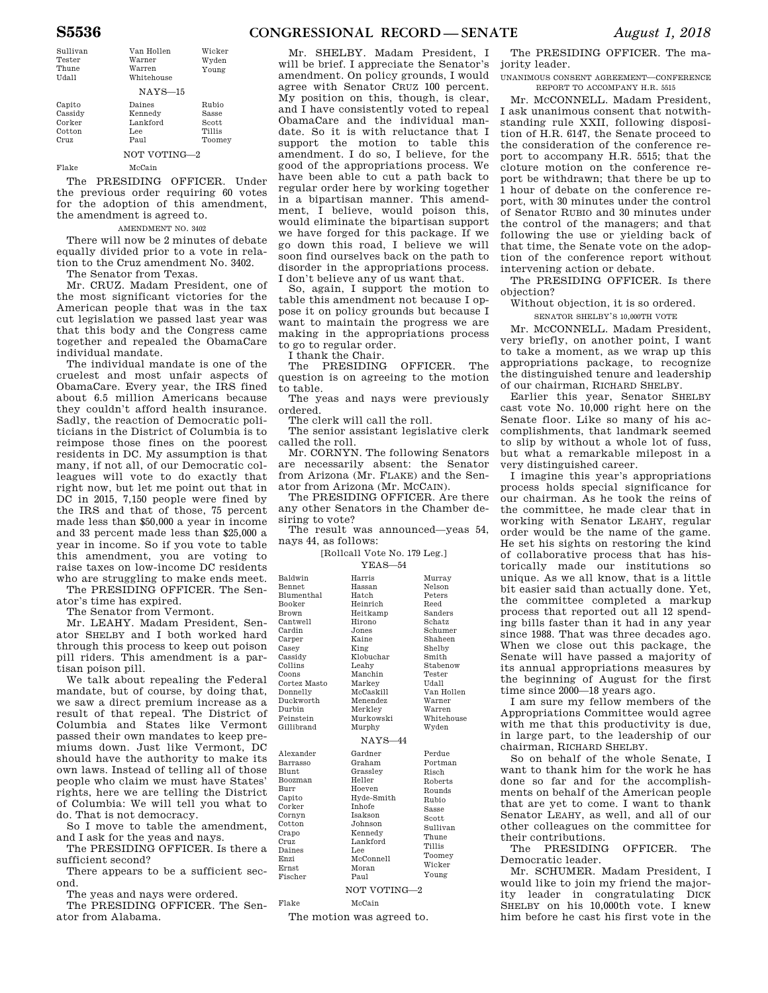| Sullivan<br>Tester<br>Thune<br>Udall | Van Hollen<br>Warner<br>Warren<br>Whitehouse | Wicker<br>Wyden<br>Young |  |
|--------------------------------------|----------------------------------------------|--------------------------|--|
| $NAYS-15$                            |                                              |                          |  |
| Capito                               | Daines                                       | Rubio                    |  |
| Cassidy                              | Kennedy                                      | Sasse                    |  |
| Corker                               | Lankford                                     | Scott                    |  |
| Cotton                               | Lee                                          | Tillis                   |  |
| Cruz                                 | Paul                                         | Toomey                   |  |
|                                      | NOT VOTING-2                                 |                          |  |
| Flake                                | McCain                                       |                          |  |

The PRESIDING OFFICER. Under the previous order requiring 60 votes for the adoption of this amendment, the amendment is agreed to.

#### AMENDMENT NO. 3402

There will now be 2 minutes of debate equally divided prior to a vote in relation to the Cruz amendment No. 3402. The Senator from Texas.

Mr. CRUZ. Madam President, one of the most significant victories for the American people that was in the tax cut legislation we passed last year was that this body and the Congress came together and repealed the ObamaCare individual mandate.

The individual mandate is one of the cruelest and most unfair aspects of ObamaCare. Every year, the IRS fined about 6.5 million Americans because they couldn't afford health insurance. Sadly, the reaction of Democratic politicians in the District of Columbia is to reimpose those fines on the poorest residents in DC. My assumption is that many, if not all, of our Democratic colleagues will vote to do exactly that right now, but let me point out that in DC in 2015, 7,150 people were fined by the IRS and that of those, 75 percent made less than \$50,000 a year in income and 33 percent made less than \$25,000 a year in income. So if you vote to table this amendment, you are voting to raise taxes on low-income DC residents who are struggling to make ends meet.

The PRESIDING OFFICER. The Senator's time has expired.

The Senator from Vermont.

Mr. LEAHY. Madam President, Senator SHELBY and I both worked hard through this process to keep out poison pill riders. This amendment is a partisan poison pill.

We talk about repealing the Federal mandate, but of course, by doing that, we saw a direct premium increase as a result of that repeal. The District of Columbia and States like Vermont passed their own mandates to keep premiums down. Just like Vermont, DC should have the authority to make its own laws. Instead of telling all of those people who claim we must have States' rights, here we are telling the District of Columbia: We will tell you what to do. That is not democracy.

So I move to table the amendment, and I ask for the yeas and nays.

The PRESIDING OFFICER. Is there a sufficient second?

There appears to be a sufficient second.

The yeas and nays were ordered.

The PRESIDING OFFICER. The Senator from Alabama.

Mr. SHELBY. Madam President, I will be brief. I appreciate the Senator's amendment. On policy grounds, I would agree with Senator CRUZ 100 percent. My position on this, though, is clear, and I have consistently voted to repeal ObamaCare and the individual mandate. So it is with reluctance that I support the motion to table this amendment. I do so, I believe, for the good of the appropriations process. We have been able to cut a path back to regular order here by working together in a bipartisan manner. This amendment, I believe, would poison this, would eliminate the bipartisan support we have forged for this package. If we go down this road, I believe we will soon find ourselves back on the path to disorder in the appropriations process. I don't believe any of us want that.

So, again, I support the motion to table this amendment not because I oppose it on policy grounds but because I want to maintain the progress we are making in the appropriations process to go to regular order.

I thank the Chair.

The PRESIDING OFFICER. The question is on agreeing to the motion to table.

The yeas and nays were previously ordered.

The clerk will call the roll.

The senior assistant legislative clerk called the roll.

Mr. CORNYN. The following Senators are necessarily absent: the Senator from Arizona (Mr. FLAKE) and the Senator from Arizona (Mr. MCCAIN).

The PRESIDING OFFICER. Are there any other Senators in the Chamber desiring to vote?

The result was announced—yeas 54, nays 44, as follows:

> [Rollcall Vote No. 179 Leg.] YEAS—54

| Baldwin       | Harris                   | Murray       |
|---------------|--------------------------|--------------|
| <b>Bennet</b> | Hassan                   | Nelson       |
| Blumenthal    | Hatch                    | Peters       |
| Booker        | Heinrich                 | Reed         |
| Brown         | Heitkamp                 | Sanders      |
| Cantwell      | Hirono                   | Schatz       |
| Cardin        | Jones                    | Schumer      |
| Carper        | Kaine                    | Shaheen      |
| Casey         | King                     | Shelby       |
| Cassidy       | Klobuchar                | Smith        |
| Collins       | Leahv                    | Stabenow     |
| Coons         | Manchin                  | Tester       |
| Cortez Masto  | Markey                   | Udall        |
| Donnelly      | McCaskill                | Van Hollen   |
| Duckworth     | Menendez                 | Warner       |
| Durbin        | Merklev                  | Warren       |
| Feinstein     | Murkowski                | Whitehouse   |
| Gillibrand    | Murphy                   | Wyden        |
|               | $NAYS-44$                |              |
| Alexander     | Gardner                  | Perdue       |
| Barrasso      | Graham                   | Portman      |
| Blunt         | Grasslev                 | Risch        |
| Boozman       | Heller                   | Roberts      |
| Burr          | Hoeven                   | Rounds       |
| Capito        | Hyde-Smith               | Rubio        |
| Corker        | <b>Inhofe</b>            | <b>Sasse</b> |
| Cornyn        | <b>Isakson</b>           | Scott        |
| Cotton        | Johnson                  | Sullivan     |
| Crapo         | Kennedy                  | Thune        |
| Cruz          | Lankford                 | Tillis       |
| Daines        | Lee                      |              |
| Enzi          | McConnell                | Toomey       |
| <b>Ernst</b>  | Moran                    | Wicker       |
| Fischer       | Paul                     | Young        |
|               | NOT VOTING <sub>-2</sub> |              |

Flake McCain

The motion was agreed to.

The PRESIDING OFFICER. The majority leader.

UNANIMOUS CONSENT AGREEMENT—CONFERENCE REPORT TO ACCOMPANY H.R. 5515

Mr. MCCONNELL. Madam President, I ask unanimous consent that notwithstanding rule XXII, following disposition of H.R. 6147, the Senate proceed to the consideration of the conference report to accompany H.R. 5515; that the cloture motion on the conference report be withdrawn; that there be up to 1 hour of debate on the conference report, with 30 minutes under the control of Senator RUBIO and 30 minutes under the control of the managers; and that following the use or yielding back of that time, the Senate vote on the adoption of the conference report without intervening action or debate.

The PRESIDING OFFICER. Is there objection?

Without objection, it is so ordered.

SENATOR SHELBY'S 10,000TH VOTE

Mr. MCCONNELL. Madam President, very briefly, on another point, I want to take a moment, as we wrap up this appropriations package, to recognize the distinguished tenure and leadership of our chairman, RICHARD SHELBY.

Earlier this year, Senator SHELBY cast vote No. 10,000 right here on the Senate floor. Like so many of his accomplishments, that landmark seemed to slip by without a whole lot of fuss, but what a remarkable milepost in a very distinguished career.

I imagine this year's appropriations process holds special significance for our chairman. As he took the reins of the committee, he made clear that in working with Senator LEAHY, regular order would be the name of the game. He set his sights on restoring the kind of collaborative process that has historically made our institutions so unique. As we all know, that is a little bit easier said than actually done. Yet, the committee completed a markup process that reported out all 12 spending bills faster than it had in any year since 1988. That was three decades ago. When we close out this package, the Senate will have passed a majority of its annual appropriations measures by the beginning of August for the first time since 2000—18 years ago.

I am sure my fellow members of the Appropriations Committee would agree with me that this productivity is due, in large part, to the leadership of our chairman, RICHARD SHELBY.

So on behalf of the whole Senate, I want to thank him for the work he has done so far and for the accomplishments on behalf of the American people that are yet to come. I want to thank Senator LEAHY, as well, and all of our other colleagues on the committee for their contributions.

The PRESIDING OFFICER. The Democratic leader.

Mr. SCHUMER. Madam President, I would like to join my friend the majority leader in congratulating DICK SHELBY on his 10,000th vote. I knew him before he cast his first vote in the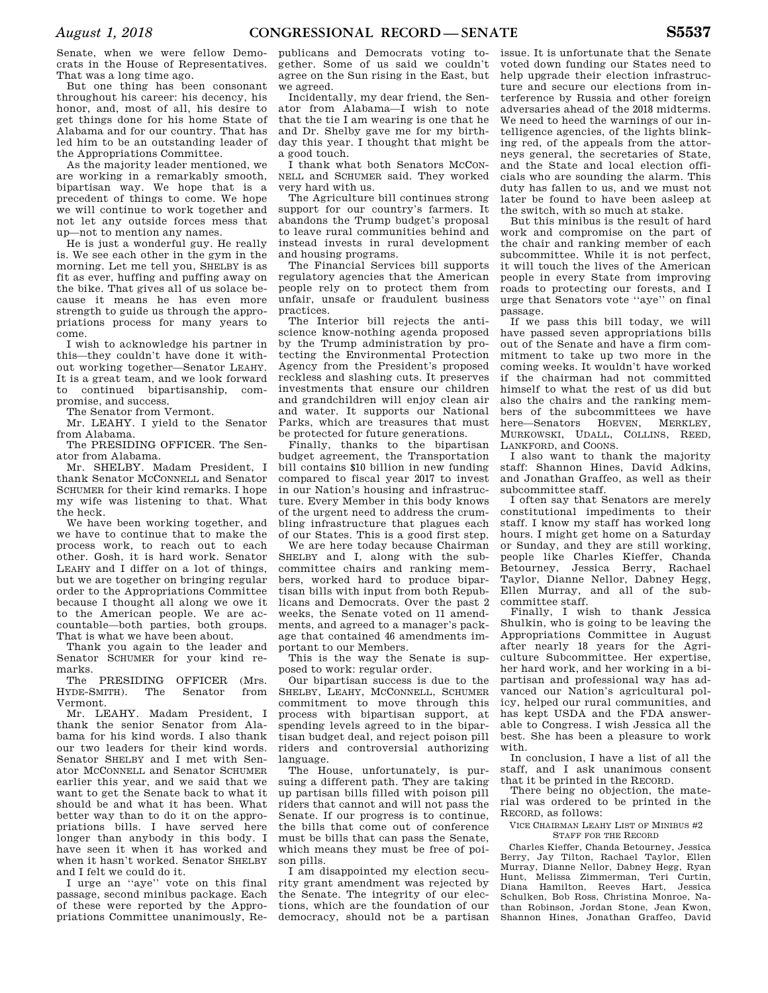Senate, when we were fellow Democrats in the House of Representatives. That was a long time ago.

But one thing has been consonant throughout his career: his decency, his honor, and, most of all, his desire to get things done for his home State of Alabama and for our country. That has led him to be an outstanding leader of the Appropriations Committee.

As the majority leader mentioned, we are working in a remarkably smooth, bipartisan way. We hope that is a precedent of things to come. We hope we will continue to work together and not let any outside forces mess that up—not to mention any names.

He is just a wonderful guy. He really is. We see each other in the gym in the morning. Let me tell you, SHELBY is as fit as ever, huffing and puffing away on the bike. That gives all of us solace because it means he has even more strength to guide us through the appropriations process for many years to come.

I wish to acknowledge his partner in this—they couldn't have done it without working together—Senator LEAHY. It is a great team, and we look forward to continued bipartisanship, compromise, and success.

The Senator from Vermont.

Mr. LEAHY. I yield to the Senator

from Alabama. The PRESIDING OFFICER. The Senator from Alabama.

Mr. SHELBY. Madam President, I thank Senator MCCONNELL and Senator SCHUMER for their kind remarks. I hope my wife was listening to that. What the heck.

We have been working together, and we have to continue that to make the process work, to reach out to each other. Gosh, it is hard work. Senator LEAHY and I differ on a lot of things, but we are together on bringing regular order to the Appropriations Committee because I thought all along we owe it to the American people. We are accountable—both parties, both groups. That is what we have been about.

Thank you again to the leader and Senator SCHUMER for your kind remarks.

The PRESIDING OFFICER (Mrs. HYDE-SMITH). The Senator from Vermont.

Mr. LEAHY. Madam President, I thank the senior Senator from Alabama for his kind words. I also thank our two leaders for their kind words. Senator SHELBY and I met with Senator MCCONNELL and Senator SCHUMER earlier this year, and we said that we want to get the Senate back to what it should be and what it has been. What better way than to do it on the appropriations bills. I have served here longer than anybody in this body. I have seen it when it has worked and when it hasn't worked. Senator SHELBY and I felt we could do it.

I urge an ''aye'' vote on this final passage, second minibus package. Each of these were reported by the Appropriations Committee unanimously, Republicans and Democrats voting together. Some of us said we couldn't agree on the Sun rising in the East, but we agreed.

Incidentally, my dear friend, the Senator from Alabama—I wish to note that the tie I am wearing is one that he and Dr. Shelby gave me for my birthday this year. I thought that might be a good touch.

I thank what both Senators MCCON-NELL and SCHUMER said. They worked very hard with us.

The Agriculture bill continues strong support for our country's farmers. It abandons the Trump budget's proposal to leave rural communities behind and instead invests in rural development and housing programs.

The Financial Services bill supports regulatory agencies that the American people rely on to protect them from unfair, unsafe or fraudulent business practices.

The Interior bill rejects the antiscience know-nothing agenda proposed by the Trump administration by protecting the Environmental Protection Agency from the President's proposed reckless and slashing cuts. It preserves investments that ensure our children and grandchildren will enjoy clean air and water. It supports our National Parks, which are treasures that must be protected for future generations.

Finally, thanks to the bipartisan budget agreement, the Transportation bill contains \$10 billion in new funding compared to fiscal year 2017 to invest in our Nation's housing and infrastructure. Every Member in this body knows of the urgent need to address the crumbling infrastructure that plagues each of our States. This is a good first step.

We are here today because Chairman SHELBY and I, along with the subcommittee chairs and ranking members, worked hard to produce bipartisan bills with input from both Republicans and Democrats. Over the past 2 weeks, the Senate voted on 11 amendments, and agreed to a manager's package that contained 46 amendments important to our Members.

This is the way the Senate is supposed to work: regular order.

Our bipartisan success is due to the SHELBY, LEAHY, MCCONNELL, SCHUMER commitment to move through this process with bipartisan support, at spending levels agreed to in the bipartisan budget deal, and reject poison pill riders and controversial authorizing language.

The House, unfortunately, is pursuing a different path. They are taking up partisan bills filled with poison pill riders that cannot and will not pass the Senate. If our progress is to continue, the bills that come out of conference must be bills that can pass the Senate, which means they must be free of poison pills.

I am disappointed my election security grant amendment was rejected by the Senate. The integrity of our elections, which are the foundation of our democracy, should not be a partisan

issue. It is unfortunate that the Senate voted down funding our States need to help upgrade their election infrastructure and secure our elections from interference by Russia and other foreign adversaries ahead of the 2018 midterms. We need to heed the warnings of our intelligence agencies, of the lights blinking red, of the appeals from the attorneys general, the secretaries of State, and the State and local election officials who are sounding the alarm. This duty has fallen to us, and we must not later be found to have been asleep at the switch, with so much at stake.

But this minibus is the result of hard work and compromise on the part of the chair and ranking member of each subcommittee. While it is not perfect, it will touch the lives of the American people in every State from improving roads to protecting our forests, and I urge that Senators vote ''aye'' on final passage.

If we pass this bill today, we will have passed seven appropriations bills out of the Senate and have a firm commitment to take up two more in the coming weeks. It wouldn't have worked if the chairman had not committed himself to what the rest of us did but also the chairs and the ranking members of the subcommittees we have here—Senators HOEVEN, MERKLEY, MURKOWSKI, UDALL, COLLINS, REED, LANKFORD, and COONS.

I also want to thank the majority staff: Shannon Hines, David Adkins, and Jonathan Graffeo, as well as their subcommittee staff.

I often say that Senators are merely constitutional impediments to their staff. I know my staff has worked long hours. I might get home on a Saturday or Sunday, and they are still working, people like Charles Kieffer, Chanda Betourney, Jessica Berry, Rachael Taylor, Dianne Nellor, Dabney Hegg, Ellen Murray, and all of the subcommittee staff.

Finally, I wish to thank Jessica Shulkin, who is going to be leaving the Appropriations Committee in August after nearly 18 years for the Agriculture Subcommittee. Her expertise, her hard work, and her working in a bipartisan and professional way has advanced our Nation's agricultural policy, helped our rural communities, and has kept USDA and the FDA answerable to Congress. I wish Jessica all the best. She has been a pleasure to work with.

In conclusion, I have a list of all the staff, and I ask unanimous consent that it be printed in the RECORD.

There being no objection, the material was ordered to be printed in the RECORD, as follows:

VICE CHAIRMAN LEAHY LIST OF MINIBUS #2

STAFF FOR THE RECORD

Charles Kieffer, Chanda Betourney, Jessica Berry, Jay Tilton, Rachael Taylor, Ellen Murray, Dianne Nellor, Dabney Hegg, Ryan Hunt, Melissa Zimmerman, Teri Curtin, Hamilton, Reeves Hart, Jessica Schulken, Bob Ross, Christina Monroe, Nathan Robinson, Jordan Stone, Jean Kwon, Shannon Hines, Jonathan Graffeo, David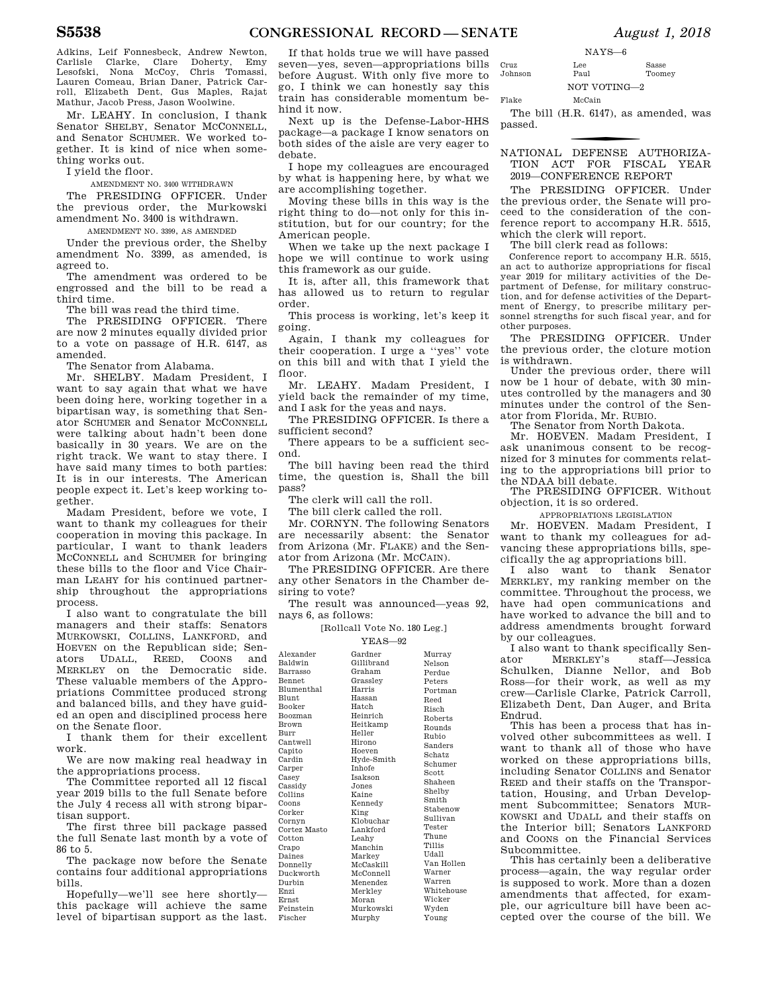Adkins, Leif Fonnesbeck, Andrew Newton, Carlisle Clarke, Clare Doherty, Emy Lesofski, Nona McCoy, Chris Tomassi, Lauren Comeau, Brian Daner, Patrick Carroll, Elizabeth Dent, Gus Maples, Rajat Mathur, Jacob Press, Jason Woolwine.

Mr. LEAHY. In conclusion, I thank Senator SHELBY, Senator MCCONNELL, and Senator SCHUMER. We worked together. It is kind of nice when something works out.

I yield the floor.

AMENDMENT NO. 3400 WITHDRAWN

The PRESIDING OFFICER. Under the previous order, the Murkowski amendment No. 3400 is withdrawn.

AMENDMENT NO. 3399, AS AMENDED Under the previous order, the Shelby amendment No. 3399, as amended, is agreed to.

The amendment was ordered to be engrossed and the bill to be read a third time.

The bill was read the third time.

The PRESIDING OFFICER. There are now 2 minutes equally divided prior to a vote on passage of H.R. 6147, as amended.

The Senator from Alabama.

Mr. SHELBY. Madam President, I want to say again that what we have been doing here, working together in a bipartisan way, is something that Senator SCHUMER and Senator MCCONNELL were talking about hadn't been done basically in 30 years. We are on the right track. We want to stay there. I have said many times to both parties: It is in our interests. The American people expect it. Let's keep working together.

Madam President, before we vote, I want to thank my colleagues for their cooperation in moving this package. In particular, I want to thank leaders MCCONNELL and SCHUMER for bringing these bills to the floor and Vice Chairman LEAHY for his continued partnership throughout the appropriations process.

I also want to congratulate the bill managers and their staffs: Senators MURKOWSKI, COLLINS, LANKFORD, and HOEVEN on the Republican side; Senators UDALL, REED, COONS and MERKLEY on the Democratic side. These valuable members of the Appropriations Committee produced strong and balanced bills, and they have guided an open and disciplined process here on the Senate floor.

I thank them for their excellent work.

We are now making real headway in the appropriations process.

The Committee reported all 12 fiscal year 2019 bills to the full Senate before the July 4 recess all with strong bipartisan support.

The first three bill package passed the full Senate last month by a vote of 86 to 5.

The package now before the Senate contains four additional appropriations bills.

Hopefully—we'll see here shortly this package will achieve the same level of bipartisan support as the last. En Er  $F_{\rm P}$ Fischer

If that holds true we will have passed seven—yes, seven—appropriations bills before August. With only five more to go, I think we can honestly say this train has considerable momentum behind it now.

Next up is the Defense-Labor-HHS package—a package I know senators on both sides of the aisle are very eager to debate.

I hope my colleagues are encouraged by what is happening here, by what we are accomplishing together.

Moving these bills in this way is the right thing to do—not only for this institution, but for our country; for the American people.

When we take up the next package I hope we will continue to work using this framework as our guide.

It is, after all, this framework that has allowed us to return to regular order.

This process is working, let's keep it going.

Again, I thank my colleagues for their cooperation. I urge a ''yes'' vote on this bill and with that I yield the floor.

Mr. LEAHY. Madam President, I yield back the remainder of my time, and I ask for the yeas and nays.

The PRESIDING OFFICER. Is there a sufficient second?

There appears to be a sufficient second.

The bill having been read the third time, the question is, Shall the bill pass?

The clerk will call the roll.

The bill clerk called the roll.

Mr. CORNYN. The following Senators are necessarily absent: the Senator from Arizona (Mr. FLAKE) and the Senator from Arizona (Mr. MCCAIN).

The PRESIDING OFFICER. Are there any other Senators in the Chamber desiring to vote?

The result was announced—yeas 92, nays 6, as follows:

[Rollcall Vote No. 180 Leg.]

### $YFAS = 99$

|                   | 1 LLAN—74      |            |
|-------------------|----------------|------------|
| Alexander         | Gardner        | Murray     |
| Baldwin           | Gillibrand     | Nelson     |
| Barrasso          | Graham         | Perdue     |
| <b>Bennet</b>     | Grassley       | Peters     |
| <b>Blumenthal</b> | Harris         | Portman    |
| Blunt             | Hassan         | Reed       |
| Booker            | Hatch          | Risch      |
| <b>Boozman</b>    | Heinrich       | Roberts    |
| <b>Brown</b>      | Heitkamp       | Rounds     |
| Burr              | Heller         | Rubio      |
| Cantwell          | Hirono         | Sanders    |
| Capito            | Hoeven         | Schatz     |
| Cardin            | Hyde-Smith     | Schumer    |
| Carper            | Inhofe         | Scott      |
| Casey             | <b>Isakson</b> | Shaheen    |
| Cassidy           | Jones          | Shelby     |
| Collins           | Kaine          | Smith      |
| Coons             | Kennedy        | Stabenow   |
| Corker            | King           |            |
| Cornyn            | Klobuchar      | Sullivan   |
| Cortez Masto      | Lankford       | Tester     |
| Cotton            | Leahy          | Thune      |
| Crapo             | Manchin        | Tillis     |
| Daines            | Markey         | Udall      |
| Donnelly          | McCaskill      | Van Hollen |
| Duckworth         | McConnell      | Warner     |
| Durbin            | Menendez       | Warren     |
| Enzi              | Merkley        | Whitehouse |
| Ernst             | Moran          | Wicker     |
| Feinstein         | Murkowski      | Wyden      |
| Fischer           | Murphy         | Young      |

|         | $NAYS-6$     |        |
|---------|--------------|--------|
| Cruz    | Lee          | Sasse  |
| Johnson | Paul         | Toomey |
|         | NOT VOTING-2 |        |
| Flake   | McCain       |        |

The bill (H.R. 6147), as amended, was passed.

f NATIONAL DEFENSE AUTHORIZA-TION ACT FOR FISCAL YEAR 2019—CONFERENCE REPORT

The PRESIDING OFFICER. Under the previous order, the Senate will proceed to the consideration of the conference report to accompany H.R. 5515, which the clerk will report.

The bill clerk read as follows:

Conference report to accompany H.R. 5515, an act to authorize appropriations for fiscal year 2019 for military activities of the Department of Defense, for military construction, and for defense activities of the Department of Energy, to prescribe military personnel strengths for such fiscal year, and for other purposes.

The PRESIDING OFFICER. Under the previous order, the cloture motion is withdrawn.

Under the previous order, there will now be 1 hour of debate, with 30 minutes controlled by the managers and 30 minutes under the control of the Senator from Florida, Mr. RUBIO.

The Senator from North Dakota.

Mr. HOEVEN. Madam President, I ask unanimous consent to be recognized for 3 minutes for comments relating to the appropriations bill prior to the NDAA bill debate.

The PRESIDING OFFICER. Without objection, it is so ordered.

APPROPRIATIONS LEGISLATION

Mr. HOEVEN. Madam President, I want to thank my colleagues for advancing these appropriations bills, specifically the ag appropriations bill.

I also want to thank Senator MERKLEY, my ranking member on the committee. Throughout the process, we have had open communications and have worked to advance the bill and to address amendments brought forward by our colleagues.

I also want to thank specifically Senator MERKLEY's staff—Jessica Schulken, Dianne Nellor, and Bob Ross—for their work, as well as my crew—Carlisle Clarke, Patrick Carroll, Elizabeth Dent, Dan Auger, and Brita Endrud.

This has been a process that has involved other subcommittees as well. I want to thank all of those who have worked on these appropriations bills, including Senator COLLINS and Senator REED and their staffs on the Transportation, Housing, and Urban Development Subcommittee; Senators MUR-KOWSKI and UDALL and their staffs on the Interior bill; Senators LANKFORD and COONS on the Financial Services Subcommittee.

This has certainly been a deliberative process—again, the way regular order is supposed to work. More than a dozen amendments that affected, for example, our agriculture bill have been accepted over the course of the bill. We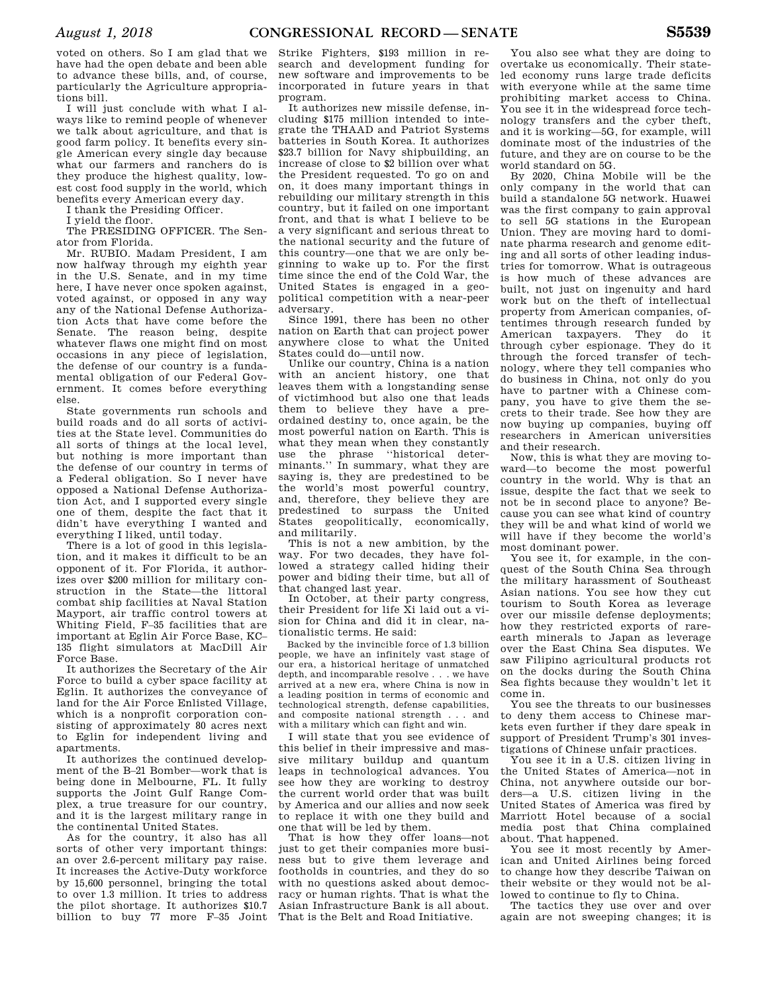voted on others. So I am glad that we have had the open debate and been able to advance these bills, and, of course, particularly the Agriculture appropriations bill.

I will just conclude with what I always like to remind people of whenever we talk about agriculture, and that is good farm policy. It benefits every single American every single day because what our farmers and ranchers do is they produce the highest quality, lowest cost food supply in the world, which benefits every American every day.

I thank the Presiding Officer.

I yield the floor.

The PRESIDING OFFICER. The Senator from Florida.

Mr. RUBIO. Madam President, I am now halfway through my eighth year in the U.S. Senate, and in my time here, I have never once spoken against, voted against, or opposed in any way any of the National Defense Authorization Acts that have come before the Senate. The reason being, despite whatever flaws one might find on most occasions in any piece of legislation, the defense of our country is a fundamental obligation of our Federal Government. It comes before everything else.

State governments run schools and build roads and do all sorts of activities at the State level. Communities do all sorts of things at the local level, but nothing is more important than the defense of our country in terms of a Federal obligation. So I never have opposed a National Defense Authorization Act, and I supported every single one of them, despite the fact that it didn't have everything I wanted and everything I liked, until today.

There is a lot of good in this legislation, and it makes it difficult to be an opponent of it. For Florida, it authorizes over \$200 million for military construction in the State—the littoral combat ship facilities at Naval Station Mayport, air traffic control towers at Whiting Field, F–35 facilities that are important at Eglin Air Force Base, KC– 135 flight simulators at MacDill Air Force Base.

It authorizes the Secretary of the Air Force to build a cyber space facility at Eglin. It authorizes the conveyance of land for the Air Force Enlisted Village, which is a nonprofit corporation consisting of approximately 80 acres next to Eglin for independent living and apartments.

It authorizes the continued development of the B–21 Bomber—work that is being done in Melbourne, FL. It fully supports the Joint Gulf Range Complex, a true treasure for our country, and it is the largest military range in the continental United States.

As for the country, it also has all sorts of other very important things: an over 2.6-percent military pay raise. It increases the Active-Duty workforce by 15,600 personnel, bringing the total to over 1.3 million. It tries to address the pilot shortage. It authorizes \$10.7 billion to buy 77 more F–35 Joint

Strike Fighters, \$193 million in research and development funding for new software and improvements to be incorporated in future years in that program.

It authorizes new missile defense, including \$175 million intended to integrate the THAAD and Patriot Systems batteries in South Korea. It authorizes \$23.7 billion for Navy shipbuilding, an increase of close to \$2 billion over what the President requested. To go on and on, it does many important things in rebuilding our military strength in this country, but it failed on one important front, and that is what I believe to be a very significant and serious threat to the national security and the future of this country—one that we are only beginning to wake up to. For the first time since the end of the Cold War, the United States is engaged in a geopolitical competition with a near-peer adversary.

Since 1991, there has been no other nation on Earth that can project power anywhere close to what the United States could do—until now.

Unlike our country, China is a nation with an ancient history, one that leaves them with a longstanding sense of victimhood but also one that leads them to believe they have a preordained destiny to, once again, be the most powerful nation on Earth. This is what they mean when they constantly use the phrase ''historical determinants.'' In summary, what they are saying is, they are predestined to be the world's most powerful country, and, therefore, they believe they are predestined to surpass the United States geopolitically, economically, and militarily.

This is not a new ambition, by the way. For two decades, they have followed a strategy called hiding their power and biding their time, but all of that changed last year.

In October, at their party congress, their President for life Xi laid out a vision for China and did it in clear, nationalistic terms. He said:

Backed by the invincible force of 1.3 billion people, we have an infinitely vast stage of our era, a historical heritage of unmatched depth, and incomparable resolve . . . we have arrived at a new era, where China is now in a leading position in terms of economic and technological strength, defense capabilities, and composite national strength . . . and with a military which can fight and win.

I will state that you see evidence of this belief in their impressive and massive military buildup and quantum leaps in technological advances. You see how they are working to destroy the current world order that was built by America and our allies and now seek to replace it with one they build and one that will be led by them.

That is how they offer loans—not just to get their companies more business but to give them leverage and footholds in countries, and they do so with no questions asked about democracy or human rights. That is what the Asian Infrastructure Bank is all about. That is the Belt and Road Initiative.

You also see what they are doing to overtake us economically. Their stateled economy runs large trade deficits with everyone while at the same time prohibiting market access to China. You see it in the widespread force technology transfers and the cyber theft, and it is working—5G, for example, will dominate most of the industries of the future, and they are on course to be the world standard on 5G.

By 2020, China Mobile will be the only company in the world that can build a standalone 5G network. Huawei was the first company to gain approval to sell 5G stations in the European Union. They are moving hard to dominate pharma research and genome editing and all sorts of other leading industries for tomorrow. What is outrageous is how much of these advances are built, not just on ingenuity and hard work but on the theft of intellectual property from American companies, oftentimes through research funded by American taxpayers. They do it through cyber espionage. They do it through the forced transfer of technology, where they tell companies who do business in China, not only do you have to partner with a Chinese company, you have to give them the secrets to their trade. See how they are now buying up companies, buying off researchers in American universities and their research.

Now, this is what they are moving toward—to become the most powerful country in the world. Why is that an issue, despite the fact that we seek to not be in second place to anyone? Because you can see what kind of country they will be and what kind of world we will have if they become the world's most dominant power.

You see it, for example, in the conquest of the South China Sea through the military harassment of Southeast Asian nations. You see how they cut tourism to South Korea as leverage over our missile defense deployments; how they restricted exports of rareearth minerals to Japan as leverage over the East China Sea disputes. We saw Filipino agricultural products rot on the docks during the South China Sea fights because they wouldn't let it come in.

You see the threats to our businesses to deny them access to Chinese markets even further if they dare speak in support of President Trump's 301 investigations of Chinese unfair practices.

You see it in a U.S. citizen living in the United States of America—not in China, not anywhere outside our borders—a U.S. citizen living in the United States of America was fired by Marriott Hotel because of a social media post that China complained about. That happened.

You see it most recently by American and United Airlines being forced to change how they describe Taiwan on their website or they would not be allowed to continue to fly to China.

The tactics they use over and over again are not sweeping changes; it is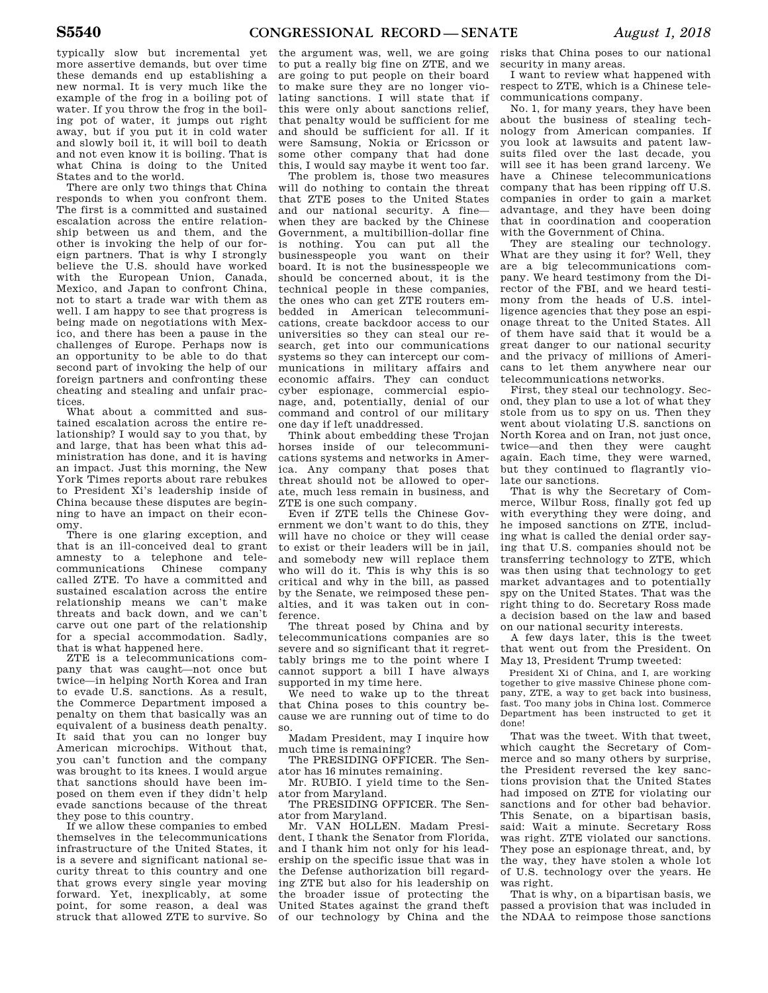typically slow but incremental yet more assertive demands, but over time these demands end up establishing a new normal. It is very much like the example of the frog in a boiling pot of water. If you throw the frog in the boiling pot of water, it jumps out right away, but if you put it in cold water and slowly boil it, it will boil to death and not even know it is boiling. That is what China is doing to the United States and to the world.

There are only two things that China responds to when you confront them. The first is a committed and sustained escalation across the entire relationship between us and them, and the other is invoking the help of our foreign partners. That is why I strongly believe the U.S. should have worked with the European Union, Canada, Mexico, and Japan to confront China, not to start a trade war with them as well. I am happy to see that progress is being made on negotiations with Mexico, and there has been a pause in the challenges of Europe. Perhaps now is an opportunity to be able to do that second part of invoking the help of our foreign partners and confronting these cheating and stealing and unfair practices.

What about a committed and sustained escalation across the entire relationship? I would say to you that, by and large, that has been what this administration has done, and it is having an impact. Just this morning, the New York Times reports about rare rebukes to President Xi's leadership inside of China because these disputes are beginning to have an impact on their economy.

There is one glaring exception, and that is an ill-conceived deal to grant amnesty to a telephone and telecommunications Chinese company called ZTE. To have a committed and sustained escalation across the entire relationship means we can't make threats and back down, and we can't carve out one part of the relationship for a special accommodation. Sadly, that is what happened here.

ZTE is a telecommunications company that was caught—not once but twice—in helping North Korea and Iran to evade U.S. sanctions. As a result, the Commerce Department imposed a penalty on them that basically was an equivalent of a business death penalty. It said that you can no longer buy American microchips. Without that, you can't function and the company was brought to its knees. I would argue that sanctions should have been imposed on them even if they didn't help evade sanctions because of the threat they pose to this country.

If we allow these companies to embed themselves in the telecommunications infrastructure of the United States, it is a severe and significant national security threat to this country and one that grows every single year moving forward. Yet, inexplicably, at some point, for some reason, a deal was struck that allowed ZTE to survive. So

the argument was, well, we are going to put a really big fine on ZTE, and we are going to put people on their board to make sure they are no longer violating sanctions. I will state that if this were only about sanctions relief, that penalty would be sufficient for me and should be sufficient for all. If it were Samsung, Nokia or Ericsson or some other company that had done this, I would say maybe it went too far.

The problem is, those two measures will do nothing to contain the threat that ZTE poses to the United States and our national security. A fine when they are backed by the Chinese Government, a multibillion-dollar fine is nothing. You can put all the businesspeople you want on their board. It is not the businesspeople we should be concerned about, it is the technical people in these companies, the ones who can get ZTE routers embedded in American telecommunications, create backdoor access to our universities so they can steal our research, get into our communications systems so they can intercept our communications in military affairs and economic affairs. They can conduct cyber espionage, commercial espionage, and, potentially, denial of our command and control of our military one day if left unaddressed.

Think about embedding these Trojan horses inside of our telecommunications systems and networks in America. Any company that poses that threat should not be allowed to operate, much less remain in business, and ZTE is one such company.

Even if ZTE tells the Chinese Government we don't want to do this, they will have no choice or they will cease to exist or their leaders will be in jail, and somebody new will replace them who will do it. This is why this is so critical and why in the bill, as passed by the Senate, we reimposed these penalties, and it was taken out in conference.

The threat posed by China and by telecommunications companies are so severe and so significant that it regrettably brings me to the point where I cannot support a bill I have always supported in my time here.

We need to wake up to the threat that China poses to this country because we are running out of time to do so.

Madam President, may I inquire how much time is remaining?

The PRESIDING OFFICER. The Senator has 16 minutes remaining.

Mr. RUBIO. I yield time to the Senator from Maryland.

The PRESIDING OFFICER. The Senator from Maryland.

Mr. VAN HOLLEN. Madam President, I thank the Senator from Florida, and I thank him not only for his leadership on the specific issue that was in the Defense authorization bill regarding ZTE but also for his leadership on the broader issue of protecting the United States against the grand theft of our technology by China and the

risks that China poses to our national security in many areas.

I want to review what happened with respect to ZTE, which is a Chinese telecommunications company.

No. 1, for many years, they have been about the business of stealing technology from American companies. If you look at lawsuits and patent lawsuits filed over the last decade, you will see it has been grand larceny. We have a Chinese telecommunications company that has been ripping off U.S. companies in order to gain a market advantage, and they have been doing that in coordination and cooperation with the Government of China.

They are stealing our technology. What are they using it for? Well, they are a big telecommunications company. We heard testimony from the Director of the FBI, and we heard testimony from the heads of U.S. intelligence agencies that they pose an espionage threat to the United States. All of them have said that it would be a great danger to our national security and the privacy of millions of Americans to let them anywhere near our telecommunications networks.

First, they steal our technology. Second, they plan to use a lot of what they stole from us to spy on us. Then they went about violating U.S. sanctions on North Korea and on Iran, not just once, twice—and then they were caught again. Each time, they were warned, but they continued to flagrantly violate our sanctions.

That is why the Secretary of Commerce, Wilbur Ross, finally got fed up with everything they were doing, and he imposed sanctions on ZTE, including what is called the denial order saying that U.S. companies should not be transferring technology to ZTE, which was then using that technology to get market advantages and to potentially spy on the United States. That was the right thing to do. Secretary Ross made a decision based on the law and based on our national security interests.

A few days later, this is the tweet that went out from the President. On May 13, President Trump tweeted:

President Xi of China, and I, are working together to give massive Chinese phone company, ZTE, a way to get back into business, fast. Too many jobs in China lost. Commerce Department has been instructed to get it done!

That was the tweet. With that tweet, which caught the Secretary of Commerce and so many others by surprise, the President reversed the key sanctions provision that the United States had imposed on ZTE for violating our sanctions and for other bad behavior. This Senate, on a bipartisan basis, said: Wait a minute. Secretary Ross was right. ZTE violated our sanctions. They pose an espionage threat, and, by the way, they have stolen a whole lot of U.S. technology over the years. He was right.

That is why, on a bipartisan basis, we passed a provision that was included in the NDAA to reimpose those sanctions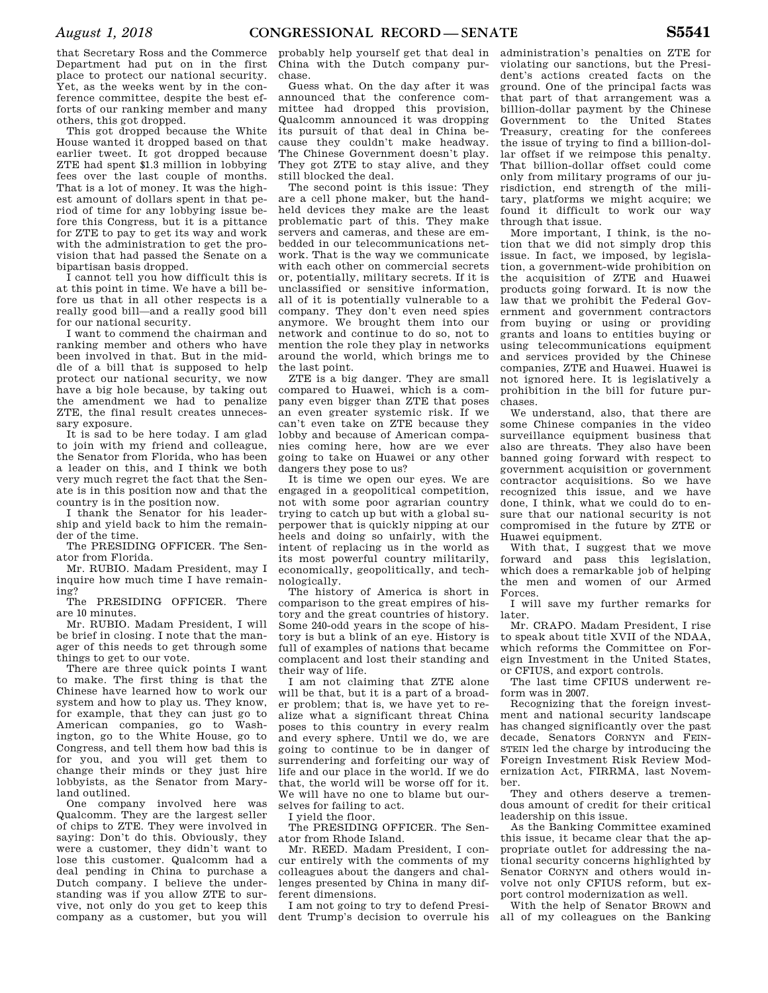that Secretary Ross and the Commerce Department had put on in the first place to protect our national security. Yet, as the weeks went by in the conference committee, despite the best efforts of our ranking member and many others, this got dropped.

This got dropped because the White House wanted it dropped based on that earlier tweet. It got dropped because ZTE had spent \$1.3 million in lobbying fees over the last couple of months. That is a lot of money. It was the highest amount of dollars spent in that period of time for any lobbying issue before this Congress, but it is a pittance for ZTE to pay to get its way and work with the administration to get the provision that had passed the Senate on a bipartisan basis dropped.

I cannot tell you how difficult this is at this point in time. We have a bill before us that in all other respects is a really good bill—and a really good bill for our national security.

I want to commend the chairman and ranking member and others who have been involved in that. But in the middle of a bill that is supposed to help protect our national security, we now have a big hole because, by taking out the amendment we had to penalize ZTE, the final result creates unnecessary exposure.

It is sad to be here today. I am glad to join with my friend and colleague, the Senator from Florida, who has been a leader on this, and I think we both very much regret the fact that the Senate is in this position now and that the country is in the position now.

I thank the Senator for his leadership and yield back to him the remainder of the time.

The PRESIDING OFFICER. The Senator from Florida.

Mr. RUBIO. Madam President, may I inquire how much time I have remaining?

The PRESIDING OFFICER. There are 10 minutes.

Mr. RUBIO. Madam President, I will be brief in closing. I note that the manager of this needs to get through some things to get to our vote.

There are three quick points I want to make. The first thing is that the Chinese have learned how to work our system and how to play us. They know, for example, that they can just go to American companies, go to Washington, go to the White House, go to Congress, and tell them how bad this is for you, and you will get them to change their minds or they just hire lobbyists, as the Senator from Maryland outlined.

One company involved here was Qualcomm. They are the largest seller of chips to ZTE. They were involved in saying: Don't do this. Obviously, they were a customer, they didn't want to lose this customer. Qualcomm had a deal pending in China to purchase a Dutch company. I believe the understanding was if you allow ZTE to survive, not only do you get to keep this company as a customer, but you will

probably help yourself get that deal in China with the Dutch company purchase.

Guess what. On the day after it was announced that the conference committee had dropped this provision, Qualcomm announced it was dropping its pursuit of that deal in China because they couldn't make headway. The Chinese Government doesn't play. They got ZTE to stay alive, and they still blocked the deal.

The second point is this issue: They are a cell phone maker, but the handheld devices they make are the least problematic part of this. They make servers and cameras, and these are embedded in our telecommunications network. That is the way we communicate with each other on commercial secrets or, potentially, military secrets. If it is unclassified or sensitive information, all of it is potentially vulnerable to a company. They don't even need spies anymore. We brought them into our network and continue to do so, not to mention the role they play in networks around the world, which brings me to the last point.

ZTE is a big danger. They are small compared to Huawei, which is a company even bigger than ZTE that poses an even greater systemic risk. If we can't even take on ZTE because they lobby and because of American companies coming here, how are we ever going to take on Huawei or any other dangers they pose to us?

It is time we open our eyes. We are engaged in a geopolitical competition, not with some poor agrarian country trying to catch up but with a global superpower that is quickly nipping at our heels and doing so unfairly, with the intent of replacing us in the world as its most powerful country militarily, economically, geopolitically, and technologically.

The history of America is short in comparison to the great empires of history and the great countries of history. Some 240-odd years in the scope of history is but a blink of an eye. History is full of examples of nations that became complacent and lost their standing and their way of life.

I am not claiming that ZTE alone will be that, but it is a part of a broader problem; that is, we have yet to realize what a significant threat China poses to this country in every realm and every sphere. Until we do, we are going to continue to be in danger of surrendering and forfeiting our way of life and our place in the world. If we do that, the world will be worse off for it. We will have no one to blame but ourselves for failing to act.

I yield the floor.

The PRESIDING OFFICER. The Senator from Rhode Island.

Mr. REED. Madam President, I concur entirely with the comments of my colleagues about the dangers and challenges presented by China in many different dimensions.

I am not going to try to defend President Trump's decision to overrule his

administration's penalties on ZTE for violating our sanctions, but the President's actions created facts on the ground. One of the principal facts was that part of that arrangement was a billion-dollar payment by the Chinese Government to the United States Treasury, creating for the conferees the issue of trying to find a billion-dollar offset if we reimpose this penalty. That billion-dollar offset could come only from military programs of our jurisdiction, end strength of the military, platforms we might acquire; we found it difficult to work our way through that issue.

More important, I think, is the notion that we did not simply drop this issue. In fact, we imposed, by legislation, a government-wide prohibition on the acquisition of ZTE and Huawei products going forward. It is now the law that we prohibit the Federal Government and government contractors from buying or using or providing grants and loans to entities buying or using telecommunications equipment and services provided by the Chinese companies, ZTE and Huawei. Huawei is not ignored here. It is legislatively a prohibition in the bill for future purchases.

We understand, also, that there are some Chinese companies in the video surveillance equipment business that also are threats. They also have been banned going forward with respect to government acquisition or government contractor acquisitions. So we have recognized this issue, and we have done, I think, what we could do to ensure that our national security is not compromised in the future by ZTE or Huawei equipment.

With that, I suggest that we move forward and pass this legislation, which does a remarkable job of helping the men and women of our Armed Forces.

I will save my further remarks for later.

Mr. CRAPO. Madam President, I rise to speak about title XVII of the NDAA, which reforms the Committee on Foreign Investment in the United States, or CFIUS, and export controls.

The last time CFIUS underwent reform was in 2007.

Recognizing that the foreign investment and national security landscape has changed significantly over the past decade, Senators CORNYN and FEIN-STEIN led the charge by introducing the Foreign Investment Risk Review Modernization Act, FIRRMA, last November.

They and others deserve a tremendous amount of credit for their critical leadership on this issue.

As the Banking Committee examined this issue, it became clear that the appropriate outlet for addressing the national security concerns highlighted by Senator CORNYN and others would involve not only CFIUS reform, but export control modernization as well.

With the help of Senator BROWN and all of my colleagues on the Banking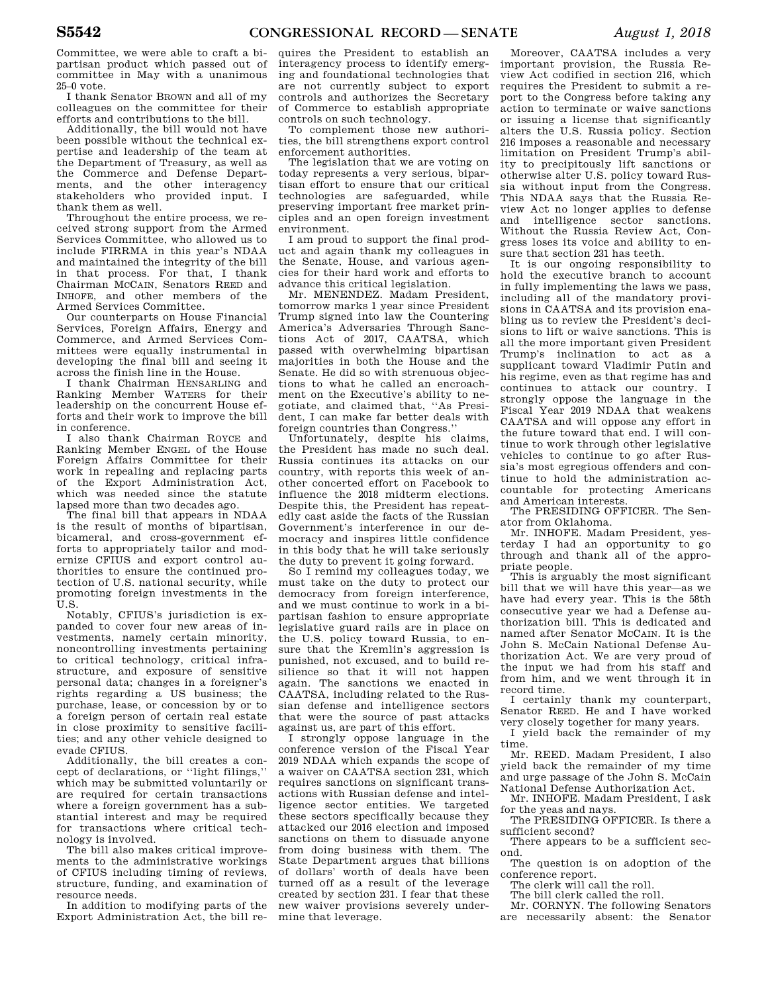Committee, we were able to craft a bipartisan product which passed out of committee in May with a unanimous 25–0 vote.

I thank Senator BROWN and all of my colleagues on the committee for their efforts and contributions to the bill.

Additionally, the bill would not have been possible without the technical expertise and leadership of the team at the Department of Treasury, as well as the Commerce and Defense Departments, and the other interagency stakeholders who provided input. thank them as well.

Throughout the entire process, we received strong support from the Armed Services Committee, who allowed us to include FIRRMA in this year's NDAA and maintained the integrity of the bill in that process. For that, I thank Chairman MCCAIN, Senators REED and INHOFE, and other members of the Armed Services Committee.

Our counterparts on House Financial Services, Foreign Affairs, Energy and Commerce, and Armed Services Committees were equally instrumental in developing the final bill and seeing it across the finish line in the House.

I thank Chairman HENSARLING and Ranking Member WATERS for their leadership on the concurrent House efforts and their work to improve the bill in conference.

I also thank Chairman ROYCE and Ranking Member ENGEL of the House Foreign Affairs Committee for their work in repealing and replacing parts of the Export Administration Act, which was needed since the statute lapsed more than two decades ago.

The final bill that appears in NDAA is the result of months of bipartisan, bicameral, and cross-government efforts to appropriately tailor and modernize CFIUS and export control authorities to ensure the continued protection of U.S. national security, while promoting foreign investments in the U.S.

Notably, CFIUS's jurisdiction is expanded to cover four new areas of investments, namely certain minority, noncontrolling investments pertaining to critical technology, critical infrastructure, and exposure of sensitive personal data; changes in a foreigner's rights regarding a US business; the purchase, lease, or concession by or to a foreign person of certain real estate in close proximity to sensitive facilities; and any other vehicle designed to evade CFIUS.

Additionally, the bill creates a concept of declarations, or ''light filings,'' which may be submitted voluntarily or are required for certain transactions where a foreign government has a substantial interest and may be required for transactions where critical technology is involved.

The bill also makes critical improvements to the administrative workings of CFIUS including timing of reviews, structure, funding, and examination of resource needs.

In addition to modifying parts of the Export Administration Act, the bill re-

quires the President to establish an interagency process to identify emerging and foundational technologies that are not currently subject to export controls and authorizes the Secretary of Commerce to establish appropriate controls on such technology.

To complement those new authorities, the bill strengthens export control enforcement authorities.

The legislation that we are voting on today represents a very serious, bipartisan effort to ensure that our critical technologies are safeguarded, while preserving important free market principles and an open foreign investment environment.

I am proud to support the final product and again thank my colleagues in the Senate, House, and various agencies for their hard work and efforts to advance this critical legislation.

Mr. MENENDEZ. Madam President, tomorrow marks 1 year since President Trump signed into law the Countering America's Adversaries Through Sanctions Act of 2017, CAATSA, which passed with overwhelming bipartisan majorities in both the House and the Senate. He did so with strenuous objections to what he called an encroachment on the Executive's ability to negotiate, and claimed that, ''As President, I can make far better deals with foreign countries than Congress.''

Unfortunately, despite his claims, the President has made no such deal. Russia continues its attacks on our country, with reports this week of another concerted effort on Facebook to influence the 2018 midterm elections. Despite this, the President has repeatedly cast aside the facts of the Russian Government's interference in our democracy and inspires little confidence in this body that he will take seriously the duty to prevent it going forward.

So I remind my colleagues today, we must take on the duty to protect our democracy from foreign interference, and we must continue to work in a bipartisan fashion to ensure appropriate legislative guard rails are in place on the U.S. policy toward Russia, to ensure that the Kremlin's aggression is punished, not excused, and to build resilience so that it will not happen again. The sanctions we enacted in CAATSA, including related to the Russian defense and intelligence sectors that were the source of past attacks against us, are part of this effort.

I strongly oppose language in the conference version of the Fiscal Year 2019 NDAA which expands the scope of a waiver on CAATSA section 231, which requires sanctions on significant transactions with Russian defense and intelligence sector entities. We targeted these sectors specifically because they attacked our 2016 election and imposed sanctions on them to dissuade anyone from doing business with them. The State Department argues that billions of dollars' worth of deals have been turned off as a result of the leverage created by section 231. I fear that these new waiver provisions severely undermine that leverage.

Moreover, CAATSA includes a very important provision, the Russia Review Act codified in section 216, which requires the President to submit a report to the Congress before taking any action to terminate or waive sanctions or issuing a license that significantly alters the U.S. Russia policy. Section 216 imposes a reasonable and necessary limitation on President Trump's ability to precipitously lift sanctions or otherwise alter U.S. policy toward Russia without input from the Congress. This NDAA says that the Russia Review Act no longer applies to defense and intelligence sector sanctions. Without the Russia Review Act, Congress loses its voice and ability to ensure that section 231 has teeth.

It is our ongoing responsibility to hold the executive branch to account in fully implementing the laws we pass, including all of the mandatory provisions in CAATSA and its provision enabling us to review the President's decisions to lift or waive sanctions. This is all the more important given President Trump's inclination to act as a supplicant toward Vladimir Putin and his regime, even as that regime has and continues to attack our country. I strongly oppose the language in the Fiscal Year 2019 NDAA that weakens CAATSA and will oppose any effort in the future toward that end. I will continue to work through other legislative vehicles to continue to go after Russia's most egregious offenders and continue to hold the administration accountable for protecting Americans and American interests.

The PRESIDING OFFICER. The Senator from Oklahoma.

Mr. INHOFE. Madam President, yesterday I had an opportunity to go through and thank all of the appropriate people.

This is arguably the most significant bill that we will have this year—as we have had every year. This is the 58th consecutive year we had a Defense authorization bill. This is dedicated and named after Senator MCCAIN. It is the John S. McCain National Defense Authorization Act. We are very proud of the input we had from his staff and from him, and we went through it in record time.

I certainly thank my counterpart, Senator REED. He and I have worked very closely together for many years.

I yield back the remainder of my time.

Mr. REED. Madam President, I also yield back the remainder of my time and urge passage of the John S. McCain National Defense Authorization Act.

Mr. INHOFE. Madam President, I ask for the yeas and nays.

The PRESIDING OFFICER. Is there a sufficient second?

There appears to be a sufficient second.

The question is on adoption of the conference report.

The clerk will call the roll.

The bill clerk called the roll.

Mr. CORNYN. The following Senators

are necessarily absent: the Senator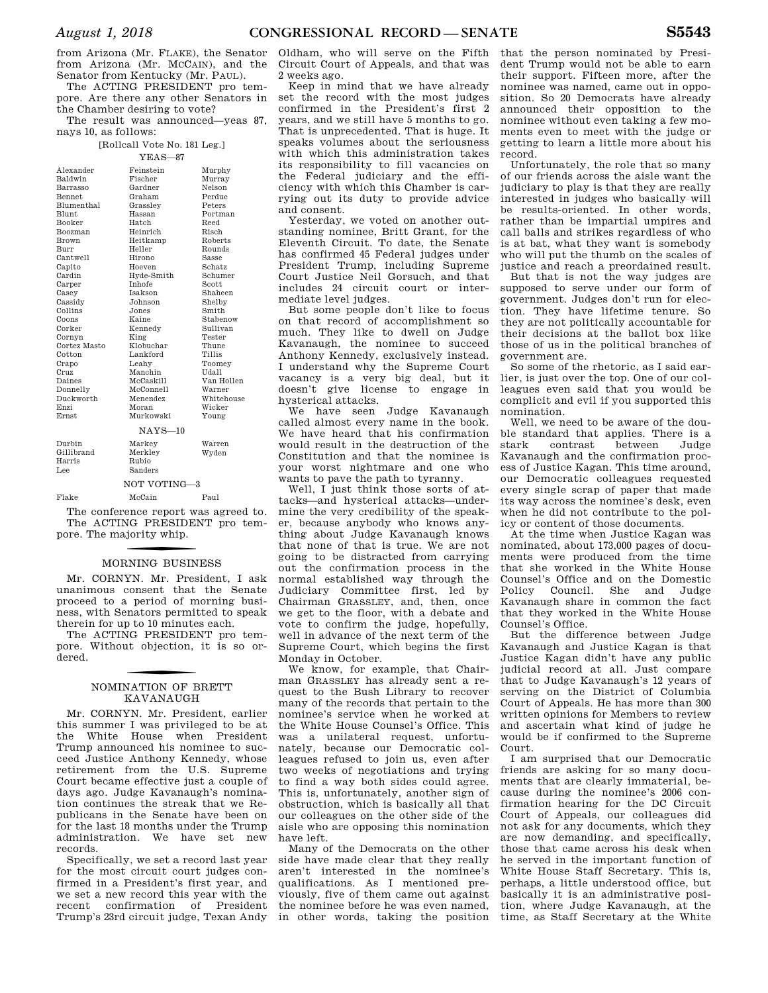from Arizona (Mr. FLAKE), the Senator from Arizona (Mr. MCCAIN), and the Senator from Kentucky (Mr. PAUL).

The ACTING PRESIDENT pro tempore. Are there any other Senators in the Chamber desiring to vote?

The result was announced—yeas 87, nays 10, as follows:

#### [Rollcall Vote No. 181 Leg.] YEAS—87

| Alexander         | Feinstein      | Murphy     |  |
|-------------------|----------------|------------|--|
| Baldwin           | Fischer        | Murrav     |  |
| Barrasso          | Gardner        | Nelson     |  |
| <b>Bennet</b>     | Graham         | Perdue     |  |
| <b>Blumenthal</b> | Grasslev       | Peters     |  |
| Blunt             | Hassan         | Portman    |  |
| <b>Booker</b>     | Hatch          | Reed       |  |
| Boozman           | Heinrich       | Risch      |  |
| <b>Brown</b>      | Heitkamp       | Roberts    |  |
| Burr              | Heller         | Rounds     |  |
| Cantwell          | Hirono         | Sasse      |  |
| Capito            | Hoeven         | Schatz     |  |
| Cardin            | Hyde-Smith     | Schumer    |  |
| Carper            | <b>Inhofe</b>  | Scott      |  |
| Casey             | <b>Isakson</b> | Shaheen    |  |
| Cassidy           | Johnson        | Shelby     |  |
| Collins           | Jones.         | Smith      |  |
| Coons             | Kaine          | Stabenow   |  |
| Corker            | Kennedy        | Sullivan   |  |
| Cornyn            | King           | Tester     |  |
| Cortez Masto      | Klobuchar      | Thune      |  |
| Cotton            | Lankford       | Tillis     |  |
| Crapo             | Leahv          | Toomey     |  |
| Cruz              | Manchin        | Udall      |  |
| Daines            | McCaskill      | Van Hollen |  |
| Donnelly          | McConnell      | Warner     |  |
| Duckworth         | Menendez       | Whitehouse |  |
| Enzi              | Moran          | Wicker     |  |
| <b>Ernst</b>      | Murkowski      | Young      |  |
| $NAYS-10$         |                |            |  |
| Durbin            | Markey         | Warren     |  |
| Gillibrand        | Merklev        | Wyden      |  |
| Harris            | Rubio          |            |  |
| Lee               | Sanders        |            |  |
| NOT VOTING-3      |                |            |  |
| Flake             | McCain         | Paul       |  |
|                   |                |            |  |

The conference report was agreed to. The ACTING PRESIDENT pro tempore. The majority whip.

### f MORNING BUSINESS

Mr. CORNYN. Mr. President, I ask unanimous consent that the Senate proceed to a period of morning business, with Senators permitted to speak therein for up to 10 minutes each.

The ACTING PRESIDENT pro tempore. Without objection, it is so ordered.

### f NOMINATION OF BRETT KAVANAUGH

Mr. CORNYN. Mr. President, earlier this summer I was privileged to be at the White House when President Trump announced his nominee to succeed Justice Anthony Kennedy, whose retirement from the U.S. Supreme Court became effective just a couple of days ago. Judge Kavanaugh's nomination continues the streak that we Republicans in the Senate have been on for the last 18 months under the Trump administration. We have set new records.

Specifically, we set a record last year for the most circuit court judges confirmed in a President's first year, and we set a new record this year with the recent confirmation of President Trump's 23rd circuit judge, Texan Andy

Oldham, who will serve on the Fifth Circuit Court of Appeals, and that was 2 weeks ago.

Keep in mind that we have already set the record with the most judges confirmed in the President's first 2 years, and we still have 5 months to go. That is unprecedented. That is huge. It speaks volumes about the seriousness with which this administration takes its responsibility to fill vacancies on the Federal judiciary and the efficiency with which this Chamber is carrying out its duty to provide advice and consent.

Yesterday, we voted on another outstanding nominee, Britt Grant, for the Eleventh Circuit. To date, the Senate has confirmed 45 Federal judges under President Trump, including Supreme Court Justice Neil Gorsuch, and that includes 24 circuit court or intermediate level judges.

But some people don't like to focus on that record of accomplishment so much. They like to dwell on Judge Kavanaugh, the nominee to succeed Anthony Kennedy, exclusively instead. I understand why the Supreme Court vacancy is a very big deal, but it doesn't give license to engage in hysterical attacks.

We have seen Judge Kavanaugh called almost every name in the book. We have heard that his confirmation would result in the destruction of the Constitution and that the nominee is your worst nightmare and one who wants to pave the path to tyranny.

Well, I just think those sorts of attacks—and hysterical attacks—undermine the very credibility of the speaker, because anybody who knows anything about Judge Kavanaugh knows that none of that is true. We are not going to be distracted from carrying out the confirmation process in the normal established way through the Judiciary Committee first, led by Chairman GRASSLEY, and, then, once we get to the floor, with a debate and vote to confirm the judge, hopefully, well in advance of the next term of the Supreme Court, which begins the first Monday in October.

We know, for example, that Chairman GRASSLEY has already sent a request to the Bush Library to recover many of the records that pertain to the nominee's service when he worked at the White House Counsel's Office. This was a unilateral request, unfortunately, because our Democratic colleagues refused to join us, even after two weeks of negotiations and trying to find a way both sides could agree. This is, unfortunately, another sign of obstruction, which is basically all that our colleagues on the other side of the aisle who are opposing this nomination have left.

Many of the Democrats on the other side have made clear that they really aren't interested in the nominee's qualifications. As I mentioned previously, five of them came out against the nominee before he was even named, in other words, taking the position

that the person nominated by President Trump would not be able to earn their support. Fifteen more, after the nominee was named, came out in opposition. So 20 Democrats have already announced their opposition to the nominee without even taking a few moments even to meet with the judge or getting to learn a little more about his record.

Unfortunately, the role that so many of our friends across the aisle want the judiciary to play is that they are really interested in judges who basically will be results-oriented. In other words, rather than be impartial umpires and call balls and strikes regardless of who is at bat, what they want is somebody who will put the thumb on the scales of justice and reach a preordained result.

But that is not the way judges are supposed to serve under our form of government. Judges don't run for election. They have lifetime tenure. So they are not politically accountable for their decisions at the ballot box like those of us in the political branches of government are.

So some of the rhetoric, as I said earlier, is just over the top. One of our colleagues even said that you would be complicit and evil if you supported this nomination.

Well, we need to be aware of the double standard that applies. There is a stark contrast between Judge Kavanaugh and the confirmation process of Justice Kagan. This time around, our Democratic colleagues requested every single scrap of paper that made its way across the nominee's desk, even when he did not contribute to the policy or content of those documents.

At the time when Justice Kagan was nominated, about 173,000 pages of documents were produced from the time that she worked in the White House Counsel's Office and on the Domestic Policy Council. She and Judge Kavanaugh share in common the fact that they worked in the White House Counsel's Office.

But the difference between Judge Kavanaugh and Justice Kagan is that Justice Kagan didn't have any public judicial record at all. Just compare that to Judge Kavanaugh's 12 years of serving on the District of Columbia Court of Appeals. He has more than 300 written opinions for Members to review and ascertain what kind of judge he would be if confirmed to the Supreme Court.

I am surprised that our Democratic friends are asking for so many documents that are clearly immaterial, because during the nominee's 2006 confirmation hearing for the DC Circuit Court of Appeals, our colleagues did not ask for any documents, which they are now demanding, and specifically, those that came across his desk when he served in the important function of White House Staff Secretary. This is, perhaps, a little understood office, but basically it is an administrative position, where Judge Kavanaugh, at the time, as Staff Secretary at the White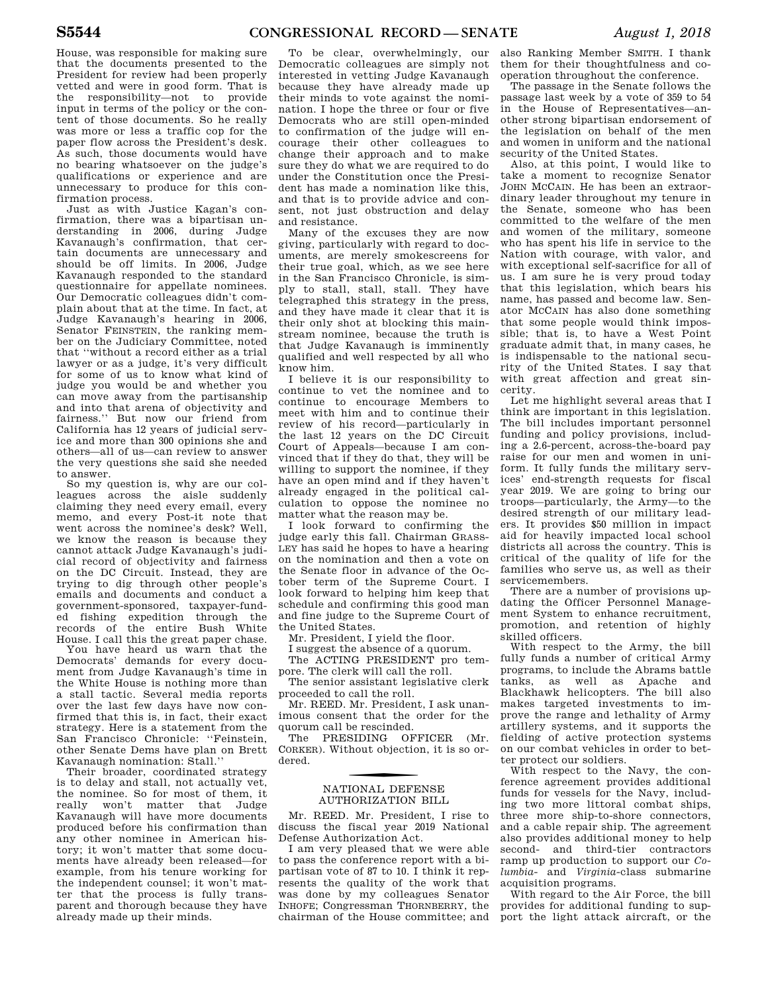House, was responsible for making sure that the documents presented to the President for review had been properly vetted and were in good form. That is the responsibility—not to provide input in terms of the policy or the content of those documents. So he really was more or less a traffic cop for the paper flow across the President's desk. As such, those documents would have no bearing whatsoever on the judge's qualifications or experience and are unnecessary to produce for this confirmation process.

Just as with Justice Kagan's confirmation, there was a bipartisan understanding in 2006, during Judge Kavanaugh's confirmation, that certain documents are unnecessary and should be off limits. In 2006, Judge Kavanaugh responded to the standard questionnaire for appellate nominees. Our Democratic colleagues didn't complain about that at the time. In fact, at Judge Kavanaugh's hearing in 2006, Senator FEINSTEIN, the ranking member on the Judiciary Committee, noted that ''without a record either as a trial lawyer or as a judge, it's very difficult for some of us to know what kind of judge you would be and whether you can move away from the partisanship and into that arena of objectivity and fairness.'' But now our friend from California has 12 years of judicial service and more than 300 opinions she and others—all of us—can review to answer the very questions she said she needed to answer.

So my question is, why are our colleagues across the aisle suddenly claiming they need every email, every memo, and every Post-it note that went across the nominee's desk? Well, we know the reason is because they cannot attack Judge Kavanaugh's judicial record of objectivity and fairness on the DC Circuit. Instead, they are trying to dig through other people's emails and documents and conduct a government-sponsored, taxpayer-funded fishing expedition through the records of the entire Bush White House. I call this the great paper chase.

You have heard us warn that the Democrats' demands for every document from Judge Kavanaugh's time in the White House is nothing more than a stall tactic. Several media reports over the last few days have now confirmed that this is, in fact, their exact strategy. Here is a statement from the San Francisco Chronicle: ''Feinstein, other Senate Dems have plan on Brett Kavanaugh nomination: Stall.

Their broader, coordinated strategy is to delay and stall, not actually vet, the nominee. So for most of them, it really won't matter that Judge Kavanaugh will have more documents produced before his confirmation than any other nominee in American history; it won't matter that some documents have already been released—for example, from his tenure working for the independent counsel; it won't matter that the process is fully transparent and thorough because they have already made up their minds.

To be clear, overwhelmingly, our Democratic colleagues are simply not interested in vetting Judge Kavanaugh because they have already made up their minds to vote against the nomination. I hope the three or four or five Democrats who are still open-minded to confirmation of the judge will encourage their other colleagues to change their approach and to make sure they do what we are required to do under the Constitution once the President has made a nomination like this, and that is to provide advice and consent, not just obstruction and delay and resistance.

Many of the excuses they are now giving, particularly with regard to documents, are merely smokescreens for their true goal, which, as we see here in the San Francisco Chronicle, is simply to stall, stall, stall. They have telegraphed this strategy in the press, and they have made it clear that it is their only shot at blocking this mainstream nominee, because the truth is that Judge Kavanaugh is imminently qualified and well respected by all who know him.

I believe it is our responsibility to continue to vet the nominee and to continue to encourage Members to meet with him and to continue their review of his record—particularly in the last 12 years on the DC Circuit Court of Appeals—because I am convinced that if they do that, they will be willing to support the nominee, if they have an open mind and if they haven't already engaged in the political calculation to oppose the nominee no matter what the reason may be.

I look forward to confirming the judge early this fall. Chairman GRASS-LEY has said he hopes to have a hearing on the nomination and then a vote on the Senate floor in advance of the October term of the Supreme Court. I look forward to helping him keep that schedule and confirming this good man and fine judge to the Supreme Court of the United States.

Mr. President, I yield the floor.

I suggest the absence of a quorum.

The ACTING PRESIDENT pro tempore. The clerk will call the roll.

The senior assistant legislative clerk proceeded to call the roll.

Mr. REED. Mr. President, I ask unanimous consent that the order for the quorum call be rescinded.

The PRESIDING OFFICER (Mr. CORKER). Without objection, it is so ordered.

### f NATIONAL DEFENSE AUTHORIZATION BILL

Mr. REED. Mr. President, I rise to discuss the fiscal year 2019 National Defense Authorization Act.

I am very pleased that we were able to pass the conference report with a bipartisan vote of 87 to 10. I think it represents the quality of the work that was done by my colleagues Senator INHOFE; Congressman THORNBERRY, the chairman of the House committee; and

also Ranking Member SMITH. I thank them for their thoughtfulness and cooperation throughout the conference.

The passage in the Senate follows the passage last week by a vote of 359 to 54 in the House of Representatives—another strong bipartisan endorsement of the legislation on behalf of the men and women in uniform and the national security of the United States.

Also, at this point, I would like to take a moment to recognize Senator JOHN MCCAIN. He has been an extraordinary leader throughout my tenure in the Senate, someone who has been committed to the welfare of the men and women of the military, someone who has spent his life in service to the Nation with courage, with valor, and with exceptional self-sacrifice for all of us. I am sure he is very proud today that this legislation, which bears his name, has passed and become law. Senator MCCAIN has also done something that some people would think impossible; that is, to have a West Point graduate admit that, in many cases, he is indispensable to the national security of the United States. I say that with great affection and great sincerity.

Let me highlight several areas that I think are important in this legislation. The bill includes important personnel funding and policy provisions, including a 2.6-percent, across-the-board pay raise for our men and women in uniform. It fully funds the military services' end-strength requests for fiscal year 2019. We are going to bring our troops—particularly, the Army—to the desired strength of our military leaders. It provides \$50 million in impact aid for heavily impacted local school districts all across the country. This is critical of the quality of life for the families who serve us, as well as their servicemembers.

There are a number of provisions updating the Officer Personnel Management System to enhance recruitment, promotion, and retention of highly skilled officers.

With respect to the Army, the bill fully funds a number of critical Army programs, to include the Abrams battle tanks, as well as Apache and Blackhawk helicopters. The bill also makes targeted investments to improve the range and lethality of Army artillery systems, and it supports the fielding of active protection systems on our combat vehicles in order to better protect our soldiers.

With respect to the Navy, the conference agreement provides additional funds for vessels for the Navy, including two more littoral combat ships, three more ship-to-shore connectors, and a cable repair ship. The agreement also provides additional money to help second- and third-tier contractors ramp up production to support our *Columbia-* and *Virginia*-class submarine acquisition programs.

With regard to the Air Force, the bill provides for additional funding to support the light attack aircraft, or the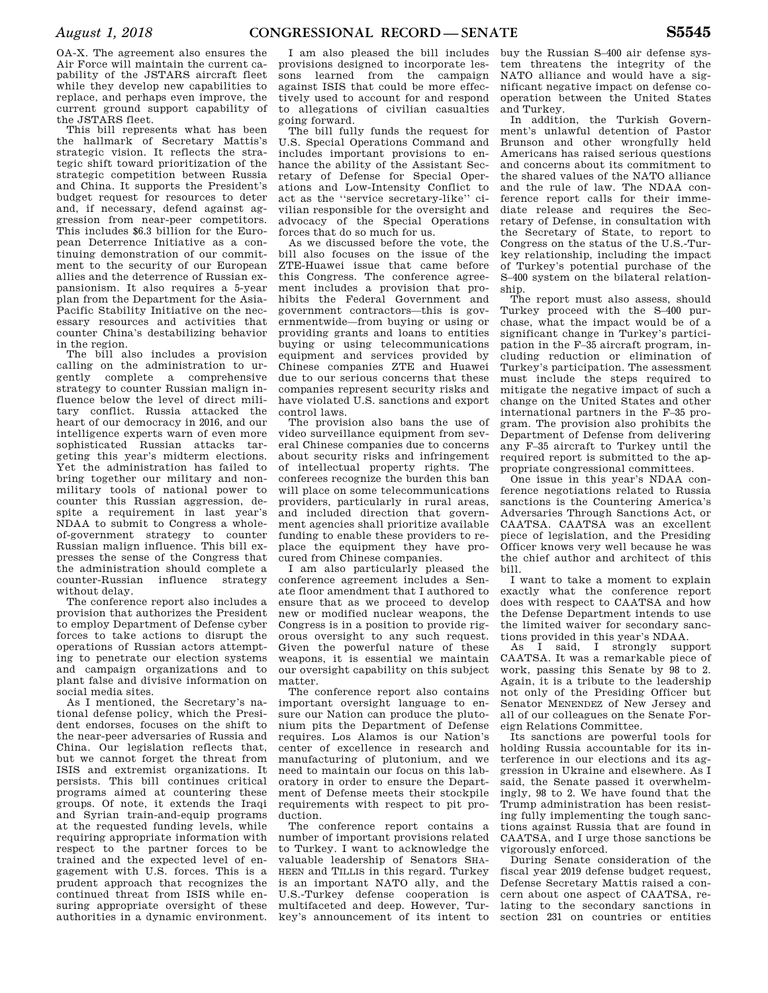OA-X. The agreement also ensures the Air Force will maintain the current capability of the JSTARS aircraft fleet while they develop new capabilities to replace, and perhaps even improve, the current ground support capability of the JSTARS fleet.

This bill represents what has been the hallmark of Secretary Mattis's strategic vision. It reflects the strategic shift toward prioritization of the strategic competition between Russia and China. It supports the President's budget request for resources to deter and, if necessary, defend against aggression from near-peer competitors. This includes \$6.3 billion for the European Deterrence Initiative as a continuing demonstration of our commitment to the security of our European allies and the deterrence of Russian expansionism. It also requires a 5-year plan from the Department for the Asia-Pacific Stability Initiative on the necessary resources and activities that counter China's destabilizing behavior in the region.

The bill also includes a provision calling on the administration to urgently complete a comprehensive strategy to counter Russian malign influence below the level of direct military conflict. Russia attacked the heart of our democracy in 2016, and our intelligence experts warn of even more sophisticated Russian attacks targeting this year's midterm elections. Yet the administration has failed to bring together our military and nonmilitary tools of national power to counter this Russian aggression, despite a requirement in last year's NDAA to submit to Congress a wholeof-government strategy to counter Russian malign influence. This bill expresses the sense of the Congress that the administration should complete a counter-Russian influence strategy without delay.

The conference report also includes a provision that authorizes the President to employ Department of Defense cyber forces to take actions to disrupt the operations of Russian actors attempting to penetrate our election systems and campaign organizations and to plant false and divisive information on social media sites.

As I mentioned, the Secretary's national defense policy, which the President endorses, focuses on the shift to the near-peer adversaries of Russia and China. Our legislation reflects that, but we cannot forget the threat from ISIS and extremist organizations. It persists. This bill continues critical programs aimed at countering these groups. Of note, it extends the Iraqi and Syrian train-and-equip programs at the requested funding levels, while requiring appropriate information with respect to the partner forces to be trained and the expected level of engagement with U.S. forces. This is a prudent approach that recognizes the continued threat from ISIS while ensuring appropriate oversight of these authorities in a dynamic environment.

I am also pleased the bill includes provisions designed to incorporate lessons learned from the campaign against ISIS that could be more effectively used to account for and respond to allegations of civilian casualties going forward.

The bill fully funds the request for U.S. Special Operations Command and includes important provisions to enhance the ability of the Assistant Secretary of Defense for Special Operations and Low-Intensity Conflict to act as the ''service secretary-like'' civilian responsible for the oversight and advocacy of the Special Operations forces that do so much for us.

As we discussed before the vote, the bill also focuses on the issue of the ZTE-Huawei issue that came before this Congress. The conference agreement includes a provision that prohibits the Federal Government and government contractors—this is governmentwide—from buying or using or providing grants and loans to entities buying or using telecommunications equipment and services provided by Chinese companies ZTE and Huawei due to our serious concerns that these companies represent security risks and have violated U.S. sanctions and export control laws.

The provision also bans the use of video surveillance equipment from several Chinese companies due to concerns about security risks and infringement of intellectual property rights. The conferees recognize the burden this ban will place on some telecommunications providers, particularly in rural areas, and included direction that government agencies shall prioritize available funding to enable these providers to replace the equipment they have procured from Chinese companies.

I am also particularly pleased the conference agreement includes a Senate floor amendment that I authored to ensure that as we proceed to develop new or modified nuclear weapons, the Congress is in a position to provide rigorous oversight to any such request. Given the powerful nature of these weapons, it is essential we maintain our oversight capability on this subject matter.

The conference report also contains important oversight language to ensure our Nation can produce the plutonium pits the Department of Defense requires. Los Alamos is our Nation's center of excellence in research and manufacturing of plutonium, and we need to maintain our focus on this laboratory in order to ensure the Department of Defense meets their stockpile requirements with respect to pit production.

The conference report contains a number of important provisions related to Turkey. I want to acknowledge the valuable leadership of Senators SHA-HEEN and TILLIS in this regard. Turkey is an important NATO ally, and the U.S.-Turkey defense cooperation is multifaceted and deep. However, Turkey's announcement of its intent to

buy the Russian S–400 air defense system threatens the integrity of the NATO alliance and would have a significant negative impact on defense cooperation between the United States and Turkey.

In addition, the Turkish Government's unlawful detention of Pastor Brunson and other wrongfully held Americans has raised serious questions and concerns about its commitment to the shared values of the NATO alliance and the rule of law. The NDAA conference report calls for their immediate release and requires the Secretary of Defense, in consultation with the Secretary of State, to report to Congress on the status of the U.S.-Turkey relationship, including the impact of Turkey's potential purchase of the S–400 system on the bilateral relationship.

The report must also assess, should Turkey proceed with the S–400 purchase, what the impact would be of a significant change in Turkey's participation in the F–35 aircraft program, including reduction or elimination of Turkey's participation. The assessment must include the steps required to mitigate the negative impact of such a change on the United States and other international partners in the F–35 program. The provision also prohibits the Department of Defense from delivering any F–35 aircraft to Turkey until the required report is submitted to the appropriate congressional committees.

One issue in this year's NDAA conference negotiations related to Russia sanctions is the Countering America's Adversaries Through Sanctions Act, or CAATSA. CAATSA was an excellent piece of legislation, and the Presiding Officer knows very well because he was the chief author and architect of this bill.

I want to take a moment to explain exactly what the conference report does with respect to CAATSA and how the Defense Department intends to use the limited waiver for secondary sanctions provided in this year's NDAA.

As I said, I strongly support CAATSA. It was a remarkable piece of work, passing this Senate by 98 to 2. Again, it is a tribute to the leadership not only of the Presiding Officer but Senator MENENDEZ of New Jersey and all of our colleagues on the Senate Foreign Relations Committee.

Its sanctions are powerful tools for holding Russia accountable for its interference in our elections and its aggression in Ukraine and elsewhere. As I said, the Senate passed it overwhelmingly, 98 to 2. We have found that the Trump administration has been resisting fully implementing the tough sanctions against Russia that are found in CAATSA, and I urge those sanctions be vigorously enforced.

During Senate consideration of the fiscal year 2019 defense budget request, Defense Secretary Mattis raised a concern about one aspect of CAATSA, relating to the secondary sanctions in section 231 on countries or entities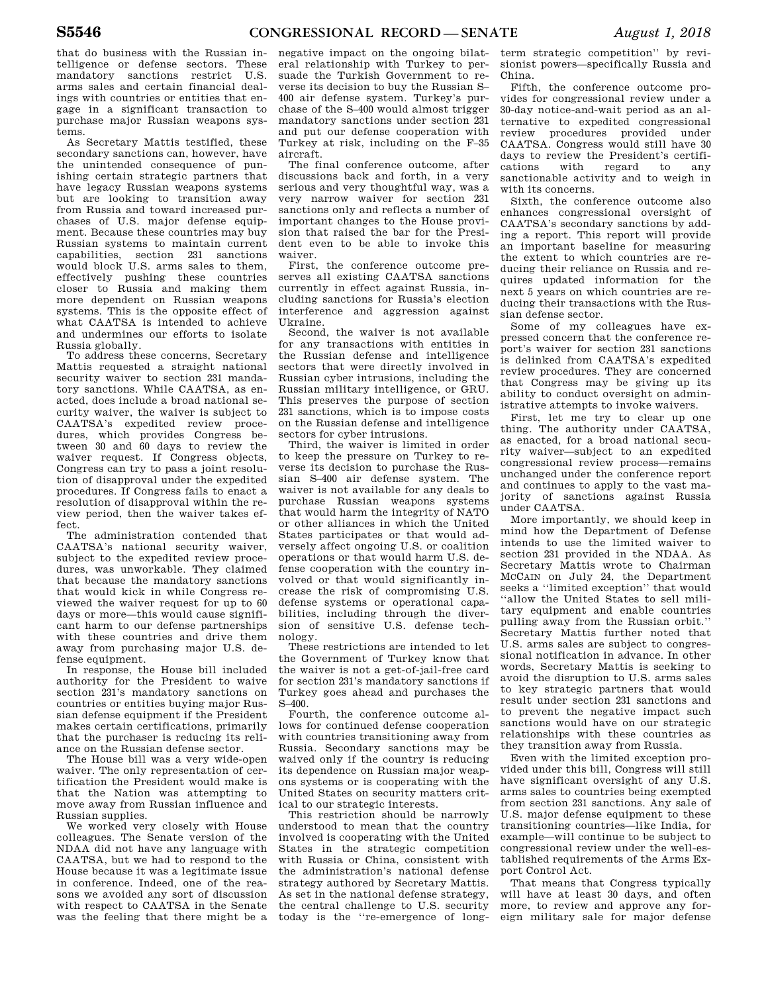that do business with the Russian intelligence or defense sectors. These mandatory sanctions restrict U.S. arms sales and certain financial dealings with countries or entities that engage in a significant transaction to purchase major Russian weapons systems.

As Secretary Mattis testified, these secondary sanctions can, however, have the unintended consequence of punishing certain strategic partners that have legacy Russian weapons systems but are looking to transition away from Russia and toward increased purchases of U.S. major defense equipment. Because these countries may buy Russian systems to maintain current capabilities, section 231 sanctions would block U.S. arms sales to them, effectively pushing these countries closer to Russia and making them more dependent on Russian weapons systems. This is the opposite effect of what CAATSA is intended to achieve and undermines our efforts to isolate Russia globally.

To address these concerns, Secretary Mattis requested a straight national security waiver to section 231 mandatory sanctions. While CAATSA, as enacted, does include a broad national security waiver, the waiver is subject to CAATSA's expedited review procedures, which provides Congress between 30 and 60 days to review the waiver request. If Congress objects, Congress can try to pass a joint resolution of disapproval under the expedited procedures. If Congress fails to enact a resolution of disapproval within the review period, then the waiver takes effect.

The administration contended that CAATSA's national security waiver, subject to the expedited review procedures, was unworkable. They claimed that because the mandatory sanctions that would kick in while Congress reviewed the waiver request for up to 60 days or more—this would cause significant harm to our defense partnerships with these countries and drive them away from purchasing major U.S. defense equipment.

In response, the House bill included authority for the President to waive section 231's mandatory sanctions on countries or entities buying major Russian defense equipment if the President makes certain certifications, primarily that the purchaser is reducing its reliance on the Russian defense sector.

The House bill was a very wide-open waiver. The only representation of certification the President would make is that the Nation was attempting to move away from Russian influence and Russian supplies.

We worked very closely with House colleagues. The Senate version of the NDAA did not have any language with CAATSA, but we had to respond to the House because it was a legitimate issue in conference. Indeed, one of the reasons we avoided any sort of discussion with respect to CAATSA in the Senate was the feeling that there might be a

negative impact on the ongoing bilateral relationship with Turkey to persuade the Turkish Government to reverse its decision to buy the Russian S– 400 air defense system. Turkey's purchase of the S–400 would almost trigger mandatory sanctions under section 231 and put our defense cooperation with Turkey at risk, including on the F–35 aircraft.

The final conference outcome, after discussions back and forth, in a very serious and very thoughtful way, was a very narrow waiver for section 231 sanctions only and reflects a number of important changes to the House provision that raised the bar for the President even to be able to invoke this waiver.

First, the conference outcome preserves all existing CAATSA sanctions currently in effect against Russia, including sanctions for Russia's election interference and aggression against Ukraine.

Second, the waiver is not available for any transactions with entities in the Russian defense and intelligence sectors that were directly involved in Russian cyber intrusions, including the Russian military intelligence, or GRU. This preserves the purpose of section 231 sanctions, which is to impose costs on the Russian defense and intelligence sectors for cyber intrusions.

Third, the waiver is limited in order to keep the pressure on Turkey to reverse its decision to purchase the Russian S–400 air defense system. The waiver is not available for any deals to purchase Russian weapons systems that would harm the integrity of NATO or other alliances in which the United States participates or that would adversely affect ongoing U.S. or coalition operations or that would harm U.S. defense cooperation with the country involved or that would significantly increase the risk of compromising U.S. defense systems or operational capabilities, including through the diversion of sensitive U.S. defense technology.

These restrictions are intended to let the Government of Turkey know that the waiver is not a get-of-jail-free card for section 231's mandatory sanctions if Turkey goes ahead and purchases the S–400.

Fourth, the conference outcome allows for continued defense cooperation with countries transitioning away from Russia. Secondary sanctions may be waived only if the country is reducing its dependence on Russian major weapons systems or is cooperating with the United States on security matters critical to our strategic interests.

This restriction should be narrowly understood to mean that the country involved is cooperating with the United States in the strategic competition with Russia or China, consistent with the administration's national defense strategy authored by Secretary Mattis. As set in the national defense strategy, the central challenge to U.S. security today is the ''re-emergence of long-

term strategic competition'' by revisionist powers—specifically Russia and China.

Fifth, the conference outcome provides for congressional review under a 30-day notice-and-wait period as an alternative to expedited congressional review procedures provided under CAATSA. Congress would still have 30 days to review the President's certifications with regard to any sanctionable activity and to weigh in with its concerns.

Sixth, the conference outcome also enhances congressional oversight of CAATSA's secondary sanctions by adding a report. This report will provide an important baseline for measuring the extent to which countries are reducing their reliance on Russia and requires updated information for the next 5 years on which countries are reducing their transactions with the Russian defense sector.

Some of my colleagues have expressed concern that the conference report's waiver for section 231 sanctions is delinked from CAATSA's expedited review procedures. They are concerned that Congress may be giving up its ability to conduct oversight on administrative attempts to invoke waivers.

First, let me try to clear up one thing. The authority under CAATSA, as enacted, for a broad national security waiver—subject to an expedited congressional review process—remains unchanged under the conference report and continues to apply to the vast majority of sanctions against Russia under CAATSA.

More importantly, we should keep in mind how the Department of Defense intends to use the limited waiver to section 231 provided in the NDAA. As Secretary Mattis wrote to Chairman MCCAIN on July 24, the Department seeks a ''limited exception'' that would ''allow the United States to sell military equipment and enable countries pulling away from the Russian orbit.'' Secretary Mattis further noted that U.S. arms sales are subject to congressional notification in advance. In other words, Secretary Mattis is seeking to avoid the disruption to U.S. arms sales to key strategic partners that would result under section 231 sanctions and to prevent the negative impact such sanctions would have on our strategic relationships with these countries as they transition away from Russia.

Even with the limited exception provided under this bill, Congress will still have significant oversight of any U.S. arms sales to countries being exempted from section 231 sanctions. Any sale of U.S. major defense equipment to these transitioning countries—like India, for example—will continue to be subject to congressional review under the well-established requirements of the Arms Export Control Act.

That means that Congress typically will have at least 30 days, and often more, to review and approve any foreign military sale for major defense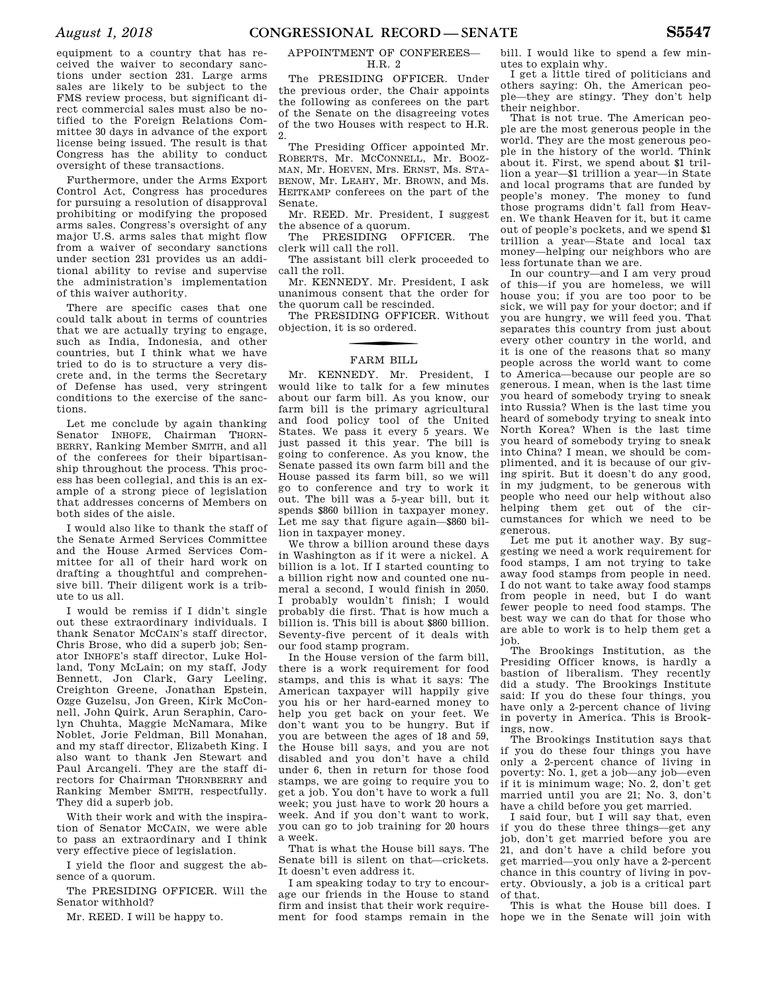equipment to a country that has received the waiver to secondary sanctions under section 231. Large arms sales are likely to be subject to the FMS review process, but significant direct commercial sales must also be notified to the Foreign Relations Committee 30 days in advance of the export license being issued. The result is that Congress has the ability to conduct oversight of these transactions.

Furthermore, under the Arms Export Control Act, Congress has procedures for pursuing a resolution of disapproval prohibiting or modifying the proposed arms sales. Congress's oversight of any major U.S. arms sales that might flow from a waiver of secondary sanctions under section 231 provides us an additional ability to revise and supervise the administration's implementation of this waiver authority.

There are specific cases that one could talk about in terms of countries that we are actually trying to engage, such as India, Indonesia, and other countries, but I think what we have tried to do is to structure a very discrete and, in the terms the Secretary of Defense has used, very stringent conditions to the exercise of the sanctions.

Let me conclude by again thanking Senator INHOFE, Chairman THORN-BERRY, Ranking Member SMITH, and all of the conferees for their bipartisanship throughout the process. This process has been collegial, and this is an example of a strong piece of legislation that addresses concerns of Members on both sides of the aisle.

I would also like to thank the staff of the Senate Armed Services Committee and the House Armed Services Committee for all of their hard work on drafting a thoughtful and comprehensive bill. Their diligent work is a tribute to us all.

I would be remiss if I didn't single out these extraordinary individuals. I thank Senator MCCAIN's staff director, Chris Brose, who did a superb job; Senator INHOFE's staff director, Luke Holland, Tony McLain; on my staff, Jody Bennett, Jon Clark, Gary Leeling, Creighton Greene, Jonathan Epstein, Ozge Guzelsu, Jon Green, Kirk McConnell, John Quirk, Arun Seraphin, Carolyn Chuhta, Maggie McNamara, Mike Noblet, Jorie Feldman, Bill Monahan, and my staff director, Elizabeth King. I also want to thank Jen Stewart and Paul Arcangeli. They are the staff directors for Chairman THORNBERRY and Ranking Member SMITH, respectfully. They did a superb job.

With their work and with the inspiration of Senator MCCAIN, we were able to pass an extraordinary and I think very effective piece of legislation.

I yield the floor and suggest the absence of a quorum.

The PRESIDING OFFICER. Will the Senator withhold?

Mr. REED. I will be happy to.

### APPOINTMENT OF CONFEREES— H.R. 2

The PRESIDING OFFICER. Under the previous order, the Chair appoints the following as conferees on the part of the Senate on the disagreeing votes of the two Houses with respect to H.R. 2.

The Presiding Officer appointed Mr. ROBERTS, Mr. MCCONNELL, Mr. BOOZ-MAN, Mr. HOEVEN, Mrs. ERNST, Ms. STA-BENOW, Mr. LEAHY, Mr. BROWN, and Ms. HEITKAMP conferees on the part of the Senate.

Mr. REED. Mr. President, I suggest the absence of a quorum.

The PRESIDING OFFICER. The clerk will call the roll.

The assistant bill clerk proceeded to call the roll.

Mr. KENNEDY. Mr. President, I ask unanimous consent that the order for the quorum call be rescinded.

The PRESIDING OFFICER. Without objection, it is so ordered.

### FARM BILL

Mr. KENNEDY. Mr. President, I would like to talk for a few minutes about our farm bill. As you know, our farm bill is the primary agricultural and food policy tool of the United States. We pass it every 5 years. We just passed it this year. The bill is going to conference. As you know, the Senate passed its own farm bill and the House passed its farm bill, so we will go to conference and try to work it out. The bill was a 5-year bill, but it spends \$860 billion in taxpayer money. Let me say that figure again—\$860 billion in taxpayer money.

We throw a billion around these days in Washington as if it were a nickel. A billion is a lot. If I started counting to a billion right now and counted one numeral a second, I would finish in 2050. I probably wouldn't finish; I would probably die first. That is how much a billion is. This bill is about \$860 billion. Seventy-five percent of it deals with our food stamp program.

In the House version of the farm bill, there is a work requirement for food stamps, and this is what it says: The American taxpayer will happily give you his or her hard-earned money to help you get back on your feet. We don't want you to be hungry. But if you are between the ages of 18 and 59, the House bill says, and you are not disabled and you don't have a child under 6, then in return for those food stamps, we are going to require you to get a job. You don't have to work a full week; you just have to work 20 hours a week. And if you don't want to work, you can go to job training for 20 hours a week.

That is what the House bill says. The Senate bill is silent on that—crickets. It doesn't even address it.

I am speaking today to try to encourage our friends in the House to stand firm and insist that their work requirement for food stamps remain in the

bill. I would like to spend a few minutes to explain why.

I get a little tired of politicians and others saying: Oh, the American people—they are stingy. They don't help their neighbor.

That is not true. The American people are the most generous people in the world. They are the most generous people in the history of the world. Think about it. First, we spend about \$1 trillion a year—\$1 trillion a year—in State and local programs that are funded by people's money. The money to fund those programs didn't fall from Heaven. We thank Heaven for it, but it came out of people's pockets, and we spend \$1 trillion a year—State and local tax money—helping our neighbors who are less fortunate than we are.

In our country—and I am very proud of this—if you are homeless, we will house you; if you are too poor to be sick, we will pay for your doctor; and if you are hungry, we will feed you. That separates this country from just about every other country in the world, and it is one of the reasons that so many people across the world want to come to America—because our people are so generous. I mean, when is the last time you heard of somebody trying to sneak into Russia? When is the last time you heard of somebody trying to sneak into North Korea? When is the last time you heard of somebody trying to sneak into China? I mean, we should be complimented, and it is because of our giving spirit. But it doesn't do any good, in my judgment, to be generous with people who need our help without also helping them get out of the circumstances for which we need to be generous.

Let me put it another way. By suggesting we need a work requirement for food stamps, I am not trying to take away food stamps from people in need. I do not want to take away food stamps from people in need, but I do want fewer people to need food stamps. The best way we can do that for those who are able to work is to help them get a job.

The Brookings Institution, as the Presiding Officer knows, is hardly a bastion of liberalism. They recently did a study. The Brookings Institute said: If you do these four things, you have only a 2-percent chance of living in poverty in America. This is Brookings, now.

The Brookings Institution says that if you do these four things you have only a 2-percent chance of living in poverty: No. 1, get a job—any job—even if it is minimum wage; No. 2, don't get married until you are 21; No. 3, don't have a child before you get married.

I said four, but I will say that, even if you do these three things—get any job, don't get married before you are 21, and don't have a child before you get married—you only have a 2-percent chance in this country of living in poverty. Obviously, a job is a critical part of that.

This is what the House bill does. I hope we in the Senate will join with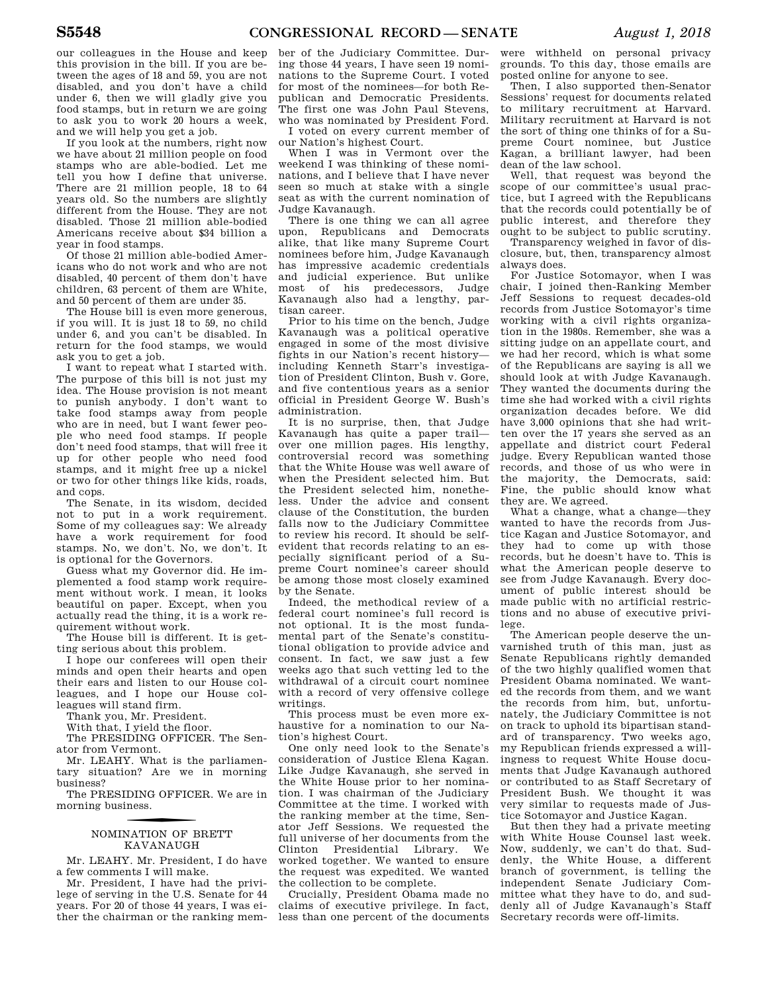our colleagues in the House and keep this provision in the bill. If you are between the ages of 18 and 59, you are not disabled, and you don't have a child under 6, then we will gladly give you food stamps, but in return we are going to ask you to work 20 hours a week, and we will help you get a job.

If you look at the numbers, right now we have about 21 million people on food stamps who are able-bodied. Let me tell you how I define that universe. There are 21 million people, 18 to 64 years old. So the numbers are slightly different from the House. They are not disabled. Those 21 million able-bodied Americans receive about \$34 billion a year in food stamps.

Of those 21 million able-bodied Americans who do not work and who are not disabled, 40 percent of them don't have children, 63 percent of them are White, and 50 percent of them are under 35.

The House bill is even more generous, if you will. It is just 18 to 59, no child under 6, and you can't be disabled. In return for the food stamps, we would ask you to get a job.

I want to repeat what I started with. The purpose of this bill is not just my idea. The House provision is not meant to punish anybody. I don't want to take food stamps away from people who are in need, but I want fewer people who need food stamps. If people don't need food stamps, that will free it up for other people who need food stamps, and it might free up a nickel or two for other things like kids, roads, and cops.

The Senate, in its wisdom, decided not to put in a work requirement. Some of my colleagues say: We already have a work requirement for food stamps. No, we don't. No, we don't. It is optional for the Governors.

Guess what my Governor did. He implemented a food stamp work requirement without work. I mean, it looks beautiful on paper. Except, when you actually read the thing, it is a work requirement without work.

The House bill is different. It is getting serious about this problem.

I hope our conferees will open their minds and open their hearts and open their ears and listen to our House colleagues, and I hope our House colleagues will stand firm.

Thank you, Mr. President.

With that, I yield the floor.

The PRESIDING OFFICER. The Senator from Vermont.

Mr. LEAHY. What is the parliamentary situation? Are we in morning business?

The PRESIDING OFFICER. We are in morning business.

### f NOMINATION OF BRETT KAVANAUGH

Mr. LEAHY. Mr. President, I do have a few comments I will make.

Mr. President, I have had the privilege of serving in the U.S. Senate for 44 years. For 20 of those 44 years, I was either the chairman or the ranking mem-

ber of the Judiciary Committee. During those 44 years, I have seen 19 nominations to the Supreme Court. I voted for most of the nominees—for both Republican and Democratic Presidents. The first one was John Paul Stevens, who was nominated by President Ford.

I voted on every current member of our Nation's highest Court.

When I was in Vermont over the weekend I was thinking of these nominations, and I believe that I have never seen so much at stake with a single seat as with the current nomination of Judge Kavanaugh.

There is one thing we can all agree upon, Republicans and Democrats alike, that like many Supreme Court nominees before him, Judge Kavanaugh has impressive academic credentials and judicial experience. But unlike most of his predecessors, Judge Kavanaugh also had a lengthy, partisan career.

Prior to his time on the bench, Judge Kavanaugh was a political operative engaged in some of the most divisive fights in our Nation's recent history including Kenneth Starr's investigation of President Clinton, Bush v. Gore, and five contentious years as a senior official in President George W. Bush's administration.

It is no surprise, then, that Judge Kavanaugh has quite a paper trail over one million pages. His lengthy, controversial record was something that the White House was well aware of when the President selected him. But the President selected him, nonetheless. Under the advice and consent clause of the Constitution, the burden falls now to the Judiciary Committee to review his record. It should be selfevident that records relating to an especially significant period of a Supreme Court nominee's career should be among those most closely examined by the Senate.

Indeed, the methodical review of a federal court nominee's full record is not optional. It is the most fundamental part of the Senate's constitutional obligation to provide advice and consent. In fact, we saw just a few weeks ago that such vetting led to the withdrawal of a circuit court nominee with a record of very offensive college writings.

This process must be even more exhaustive for a nomination to our Nation's highest Court.

One only need look to the Senate's consideration of Justice Elena Kagan. Like Judge Kavanaugh, she served in the White House prior to her nomination. I was chairman of the Judiciary Committee at the time. I worked with the ranking member at the time, Senator Jeff Sessions. We requested the full universe of her documents from the Clinton Presidential Library. We worked together. We wanted to ensure the request was expedited. We wanted the collection to be complete.

Crucially, President Obama made no claims of executive privilege. In fact, less than one percent of the documents

were withheld on personal privacy grounds. To this day, those emails are posted online for anyone to see.

Then, I also supported then-Senator Sessions' request for documents related to military recruitment at Harvard. Military recruitment at Harvard is not the sort of thing one thinks of for a Supreme Court nominee, but Justice Kagan, a brilliant lawyer, had been dean of the law school.

Well, that request was beyond the scope of our committee's usual practice, but I agreed with the Republicans that the records could potentially be of public interest, and therefore they ought to be subject to public scrutiny.

Transparency weighed in favor of disclosure, but, then, transparency almost always does.

For Justice Sotomayor, when I was chair, I joined then-Ranking Member Jeff Sessions to request decades-old records from Justice Sotomayor's time working with a civil rights organization in the 1980s. Remember, she was a sitting judge on an appellate court, and we had her record, which is what some of the Republicans are saying is all we should look at with Judge Kavanaugh. They wanted the documents during the time she had worked with a civil rights organization decades before. We did have 3,000 opinions that she had written over the 17 years she served as an appellate and district court Federal judge. Every Republican wanted those records, and those of us who were in the majority, the Democrats, said: Fine, the public should know what they are. We agreed.

What a change, what a change—they wanted to have the records from Justice Kagan and Justice Sotomayor, and they had to come up with those records, but he doesn't have to. This is what the American people deserve to see from Judge Kavanaugh. Every document of public interest should be made public with no artificial restrictions and no abuse of executive privilege.

The American people deserve the unvarnished truth of this man, just as Senate Republicans rightly demanded of the two highly qualified women that President Obama nominated. We wanted the records from them, and we want the records from him, but, unfortunately, the Judiciary Committee is not on track to uphold its bipartisan standard of transparency. Two weeks ago, my Republican friends expressed a willingness to request White House documents that Judge Kavanaugh authored or contributed to as Staff Secretary of President Bush. We thought it was very similar to requests made of Justice Sotomayor and Justice Kagan.

But then they had a private meeting with White House Counsel last week. Now, suddenly, we can't do that. Suddenly, the White House, a different branch of government, is telling the independent Senate Judiciary Committee what they have to do, and suddenly all of Judge Kavanaugh's Staff Secretary records were off-limits.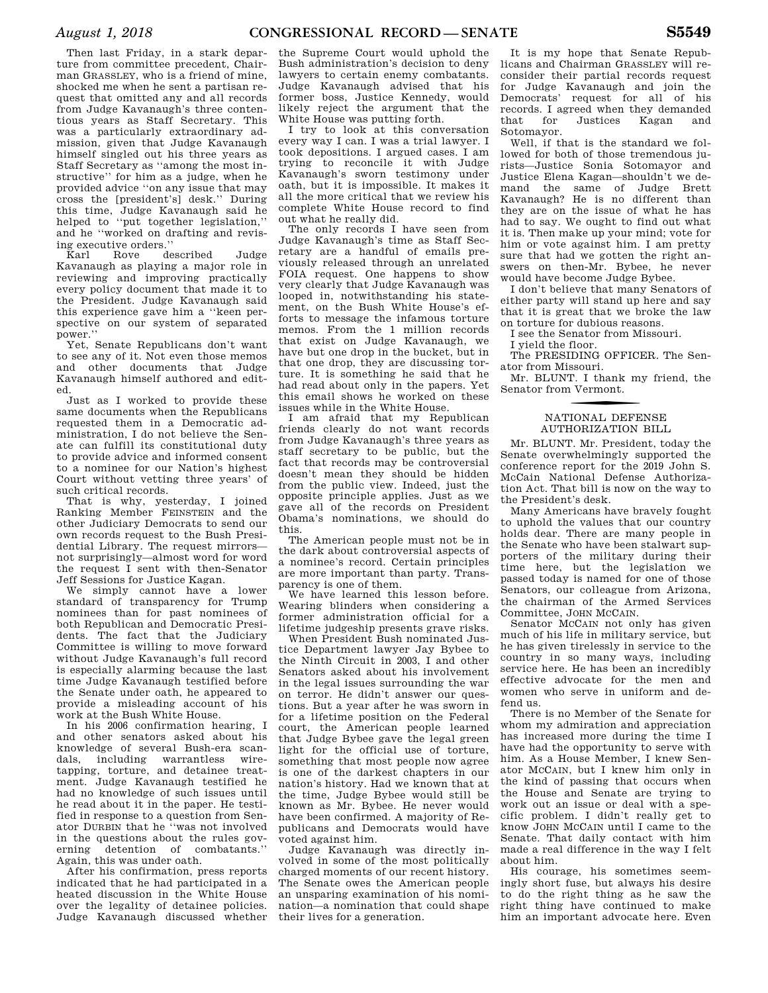Then last Friday, in a stark departure from committee precedent, Chairman GRASSLEY, who is a friend of mine, shocked me when he sent a partisan request that omitted any and all records from Judge Kavanaugh's three contentious years as Staff Secretary. This was a particularly extraordinary admission, given that Judge Kavanaugh himself singled out his three years as Staff Secretary as ''among the most instructive'' for him as a judge, when he provided advice ''on any issue that may cross the [president's] desk.'' During this time, Judge Kavanaugh said he helped to ''put together legislation,'' and he ''worked on drafting and revising executive orders.''

described Judge Kavanaugh as playing a major role in reviewing and improving practically every policy document that made it to the President. Judge Kavanaugh said this experience gave him a ''keen perspective on our system of separated power.''

Yet, Senate Republicans don't want to see any of it. Not even those memos and other documents that Judge Kavanaugh himself authored and edited.

Just as I worked to provide these same documents when the Republicans requested them in a Democratic administration, I do not believe the Senate can fulfill its constitutional duty to provide advice and informed consent to a nominee for our Nation's highest Court without vetting three years' of such critical records.

That is why, yesterday, I joined Ranking Member FEINSTEIN and the other Judiciary Democrats to send our own records request to the Bush Presidential Library. The request mirrors not surprisingly—almost word for word the request I sent with then-Senator Jeff Sessions for Justice Kagan.

We simply cannot have a lower standard of transparency for Trump nominees than for past nominees of both Republican and Democratic Presidents. The fact that the Judiciary Committee is willing to move forward without Judge Kavanaugh's full record is especially alarming because the last time Judge Kavanaugh testified before the Senate under oath, he appeared to provide a misleading account of his work at the Bush White House.

In his 2006 confirmation hearing, I and other senators asked about his knowledge of several Bush-era scandals, including warrantless wiretapping, torture, and detainee treatment. Judge Kavanaugh testified he had no knowledge of such issues until he read about it in the paper. He testified in response to a question from Senator DURBIN that he ''was not involved in the questions about the rules governing detention of combatants.'' Again, this was under oath.

After his confirmation, press reports indicated that he had participated in a heated discussion in the White House over the legality of detainee policies. Judge Kavanaugh discussed whether

the Supreme Court would uphold the Bush administration's decision to deny lawyers to certain enemy combatants. Judge Kavanaugh advised that his former boss, Justice Kennedy, would likely reject the argument that the White House was putting forth.

I try to look at this conversation every way I can. I was a trial lawyer. I took depositions. I argued cases. I am trying to reconcile it with Judge Kavanaugh's sworn testimony under oath, but it is impossible. It makes it all the more critical that we review his complete White House record to find out what he really did.

The only records I have seen from Judge Kavanaugh's time as Staff Secretary are a handful of emails previously released through an unrelated FOIA request. One happens to show very clearly that Judge Kavanaugh was looped in, notwithstanding his statement, on the Bush White House's efforts to message the infamous torture memos. From the 1 million records that exist on Judge Kavanaugh, we have but one drop in the bucket, but in that one drop, they are discussing torture. It is something he said that he had read about only in the papers. Yet this email shows he worked on these issues while in the White House.

I am afraid that my Republican friends clearly do not want records from Judge Kavanaugh's three years as staff secretary to be public, but the fact that records may be controversial doesn't mean they should be hidden from the public view. Indeed, just the opposite principle applies. Just as we gave all of the records on President Obama's nominations, we should do this.

The American people must not be in the dark about controversial aspects of a nominee's record. Certain principles are more important than party. Transparency is one of them.

We have learned this lesson before. Wearing blinders when considering a former administration official for a lifetime judgeship presents grave risks.

When President Bush nominated Justice Department lawyer Jay Bybee to the Ninth Circuit in 2003, I and other Senators asked about his involvement in the legal issues surrounding the war on terror. He didn't answer our questions. But a year after he was sworn in for a lifetime position on the Federal court, the American people learned that Judge Bybee gave the legal green light for the official use of torture, something that most people now agree is one of the darkest chapters in our nation's history. Had we known that at the time, Judge Bybee would still be known as Mr. Bybee. He never would have been confirmed. A majority of Republicans and Democrats would have voted against him.

Judge Kavanaugh was directly involved in some of the most politically charged moments of our recent history. The Senate owes the American people an unsparing examination of his nomination—a nomination that could shape their lives for a generation.

It is my hope that Senate Republicans and Chairman GRASSLEY will reconsider their partial records request for Judge Kavanaugh and join the Democrats' request for all of his records. I agreed when they demanded that for Justices Kagan and Sotomayor.

Well, if that is the standard we followed for both of those tremendous jurists—Justice Sonia Sotomayor and Justice Elena Kagan—shouldn't we demand the same of Judge Brett Kavanaugh? He is no different than they are on the issue of what he has had to say. We ought to find out what it is. Then make up your mind; vote for him or vote against him. I am pretty sure that had we gotten the right answers on then-Mr. Bybee, he never would have become Judge Bybee.

I don't believe that many Senators of either party will stand up here and say that it is great that we broke the law on torture for dubious reasons.

I see the Senator from Missouri.

I yield the floor.

The PRESIDING OFFICER. The Senator from Missouri.

Mr. BLUNT. I thank my friend, the Senator from Vermont.

### f NATIONAL DEFENSE AUTHORIZATION BILL

Mr. BLUNT. Mr. President, today the Senate overwhelmingly supported the conference report for the 2019 John S. McCain National Defense Authorization Act. That bill is now on the way to the President's desk.

Many Americans have bravely fought to uphold the values that our country holds dear. There are many people in the Senate who have been stalwart supporters of the military during their time here, but the legislation we passed today is named for one of those Senators, our colleague from Arizona, the chairman of the Armed Services Committee, JOHN MCCAIN.

Senator MCCAIN not only has given much of his life in military service, but he has given tirelessly in service to the country in so many ways, including service here. He has been an incredibly effective advocate for the men and women who serve in uniform and defend us.

There is no Member of the Senate for whom my admiration and appreciation has increased more during the time I have had the opportunity to serve with him. As a House Member, I knew Senator MCCAIN, but I knew him only in the kind of passing that occurs when the House and Senate are trying to work out an issue or deal with a specific problem. I didn't really get to know JOHN MCCAIN until I came to the Senate. That daily contact with him made a real difference in the way I felt about him.

His courage, his sometimes seemingly short fuse, but always his desire to do the right thing as he saw the right thing have continued to make him an important advocate here. Even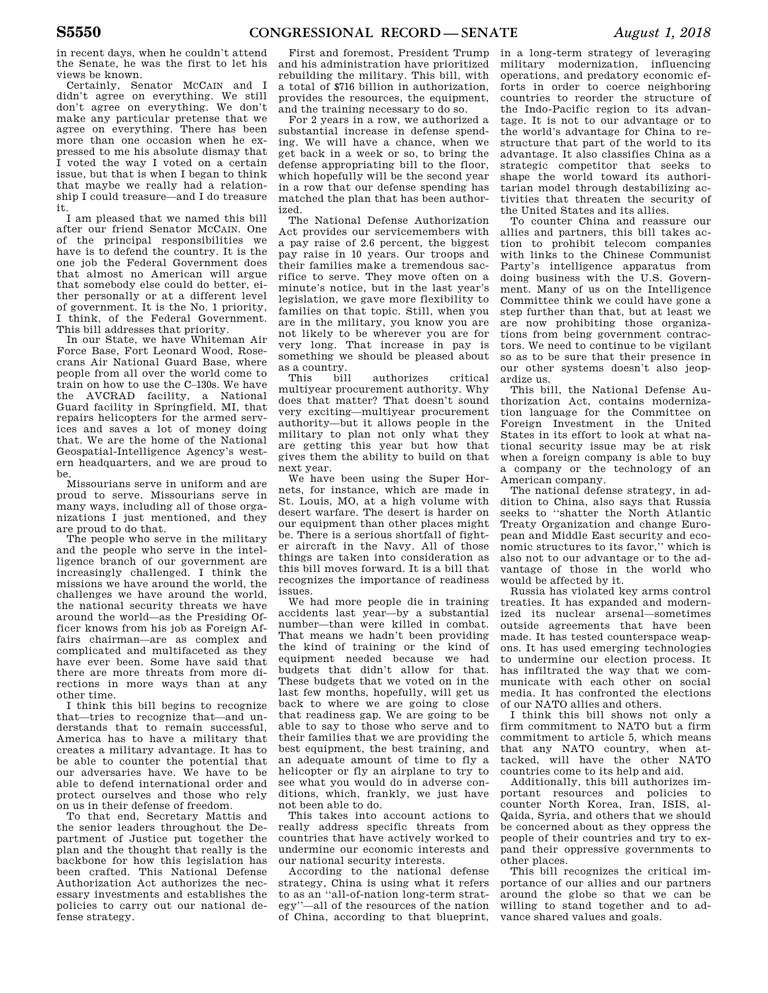in recent days, when he couldn't attend the Senate, he was the first to let his views be known.

Certainly, Senator MCCAIN and I didn't agree on everything. We still don't agree on everything. We don't make any particular pretense that we agree on everything. There has been more than one occasion when he expressed to me his absolute dismay that I voted the way I voted on a certain issue, but that is when I began to think that maybe we really had a relationship I could treasure—and I do treasure it.

I am pleased that we named this bill after our friend Senator MCCAIN. One of the principal responsibilities we have is to defend the country. It is the one job the Federal Government does that almost no American will argue that somebody else could do better, either personally or at a different level of government. It is the No. 1 priority, I think, of the Federal Government. This bill addresses that priority.

In our State, we have Whiteman Air Force Base, Fort Leonard Wood, Rosecrans Air National Guard Base, where people from all over the world come to train on how to use the C–130s. We have the AVCRAD facility, a National Guard facility in Springfield, MI, that repairs helicopters for the armed services and saves a lot of money doing that. We are the home of the National Geospatial-Intelligence Agency's western headquarters, and we are proud to be.

Missourians serve in uniform and are proud to serve. Missourians serve in many ways, including all of those organizations I just mentioned, and they are proud to do that.

The people who serve in the military and the people who serve in the intelligence branch of our government are increasingly challenged. I think the missions we have around the world, the challenges we have around the world, the national security threats we have around the world—as the Presiding Officer knows from his job as Foreign Affairs chairman—are as complex and complicated and multifaceted as they have ever been. Some have said that there are more threats from more directions in more ways than at any other time.

I think this bill begins to recognize that—tries to recognize that—and understands that to remain successful, America has to have a military that creates a military advantage. It has to be able to counter the potential that our adversaries have. We have to be able to defend international order and protect ourselves and those who rely on us in their defense of freedom.

To that end, Secretary Mattis and the senior leaders throughout the Department of Justice put together the plan and the thought that really is the backbone for how this legislation has been crafted. This National Defense Authorization Act authorizes the necessary investments and establishes the policies to carry out our national defense strategy.

First and foremost, President Trump and his administration have prioritized rebuilding the military. This bill, with a total of \$716 billion in authorization, provides the resources, the equipment, and the training necessary to do so.

For 2 years in a row, we authorized a substantial increase in defense spending. We will have a chance, when we get back in a week or so, to bring the defense appropriating bill to the floor, which hopefully will be the second year in a row that our defense spending has matched the plan that has been authorized.

The National Defense Authorization Act provides our servicemembers with a pay raise of 2.6 percent, the biggest pay raise in 10 years. Our troops and their families make a tremendous sacrifice to serve. They move often on a minute's notice, but in the last year's legislation, we gave more flexibility to families on that topic. Still, when you are in the military, you know you are not likely to be wherever you are for very long. That increase in pay is something we should be pleased about as a country.

authorizes critical multiyear procurement authority. Why does that matter? That doesn't sound very exciting—multiyear procurement authority—but it allows people in the military to plan not only what they are getting this year but how that gives them the ability to build on that next year.

We have been using the Super Hornets, for instance, which are made in St. Louis, MO, at a high volume with desert warfare. The desert is harder on our equipment than other places might be. There is a serious shortfall of fighter aircraft in the Navy. All of those things are taken into consideration as this bill moves forward. It is a bill that recognizes the importance of readiness issues.

We had more people die in training accidents last year—by a substantial number—than were killed in combat. That means we hadn't been providing the kind of training or the kind of equipment needed because we had budgets that didn't allow for that. These budgets that we voted on in the last few months, hopefully, will get us back to where we are going to close that readiness gap. We are going to be able to say to those who serve and to their families that we are providing the best equipment, the best training, and an adequate amount of time to fly a helicopter or fly an airplane to try to see what you would do in adverse conditions, which, frankly, we just have not been able to do.

This takes into account actions to really address specific threats from countries that have actively worked to undermine our economic interests and our national security interests.

According to the national defense strategy, China is using what it refers to as an ''all-of-nation long-term strategy''—all of the resources of the nation of China, according to that blueprint,

in a long-term strategy of leveraging military modernization, influencing operations, and predatory economic efforts in order to coerce neighboring countries to reorder the structure of the Indo-Pacific region to its advantage. It is not to our advantage or to the world's advantage for China to restructure that part of the world to its advantage. It also classifies China as a strategic competitor that seeks to shape the world toward its authoritarian model through destabilizing activities that threaten the security of the United States and its allies.

To counter China and reassure our allies and partners, this bill takes action to prohibit telecom companies with links to the Chinese Communist Party's intelligence apparatus from doing business with the U.S. Government. Many of us on the Intelligence Committee think we could have gone a step further than that, but at least we are now prohibiting those organizations from being government contractors. We need to continue to be vigilant so as to be sure that their presence in our other systems doesn't also jeopardize us.

This bill, the National Defense Authorization Act, contains modernization language for the Committee on Foreign Investment in the United States in its effort to look at what national security issue may be at risk when a foreign company is able to buy a company or the technology of an American company.

The national defense strategy, in addition to China, also says that Russia seeks to ''shatter the North Atlantic Treaty Organization and change European and Middle East security and economic structures to its favor,'' which is also not to our advantage or to the advantage of those in the world who would be affected by it.

Russia has violated key arms control treaties. It has expanded and modernized its nuclear arsenal—sometimes outside agreements that have been made. It has tested counterspace weapons. It has used emerging technologies to undermine our election process. It has infiltrated the way that we communicate with each other on social media. It has confronted the elections of our NATO allies and others.

I think this bill shows not only a firm commitment to NATO but a firm commitment to article 5, which means that any NATO country, when attacked, will have the other NATO countries come to its help and aid.

Additionally, this bill authorizes important resources and policies to counter North Korea, Iran, ISIS, al-Qaida, Syria, and others that we should be concerned about as they oppress the people of their countries and try to expand their oppressive governments to other places.

This bill recognizes the critical importance of our allies and our partners around the globe so that we can be willing to stand together and to advance shared values and goals.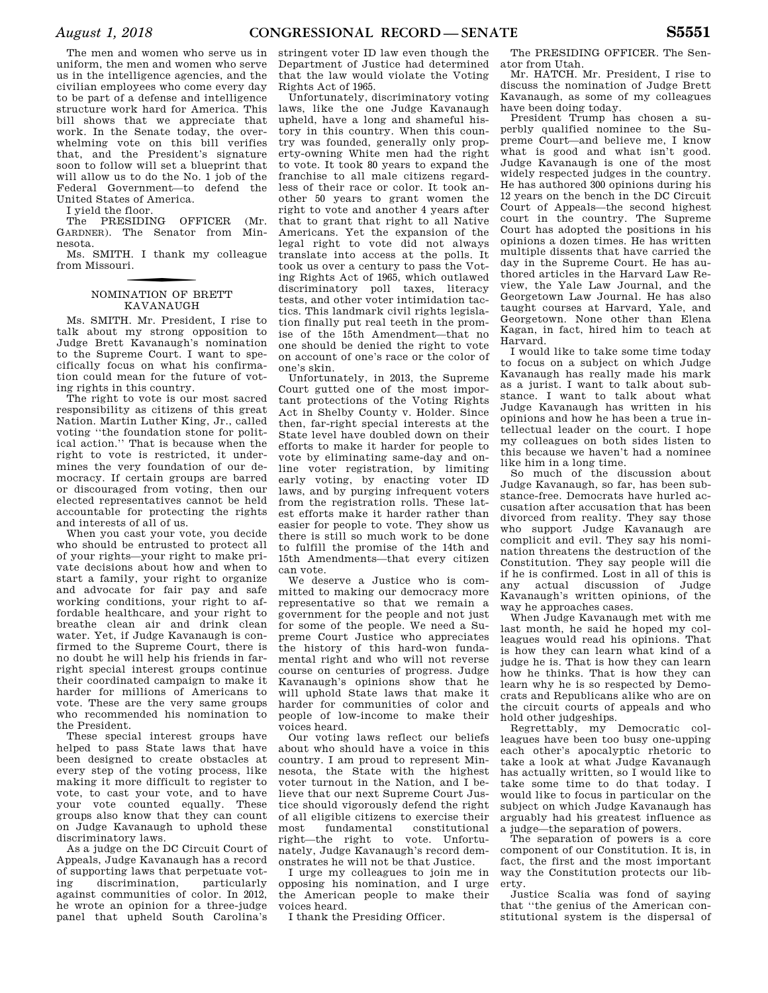The men and women who serve us in uniform, the men and women who serve us in the intelligence agencies, and the civilian employees who come every day to be part of a defense and intelligence structure work hard for America. This bill shows that we appreciate that work. In the Senate today, the overwhelming vote on this bill verifies that, and the President's signature soon to follow will set a blueprint that will allow us to do the No. 1 job of the Federal Government—to defend the United States of America.

I yield the floor.

The PRESIDING OFFICER (Mr. GARDNER). The Senator from Minnesota.

Ms. SMITH. I thank my colleague from Missouri.

### f NOMINATION OF BRETT KAVANAUGH

Ms. SMITH. Mr. President, I rise to talk about my strong opposition to Judge Brett Kavanaugh's nomination to the Supreme Court. I want to specifically focus on what his confirmation could mean for the future of voting rights in this country.

The right to vote is our most sacred responsibility as citizens of this great Nation. Martin Luther King, Jr., called voting ''the foundation stone for political action.'' That is because when the right to vote is restricted, it undermines the very foundation of our democracy. If certain groups are barred or discouraged from voting, then our elected representatives cannot be held accountable for protecting the rights and interests of all of us.

When you cast your vote, you decide who should be entrusted to protect all of your rights—your right to make private decisions about how and when to start a family, your right to organize and advocate for fair pay and safe working conditions, your right to affordable healthcare, and your right to breathe clean air and drink clean water. Yet, if Judge Kavanaugh is confirmed to the Supreme Court, there is no doubt he will help his friends in farright special interest groups continue their coordinated campaign to make it harder for millions of Americans to vote. These are the very same groups who recommended his nomination to the President.

These special interest groups have helped to pass State laws that have been designed to create obstacles at every step of the voting process, like making it more difficult to register to vote, to cast your vote, and to have your vote counted equally. These groups also know that they can count on Judge Kavanaugh to uphold these discriminatory laws.

As a judge on the DC Circuit Court of Appeals, Judge Kavanaugh has a record of supporting laws that perpetuate voting discrimination, particularly against communities of color. In 2012, he wrote an opinion for a three-judge panel that upheld South Carolina's

stringent voter ID law even though the Department of Justice had determined that the law would violate the Voting Rights Act of 1965.

Unfortunately, discriminatory voting laws, like the one Judge Kavanaugh upheld, have a long and shameful history in this country. When this country was founded, generally only property-owning White men had the right to vote. It took 80 years to expand the franchise to all male citizens regardless of their race or color. It took another 50 years to grant women the right to vote and another 4 years after that to grant that right to all Native Americans. Yet the expansion of the legal right to vote did not always translate into access at the polls. It took us over a century to pass the Voting Rights Act of 1965, which outlawed discriminatory poll taxes, literacy tests, and other voter intimidation tactics. This landmark civil rights legislation finally put real teeth in the promise of the 15th Amendment—that no one should be denied the right to vote on account of one's race or the color of one's skin.

Unfortunately, in 2013, the Supreme Court gutted one of the most important protections of the Voting Rights Act in Shelby County v. Holder. Since then, far-right special interests at the State level have doubled down on their efforts to make it harder for people to vote by eliminating same-day and online voter registration, by limiting early voting, by enacting voter ID laws, and by purging infrequent voters from the registration rolls. These latest efforts make it harder rather than easier for people to vote. They show us there is still so much work to be done to fulfill the promise of the 14th and 15th Amendments—that every citizen can vote.

We deserve a Justice who is committed to making our democracy more representative so that we remain a government for the people and not just for some of the people. We need a Supreme Court Justice who appreciates the history of this hard-won fundamental right and who will not reverse course on centuries of progress. Judge Kavanaugh's opinions show that he will uphold State laws that make it harder for communities of color and people of low-income to make their voices heard.

Our voting laws reflect our beliefs about who should have a voice in this country. I am proud to represent Minnesota, the State with the highest voter turnout in the Nation, and I believe that our next Supreme Court Justice should vigorously defend the right of all eligible citizens to exercise their constitutional right—the right to vote. Unfortunately, Judge Kavanaugh's record demonstrates he will not be that Justice.

I urge my colleagues to join me in opposing his nomination, and I urge the American people to make their voices heard.

I thank the Presiding Officer.

The PRESIDING OFFICER. The Senator from Utah.

Mr. HATCH. Mr. President, I rise to discuss the nomination of Judge Brett Kavanaugh, as some of my colleagues have been doing today.

President Trump has chosen a superbly qualified nominee to the Supreme Court—and believe me, I know what is good and what isn't good. Judge Kavanaugh is one of the most widely respected judges in the country. He has authored 300 opinions during his 12 years on the bench in the DC Circuit Court of Appeals—the second highest court in the country. The Supreme Court has adopted the positions in his opinions a dozen times. He has written multiple dissents that have carried the day in the Supreme Court. He has authored articles in the Harvard Law Review, the Yale Law Journal, and the Georgetown Law Journal. He has also taught courses at Harvard, Yale, and Georgetown. None other than Elena Kagan, in fact, hired him to teach at Harvard.

I would like to take some time today to focus on a subject on which Judge Kavanaugh has really made his mark as a jurist. I want to talk about substance. I want to talk about what Judge Kavanaugh has written in his opinions and how he has been a true intellectual leader on the court. I hope my colleagues on both sides listen to this because we haven't had a nominee like him in a long time.

So much of the discussion about Judge Kavanaugh, so far, has been substance-free. Democrats have hurled accusation after accusation that has been divorced from reality. They say those who support Judge Kavanaugh are complicit and evil. They say his nomination threatens the destruction of the Constitution. They say people will die if he is confirmed. Lost in all of this is any actual discussion of Judge Kavanaugh's written opinions, of the way he approaches cases.

When Judge Kavanaugh met with me last month, he said he hoped my colleagues would read his opinions. That is how they can learn what kind of a judge he is. That is how they can learn how he thinks. That is how they can learn why he is so respected by Democrats and Republicans alike who are on the circuit courts of appeals and who hold other judgeships.

Regrettably, my Democratic colleagues have been too busy one-upping each other's apocalyptic rhetoric to take a look at what Judge Kavanaugh has actually written, so I would like to take some time to do that today. I would like to focus in particular on the subject on which Judge Kavanaugh has arguably had his greatest influence as a judge—the separation of powers.

The separation of powers is a core component of our Constitution. It is, in fact, the first and the most important way the Constitution protects our liberty.

Justice Scalia was fond of saying that ''the genius of the American constitutional system is the dispersal of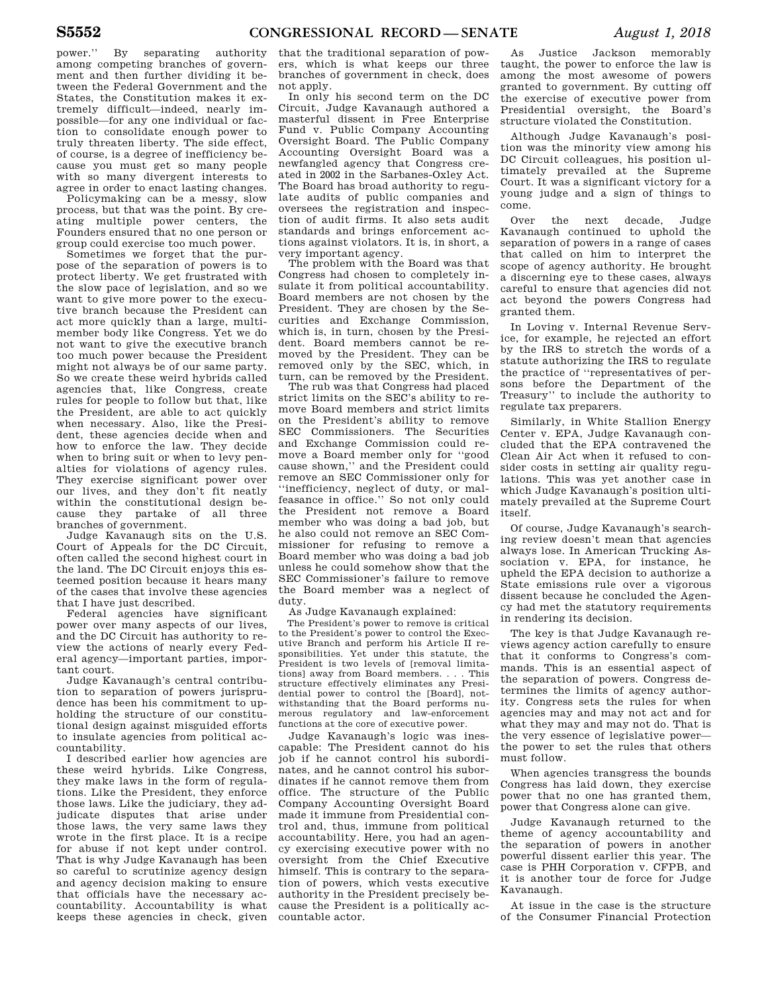power.'' By separating authority among competing branches of government and then further dividing it between the Federal Government and the States, the Constitution makes it extremely difficult—indeed, nearly impossible—for any one individual or faction to consolidate enough power to truly threaten liberty. The side effect, of course, is a degree of inefficiency because you must get so many people with so many divergent interests to agree in order to enact lasting changes.

Policymaking can be a messy, slow process, but that was the point. By creating multiple power centers, the Founders ensured that no one person or group could exercise too much power.

Sometimes we forget that the purpose of the separation of powers is to protect liberty. We get frustrated with the slow pace of legislation, and so we want to give more power to the executive branch because the President can act more quickly than a large, multimember body like Congress. Yet we do not want to give the executive branch too much power because the President might not always be of our same party. So we create these weird hybrids called agencies that, like Congress, create rules for people to follow but that, like the President, are able to act quickly when necessary. Also, like the President, these agencies decide when and how to enforce the law. They decide when to bring suit or when to levy penalties for violations of agency rules. They exercise significant power over our lives, and they don't fit neatly within the constitutional design because they partake of all three branches of government.

Judge Kavanaugh sits on the U.S. Court of Appeals for the DC Circuit, often called the second highest court in the land. The DC Circuit enjoys this esteemed position because it hears many of the cases that involve these agencies that I have just described.

Federal agencies have significant power over many aspects of our lives, and the DC Circuit has authority to review the actions of nearly every Federal agency—important parties, important court.

Judge Kavanaugh's central contribution to separation of powers jurisprudence has been his commitment to upholding the structure of our constitutional design against misguided efforts to insulate agencies from political accountability.

I described earlier how agencies are these weird hybrids. Like Congress, they make laws in the form of regulations. Like the President, they enforce those laws. Like the judiciary, they adjudicate disputes that arise under those laws, the very same laws they wrote in the first place. It is a recipe for abuse if not kept under control. That is why Judge Kavanaugh has been so careful to scrutinize agency design and agency decision making to ensure that officials have the necessary accountability. Accountability is what keeps these agencies in check, given

that the traditional separation of powers, which is what keeps our three branches of government in check, does not apply.

In only his second term on the DC Circuit, Judge Kavanaugh authored a masterful dissent in Free Enterprise Fund v. Public Company Accounting Oversight Board. The Public Company Accounting Oversight Board was a newfangled agency that Congress created in 2002 in the Sarbanes-Oxley Act. The Board has broad authority to regulate audits of public companies and oversees the registration and inspection of audit firms. It also sets audit standards and brings enforcement actions against violators. It is, in short, a very important agency.

The problem with the Board was that Congress had chosen to completely insulate it from political accountability. Board members are not chosen by the President. They are chosen by the Securities and Exchange Commission, which is, in turn, chosen by the President. Board members cannot be removed by the President. They can be removed only by the SEC, which, in turn, can be removed by the President.

The rub was that Congress had placed strict limits on the SEC's ability to remove Board members and strict limits on the President's ability to remove SEC Commissioners. The Securities and Exchange Commission could remove a Board member only for ''good cause shown,'' and the President could remove an SEC Commissioner only for ''inefficiency, neglect of duty, or malfeasance in office.'' So not only could the President not remove a Board member who was doing a bad job, but he also could not remove an SEC Commissioner for refusing to remove a Board member who was doing a bad job unless he could somehow show that the SEC Commissioner's failure to remove the Board member was a neglect of duty.

As Judge Kavanaugh explained:

The President's power to remove is critical to the President's power to control the Executive Branch and perform his Article II responsibilities. Yet under this statute, the President is two levels of [removal limitations] away from Board members. . . . This structure effectively eliminates any Presidential power to control the [Board], notwithstanding that the Board performs numerous regulatory and law-enforcement functions at the core of executive power.

Judge Kavanaugh's logic was inescapable: The President cannot do his job if he cannot control his subordinates, and he cannot control his subordinates if he cannot remove them from office. The structure of the Public Company Accounting Oversight Board made it immune from Presidential control and, thus, immune from political accountability. Here, you had an agency exercising executive power with no oversight from the Chief Executive himself. This is contrary to the separation of powers, which vests executive authority in the President precisely because the President is a politically accountable actor.

As Justice Jackson memorably taught, the power to enforce the law is among the most awesome of powers granted to government. By cutting off the exercise of executive power from Presidential oversight, the Board's structure violated the Constitution.

Although Judge Kavanaugh's position was the minority view among his DC Circuit colleagues, his position ultimately prevailed at the Supreme Court. It was a significant victory for a young judge and a sign of things to come.

Over the next decade, Judge Kavanaugh continued to uphold the separation of powers in a range of cases that called on him to interpret the scope of agency authority. He brought a discerning eye to these cases, always careful to ensure that agencies did not act beyond the powers Congress had granted them.

In Loving v. Internal Revenue Service, for example, he rejected an effort by the IRS to stretch the words of a statute authorizing the IRS to regulate the practice of ''representatives of persons before the Department of the Treasury'' to include the authority to regulate tax preparers.

Similarly, in White Stallion Energy Center v. EPA, Judge Kavanaugh concluded that the EPA contravened the Clean Air Act when it refused to consider costs in setting air quality regulations. This was yet another case in which Judge Kavanaugh's position ultimately prevailed at the Supreme Court itself.

Of course, Judge Kavanaugh's searching review doesn't mean that agencies always lose. In American Trucking Association v. EPA, for instance, he upheld the EPA decision to authorize a State emissions rule over a vigorous dissent because he concluded the Agency had met the statutory requirements in rendering its decision.

The key is that Judge Kavanaugh reviews agency action carefully to ensure that it conforms to Congress's commands. This is an essential aspect of the separation of powers. Congress determines the limits of agency authority. Congress sets the rules for when agencies may and may not act and for what they may and may not do. That is the very essence of legislative power the power to set the rules that others must follow.

When agencies transgress the bounds Congress has laid down, they exercise power that no one has granted them, power that Congress alone can give.

Judge Kavanaugh returned to the theme of agency accountability and the separation of powers in another powerful dissent earlier this year. The case is PHH Corporation v. CFPB, and it is another tour de force for Judge Kavanaugh.

At issue in the case is the structure of the Consumer Financial Protection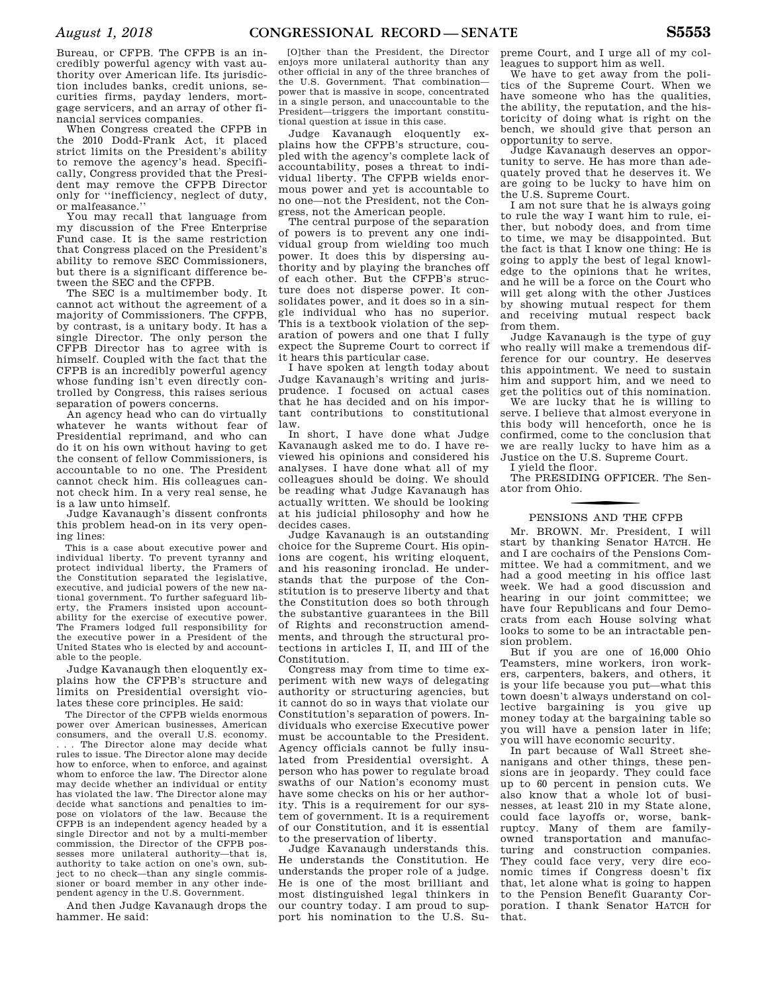Bureau, or CFPB. The CFPB is an incredibly powerful agency with vast authority over American life. Its jurisdiction includes banks, credit unions, securities firms, payday lenders, mortgage servicers, and an array of other financial services companies.

When Congress created the CFPB in the 2010 Dodd-Frank Act, it placed strict limits on the President's ability to remove the agency's head. Specifically, Congress provided that the President may remove the CFPB Director only for ''inefficiency, neglect of duty, or malfeasance.''

You may recall that language from my discussion of the Free Enterprise Fund case. It is the same restriction that Congress placed on the President's ability to remove SEC Commissioners, but there is a significant difference between the SEC and the CFPB.

The SEC is a multimember body. It cannot act without the agreement of a majority of Commissioners. The CFPB, by contrast, is a unitary body. It has a single Director. The only person the CFPB Director has to agree with is himself. Coupled with the fact that the CFPB is an incredibly powerful agency whose funding isn't even directly controlled by Congress, this raises serious separation of powers concerns.

An agency head who can do virtually whatever he wants without fear of Presidential reprimand, and who can do it on his own without having to get the consent of fellow Commissioners, is accountable to no one. The President cannot check him. His colleagues cannot check him. In a very real sense, he is a law unto himself.

Judge Kavanaugh's dissent confronts this problem head-on in its very opening lines:

This is a case about executive power and individual liberty. To prevent tyranny and protect individual liberty, the Framers of the Constitution separated the legislative, executive, and judicial powers of the new national government. To further safeguard liberty, the Framers insisted upon accountability for the exercise of executive power. The Framers lodged full responsibility for the executive power in a President of the United States who is elected by and accountable to the people.

Judge Kavanaugh then eloquently explains how the CFPB's structure and limits on Presidential oversight violates these core principles. He said:

The Director of the CFPB wields enormous power over American businesses, American consumers, and the overall U.S. economy. The Director alone may decide what rules to issue. The Director alone may decide how to enforce, when to enforce, and against whom to enforce the law. The Director alone may decide whether an individual or entity has violated the law. The Director alone may decide what sanctions and penalties to impose on violators of the law. Because the CFPB is an independent agency headed by a single Director and not by a multi-member commission, the Director of the CFPB possesses more unilateral authority—that is, authority to take action on one's own, subject to no check—than any single commissioner or board member in any other independent agency in the U.S. Government.

And then Judge Kavanaugh drops the hammer. He said:

[O]ther than the President, the Director enjoys more unilateral authority than any other official in any of the three branches of the U.S. Government. That combination power that is massive in scope, concentrated in a single person, and unaccountable to the President—triggers the important constitutional question at issue in this case.

Judge Kavanaugh eloquently explains how the CFPB's structure, coupled with the agency's complete lack of accountability, poses a threat to individual liberty. The CFPB wields enormous power and yet is accountable to no one—not the President, not the Congress, not the American people.

The central purpose of the separation of powers is to prevent any one individual group from wielding too much power. It does this by dispersing authority and by playing the branches off of each other. But the CFPB's structure does not disperse power. It consolidates power, and it does so in a single individual who has no superior. This is a textbook violation of the separation of powers and one that I fully expect the Supreme Court to correct if it hears this particular case.

I have spoken at length today about Judge Kavanaugh's writing and jurisprudence. I focused on actual cases that he has decided and on his important contributions to constitutional law.

In short, I have done what Judge Kavanaugh asked me to do. I have reviewed his opinions and considered his analyses. I have done what all of my colleagues should be doing. We should be reading what Judge Kavanaugh has actually written. We should be looking at his judicial philosophy and how he decides cases.

Judge Kavanaugh is an outstanding choice for the Supreme Court. His opinions are cogent, his writing eloquent, and his reasoning ironclad. He understands that the purpose of the Constitution is to preserve liberty and that the Constitution does so both through the substantive guarantees in the Bill of Rights and reconstruction amendments, and through the structural protections in articles I, II, and III of the Constitution.

Congress may from time to time experiment with new ways of delegating authority or structuring agencies, but it cannot do so in ways that violate our Constitution's separation of powers. Individuals who exercise Executive power must be accountable to the President. Agency officials cannot be fully insulated from Presidential oversight. A person who has power to regulate broad swaths of our Nation's economy must have some checks on his or her authority. This is a requirement for our system of government. It is a requirement of our Constitution, and it is essential to the preservation of liberty.

Judge Kavanaugh understands this. He understands the Constitution. He understands the proper role of a judge. He is one of the most brilliant and most distinguished legal thinkers in our country today. I am proud to support his nomination to the U.S. Su-

preme Court, and I urge all of my colleagues to support him as well.

We have to get away from the politics of the Supreme Court. When we have someone who has the qualities, the ability, the reputation, and the historicity of doing what is right on the bench, we should give that person an opportunity to serve.

Judge Kavanaugh deserves an opportunity to serve. He has more than adequately proved that he deserves it. We are going to be lucky to have him on the U.S. Supreme Court.

I am not sure that he is always going to rule the way I want him to rule, either, but nobody does, and from time to time, we may be disappointed. But the fact is that I know one thing: He is going to apply the best of legal knowledge to the opinions that he writes, and he will be a force on the Court who will get along with the other Justices by showing mutual respect for them and receiving mutual respect back from them.

Judge Kavanaugh is the type of guy who really will make a tremendous difference for our country. He deserves this appointment. We need to sustain him and support him, and we need to get the politics out of this nomination.

We are lucky that he is willing to serve. I believe that almost everyone in this body will henceforth, once he is confirmed, come to the conclusion that we are really lucky to have him as a Justice on the U.S. Supreme Court.

I yield the floor.

The PRESIDING OFFICER. The Senator from Ohio.

### f PENSIONS AND THE CFPB

Mr. BROWN. Mr. President, I will start by thanking Senator HATCH. He and I are cochairs of the Pensions Committee. We had a commitment, and we had a good meeting in his office last week. We had a good discussion and hearing in our joint committee; we have four Republicans and four Democrats from each House solving what looks to some to be an intractable pension problem.

But if you are one of 16,000 Ohio Teamsters, mine workers, iron workers, carpenters, bakers, and others, it is your life because you put—what this town doesn't always understand on collective bargaining is you give up money today at the bargaining table so you will have a pension later in life; you will have economic security.

In part because of Wall Street shenanigans and other things, these pensions are in jeopardy. They could face up to 60 percent in pension cuts. We also know that a whole lot of businesses, at least 210 in my State alone, could face layoffs or, worse, bankruptcy. Many of them are familyowned transportation and manufacturing and construction companies. They could face very, very dire economic times if Congress doesn't fix that, let alone what is going to happen to the Pension Benefit Guaranty Corporation. I thank Senator HATCH for that.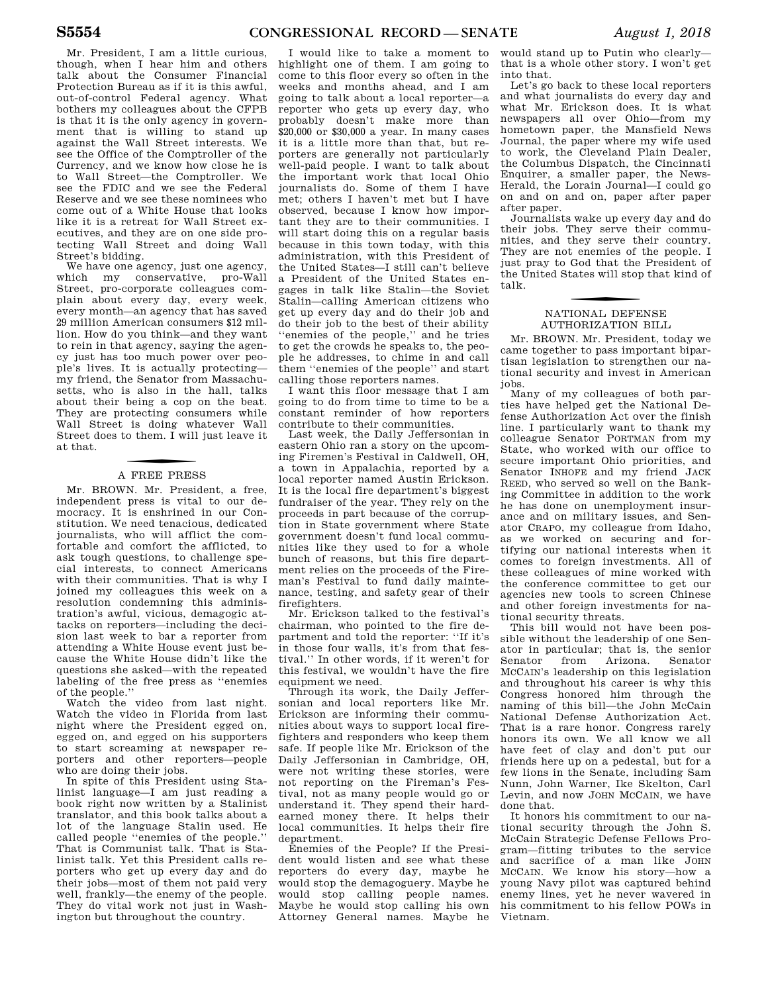Mr. President, I am a little curious, though, when I hear him and others talk about the Consumer Financial Protection Bureau as if it is this awful, out-of-control Federal agency. What bothers my colleagues about the CFPB is that it is the only agency in government that is willing to stand up against the Wall Street interests. We see the Office of the Comptroller of the Currency, and we know how close he is to Wall Street—the Comptroller. We see the FDIC and we see the Federal Reserve and we see these nominees who come out of a White House that looks like it is a retreat for Wall Street executives, and they are on one side protecting Wall Street and doing Wall Street's bidding.

We have one agency, just one agency, which my conservative, pro-Wall Street, pro-corporate colleagues complain about every day, every week, every month—an agency that has saved 29 million American consumers \$12 million. How do you think—and they want to rein in that agency, saying the agency just has too much power over people's lives. It is actually protecting my friend, the Senator from Massachusetts, who is also in the hall, talks about their being a cop on the beat. They are protecting consumers while Wall Street is doing whatever Wall Street does to them. I will just leave it at that.

### f A FREE PRESS

Mr. BROWN. Mr. President, a free, independent press is vital to our democracy. It is enshrined in our Constitution. We need tenacious, dedicated journalists, who will afflict the comfortable and comfort the afflicted, to ask tough questions, to challenge special interests, to connect Americans with their communities. That is why I joined my colleagues this week on a resolution condemning this administration's awful, vicious, demagogic attacks on reporters—including the decision last week to bar a reporter from attending a White House event just because the White House didn't like the questions she asked—with the repeated labeling of the free press as ''enemies of the people.''

Watch the video from last night. Watch the video in Florida from last night where the President egged on, egged on, and egged on his supporters to start screaming at newspaper reporters and other reporters—people who are doing their jobs.

In spite of this President using Stalinist language—I am just reading a book right now written by a Stalinist translator, and this book talks about a lot of the language Stalin used. He called people ''enemies of the people.'' That is Communist talk. That is Stalinist talk. Yet this President calls reporters who get up every day and do their jobs—most of them not paid very well, frankly—the enemy of the people. They do vital work not just in Washington but throughout the country.

I would like to take a moment to highlight one of them. I am going to come to this floor every so often in the weeks and months ahead, and I am going to talk about a local reporter—a reporter who gets up every day, who probably doesn't make more than \$20,000 or \$30,000 a year. In many cases it is a little more than that, but reporters are generally not particularly well-paid people. I want to talk about the important work that local Ohio journalists do. Some of them I have met; others I haven't met but I have observed, because I know how important they are to their communities. I will start doing this on a regular basis because in this town today, with this administration, with this President of the United States—I still can't believe a President of the United States engages in talk like Stalin—the Soviet Stalin—calling American citizens who get up every day and do their job and do their job to the best of their ability ''enemies of the people,'' and he tries to get the crowds he speaks to, the people he addresses, to chime in and call them ''enemies of the people'' and start calling those reporters names.

I want this floor message that I am going to do from time to time to be a constant reminder of how reporters contribute to their communities.

Last week, the Daily Jeffersonian in eastern Ohio ran a story on the upcoming Firemen's Festival in Caldwell, OH, a town in Appalachia, reported by a local reporter named Austin Erickson. It is the local fire department's biggest fundraiser of the year. They rely on the proceeds in part because of the corruption in State government where State government doesn't fund local communities like they used to for a whole bunch of reasons, but this fire department relies on the proceeds of the Fireman's Festival to fund daily maintenance, testing, and safety gear of their firefighters.

Mr. Erickson talked to the festival's chairman, who pointed to the fire department and told the reporter: ''If it's in those four walls, it's from that festival.'' In other words, if it weren't for this festival, we wouldn't have the fire equipment we need.

Through its work, the Daily Jeffersonian and local reporters like Mr. Erickson are informing their communities about ways to support local firefighters and responders who keep them safe. If people like Mr. Erickson of the Daily Jeffersonian in Cambridge, OH, were not writing these stories, were not reporting on the Fireman's Festival, not as many people would go or understand it. They spend their hardearned money there. It helps their local communities. It helps their fire department.

Enemies of the People? If the President would listen and see what these reporters do every day, maybe he would stop the demagoguery. Maybe he would stop calling people names. Maybe he would stop calling his own Attorney General names. Maybe he

would stand up to Putin who clearly that is a whole other story. I won't get into that.

Let's go back to these local reporters and what journalists do every day and what Mr. Erickson does. It is what newspapers all over Ohio—from my hometown paper, the Mansfield News Journal, the paper where my wife used to work, the Cleveland Plain Dealer, the Columbus Dispatch, the Cincinnati Enquirer, a smaller paper, the News-Herald, the Lorain Journal—I could go on and on and on, paper after paper after paper.

Journalists wake up every day and do their jobs. They serve their communities, and they serve their country. They are not enemies of the people. I just pray to God that the President of the United States will stop that kind of talk.

### f NATIONAL DEFENSE AUTHORIZATION BILL

Mr. BROWN. Mr. President, today we came together to pass important bipartisan legislation to strengthen our national security and invest in American jobs.

Many of my colleagues of both parties have helped get the National Defense Authorization Act over the finish line. I particularly want to thank my colleague Senator PORTMAN from my State, who worked with our office to secure important Ohio priorities, and Senator INHOFE and my friend JACK REED, who served so well on the Banking Committee in addition to the work he has done on unemployment insurance and on military issues, and Senator CRAPO, my colleague from Idaho, as we worked on securing and fortifying our national interests when it comes to foreign investments. All of these colleagues of mine worked with the conference committee to get our agencies new tools to screen Chinese and other foreign investments for national security threats.

This bill would not have been possible without the leadership of one Senator in particular; that is, the senior Senator from Arizona. Senator MCCAIN's leadership on this legislation and throughout his career is why this Congress honored him through the naming of this bill—the John McCain National Defense Authorization Act. That is a rare honor. Congress rarely honors its own. We all know we all have feet of clay and don't put our friends here up on a pedestal, but for a few lions in the Senate, including Sam Nunn, John Warner, Ike Skelton, Carl Levin, and now JOHN MCCAIN, we have done that.

It honors his commitment to our national security through the John S. McCain Strategic Defense Fellows Program—fitting tributes to the service and sacrifice of a man like JOHN MCCAIN. We know his story—how a young Navy pilot was captured behind enemy lines, yet he never wavered in his commitment to his fellow POWs in Vietnam.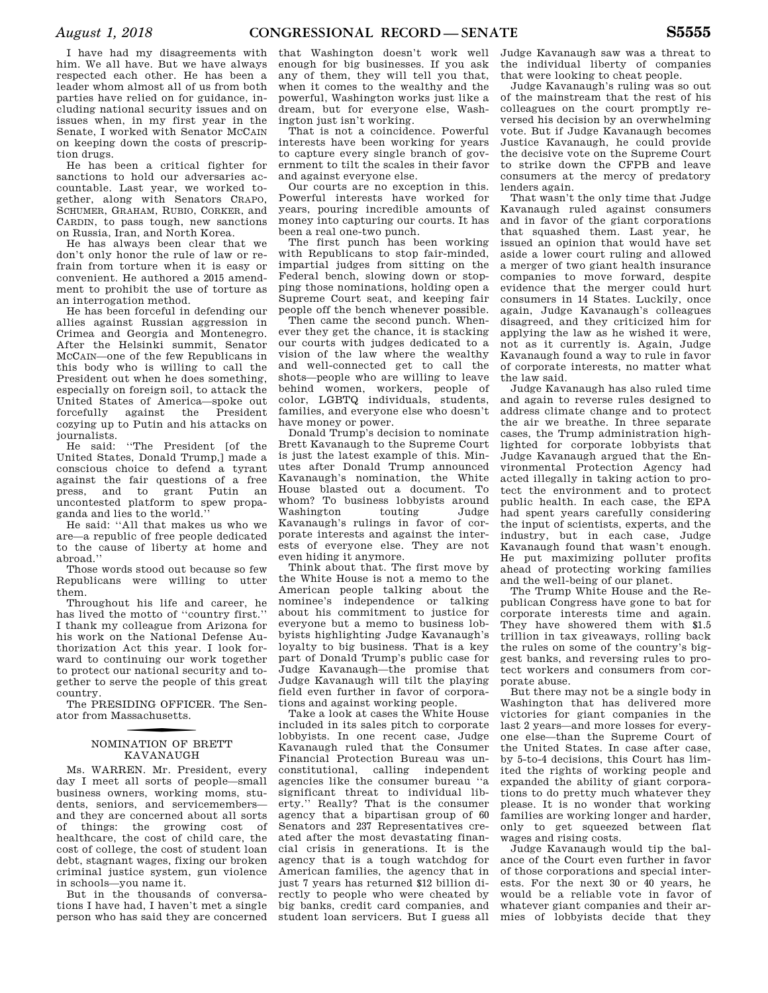I have had my disagreements with him. We all have. But we have always respected each other. He has been a leader whom almost all of us from both parties have relied on for guidance, including national security issues and on issues when, in my first year in the Senate, I worked with Senator MCCAIN on keeping down the costs of prescription drugs.

He has been a critical fighter for sanctions to hold our adversaries accountable. Last year, we worked together, along with Senators CRAPO, SCHUMER, GRAHAM, RUBIO, CORKER, and CARDIN, to pass tough, new sanctions on Russia, Iran, and North Korea.

He has always been clear that we don't only honor the rule of law or refrain from torture when it is easy or convenient. He authored a 2015 amendment to prohibit the use of torture as an interrogation method.

He has been forceful in defending our allies against Russian aggression in Crimea and Georgia and Montenegro. After the Helsinki summit, Senator MCCAIN—one of the few Republicans in this body who is willing to call the President out when he does something, especially on foreign soil, to attack the United States of America—spoke out forcefully against the President cozying up to Putin and his attacks on journalists.

He said: ''The President [of the United States, Donald Trump,] made a conscious choice to defend a tyrant against the fair questions of a free grant Putin an uncontested platform to spew propaganda and lies to the world.''

He said: ''All that makes us who we are—a republic of free people dedicated to the cause of liberty at home and abroad.''

Those words stood out because so few Republicans were willing to utter them.

Throughout his life and career, he has lived the motto of ''country first.'' I thank my colleague from Arizona for his work on the National Defense Authorization Act this year. I look forward to continuing our work together to protect our national security and together to serve the people of this great country.

The PRESIDING OFFICER. The Senator from Massachusetts.

### f NOMINATION OF BRETT KAVANAUGH

Ms. WARREN. Mr. President, every day I meet all sorts of people—small business owners, working moms, students, seniors, and servicemembers and they are concerned about all sorts of things: the growing cost of healthcare, the cost of child care, the cost of college, the cost of student loan debt, stagnant wages, fixing our broken criminal justice system, gun violence in schools—you name it.

But in the thousands of conversations I have had, I haven't met a single person who has said they are concerned

that Washington doesn't work well enough for big businesses. If you ask any of them, they will tell you that, when it comes to the wealthy and the powerful, Washington works just like a dream, but for everyone else, Washington just isn't working.

That is not a coincidence. Powerful interests have been working for years to capture every single branch of government to tilt the scales in their favor and against everyone else.

Our courts are no exception in this. Powerful interests have worked for years, pouring incredible amounts of money into capturing our courts. It has been a real one-two punch.

The first punch has been working with Republicans to stop fair-minded, impartial judges from sitting on the Federal bench, slowing down or stopping those nominations, holding open a Supreme Court seat, and keeping fair people off the bench whenever possible.

Then came the second punch. Whenever they get the chance, it is stacking our courts with judges dedicated to a vision of the law where the wealthy and well-connected get to call the shots—people who are willing to leave behind women, workers, people of color, LGBTQ individuals, students, families, and everyone else who doesn't have money or power.

Donald Trump's decision to nominate Brett Kavanaugh to the Supreme Court is just the latest example of this. Minutes after Donald Trump announced Kavanaugh's nomination, the White House blasted out a document. To whom? To business lobbyists around Washington touting Judge Kavanaugh's rulings in favor of corporate interests and against the interests of everyone else. They are not even hiding it anymore.

Think about that. The first move by the White House is not a memo to the American people talking about the nominee's independence or talking about his commitment to justice for everyone but a memo to business lobbyists highlighting Judge Kavanaugh's loyalty to big business. That is a key part of Donald Trump's public case for Judge Kavanaugh—the promise that Judge Kavanaugh will tilt the playing field even further in favor of corporations and against working people.

Take a look at cases the White House included in its sales pitch to corporate lobbyists. In one recent case, Judge Kavanaugh ruled that the Consumer Financial Protection Bureau was unconstitutional, calling independent agencies like the consumer bureau ''a significant threat to individual liberty.'' Really? That is the consumer agency that a bipartisan group of 60 Senators and 237 Representatives created after the most devastating financial crisis in generations. It is the agency that is a tough watchdog for American families, the agency that in just 7 years has returned \$12 billion directly to people who were cheated by big banks, credit card companies, and student loan servicers. But I guess all

Judge Kavanaugh saw was a threat to the individual liberty of companies that were looking to cheat people.

Judge Kavanaugh's ruling was so out of the mainstream that the rest of his colleagues on the court promptly reversed his decision by an overwhelming vote. But if Judge Kavanaugh becomes Justice Kavanaugh, he could provide the decisive vote on the Supreme Court to strike down the CFPB and leave consumers at the mercy of predatory lenders again.

That wasn't the only time that Judge Kavanaugh ruled against consumers and in favor of the giant corporations that squashed them. Last year, he issued an opinion that would have set aside a lower court ruling and allowed a merger of two giant health insurance companies to move forward, despite evidence that the merger could hurt consumers in 14 States. Luckily, once again, Judge Kavanaugh's colleagues disagreed, and they criticized him for applying the law as he wished it were, not as it currently is. Again, Judge Kavanaugh found a way to rule in favor of corporate interests, no matter what the law said.

Judge Kavanaugh has also ruled time and again to reverse rules designed to address climate change and to protect the air we breathe. In three separate cases, the Trump administration highlighted for corporate lobbyists that Judge Kavanaugh argued that the Environmental Protection Agency had acted illegally in taking action to protect the environment and to protect public health. In each case, the EPA had spent years carefully considering the input of scientists, experts, and the industry, but in each case, Judge Kavanaugh found that wasn't enough. He put maximizing polluter profits ahead of protecting working families and the well-being of our planet.

The Trump White House and the Republican Congress have gone to bat for corporate interests time and again. They have showered them with \$1.5 trillion in tax giveaways, rolling back the rules on some of the country's biggest banks, and reversing rules to protect workers and consumers from corporate abuse.

But there may not be a single body in Washington that has delivered more victories for giant companies in the last 2 years—and more losses for everyone else—than the Supreme Court of the United States. In case after case, by 5-to-4 decisions, this Court has limited the rights of working people and expanded the ability of giant corporations to do pretty much whatever they please. It is no wonder that working families are working longer and harder, only to get squeezed between flat wages and rising costs.

Judge Kavanaugh would tip the balance of the Court even further in favor of those corporations and special interests. For the next 30 or 40 years, he would be a reliable vote in favor of whatever giant companies and their armies of lobbyists decide that they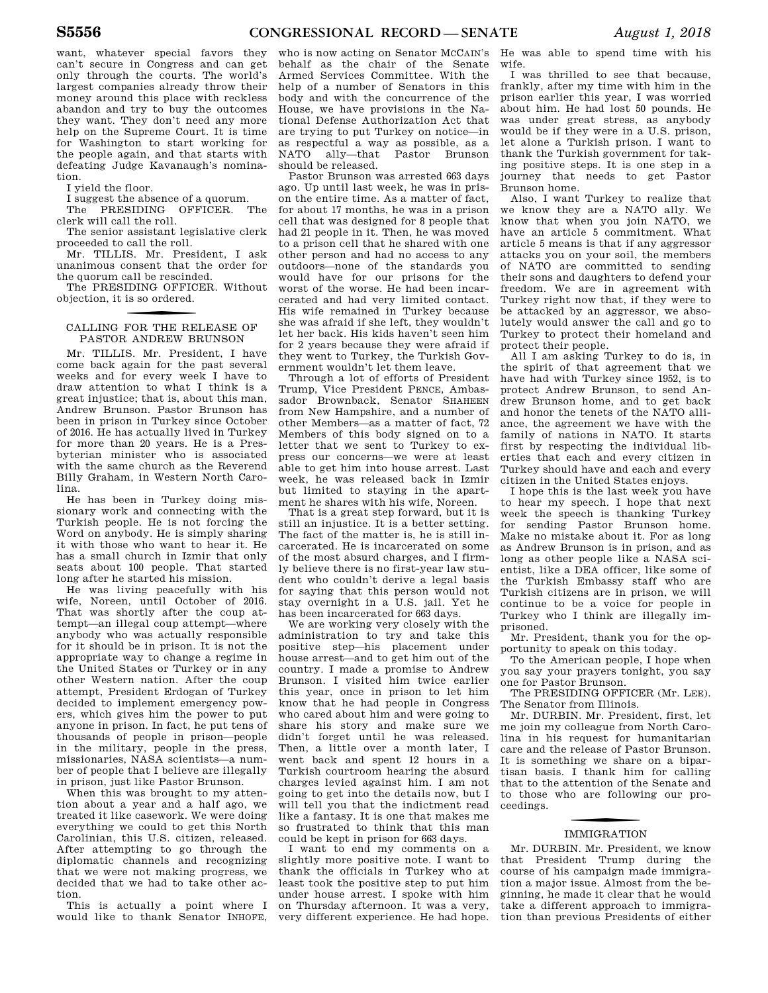want, whatever special favors they can't secure in Congress and can get only through the courts. The world's largest companies already throw their money around this place with reckless abandon and try to buy the outcomes they want. They don't need any more help on the Supreme Court. It is time for Washington to start working for the people again, and that starts with defeating Judge Kavanaugh's nomination.

I yield the floor.

I suggest the absence of a quorum.

The PRESIDING OFFICER. The clerk will call the roll.

The senior assistant legislative clerk proceeded to call the roll.

Mr. TILLIS. Mr. President, I ask unanimous consent that the order for the quorum call be rescinded.

The PRESIDING OFFICER. Without objection, it is so ordered.

### CALLING FOR THE RELEASE OF PASTOR ANDREW BRUNSON

Mr. TILLIS. Mr. President, I have come back again for the past several weeks and for every week I have to draw attention to what I think is a great injustice; that is, about this man, Andrew Brunson. Pastor Brunson has been in prison in Turkey since October of 2016. He has actually lived in Turkey for more than 20 years. He is a Presbyterian minister who is associated with the same church as the Reverend Billy Graham, in Western North Carolina.

He has been in Turkey doing missionary work and connecting with the Turkish people. He is not forcing the Word on anybody. He is simply sharing it with those who want to hear it. He has a small church in Izmir that only seats about 100 people. That started long after he started his mission.

He was living peacefully with his wife, Noreen, until October of 2016. That was shortly after the coup attempt—an illegal coup attempt—where anybody who was actually responsible for it should be in prison. It is not the appropriate way to change a regime in the United States or Turkey or in any other Western nation. After the coup attempt, President Erdogan of Turkey decided to implement emergency powers, which gives him the power to put anyone in prison. In fact, he put tens of thousands of people in prison—people in the military, people in the press, missionaries, NASA scientists—a number of people that I believe are illegally in prison, just like Pastor Brunson.

When this was brought to my attention about a year and a half ago, we treated it like casework. We were doing everything we could to get this North Carolinian, this U.S. citizen, released. After attempting to go through the diplomatic channels and recognizing that we were not making progress, we decided that we had to take other action.

This is actually a point where I would like to thank Senator INHOFE,

who is now acting on Senator MCCAIN's behalf as the chair of the Senate Armed Services Committee. With the help of a number of Senators in this body and with the concurrence of the House, we have provisions in the National Defense Authorization Act that are trying to put Turkey on notice—in as respectful a way as possible, as a NATO ally—that Pastor Brunson should be released.

Pastor Brunson was arrested 663 days ago. Up until last week, he was in prison the entire time. As a matter of fact, for about 17 months, he was in a prison cell that was designed for 8 people that had 21 people in it. Then, he was moved to a prison cell that he shared with one other person and had no access to any outdoors—none of the standards you would have for our prisons for the worst of the worse. He had been incarcerated and had very limited contact. His wife remained in Turkey because she was afraid if she left, they wouldn't let her back. His kids haven't seen him for 2 years because they were afraid if they went to Turkey, the Turkish Government wouldn't let them leave.

Through a lot of efforts of President Trump, Vice President PENCE, Ambassador Brownback, Senator SHAHEEN from New Hampshire, and a number of other Members—as a matter of fact, 72 Members of this body signed on to a letter that we sent to Turkey to express our concerns—we were at least able to get him into house arrest. Last week, he was released back in Izmir but limited to staying in the apartment he shares with his wife, Noreen.

That is a great step forward, but it is still an injustice. It is a better setting. The fact of the matter is, he is still incarcerated. He is incarcerated on some of the most absurd charges, and I firmly believe there is no first-year law student who couldn't derive a legal basis for saying that this person would not stay overnight in a U.S. jail. Yet he has been incarcerated for 663 days.

We are working very closely with the administration to try and take this positive step—his placement under house arrest—and to get him out of the country. I made a promise to Andrew Brunson. I visited him twice earlier this year, once in prison to let him know that he had people in Congress who cared about him and were going to share his story and make sure we didn't forget until he was released. Then, a little over a month later, I went back and spent 12 hours in a Turkish courtroom hearing the absurd charges levied against him. I am not going to get into the details now, but I will tell you that the indictment read like a fantasy. It is one that makes me so frustrated to think that this man could be kept in prison for 663 days.

I want to end my comments on a slightly more positive note. I want to thank the officials in Turkey who at least took the positive step to put him under house arrest. I spoke with him on Thursday afternoon. It was a very, very different experience. He had hope.

He was able to spend time with his wife.

I was thrilled to see that because, frankly, after my time with him in the prison earlier this year, I was worried about him. He had lost 50 pounds. He was under great stress, as anybody would be if they were in a U.S. prison, let alone a Turkish prison. I want to thank the Turkish government for taking positive steps. It is one step in a journey that needs to get Pastor Brunson home.

Also, I want Turkey to realize that we know they are a NATO ally. We know that when you join NATO, we have an article 5 commitment. What article 5 means is that if any aggressor attacks you on your soil, the members of NATO are committed to sending their sons and daughters to defend your freedom. We are in agreement with Turkey right now that, if they were to be attacked by an aggressor, we absolutely would answer the call and go to Turkey to protect their homeland and protect their people.

All I am asking Turkey to do is, in the spirit of that agreement that we have had with Turkey since 1952, is to protect Andrew Brunson, to send Andrew Brunson home, and to get back and honor the tenets of the NATO alliance, the agreement we have with the family of nations in NATO. It starts first by respecting the individual liberties that each and every citizen in Turkey should have and each and every citizen in the United States enjoys.

I hope this is the last week you have to hear my speech. I hope that next week the speech is thanking Turkey for sending Pastor Brunson home. Make no mistake about it. For as long as Andrew Brunson is in prison, and as long as other people like a NASA scientist, like a DEA officer, like some of the Turkish Embassy staff who are Turkish citizens are in prison, we will continue to be a voice for people in Turkey who I think are illegally imprisoned.

Mr. President, thank you for the opportunity to speak on this today.

To the American people, I hope when you say your prayers tonight, you say one for Pastor Brunson.

The PRESIDING OFFICER (Mr. LEE). The Senator from Illinois.

Mr. DURBIN. Mr. President, first, let me join my colleague from North Carolina in his request for humanitarian care and the release of Pastor Brunson. It is something we share on a bipartisan basis. I thank him for calling that to the attention of the Senate and to those who are following our proceedings.

### f IMMIGRATION

Mr. DURBIN. Mr. President, we know that President Trump during the course of his campaign made immigration a major issue. Almost from the beginning, he made it clear that he would take a different approach to immigration than previous Presidents of either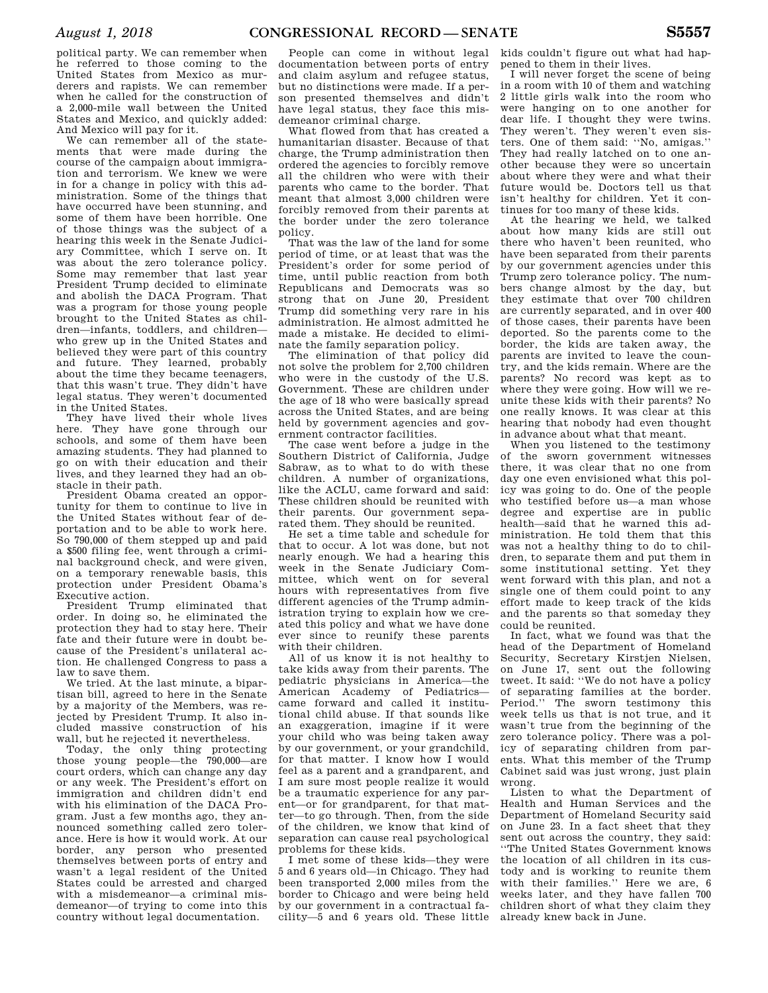political party. We can remember when he referred to those coming to the United States from Mexico as murderers and rapists. We can remember when he called for the construction of a 2,000-mile wall between the United States and Mexico, and quickly added: And Mexico will pay for it.

We can remember all of the statements that were made during the course of the campaign about immigration and terrorism. We knew we were in for a change in policy with this administration. Some of the things that have occurred have been stunning, and some of them have been horrible. One of those things was the subject of a hearing this week in the Senate Judiciary Committee, which I serve on. It was about the zero tolerance policy. Some may remember that last year President Trump decided to eliminate and abolish the DACA Program. That was a program for those young people brought to the United States as children—infants, toddlers, and children who grew up in the United States and believed they were part of this country and future. They learned, probably about the time they became teenagers, that this wasn't true. They didn't have legal status. They weren't documented in the United States.

They have lived their whole lives here. They have gone through our schools, and some of them have been amazing students. They had planned to go on with their education and their lives, and they learned they had an obstacle in their path.

President Obama created an opportunity for them to continue to live in the United States without fear of deportation and to be able to work here. So 790,000 of them stepped up and paid a \$500 filing fee, went through a criminal background check, and were given, on a temporary renewable basis, this protection under President Obama's Executive action.

President Trump eliminated that order. In doing so, he eliminated the protection they had to stay here. Their fate and their future were in doubt because of the President's unilateral action. He challenged Congress to pass a law to save them.

We tried. At the last minute, a bipartisan bill, agreed to here in the Senate by a majority of the Members, was rejected by President Trump. It also included massive construction of his wall, but he rejected it nevertheless.

Today, the only thing protecting those young people—the 790,000—are court orders, which can change any day or any week. The President's effort on immigration and children didn't end with his elimination of the DACA Program. Just a few months ago, they announced something called zero tolerance. Here is how it would work. At our border, any person who presented themselves between ports of entry and wasn't a legal resident of the United States could be arrested and charged with a misdemeanor—a criminal misdemeanor—of trying to come into this country without legal documentation.

People can come in without legal documentation between ports of entry and claim asylum and refugee status, but no distinctions were made. If a person presented themselves and didn't have legal status, they face this misdemeanor criminal charge.

What flowed from that has created a humanitarian disaster. Because of that charge, the Trump administration then ordered the agencies to forcibly remove all the children who were with their parents who came to the border. That meant that almost 3,000 children were forcibly removed from their parents at the border under the zero tolerance policy.

That was the law of the land for some period of time, or at least that was the President's order for some period of time, until public reaction from both Republicans and Democrats was so strong that on June 20, President Trump did something very rare in his administration. He almost admitted he made a mistake. He decided to eliminate the family separation policy.

The elimination of that policy did not solve the problem for 2,700 children who were in the custody of the U.S. Government. These are children under the age of 18 who were basically spread across the United States, and are being held by government agencies and government contractor facilities.

The case went before a judge in the Southern District of California, Judge Sabraw, as to what to do with these children. A number of organizations, like the ACLU, came forward and said: These children should be reunited with their parents. Our government separated them. They should be reunited.

He set a time table and schedule for that to occur. A lot was done, but not nearly enough. We had a hearing this week in the Senate Judiciary Committee, which went on for several hours with representatives from five different agencies of the Trump administration trying to explain how we created this policy and what we have done ever since to reunify these parents with their children.

All of us know it is not healthy to take kids away from their parents. The pediatric physicians in America—the American Academy of Pediatrics came forward and called it institutional child abuse. If that sounds like an exaggeration, imagine if it were your child who was being taken away by our government, or your grandchild, for that matter. I know how I would feel as a parent and a grandparent, and I am sure most people realize it would be a traumatic experience for any parent—or for grandparent, for that matter—to go through. Then, from the side of the children, we know that kind of separation can cause real psychological problems for these kids.

I met some of these kids—they were 5 and 6 years old—in Chicago. They had been transported 2,000 miles from the border to Chicago and were being held by our government in a contractual facility—5 and 6 years old. These little

kids couldn't figure out what had happened to them in their lives.

I will never forget the scene of being in a room with 10 of them and watching 2 little girls walk into the room who were hanging on to one another for dear life. I thought they were twins. They weren't. They weren't even sisters. One of them said: ''No, amigas.'' They had really latched on to one another because they were so uncertain about where they were and what their future would be. Doctors tell us that isn't healthy for children. Yet it continues for too many of these kids.

At the hearing we held, we talked about how many kids are still out there who haven't been reunited, who have been separated from their parents by our government agencies under this Trump zero tolerance policy. The numbers change almost by the day, but they estimate that over 700 children are currently separated, and in over 400 of those cases, their parents have been deported. So the parents come to the border, the kids are taken away, the parents are invited to leave the country, and the kids remain. Where are the parents? No record was kept as to where they were going. How will we reunite these kids with their parents? No one really knows. It was clear at this hearing that nobody had even thought in advance about what that meant.

When you listened to the testimony of the sworn government witnesses there, it was clear that no one from day one even envisioned what this policy was going to do. One of the people who testified before us—a man whose degree and expertise are in public health—said that he warned this administration. He told them that this was not a healthy thing to do to children, to separate them and put them in some institutional setting. Yet they went forward with this plan, and not a single one of them could point to any effort made to keep track of the kids and the parents so that someday they could be reunited.

In fact, what we found was that the head of the Department of Homeland Security, Secretary Kirstjen Nielsen, on June 17, sent out the following tweet. It said: ''We do not have a policy of separating families at the border. Period.'' The sworn testimony this week tells us that is not true, and it wasn't true from the beginning of the zero tolerance policy. There was a policy of separating children from parents. What this member of the Trump Cabinet said was just wrong, just plain wrong.

Listen to what the Department of Health and Human Services and the Department of Homeland Security said on June 23. In a fact sheet that they sent out across the country, they said: ''The United States Government knows the location of all children in its custody and is working to reunite them with their families.'' Here we are, 6 weeks later, and they have fallen 700 children short of what they claim they already knew back in June.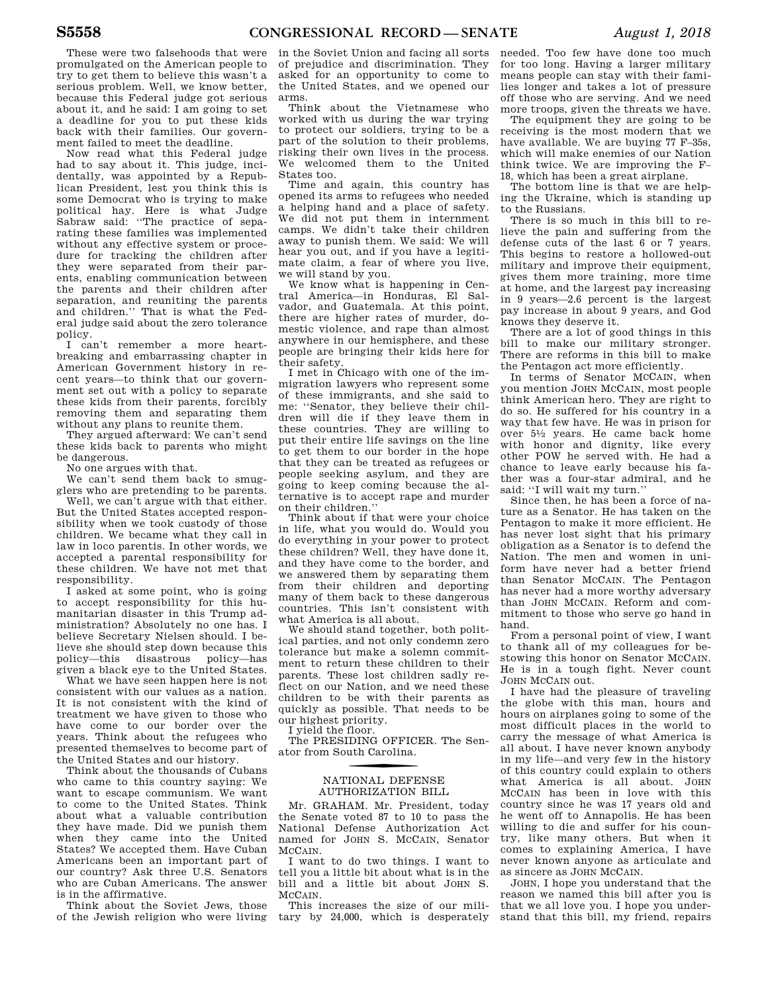These were two falsehoods that were promulgated on the American people to try to get them to believe this wasn't a serious problem. Well, we know better, because this Federal judge got serious about it, and he said: I am going to set a deadline for you to put these kids back with their families. Our government failed to meet the deadline.

Now read what this Federal judge had to say about it. This judge, incidentally, was appointed by a Republican President, lest you think this is some Democrat who is trying to make political hay. Here is what Judge Sabraw said: "The practice of separating these families was implemented without any effective system or procedure for tracking the children after they were separated from their parents, enabling communication between the parents and their children after separation, and reuniting the parents and children.'' That is what the Federal judge said about the zero tolerance policy.

I can't remember a more heartbreaking and embarrassing chapter in American Government history in recent years—to think that our government set out with a policy to separate these kids from their parents, forcibly removing them and separating them without any plans to reunite them.

They argued afterward: We can't send these kids back to parents who might be dangerous.

No one argues with that.

We can't send them back to smugglers who are pretending to be parents.

Well, we can't argue with that either. But the United States accepted responsibility when we took custody of those children. We became what they call in law in loco parentis. In other words, we accepted a parental responsibility for these children. We have not met that responsibility.

I asked at some point, who is going to accept responsibility for this humanitarian disaster in this Trump administration? Absolutely no one has. I believe Secretary Nielsen should. I believe she should step down because this policy—this disastrous policy—has given a black eye to the United States.

What we have seen happen here is not consistent with our values as a nation. It is not consistent with the kind of treatment we have given to those who have come to our border over the years. Think about the refugees who presented themselves to become part of the United States and our history.

Think about the thousands of Cubans who came to this country saying: We want to escape communism. We want to come to the United States. Think about what a valuable contribution they have made. Did we punish them when they came into the United States? We accepted them. Have Cuban Americans been an important part of our country? Ask three U.S. Senators who are Cuban Americans. The answer is in the affirmative.

Think about the Soviet Jews, those of the Jewish religion who were living

in the Soviet Union and facing all sorts of prejudice and discrimination. They asked for an opportunity to come to the United States, and we opened our arms.

Think about the Vietnamese who worked with us during the war trying to protect our soldiers, trying to be a part of the solution to their problems, risking their own lives in the process. We welcomed them to the United States too.

Time and again, this country has opened its arms to refugees who needed a helping hand and a place of safety. We did not put them in internment camps. We didn't take their children away to punish them. We said: We will hear you out, and if you have a legitimate claim, a fear of where you live, we will stand by you.

We know what is happening in Central America—in Honduras, El Salvador, and Guatemala. At this point, there are higher rates of murder, domestic violence, and rape than almost anywhere in our hemisphere, and these people are bringing their kids here for their safety.

I met in Chicago with one of the immigration lawyers who represent some of these immigrants, and she said to me: ''Senator, they believe their children will die if they leave them in these countries. They are willing to put their entire life savings on the line to get them to our border in the hope that they can be treated as refugees or people seeking asylum, and they are going to keep coming because the alternative is to accept rape and murder on their children.''

Think about if that were your choice in life, what you would do. Would you do everything in your power to protect these children? Well, they have done it, and they have come to the border, and we answered them by separating them from their children and deporting many of them back to these dangerous countries. This isn't consistent with what America is all about.

We should stand together, both political parties, and not only condemn zero tolerance but make a solemn commitment to return these children to their parents. These lost children sadly reflect on our Nation, and we need these children to be with their parents as quickly as possible. That needs to be our highest priority.

I yield the floor.

The PRESIDING OFFICER. The Senator from South Carolina.

### f NATIONAL DEFENSE AUTHORIZATION BILL

Mr. GRAHAM. Mr. President, today the Senate voted 87 to 10 to pass the National Defense Authorization Act named for JOHN S. MCCAIN, Senator MCCAIN.

I want to do two things. I want to tell you a little bit about what is in the bill and a little bit about JOHN S. **MCCAIN** 

This increases the size of our military by 24,000, which is desperately needed. Too few have done too much for too long. Having a larger military means people can stay with their families longer and takes a lot of pressure off those who are serving. And we need more troops, given the threats we have.

The equipment they are going to be receiving is the most modern that we have available. We are buying 77 F–35s, which will make enemies of our Nation think twice. We are improving the F– 18, which has been a great airplane.

The bottom line is that we are helping the Ukraine, which is standing up to the Russians.

There is so much in this bill to relieve the pain and suffering from the defense cuts of the last 6 or 7 years. This begins to restore a hollowed-out military and improve their equipment, gives them more training, more time at home, and the largest pay increasing in 9 years—2.6 percent is the largest pay increase in about 9 years, and God knows they deserve it.

There are a lot of good things in this bill to make our military stronger. There are reforms in this bill to make the Pentagon act more efficiently.

In terms of Senator MCCAIN, when you mention JOHN MCCAIN, most people think American hero. They are right to do so. He suffered for his country in a way that few have. He was in prison for over 51⁄2 years. He came back home with honor and dignity, like every other POW he served with. He had a chance to leave early because his father was a four-star admiral, and he said: ''I will wait my turn.''

Since then, he has been a force of nature as a Senator. He has taken on the Pentagon to make it more efficient. He has never lost sight that his primary obligation as a Senator is to defend the Nation. The men and women in uniform have never had a better friend than Senator MCCAIN. The Pentagon has never had a more worthy adversary than JOHN MCCAIN. Reform and commitment to those who serve go hand in hand.

From a personal point of view, I want to thank all of my colleagues for bestowing this honor on Senator MCCAIN. He is in a tough fight. Never count JOHN MCCAIN out.

I have had the pleasure of traveling the globe with this man, hours and hours on airplanes going to some of the most difficult places in the world to carry the message of what America is all about. I have never known anybody in my life—and very few in the history of this country could explain to others what America is all about. JOHN MCCAIN has been in love with this country since he was 17 years old and he went off to Annapolis. He has been willing to die and suffer for his country, like many others. But when it comes to explaining America, I have never known anyone as articulate and as sincere as JOHN MCCAIN.

JOHN, I hope you understand that the reason we named this bill after you is that we all love you. I hope you understand that this bill, my friend, repairs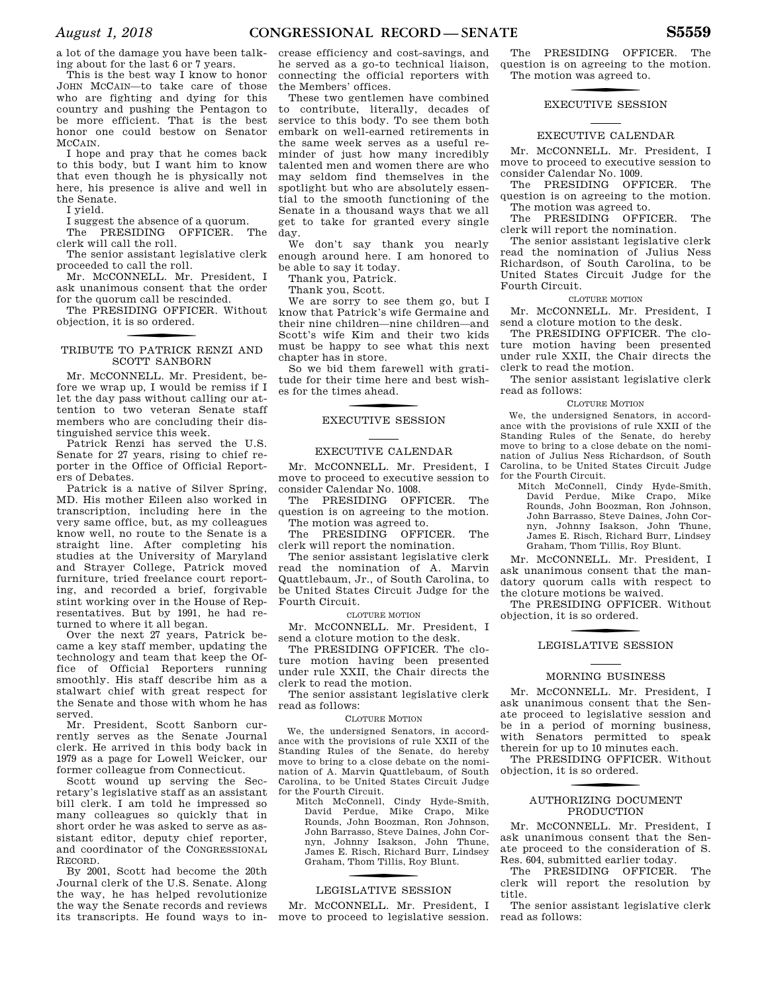a lot of the damage you have been talking about for the last 6 or 7 years.

This is the best way I know to honor JOHN MCCAIN—to take care of those who are fighting and dying for this country and pushing the Pentagon to be more efficient. That is the best honor one could bestow on Senator MCCAIN.

I hope and pray that he comes back to this body, but I want him to know that even though he is physically not here, his presence is alive and well in the Senate.

I yield.

I suggest the absence of a quorum.

The PRESIDING OFFICER. The clerk will call the roll.

The senior assistant legislative clerk proceeded to call the roll.

Mr. MCCONNELL. Mr. President, I ask unanimous consent that the order for the quorum call be rescinded.

The PRESIDING OFFICER. Without objection, it is so ordered.

### f TRIBUTE TO PATRICK RENZI AND SCOTT SANBORN

Mr. MCCONNELL. Mr. President, before we wrap up, I would be remiss if I let the day pass without calling our attention to two veteran Senate staff members who are concluding their distinguished service this week.

Patrick Renzi has served the U.S. Senate for 27 years, rising to chief reporter in the Office of Official Reporters of Debates.

Patrick is a native of Silver Spring, MD. His mother Eileen also worked in transcription, including here in the very same office, but, as my colleagues know well, no route to the Senate is a straight line. After completing his studies at the University of Maryland and Strayer College, Patrick moved furniture, tried freelance court reporting, and recorded a brief, forgivable stint working over in the House of Representatives. But by 1991, he had returned to where it all began.

Over the next 27 years, Patrick became a key staff member, updating the technology and team that keep the Office of Official Reporters running smoothly. His staff describe him as a stalwart chief with great respect for the Senate and those with whom he has served.

Mr. President, Scott Sanborn currently serves as the Senate Journal clerk. He arrived in this body back in 1979 as a page for Lowell Weicker, our former colleague from Connecticut.

Scott wound up serving the Secretary's legislative staff as an assistant bill clerk. I am told he impressed so many colleagues so quickly that in short order he was asked to serve as assistant editor, deputy chief reporter, and coordinator of the CONGRESSIONAL RECORD.

By 2001, Scott had become the 20th Journal clerk of the U.S. Senate. Along the way, he has helped revolutionize the way the Senate records and reviews its transcripts. He found ways to in-

crease efficiency and cost-savings, and he served as a go-to technical liaison, connecting the official reporters with the Members' offices.

These two gentlemen have combined to contribute, literally, decades of service to this body. To see them both embark on well-earned retirements in the same week serves as a useful reminder of just how many incredibly talented men and women there are who may seldom find themselves in the spotlight but who are absolutely essential to the smooth functioning of the Senate in a thousand ways that we all get to take for granted every single day.

We don't say thank you nearly enough around here. I am honored to be able to say it today.

Thank you, Patrick.

Thank you, Scott.

We are sorry to see them go, but I know that Patrick's wife Germaine and their nine children—nine children—and Scott's wife Kim and their two kids must be happy to see what this next chapter has in store.

So we bid them farewell with gratitude for their time here and best wishes for the times ahead.

### f EXECUTIVE SESSION

### EXECUTIVE CALENDAR

Mr. McCONNELL. Mr. President, I move to proceed to executive session to consider Calendar No. 1008.

The PRESIDING OFFICER. The question is on agreeing to the motion. The motion was agreed to.

The PRESIDING OFFICER. The clerk will report the nomination.

The senior assistant legislative clerk read the nomination of A. Marvin Quattlebaum, Jr., of South Carolina, to be United States Circuit Judge for the Fourth Circuit.

CLOTURE MOTION

Mr. MCCONNELL. Mr. President, I send a cloture motion to the desk.

The PRESIDING OFFICER. The cloture motion having been presented under rule XXII, the Chair directs the clerk to read the motion.

The senior assistant legislative clerk read as follows:

CLOTURE MOTION

We, the undersigned Senators, in accordance with the provisions of rule XXII of the Standing Rules of the Senate, do hereby move to bring to a close debate on the nomination of A. Marvin Quattlebaum, of South Carolina, to be United States Circuit Judge for the Fourth Circuit.

Mitch McConnell, Cindy Hyde-Smith, David Perdue, Mike Crapo, Mike Rounds, John Boozman, Ron Johnson, John Barrasso, Steve Daines, John Cornyn, Johnny Isakson, John Thune, James E. Risch, Richard Burr, Lindsey Graham, Thom Tillis, Roy Blunt.

### LEGISLATIVE SESSION

Mr. MCCONNELL. Mr. President, I move to proceed to legislative session. read as follows:

The PRESIDING OFFICER. The question is on agreeing to the motion. The motion was agreed to.

### f EXECUTIVE SESSION

### EXECUTIVE CALENDAR

Mr. MCCONNELL. Mr. President, I move to proceed to executive session to consider Calendar No. 1009.

The PRESIDING OFFICER. The question is on agreeing to the motion. The motion was agreed to.

The PRESIDING OFFICER. The clerk will report the nomination.

The senior assistant legislative clerk read the nomination of Julius Ness Richardson, of South Carolina, to be United States Circuit Judge for the Fourth Circuit.

#### CLOTURE MOTION

Mr. MCCONNELL. Mr. President, I send a cloture motion to the desk.

The PRESIDING OFFICER. The cloture motion having been presented under rule XXII, the Chair directs the clerk to read the motion.

The senior assistant legislative clerk read as follows:

#### CLOTURE MOTION

We, the undersigned Senators, in accordance with the provisions of rule XXII of the Standing Rules of the Senate, do hereby move to bring to a close debate on the nomination of Julius Ness Richardson, of South Carolina, to be United States Circuit Judge for the Fourth Circuit.

Mitch McConnell, Cindy Hyde-Smith, David Perdue, Mike Crapo, Mike Rounds, John Boozman, Ron Johnson, John Barrasso, Steve Daines, John Cornyn, Johnny Isakson, John Thune, James E. Risch, Richard Burr, Lindsey Graham, Thom Tillis, Roy Blunt.

Mr. MCCONNELL. Mr. President, I ask unanimous consent that the mandatory quorum calls with respect to the cloture motions be waived.

The PRESIDING OFFICER. Without objection, it is so ordered.

### LEGISLATIVE SESSION

### MORNING BUSINESS

Mr. McCONNELL. Mr. President, I ask unanimous consent that the Senate proceed to legislative session and be in a period of morning business, with Senators permitted to speak therein for up to 10 minutes each.

The PRESIDING OFFICER. Without objection, it is so ordered.

### f AUTHORIZING DOCUMENT PRODUCTION

Mr. MCCONNELL. Mr. President, I ask unanimous consent that the Senate proceed to the consideration of S. Res. 604, submitted earlier today.

The PRESIDING OFFICER. The clerk will report the resolution by title.

The senior assistant legislative clerk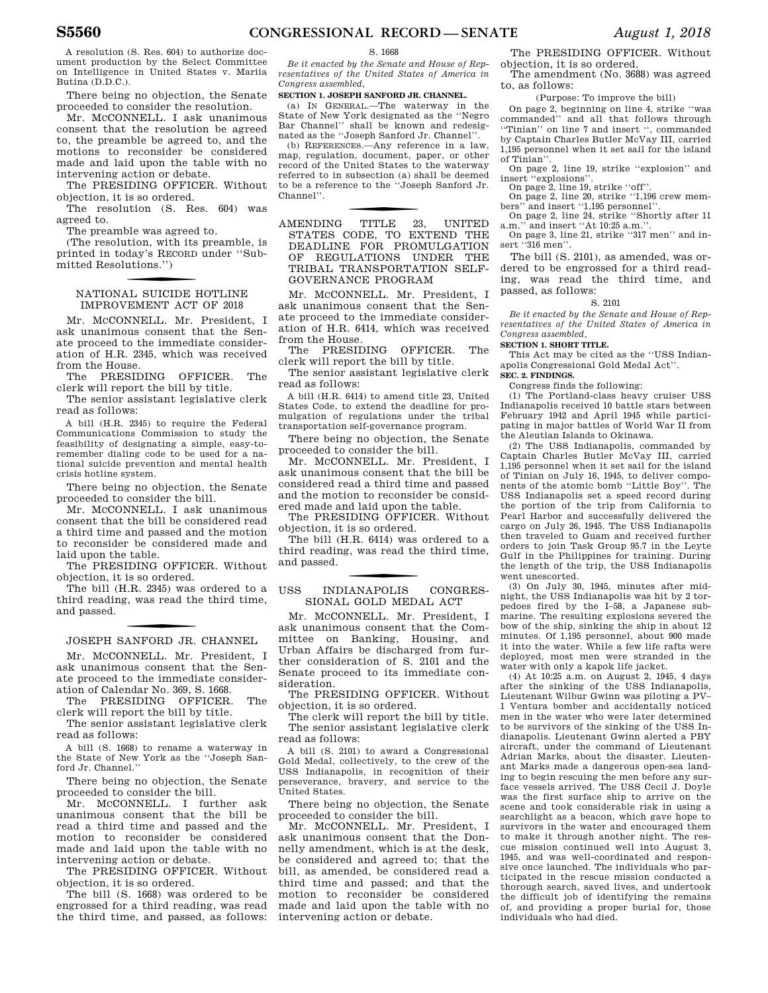A resolution (S. Res. 604) to authorize document production by the Select Committee on Intelligence in United States v. Mariia Butina (D.D.C.).

There being no objection, the Senate proceeded to consider the resolution.

Mr. MCCONNELL. I ask unanimous consent that the resolution be agreed to, the preamble be agreed to, and the motions to reconsider be considered made and laid upon the table with no intervening action or debate.

The PRESIDING OFFICER. Without objection, it is so ordered.

The resolution (S. Res. 604) was agreed to.

The preamble was agreed to.

(The resolution, with its preamble, is printed in today's RECORD under ''Submitted Resolutions.'')

### f NATIONAL SUICIDE HOTLINE IMPROVEMENT ACT OF 2018

Mr. MCCONNELL. Mr. President, I ask unanimous consent that the Senate proceed to the immediate consideration of H.R. 2345, which was received from the House.

The PRESIDING OFFICER. The clerk will report the bill by title.

The senior assistant legislative clerk read as follows:

A bill (H.R. 2345) to require the Federal Communications Commission to study the feasibility of designating a simple, easy-toremember dialing code to be used for a national suicide prevention and mental health crisis hotline system.

There being no objection, the Senate proceeded to consider the bill.

Mr. MCCONNELL. I ask unanimous consent that the bill be considered read a third time and passed and the motion to reconsider be considered made and laid upon the table.

The PRESIDING OFFICER. Without objection, it is so ordered.

The bill (H.R. 2345) was ordered to a third reading, was read the third time, and passed.

### f JOSEPH SANFORD JR. CHANNEL

Mr. MCCONNELL. Mr. President, I ask unanimous consent that the Senate proceed to the immediate consideration of Calendar No. 369, S. 1668.

The PRESIDING OFFICER. The clerk will report the bill by title.

The senior assistant legislative clerk read as follows:

A bill (S. 1668) to rename a waterway in the State of New York as the ''Joseph Sanford Jr. Channel.''

There being no objection, the Senate proceeded to consider the bill.

Mr. MCCONNELL. I further ask unanimous consent that the bill be read a third time and passed and the motion to reconsider be considered made and laid upon the table with no intervening action or debate.

The PRESIDING OFFICER. Without objection, it is so ordered.

The bill (S. 1668) was ordered to be engrossed for a third reading, was read the third time, and passed, as follows:

#### S. 1668

*Be it enacted by the Senate and House of Representatives of the United States of America in Congress assembled,* 

### **SECTION 1. JOSEPH SANFORD JR. CHANNEL.**

(a) IN GENERAL.—The waterway in the State of New York designated as the ''Negro Bar Channel'' shall be known and redesignated as the ''Joseph Sanford Jr. Channel''.

(b) REFERENCES.—Any reference in a law, map, regulation, document, paper, or other record of the United States to the waterway referred to in subsection (a) shall be deemed to be a reference to the ''Joseph Sanford Jr. Channel''.

TITLE 23, AMENDING TITLE 23, UNITED STATES CODE, TO EXTEND THE DEADLINE FOR PROMULGATION OF REGULATIONS UNDER THE TRIBAL TRANSPORTATION SELF-GOVERNANCE PROGRAM

Mr. McCONNELL. Mr. President, I ask unanimous consent that the Senate proceed to the immediate consideration of H.R. 6414, which was received from the House.

The PRESIDING OFFICER. The clerk will report the bill by title.

The senior assistant legislative clerk read as follows:

A bill (H.R. 6414) to amend title 23, United States Code, to extend the deadline for promulgation of regulations under the tribal transportation self-governance program.

There being no objection, the Senate proceeded to consider the bill.

Mr. McCONNELL. Mr. President. I ask unanimous consent that the bill be considered read a third time and passed and the motion to reconsider be considered made and laid upon the table.

The PRESIDING OFFICER. Without objection, it is so ordered.

The bill (H.R. 6414) was ordered to a third reading, was read the third time, and passed.

f USS INDIANAPOLIS CONGRES-SIONAL GOLD MEDAL ACT

Mr. McCONNELL. Mr. President, I ask unanimous consent that the Committee on Banking, Housing, and Urban Affairs be discharged from further consideration of S. 2101 and the Senate proceed to its immediate consideration.

The PRESIDING OFFICER. Without objection, it is so ordered.

The clerk will report the bill by title. The senior assistant legislative clerk read as follows:

A bill (S. 2101) to award a Congressional Gold Medal, collectively, to the crew of the USS Indianapolis, in recognition of their perseverance, bravery, and service to the United States.

There being no objection, the Senate proceeded to consider the bill.

Mr. MCCONNELL. Mr. President, I ask unanimous consent that the Donnelly amendment, which is at the desk, be considered and agreed to; that the bill, as amended, be considered read a third time and passed; and that the motion to reconsider be considered made and laid upon the table with no intervening action or debate.

The PRESIDING OFFICER. Without objection, it is so ordered.

The amendment (No. 3688) was agreed to, as follows:

(Purpose: To improve the bill)

On page 2, beginning on line 4, strike ''was commanded'' and all that follows through ''Tinian'' on line 7 and insert '', commanded by Captain Charles Butler McVay III, carried 1,195 personnel when it set sail for the island of Tinian''.

On page 2, line 19, strike ''explosion'' and insert ''explosions''.

On page 2, line 19, strike ''off''. On page 2, line 20, strike ''1,196 crew members" and insert "1,195 personnel"

On page 2, line 24, strike "Shortly after 11<br>a.m." and insert "At 10:25 a.m." and insert "At  $10:25$  a.m."

On page 3, line 21, strike ''317 men'' and insert ''316 men''.

The bill (S. 2101), as amended, was ordered to be engrossed for a third reading, was read the third time, and passed, as follows:

### S. 2101

*Be it enacted by the Senate and House of Representatives of the United States of America in Congress assembled,* 

### **SECTION 1. SHORT TITLE.**

This Act may be cited as the ''USS Indianapolis Congressional Gold Medal Act''.

**SEC. 2. FINDINGS.** 

Congress finds the following:

(1) The Portland-class heavy cruiser USS Indianapolis received 10 battle stars between February 1942 and April 1945 while participating in major battles of World War II from the Aleutian Islands to Okinawa.

(2) The USS Indianapolis, commanded by Captain Charles Butler McVay III, carried 1,195 personnel when it set sail for the island of Tinian on July 16, 1945, to deliver components of the atomic bomb ''Little Boy''. The USS Indianapolis set a speed record during the portion of the trip from California to Pearl Harbor and successfully delivered the cargo on July 26, 1945. The USS Indianapolis then traveled to Guam and received further orders to join Task Group 95.7 in the Leyte Gulf in the Philippines for training. During the length of the trip, the USS Indianapolis went unescorted.

(3) On July 30, 1945, minutes after midnight, the USS Indianapolis was hit by 2 torpedoes fired by the I–58, a Japanese submarine. The resulting explosions severed the bow of the ship, sinking the ship in about 12 minutes. Of 1,195 personnel, about 900 made it into the water. While a few life rafts were deployed, most men were stranded in the water with only a kapok life jacket.

(4) At 10:25 a.m. on August 2, 1945, 4 days after the sinking of the USS Indianapolis, Lieutenant Wilbur Gwinn was piloting a PV– 1 Ventura bomber and accidentally noticed men in the water who were later determined to be survivors of the sinking of the USS Indianapolis. Lieutenant Gwinn alerted a PBY aircraft, under the command of Lieutenant Adrian Marks, about the disaster. Lieutenant Marks made a dangerous open-sea landing to begin rescuing the men before any surface vessels arrived. The USS Cecil J. Doyle was the first surface ship to arrive on the scene and took considerable risk in using a searchlight as a beacon, which gave hope to survivors in the water and encouraged them to make it through another night. The rescue mission continued well into August 3, 1945, and was well-coordinated and responsive once launched. The individuals who participated in the rescue mission conducted a thorough search, saved lives, and undertook the difficult job of identifying the remains of, and providing a proper burial for, those individuals who had died.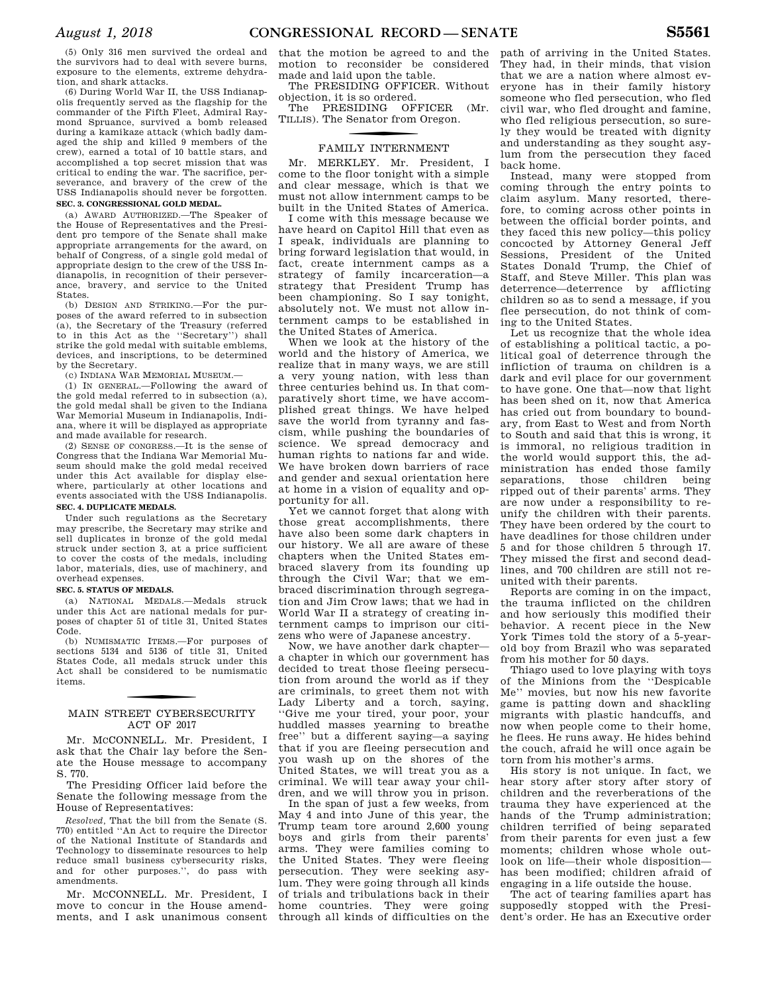(5) Only 316 men survived the ordeal and the survivors had to deal with severe burns, exposure to the elements, extreme dehydration, and shark attacks.

(6) During World War II, the USS Indianapolis frequently served as the flagship for the commander of the Fifth Fleet, Admiral Raymond Spruance, survived a bomb released during a kamikaze attack (which badly damaged the ship and killed 9 members of the crew), earned a total of 10 battle stars, and accomplished a top secret mission that was critical to ending the war. The sacrifice, perseverance, and bravery of the crew of the USS Indianapolis should never be forgotten. **SEC. 3. CONGRESSIONAL GOLD MEDAL.** 

(a) AWARD AUTHORIZED.—The Speaker of the House of Representatives and the President pro tempore of the Senate shall make appropriate arrangements for the award, on behalf of Congress, of a single gold medal of appropriate design to the crew of the USS Indianapolis, in recognition of their perseverance, bravery, and service to the United States.

(b) DESIGN AND STRIKING.—For the purposes of the award referred to in subsection (a), the Secretary of the Treasury (referred to in this Act as the ''Secretary'') shall strike the gold medal with suitable emblems, devices, and inscriptions, to be determined by the Secretary.

(c) INDIANA WAR MEMORIAL MUSEUM.—

(1) IN GENERAL.—Following the award of the gold medal referred to in subsection (a), the gold medal shall be given to the Indiana War Memorial Museum in Indianapolis, Indiana, where it will be displayed as appropriate and made available for research.

(2) SENSE OF CONGRESS.—It is the sense of Congress that the Indiana War Memorial Museum should make the gold medal received under this Act available for display elsewhere, particularly at other locations and events associated with the USS Indianapolis. **SEC. 4. DUPLICATE MEDALS.** 

Under such regulations as the Secretary may prescribe, the Secretary may strike and sell duplicates in bronze of the gold medal struck under section 3, at a price sufficient to cover the costs of the medals, including labor, materials, dies, use of machinery, and overhead expenses.

### **SEC. 5. STATUS OF MEDALS.**

(a) NATIONAL MEDALS.—Medals struck under this Act are national medals for purposes of chapter 51 of title 31, United States Code.

(b) NUMISMATIC ITEMS.—For purposes of sections 5134 and 5136 of title 31, United States Code, all medals struck under this Act shall be considered to be numismatic items.

### MAIN STREET CYBERSECURITY ACT OF 2017

Mr. MCCONNELL. Mr. President, I ask that the Chair lay before the Senate the House message to accompany S. 770.

The Presiding Officer laid before the Senate the following message from the House of Representatives:

*Resolved,* That the bill from the Senate (S. 770) entitled ''An Act to require the Director of the National Institute of Standards and Technology to disseminate resources to help reduce small business cybersecurity risks, and for other purposes.'', do pass with amendments.

Mr. MCCONNELL. Mr. President, I move to concur in the House amendments, and I ask unanimous consent

that the motion be agreed to and the motion to reconsider be considered made and laid upon the table.

The PRESIDING OFFICER. Without objection, it is so ordered.

The PRESIDING OFFICER (Mr. TILLIS). The Senator from Oregon.

### f FAMILY INTERNMENT

Mr. MERKLEY. Mr. President, I come to the floor tonight with a simple and clear message, which is that we must not allow internment camps to be built in the United States of America.

I come with this message because we have heard on Capitol Hill that even as I speak, individuals are planning to bring forward legislation that would, in fact, create internment camps as a strategy of family incarceration—a strategy that President Trump has been championing. So I say tonight, absolutely not. We must not allow internment camps to be established in the United States of America.

When we look at the history of the world and the history of America, we realize that in many ways, we are still a very young nation, with less than three centuries behind us. In that comparatively short time, we have accomplished great things. We have helped save the world from tyranny and fascism, while pushing the boundaries of science. We spread democracy and human rights to nations far and wide. We have broken down barriers of race and gender and sexual orientation here at home in a vision of equality and opportunity for all.

Yet we cannot forget that along with those great accomplishments, there have also been some dark chapters in our history. We all are aware of these chapters when the United States embraced slavery from its founding up through the Civil War; that we embraced discrimination through segregation and Jim Crow laws; that we had in World War II a strategy of creating internment camps to imprison our citizens who were of Japanese ancestry.

Now, we have another dark chapter a chapter in which our government has decided to treat those fleeing persecution from around the world as if they are criminals, to greet them not with Lady Liberty and a torch, saying, ''Give me your tired, your poor, your huddled masses yearning to breathe free'' but a different saying—a saying that if you are fleeing persecution and you wash up on the shores of the United States, we will treat you as a criminal. We will tear away your children, and we will throw you in prison.

In the span of just a few weeks, from May 4 and into June of this year, the Trump team tore around 2,600 young boys and girls from their parents' arms. They were families coming to the United States. They were fleeing persecution. They were seeking asylum. They were going through all kinds of trials and tribulations back in their home countries. They were going through all kinds of difficulties on the

path of arriving in the United States. They had, in their minds, that vision that we are a nation where almost everyone has in their family history someone who fled persecution, who fled civil war, who fled drought and famine, who fled religious persecution, so surely they would be treated with dignity and understanding as they sought asylum from the persecution they faced back home.

Instead, many were stopped from coming through the entry points to claim asylum. Many resorted, therefore, to coming across other points in between the official border points, and they faced this new policy—this policy concocted by Attorney General Jeff Sessions, President of the United States Donald Trump, the Chief of Staff, and Steve Miller. This plan was deterrence—deterrence by afflicting children so as to send a message, if you flee persecution, do not think of coming to the United States.

Let us recognize that the whole idea of establishing a political tactic, a political goal of deterrence through the infliction of trauma on children is a dark and evil place for our government to have gone. One that—now that light has been shed on it, now that America has cried out from boundary to boundary, from East to West and from North to South and said that this is wrong, it is immoral, no religious tradition in the world would support this, the administration has ended those family<br>separations, those children being those children being ripped out of their parents' arms. They are now under a responsibility to reunify the children with their parents. They have been ordered by the court to have deadlines for those children under 5 and for those children 5 through 17. They missed the first and second deadlines, and 700 children are still not reunited with their parents.

Reports are coming in on the impact, the trauma inflicted on the children and how seriously this modified their behavior. A recent piece in the New York Times told the story of a 5-yearold boy from Brazil who was separated from his mother for 50 days.

Thiago used to love playing with toys of the Minions from the ''Despicable Me'' movies, but now his new favorite game is patting down and shackling migrants with plastic handcuffs, and now when people come to their home, he flees. He runs away. He hides behind the couch, afraid he will once again be torn from his mother's arms.

His story is not unique. In fact, we hear story after story after story of children and the reverberations of the trauma they have experienced at the hands of the Trump administration; children terrified of being separated from their parents for even just a few moments; children whose whole outlook on life—their whole disposition has been modified; children afraid of engaging in a life outside the house.

The act of tearing families apart has supposedly stopped with the President's order. He has an Executive order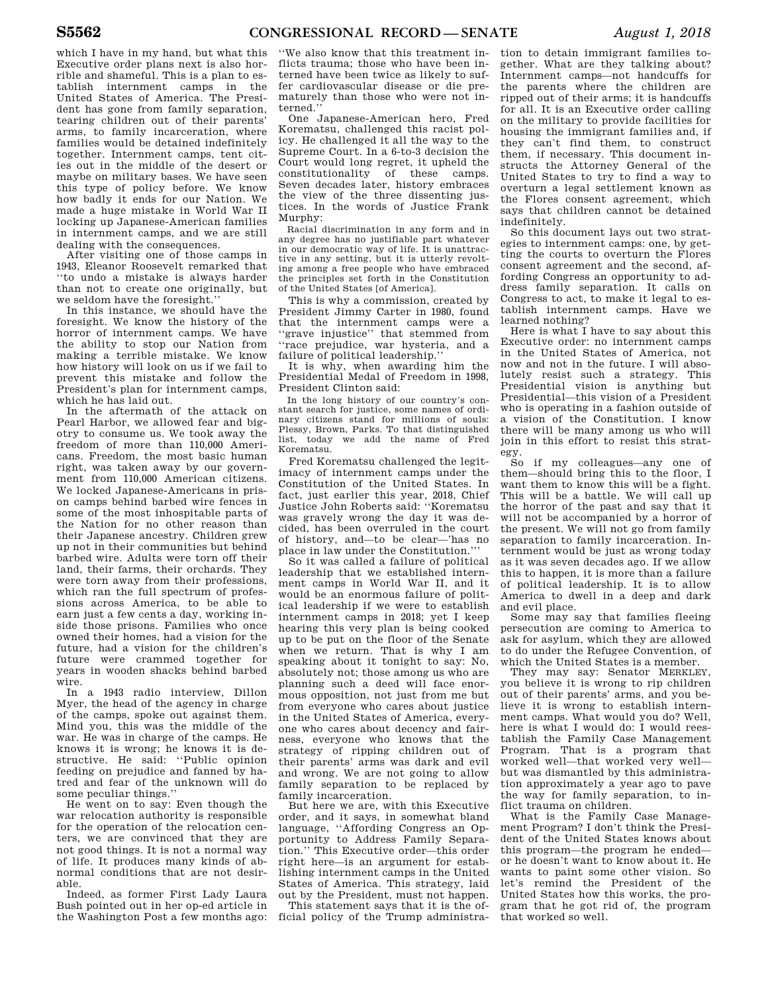which I have in my hand, but what this Executive order plans next is also horrible and shameful. This is a plan to establish internment camps in the United States of America. The President has gone from family separation, tearing children out of their parents' arms, to family incarceration, where families would be detained indefinitely together. Internment camps, tent cities out in the middle of the desert or maybe on military bases. We have seen this type of policy before. We know how badly it ends for our Nation. We made a huge mistake in World War II locking up Japanese-American families in internment camps, and we are still dealing with the consequences.

After visiting one of those camps in 1943, Eleanor Roosevelt remarked that ''to undo a mistake is always harder than not to create one originally, but we seldom have the foresight.''

In this instance, we should have the foresight. We know the history of the horror of internment camps. We have the ability to stop our Nation from making a terrible mistake. We know how history will look on us if we fail to prevent this mistake and follow the President's plan for internment camps, which he has laid out.

In the aftermath of the attack on Pearl Harbor, we allowed fear and bigotry to consume us. We took away the freedom of more than 110,000 Americans. Freedom, the most basic human right, was taken away by our government from 110,000 American citizens. We locked Japanese-Americans in prison camps behind barbed wire fences in some of the most inhospitable parts of the Nation for no other reason than their Japanese ancestry. Children grew up not in their communities but behind barbed wire. Adults were torn off their land, their farms, their orchards. They were torn away from their professions, which ran the full spectrum of professions across America, to be able to earn just a few cents a day, working inside those prisons. Families who once owned their homes, had a vision for the future, had a vision for the children's future were crammed together for years in wooden shacks behind barbed wire.

In a 1943 radio interview, Dillon Myer, the head of the agency in charge of the camps, spoke out against them. Mind you, this was the middle of the war. He was in charge of the camps. He knows it is wrong; he knows it is destructive. He said: ''Public opinion feeding on prejudice and fanned by hatred and fear of the unknown will do some peculiar things.''

He went on to say: Even though the war relocation authority is responsible for the operation of the relocation centers, we are convinced that they are not good things. It is not a normal way of life. It produces many kinds of abnormal conditions that are not desirable.

Indeed, as former First Lady Laura Bush pointed out in her op-ed article in the Washington Post a few months ago:

''We also know that this treatment inflicts trauma; those who have been interned have been twice as likely to suffer cardiovascular disease or die prematurely than those who were not interned.''

One Japanese-American hero, Fred Korematsu, challenged this racist policy. He challenged it all the way to the Supreme Court. In a 6-to-3 decision the Court would long regret, it upheld the constitutionality of these camps. Seven decades later, history embraces the view of the three dissenting justices. In the words of Justice Frank Murphy:

Racial discrimination in any form and in any degree has no justifiable part whatever in our democratic way of life. It is unattractive in any setting, but it is utterly revolting among a free people who have embraced the principles set forth in the Constitution of the United States [of America].

This is why a commission, created by President Jimmy Carter in 1980, found that the internment camps were a ''grave injustice'' that stemmed from ''race prejudice, war hysteria, and a failure of political leadership.''

It is why, when awarding him the Presidential Medal of Freedom in 1998, President Clinton said:

In the long history of our country's constant search for justice, some names of ordinary citizens stand for millions of souls: Plessy, Brown, Parks. To that distinguished list, today we add the name of Fred Korematsu.

Fred Korematsu challenged the legitimacy of internment camps under the Constitution of the United States. In fact, just earlier this year, 2018, Chief Justice John Roberts said: ''Korematsu was gravely wrong the day it was decided, has been overruled in the court of history, and—to be clear—'has no place in law under the Constitution.'

So it was called a failure of political leadership that we established internment camps in World War II, and it would be an enormous failure of political leadership if we were to establish internment camps in 2018; yet I keep hearing this very plan is being cooked up to be put on the floor of the Senate when we return. That is why I am speaking about it tonight to say: No, absolutely not; those among us who are planning such a deed will face enormous opposition, not just from me but from everyone who cares about justice in the United States of America, everyone who cares about decency and fairness, everyone who knows that the strategy of ripping children out of their parents' arms was dark and evil and wrong. We are not going to allow family separation to be replaced by family incarceration.

But here we are, with this Executive order, and it says, in somewhat bland language, ''Affording Congress an Opportunity to Address Family Separation.'' This Executive order—this order right here—is an argument for establishing internment camps in the United States of America. This strategy, laid out by the President, must not happen.

This statement says that it is the official policy of the Trump administration to detain immigrant families together. What are they talking about? Internment camps—not handcuffs for the parents where the children are ripped out of their arms; it is handcuffs for all. It is an Executive order calling on the military to provide facilities for housing the immigrant families and, if they can't find them, to construct them, if necessary. This document instructs the Attorney General of the United States to try to find a way to overturn a legal settlement known as the Flores consent agreement, which says that children cannot be detained indefinitely.

So this document lays out two strategies to internment camps: one, by getting the courts to overturn the Flores consent agreement and the second, affording Congress an opportunity to address family separation. It calls on Congress to act, to make it legal to establish internment camps. Have we learned nothing?

Here is what I have to say about this Executive order: no internment camps in the United States of America, not now and not in the future. I will absolutely resist such a strategy. This Presidential vision is anything but Presidential—this vision of a President who is operating in a fashion outside of a vision of the Constitution. I know there will be many among us who will join in this effort to resist this strategy.

So if my colleagues—any one of them—should bring this to the floor, I want them to know this will be a fight. This will be a battle. We will call up the horror of the past and say that it will not be accompanied by a horror of the present. We will not go from family separation to family incarceration. Internment would be just as wrong today as it was seven decades ago. If we allow this to happen, it is more than a failure of political leadership. It is to allow America to dwell in a deep and dark and evil place.

Some may say that families fleeing persecution are coming to America to ask for asylum, which they are allowed to do under the Refugee Convention, of which the United States is a member.

They may say: Senator MERKLEY, you believe it is wrong to rip children out of their parents' arms, and you believe it is wrong to establish internment camps. What would you do? Well, here is what I would do: I would reestablish the Family Case Management Program. That is a program that worked well—that worked very well but was dismantled by this administration approximately a year ago to pave the way for family separation, to inflict trauma on children.

What is the Family Case Management Program? I don't think the President of the United States knows about this program—the program he ended or he doesn't want to know about it. He wants to paint some other vision. So let's remind the President of the United States how this works, the program that he got rid of, the program that worked so well.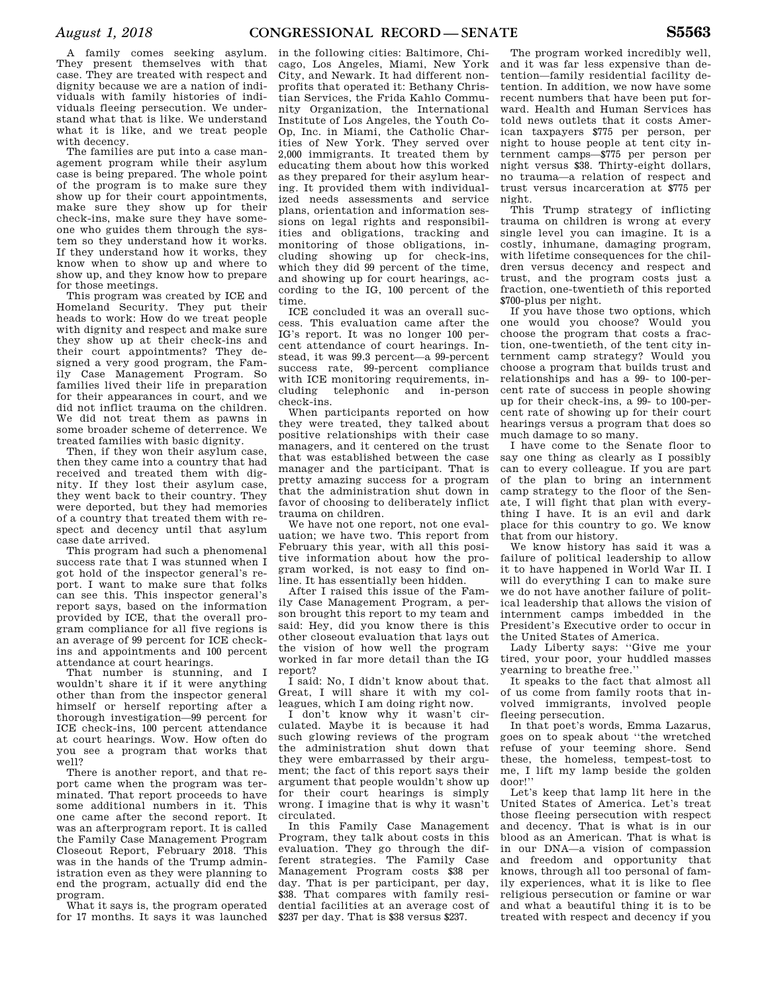A family comes seeking asylum. They present themselves with that case. They are treated with respect and dignity because we are a nation of individuals with family histories of individuals fleeing persecution. We understand what that is like. We understand what it is like, and we treat people with decency.

The families are put into a case management program while their asylum case is being prepared. The whole point of the program is to make sure they show up for their court appointments, make sure they show up for their check-ins, make sure they have someone who guides them through the system so they understand how it works. If they understand how it works, they know when to show up and where to show up, and they know how to prepare for those meetings.

This program was created by ICE and Homeland Security. They put their heads to work: How do we treat people with dignity and respect and make sure they show up at their check-ins and their court appointments? They designed a very good program, the Family Case Management Program. So families lived their life in preparation for their appearances in court, and we did not inflict trauma on the children. We did not treat them as pawns in some broader scheme of deterrence. We treated families with basic dignity.

Then, if they won their asylum case, then they came into a country that had received and treated them with dignity. If they lost their asylum case, they went back to their country. They were deported, but they had memories of a country that treated them with respect and decency until that asylum case date arrived.

This program had such a phenomenal success rate that I was stunned when I got hold of the inspector general's report. I want to make sure that folks can see this. This inspector general's report says, based on the information provided by ICE, that the overall program compliance for all five regions is an average of 99 percent for ICE checkins and appointments and 100 percent attendance at court hearings.

That number is stunning, and I wouldn't share it if it were anything other than from the inspector general himself or herself reporting after a thorough investigation—99 percent for ICE check-ins, 100 percent attendance at court hearings. Wow. How often do you see a program that works that well?

There is another report, and that report came when the program was terminated. That report proceeds to have some additional numbers in it. This one came after the second report. It was an afterprogram report. It is called the Family Case Management Program Closeout Report, February 2018. This was in the hands of the Trump administration even as they were planning to end the program, actually did end the program.

What it says is, the program operated for 17 months. It says it was launched

in the following cities: Baltimore, Chicago, Los Angeles, Miami, New York City, and Newark. It had different nonprofits that operated it: Bethany Christian Services, the Frida Kahlo Community Organization, the International Institute of Los Angeles, the Youth Co-Op, Inc. in Miami, the Catholic Charities of New York. They served over 2,000 immigrants. It treated them by educating them about how this worked as they prepared for their asylum hearing. It provided them with individualized needs assessments and service plans, orientation and information sessions on legal rights and responsibilities and obligations, tracking and monitoring of those obligations, including showing up for check-ins, which they did 99 percent of the time, and showing up for court hearings, according to the IG, 100 percent of the time.

ICE concluded it was an overall success. This evaluation came after the IG's report. It was no longer 100 percent attendance of court hearings. Instead, it was 99.3 percent—a 99-percent success rate, 99-percent compliance with ICE monitoring requirements, including telephonic and in-person check-ins.

When participants reported on how they were treated, they talked about positive relationships with their case managers, and it centered on the trust that was established between the case manager and the participant. That is pretty amazing success for a program that the administration shut down in favor of choosing to deliberately inflict trauma on children.

We have not one report, not one evaluation; we have two. This report from February this year, with all this positive information about how the program worked, is not easy to find online. It has essentially been hidden.

After I raised this issue of the Family Case Management Program, a person brought this report to my team and said: Hey, did you know there is this other closeout evaluation that lays out the vision of how well the program worked in far more detail than the IG report?

I said: No, I didn't know about that. Great, I will share it with my colleagues, which I am doing right now.

I don't know why it wasn't circulated. Maybe it is because it had such glowing reviews of the program the administration shut down that they were embarrassed by their argument; the fact of this report says their argument that people wouldn't show up for their court hearings is simply wrong. I imagine that is why it wasn't circulated.

In this Family Case Management Program, they talk about costs in this evaluation. They go through the different strategies. The Family Case Management Program costs \$38 per day. That is per participant, per day, \$38. That compares with family residential facilities at an average cost of \$237 per day. That is \$38 versus \$237.

The program worked incredibly well, and it was far less expensive than detention—family residential facility detention. In addition, we now have some recent numbers that have been put forward. Health and Human Services has told news outlets that it costs American taxpayers \$775 per person, per night to house people at tent city internment camps—\$775 per person per night versus \$38. Thirty-eight dollars, no trauma—a relation of respect and trust versus incarceration at \$775 per night.

This Trump strategy of inflicting trauma on children is wrong at every single level you can imagine. It is a costly, inhumane, damaging program, with lifetime consequences for the children versus decency and respect and trust, and the program costs just a fraction, one-twentieth of this reported \$700-plus per night.

If you have those two options, which one would you choose? Would you choose the program that costs a fraction, one-twentieth, of the tent city internment camp strategy? Would you choose a program that builds trust and relationships and has a 99- to 100-percent rate of success in people showing up for their check-ins, a 99- to 100-percent rate of showing up for their court hearings versus a program that does so much damage to so many.

I have come to the Senate floor to say one thing as clearly as I possibly can to every colleague. If you are part of the plan to bring an internment camp strategy to the floor of the Senate, I will fight that plan with everything I have. It is an evil and dark place for this country to go. We know that from our history.

We know history has said it was a failure of political leadership to allow it to have happened in World War II. I will do everything I can to make sure we do not have another failure of political leadership that allows the vision of internment camps imbedded in the President's Executive order to occur in the United States of America.

Lady Liberty says: ''Give me your tired, your poor, your huddled masses yearning to breathe free.''

It speaks to the fact that almost all of us come from family roots that involved immigrants, involved people fleeing persecution.

In that poet's words, Emma Lazarus, goes on to speak about ''the wretched refuse of your teeming shore. Send these, the homeless, tempest-tost to me, I lift my lamp beside the golden door!''

Let's keep that lamp lit here in the United States of America. Let's treat those fleeing persecution with respect and decency. That is what is in our blood as an American. That is what is in our DNA—a vision of compassion and freedom and opportunity that knows, through all too personal of family experiences, what it is like to flee religious persecution or famine or war and what a beautiful thing it is to be treated with respect and decency if you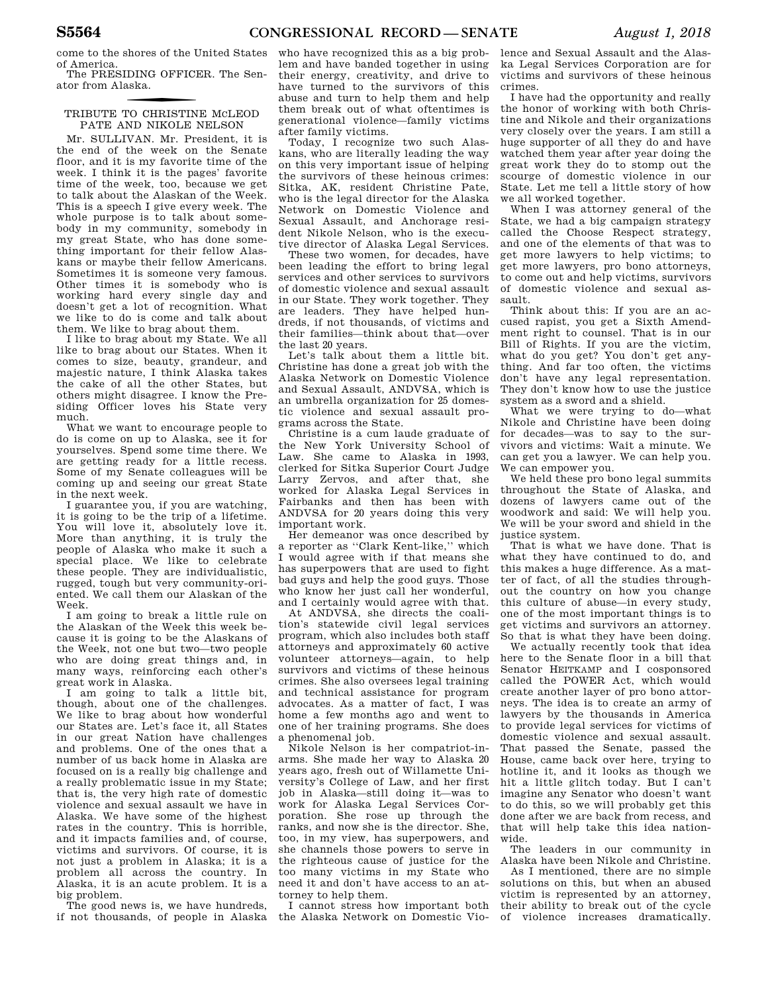come to the shores of the United States of America.

The PRESIDING OFFICER. The Senator from Alaska.

### f TRIBUTE TO CHRISTINE MCLEOD PATE AND NIKOLE NELSON

Mr. SULLIVAN. Mr. President, it is the end of the week on the Senate floor, and it is my favorite time of the week. I think it is the pages' favorite time of the week, too, because we get to talk about the Alaskan of the Week. This is a speech I give every week. The whole purpose is to talk about somebody in my community, somebody in my great State, who has done something important for their fellow Alaskans or maybe their fellow Americans. Sometimes it is someone very famous. Other times it is somebody who is working hard every single day and doesn't get a lot of recognition. What we like to do is come and talk about them. We like to brag about them.

I like to brag about my State. We all like to brag about our States. When it comes to size, beauty, grandeur, and majestic nature, I think Alaska takes the cake of all the other States, but others might disagree. I know the Presiding Officer loves his State very much.

What we want to encourage people to do is come on up to Alaska, see it for yourselves. Spend some time there. We are getting ready for a little recess. Some of my Senate colleagues will be coming up and seeing our great State in the next week.

I guarantee you, if you are watching, it is going to be the trip of a lifetime. You will love it, absolutely love it. More than anything, it is truly the people of Alaska who make it such a special place. We like to celebrate these people. They are individualistic, rugged, tough but very community-oriented. We call them our Alaskan of the Week.

I am going to break a little rule on the Alaskan of the Week this week because it is going to be the Alaskans of the Week, not one but two—two people who are doing great things and, in many ways, reinforcing each other's great work in Alaska.

I am going to talk a little bit, though, about one of the challenges. We like to brag about how wonderful our States are. Let's face it, all States in our great Nation have challenges and problems. One of the ones that a number of us back home in Alaska are focused on is a really big challenge and a really problematic issue in my State; that is, the very high rate of domestic violence and sexual assault we have in Alaska. We have some of the highest rates in the country. This is horrible, and it impacts families and, of course, victims and survivors. Of course, it is not just a problem in Alaska; it is a problem all across the country. In Alaska, it is an acute problem. It is a big problem.

The good news is, we have hundreds, if not thousands, of people in Alaska

who have recognized this as a big problem and have banded together in using their energy, creativity, and drive to have turned to the survivors of this abuse and turn to help them and help them break out of what oftentimes is generational violence—family victims after family victims.

Today, I recognize two such Alaskans, who are literally leading the way on this very important issue of helping the survivors of these heinous crimes: Sitka, AK, resident Christine Pate, who is the legal director for the Alaska Network on Domestic Violence and Sexual Assault, and Anchorage resident Nikole Nelson, who is the executive director of Alaska Legal Services.

These two women, for decades, have been leading the effort to bring legal services and other services to survivors of domestic violence and sexual assault in our State. They work together. They are leaders. They have helped hundreds, if not thousands, of victims and their families—think about that—over the last 20 years.

Let's talk about them a little bit. Christine has done a great job with the Alaska Network on Domestic Violence and Sexual Assault, ANDVSA, which is an umbrella organization for 25 domestic violence and sexual assault programs across the State.

Christine is a cum laude graduate of the New York University School of Law. She came to Alaska in 1993, clerked for Sitka Superior Court Judge Larry Zervos, and after that, she worked for Alaska Legal Services in Fairbanks and then has been with ANDVSA for 20 years doing this very important work.

Her demeanor was once described by a reporter as ''Clark Kent-like,'' which I would agree with if that means she has superpowers that are used to fight bad guys and help the good guys. Those who know her just call her wonderful, and I certainly would agree with that.

At ANDVSA, she directs the coalition's statewide civil legal services program, which also includes both staff attorneys and approximately 60 active volunteer attorneys—again, to help survivors and victims of these heinous crimes. She also oversees legal training and technical assistance for program advocates. As a matter of fact, I was home a few months ago and went to one of her training programs. She does a phenomenal job.

Nikole Nelson is her compatriot-inarms. She made her way to Alaska 20 years ago, fresh out of Willamette University's College of Law, and her first job in Alaska—still doing it—was to work for Alaska Legal Services Corporation. She rose up through the ranks, and now she is the director. She, too, in my view, has superpowers, and she channels those powers to serve in the righteous cause of justice for the too many victims in my State who need it and don't have access to an attorney to help them.

I cannot stress how important both the Alaska Network on Domestic Violence and Sexual Assault and the Alaska Legal Services Corporation are for victims and survivors of these heinous crimes.

I have had the opportunity and really the honor of working with both Christine and Nikole and their organizations very closely over the years. I am still a huge supporter of all they do and have watched them year after year doing the great work they do to stomp out the scourge of domestic violence in our State. Let me tell a little story of how we all worked together.

When I was attorney general of the State, we had a big campaign strategy called the Choose Respect strategy, and one of the elements of that was to get more lawyers to help victims; to get more lawyers, pro bono attorneys, to come out and help victims, survivors of domestic violence and sexual assault.

Think about this: If you are an accused rapist, you get a Sixth Amendment right to counsel. That is in our Bill of Rights. If you are the victim, what do you get? You don't get anything. And far too often, the victims don't have any legal representation. They don't know how to use the justice system as a sword and a shield.

What we were trying to do—what Nikole and Christine have been doing for decades—was to say to the survivors and victims: Wait a minute. We can get you a lawyer. We can help you. We can empower you.

We held these pro bono legal summits throughout the State of Alaska, and dozens of lawyers came out of the woodwork and said: We will help you. We will be your sword and shield in the justice system.

That is what we have done. That is what they have continued to do, and this makes a huge difference. As a matter of fact, of all the studies throughout the country on how you change this culture of abuse—in every study, one of the most important things is to get victims and survivors an attorney. So that is what they have been doing.

We actually recently took that idea here to the Senate floor in a bill that Senator HEITKAMP and I cosponsored called the POWER Act, which would create another layer of pro bono attorneys. The idea is to create an army of lawyers by the thousands in America to provide legal services for victims of domestic violence and sexual assault. That passed the Senate, passed the House, came back over here, trying to hotline it, and it looks as though we hit a little glitch today. But I can't imagine any Senator who doesn't want to do this, so we will probably get this done after we are back from recess, and that will help take this idea nationwide.

The leaders in our community in Alaska have been Nikole and Christine.

As I mentioned, there are no simple solutions on this, but when an abused victim is represented by an attorney, their ability to break out of the cycle of violence increases dramatically.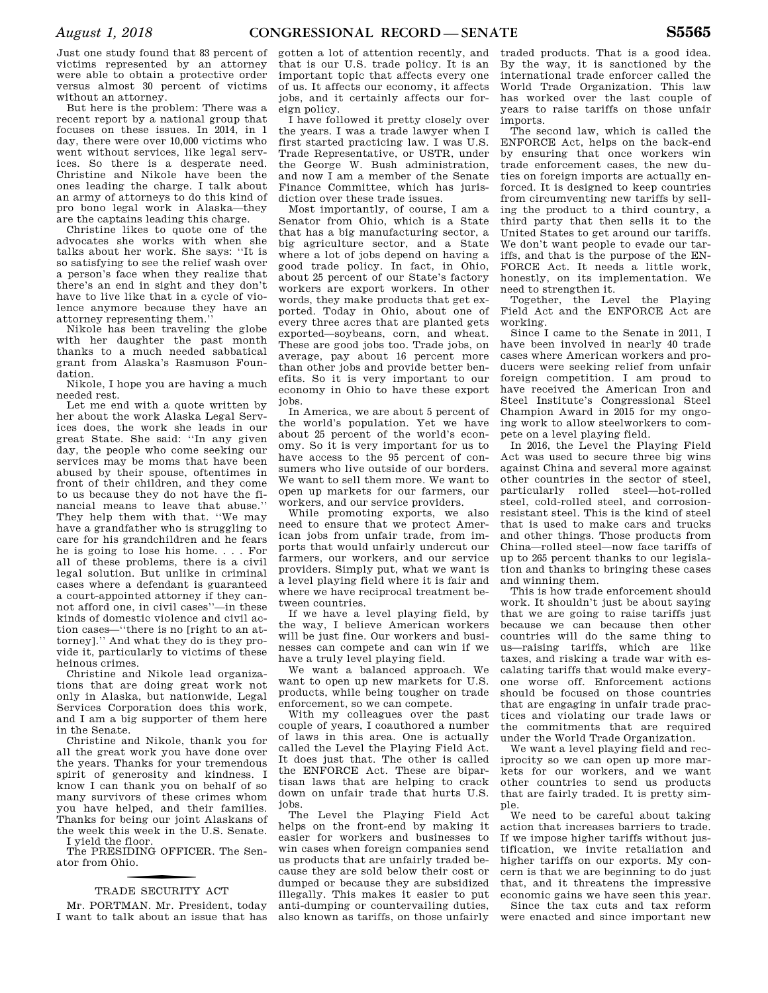Just one study found that 83 percent of victims represented by an attorney were able to obtain a protective order versus almost 30 percent of victims without an attorney.

But here is the problem: There was a recent report by a national group that focuses on these issues. In 2014, in 1 day, there were over 10,000 victims who went without services, like legal services. So there is a desperate need. Christine and Nikole have been the ones leading the charge. I talk about an army of attorneys to do this kind of pro bono legal work in Alaska—they are the captains leading this charge.

Christine likes to quote one of the advocates she works with when she talks about her work. She says: ''It is so satisfying to see the relief wash over a person's face when they realize that there's an end in sight and they don't have to live like that in a cycle of violence anymore because they have an attorney representing them.''

Nikole has been traveling the globe with her daughter the past month thanks to a much needed sabbatical grant from Alaska's Rasmuson Foundation.

Nikole, I hope you are having a much needed rest.

Let me end with a quote written by her about the work Alaska Legal Services does, the work she leads in our great State. She said: ''In any given day, the people who come seeking our services may be moms that have been abused by their spouse, oftentimes in front of their children, and they come to us because they do not have the financial means to leave that abuse.'' They help them with that. ''We may have a grandfather who is struggling to care for his grandchildren and he fears he is going to lose his home. . . . For all of these problems, there is a civil legal solution. But unlike in criminal cases where a defendant is guaranteed a court-appointed attorney if they cannot afford one, in civil cases''—in these kinds of domestic violence and civil action cases—''there is no [right to an attorney].'' And what they do is they provide it, particularly to victims of these heinous crimes.

Christine and Nikole lead organizations that are doing great work not only in Alaska, but nationwide, Legal Services Corporation does this work, and I am a big supporter of them here in the Senate.

Christine and Nikole, thank you for all the great work you have done over the years. Thanks for your tremendous spirit of generosity and kindness. I know I can thank you on behalf of so many survivors of these crimes whom you have helped, and their families. Thanks for being our joint Alaskans of the week this week in the U.S. Senate.

I yield the floor.

The PRESIDING OFFICER. The Senator from Ohio.

### TRADE SECURITY ACT

Mr. PORTMAN. Mr. President, today I want to talk about an issue that has gotten a lot of attention recently, and that is our U.S. trade policy. It is an important topic that affects every one of us. It affects our economy, it affects jobs, and it certainly affects our foreign policy.

I have followed it pretty closely over the years. I was a trade lawyer when I first started practicing law. I was U.S. Trade Representative, or USTR, under the George W. Bush administration, and now I am a member of the Senate Finance Committee, which has jurisdiction over these trade issues.

Most importantly, of course, I am a Senator from Ohio, which is a State that has a big manufacturing sector, a big agriculture sector, and a State where a lot of jobs depend on having a good trade policy. In fact, in Ohio, about 25 percent of our State's factory workers are export workers. In other words, they make products that get exported. Today in Ohio, about one of every three acres that are planted gets exported—soybeans, corn, and wheat. These are good jobs too. Trade jobs, on average, pay about 16 percent more than other jobs and provide better benefits. So it is very important to our economy in Ohio to have these export jobs.

In America, we are about 5 percent of the world's population. Yet we have about 25 percent of the world's economy. So it is very important for us to have access to the 95 percent of consumers who live outside of our borders. We want to sell them more. We want to open up markets for our farmers, our workers, and our service providers.

While promoting exports, we also need to ensure that we protect American jobs from unfair trade, from imports that would unfairly undercut our farmers, our workers, and our service providers. Simply put, what we want is a level playing field where it is fair and where we have reciprocal treatment between countries.

If we have a level playing field, by the way, I believe American workers will be just fine. Our workers and businesses can compete and can win if we have a truly level playing field.

We want a balanced approach. We want to open up new markets for U.S. products, while being tougher on trade enforcement, so we can compete.

With my colleagues over the past couple of years, I coauthored a number of laws in this area. One is actually called the Level the Playing Field Act. It does just that. The other is called the ENFORCE Act. These are bipartisan laws that are helping to crack down on unfair trade that hurts U.S. jobs.

The Level the Playing Field Act helps on the front-end by making it easier for workers and businesses to win cases when foreign companies send us products that are unfairly traded because they are sold below their cost or dumped or because they are subsidized illegally. This makes it easier to put anti-dumping or countervailing duties, also known as tariffs, on those unfairly

traded products. That is a good idea. By the way, it is sanctioned by the international trade enforcer called the World Trade Organization. This law has worked over the last couple of years to raise tariffs on those unfair imports.

The second law, which is called the ENFORCE Act, helps on the back-end by ensuring that once workers win trade enforcement cases, the new duties on foreign imports are actually enforced. It is designed to keep countries from circumventing new tariffs by selling the product to a third country, a third party that then sells it to the United States to get around our tariffs. We don't want people to evade our tariffs, and that is the purpose of the EN-FORCE Act. It needs a little work, honestly, on its implementation. We need to strengthen it.

Together, the Level the Playing Field Act and the ENFORCE Act are working.

Since I came to the Senate in 2011, I have been involved in nearly 40 trade cases where American workers and producers were seeking relief from unfair foreign competition. I am proud to have received the American Iron and Steel Institute's Congressional Steel Champion Award in 2015 for my ongoing work to allow steelworkers to compete on a level playing field.

In 2016, the Level the Playing Field Act was used to secure three big wins against China and several more against other countries in the sector of steel, particularly rolled steel—hot-rolled steel, cold-rolled steel, and corrosionresistant steel. This is the kind of steel that is used to make cars and trucks and other things. Those products from China—rolled steel—now face tariffs of up to 265 percent thanks to our legislation and thanks to bringing these cases and winning them.

This is how trade enforcement should work. It shouldn't just be about saying that we are going to raise tariffs just because we can because then other countries will do the same thing to us—raising tariffs, which are like taxes, and risking a trade war with escalating tariffs that would make everyone worse off. Enforcement actions should be focused on those countries that are engaging in unfair trade practices and violating our trade laws or the commitments that are required under the World Trade Organization.

We want a level playing field and reciprocity so we can open up more markets for our workers, and we want other countries to send us products that are fairly traded. It is pretty simple.

We need to be careful about taking action that increases barriers to trade. If we impose higher tariffs without justification, we invite retaliation and higher tariffs on our exports. My concern is that we are beginning to do just that, and it threatens the impressive economic gains we have seen this year.

Since the tax cuts and tax reform were enacted and since important new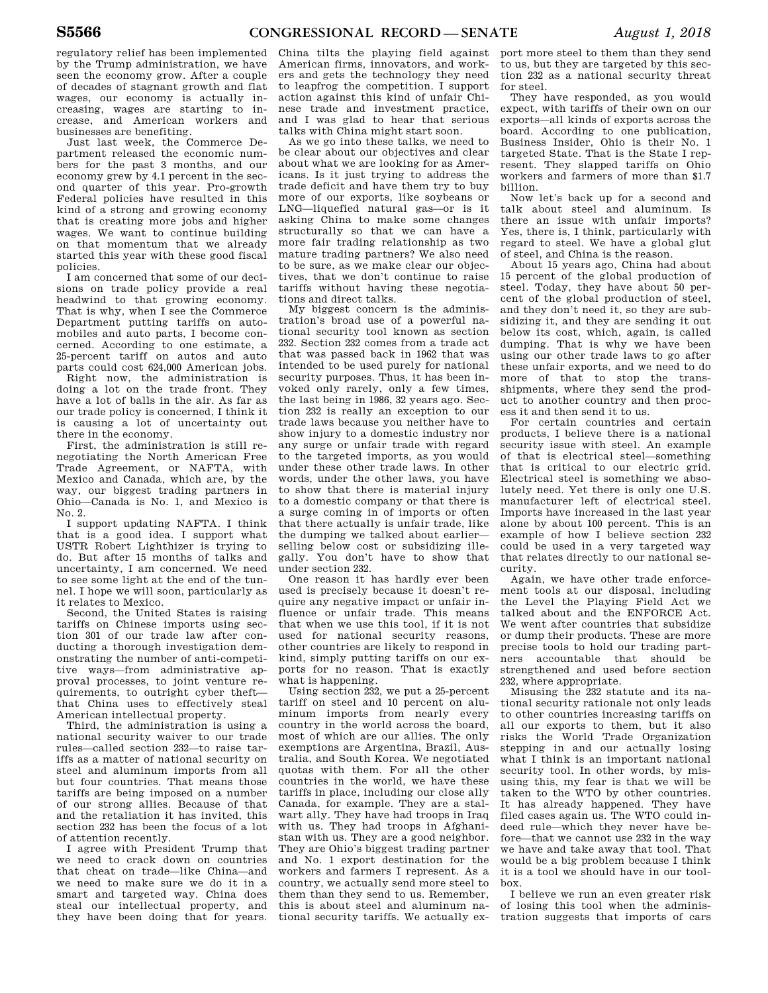regulatory relief has been implemented by the Trump administration, we have seen the economy grow. After a couple of decades of stagnant growth and flat wages, our economy is actually increasing, wages are starting to increase, and American workers and businesses are benefiting.

Just last week, the Commerce Department released the economic numbers for the past 3 months, and our economy grew by 4.1 percent in the second quarter of this year. Pro-growth Federal policies have resulted in this kind of a strong and growing economy that is creating more jobs and higher wages. We want to continue building on that momentum that we already started this year with these good fiscal policies.

I am concerned that some of our decisions on trade policy provide a real headwind to that growing economy. That is why, when I see the Commerce Department putting tariffs on automobiles and auto parts, I become concerned. According to one estimate, a 25-percent tariff on autos and auto parts could cost 624,000 American jobs. Right now, the administration is

doing a lot on the trade front. They have a lot of balls in the air. As far as our trade policy is concerned, I think it is causing a lot of uncertainty out there in the economy.

First, the administration is still renegotiating the North American Free Trade Agreement, or NAFTA, with Mexico and Canada, which are, by the way, our biggest trading partners in Ohio—Canada is No. 1, and Mexico is No. 2.

I support updating NAFTA. I think that is a good idea. I support what USTR Robert Lighthizer is trying to do. But after 15 months of talks and uncertainty, I am concerned. We need to see some light at the end of the tunnel. I hope we will soon, particularly as it relates to Mexico.

Second, the United States is raising tariffs on Chinese imports using section 301 of our trade law after conducting a thorough investigation demonstrating the number of anti-competitive ways—from administrative approval processes, to joint venture requirements, to outright cyber theft that China uses to effectively steal American intellectual property.

Third, the administration is using a national security waiver to our trade rules—called section 232—to raise tariffs as a matter of national security on steel and aluminum imports from all but four countries. That means those tariffs are being imposed on a number of our strong allies. Because of that and the retaliation it has invited, this section 232 has been the focus of a lot of attention recently.

I agree with President Trump that we need to crack down on countries that cheat on trade—like China—and we need to make sure we do it in a smart and targeted way. China does steal our intellectual property, and they have been doing that for years.

China tilts the playing field against American firms, innovators, and workers and gets the technology they need to leapfrog the competition. I support action against this kind of unfair Chinese trade and investment practice, and I was glad to hear that serious talks with China might start soon.

As we go into these talks, we need to be clear about our objectives and clear about what we are looking for as Americans. Is it just trying to address the trade deficit and have them try to buy more of our exports, like soybeans or LNG—liquefied natural gas—or is it asking China to make some changes structurally so that we can have a more fair trading relationship as two mature trading partners? We also need to be sure, as we make clear our objectives, that we don't continue to raise tariffs without having these negotiations and direct talks.

My biggest concern is the administration's broad use of a powerful national security tool known as section 232. Section 232 comes from a trade act that was passed back in 1962 that was intended to be used purely for national security purposes. Thus, it has been invoked only rarely, only a few times, the last being in 1986, 32 years ago. Section 232 is really an exception to our trade laws because you neither have to show injury to a domestic industry nor any surge or unfair trade with regard to the targeted imports, as you would under these other trade laws. In other words, under the other laws, you have to show that there is material injury to a domestic company or that there is a surge coming in of imports or often that there actually is unfair trade, like the dumping we talked about earlier selling below cost or subsidizing illegally. You don't have to show that under section 232.

One reason it has hardly ever been used is precisely because it doesn't require any negative impact or unfair influence or unfair trade. This means that when we use this tool, if it is not used for national security reasons, other countries are likely to respond in kind, simply putting tariffs on our exports for no reason. That is exactly what is happening.

Using section 232, we put a 25-percent tariff on steel and 10 percent on aluminum imports from nearly every country in the world across the board, most of which are our allies. The only exemptions are Argentina, Brazil, Australia, and South Korea. We negotiated quotas with them. For all the other countries in the world, we have these tariffs in place, including our close ally Canada, for example. They are a stalwart ally. They have had troops in Iraq with us. They had troops in Afghanistan with us. They are a good neighbor. They are Ohio's biggest trading partner and No. 1 export destination for the workers and farmers I represent. As a country, we actually send more steel to them than they send to us. Remember, this is about steel and aluminum national security tariffs. We actually ex-

port more steel to them than they send to us, but they are targeted by this section 232 as a national security threat for steel.

They have responded, as you would expect, with tariffs of their own on our exports—all kinds of exports across the board. According to one publication, Business Insider, Ohio is their No. 1 targeted State. That is the State I represent. They slapped tariffs on Ohio workers and farmers of more than \$1.7 billion.

Now let's back up for a second and talk about steel and aluminum. Is there an issue with unfair imports? Yes, there is, I think, particularly with regard to steel. We have a global glut of steel, and China is the reason.

About 15 years ago, China had about 15 percent of the global production of steel. Today, they have about 50 percent of the global production of steel, and they don't need it, so they are subsidizing it, and they are sending it out below its cost, which, again, is called dumping. That is why we have been using our other trade laws to go after these unfair exports, and we need to do more of that to stop the transshipments, where they send the product to another country and then process it and then send it to us.

For certain countries and certain products, I believe there is a national security issue with steel. An example of that is electrical steel—something that is critical to our electric grid. Electrical steel is something we absolutely need. Yet there is only one U.S. manufacturer left of electrical steel. Imports have increased in the last year alone by about 100 percent. This is an example of how I believe section 232 could be used in a very targeted way that relates directly to our national security.

Again, we have other trade enforcement tools at our disposal, including the Level the Playing Field Act we talked about and the ENFORCE Act. We went after countries that subsidize or dump their products. These are more precise tools to hold our trading partners accountable that should be strengthened and used before section 232, where appropriate.

Misusing the 232 statute and its national security rationale not only leads to other countries increasing tariffs on all our exports to them, but it also risks the World Trade Organization stepping in and our actually losing what I think is an important national security tool. In other words, by misusing this, my fear is that we will be taken to the WTO by other countries. It has already happened. They have filed cases again us. The WTO could indeed rule—which they never have before—that we cannot use 232 in the way we have and take away that tool. That would be a big problem because I think it is a tool we should have in our toolbox.

I believe we run an even greater risk of losing this tool when the administration suggests that imports of cars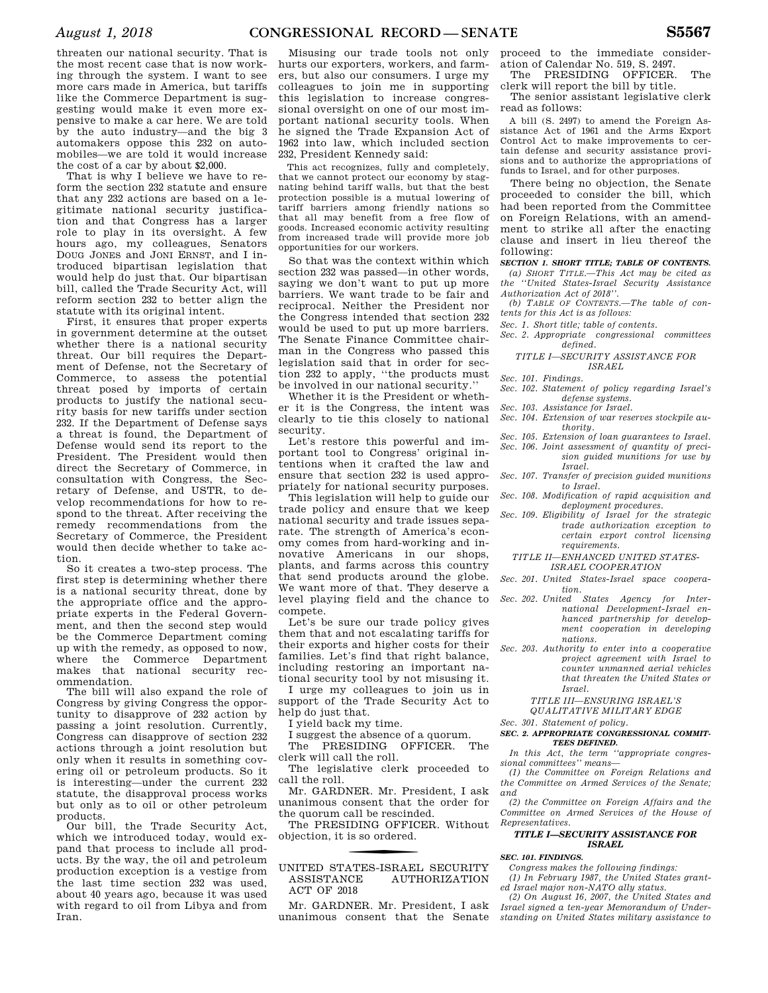threaten our national security. That is the most recent case that is now working through the system. I want to see more cars made in America, but tariffs like the Commerce Department is suggesting would make it even more expensive to make a car here. We are told by the auto industry—and the big 3 automakers oppose this 232 on automobiles—we are told it would increase the cost of a car by about \$2,000.

That is why I believe we have to reform the section 232 statute and ensure that any 232 actions are based on a legitimate national security justification and that Congress has a larger role to play in its oversight. A few hours ago, my colleagues, Senators DOUG JONES and JONI ERNST, and I introduced bipartisan legislation that would help do just that. Our bipartisan bill, called the Trade Security Act, will reform section 232 to better align the statute with its original intent.

First, it ensures that proper experts in government determine at the outset whether there is a national security threat. Our bill requires the Department of Defense, not the Secretary of Commerce, to assess the potential threat posed by imports of certain products to justify the national security basis for new tariffs under section 232. If the Department of Defense says a threat is found, the Department of Defense would send its report to the President. The President would then direct the Secretary of Commerce, in consultation with Congress, the Secretary of Defense, and USTR, to develop recommendations for how to respond to the threat. After receiving the remedy recommendations from the Secretary of Commerce, the President would then decide whether to take action.

So it creates a two-step process. The first step is determining whether there is a national security threat, done by the appropriate office and the appropriate experts in the Federal Government, and then the second step would be the Commerce Department coming up with the remedy, as opposed to now, where the Commerce Department makes that national security recommendation.

The bill will also expand the role of Congress by giving Congress the opportunity to disapprove of 232 action by passing a joint resolution. Currently, Congress can disapprove of section 232 actions through a joint resolution but only when it results in something covering oil or petroleum products. So it is interesting—under the current 232 statute, the disapproval process works but only as to oil or other petroleum products.

Our bill, the Trade Security Act, which we introduced today, would expand that process to include all products. By the way, the oil and petroleum production exception is a vestige from the last time section 232 was used, about 40 years ago, because it was used with regard to oil from Libya and from Iran.

Misusing our trade tools not only hurts our exporters, workers, and farmers, but also our consumers. I urge my colleagues to join me in supporting this legislation to increase congressional oversight on one of our most important national security tools. When he signed the Trade Expansion Act of 1962 into law, which included section 232, President Kennedy said:

This act recognizes, fully and completely, that we cannot protect our economy by stagnating behind tariff walls, but that the best protection possible is a mutual lowering of tariff barriers among friendly nations so that all may benefit from a free flow of goods. Increased economic activity resulting from increased trade will provide more job opportunities for our workers.

So that was the context within which section 232 was passed—in other words, saying we don't want to put up more barriers. We want trade to be fair and reciprocal. Neither the President nor the Congress intended that section 232 would be used to put up more barriers. The Senate Finance Committee chairman in the Congress who passed this legislation said that in order for section 232 to apply, ''the products must be involved in our national security.''

Whether it is the President or whether it is the Congress, the intent was clearly to tie this closely to national security.

Let's restore this powerful and important tool to Congress' original intentions when it crafted the law and ensure that section 232 is used appropriately for national security purposes.

This legislation will help to guide our trade policy and ensure that we keep national security and trade issues separate. The strength of America's economy comes from hard-working and innovative Americans in our shops, plants, and farms across this country that send products around the globe. We want more of that. They deserve a level playing field and the chance to compete.

Let's be sure our trade policy gives them that and not escalating tariffs for their exports and higher costs for their families. Let's find that right balance, including restoring an important national security tool by not misusing it.

I urge my colleagues to join us in support of the Trade Security Act to help do just that.

I yield back my time.

I suggest the absence of a quorum.

The PRESIDING OFFICER. The clerk will call the roll.

The legislative clerk proceeded to call the roll.

Mr. GARDNER. Mr. President, I ask unanimous consent that the order for the quorum call be rescinded.

The PRESIDING OFFICER. Without objection, it is so ordered.

### f UNITED STATES-ISRAEL SECURITY ASSISTANCE AUTHORIZATION ACT OF 2018

Mr. GARDNER. Mr. President, I ask unanimous consent that the Senate proceed to the immediate consideration of Calendar No. 519, S. 2497.

The PRESIDING OFFICER. The clerk will report the bill by title.

The senior assistant legislative clerk read as follows:

A bill (S. 2497) to amend the Foreign Assistance Act of 1961 and the Arms Export Control Act to make improvements to certain defense and security assistance provisions and to authorize the appropriations of funds to Israel, and for other purposes.

There being no objection, the Senate proceeded to consider the bill, which had been reported from the Committee on Foreign Relations, with an amendment to strike all after the enacting clause and insert in lieu thereof the following:

### *SECTION 1. SHORT TITLE; TABLE OF CONTENTS.*

*(a) SHORT TITLE.—This Act may be cited as the ''United States-Israel Security Assistance Authorization Act of 2018''.* 

*(b) TABLE OF CONTENTS.—The table of contents for this Act is as follows:* 

*Sec. 1. Short title; table of contents.* 

*Sec. 2. Appropriate congressional committees defined.* 

*TITLE I—SECURITY ASSISTANCE FOR ISRAEL* 

*Sec. 101. Findings.* 

- *Sec. 102. Statement of policy regarding Israel's defense systems.*
- *Sec. 103. Assistance for Israel.*
- *Sec. 104. Extension of war reserves stockpile authority.*
- *Sec. 105. Extension of loan guarantees to Israel.*
- *Sec. 106. Joint assessment of quantity of precision guided munitions for use by Israel.*
- *Sec. 107. Transfer of precision guided munitions to Israel.*
- *Sec. 108. Modification of rapid acquisition and deployment procedures.*
- *Sec. 109. Eligibility of Israel for the strategic trade authorization exception to certain export control licensing requirements.* 
	- *TITLE II—ENHANCED UNITED STATES-ISRAEL COOPERATION*
- *Sec. 201. United States-Israel space cooperation.*
- *Sec. 202. United States Agency for International Development-Israel enhanced partnership for development cooperation in developing nations.*
- *Sec. 203. Authority to enter into a cooperative project agreement with Israel to counter unmanned aerial vehicles that threaten the United States or Israel.*

*TITLE III—ENSURING ISRAEL'S QUALITATIVE MILITARY EDGE* 

*Sec. 301. Statement of policy.* 

*SEC. 2. APPROPRIATE CONGRESSIONAL COMMIT-TEES DEFINED.* 

*In this Act, the term ''appropriate congressional committees'' means—* 

*(1) the Committee on Foreign Relations and the Committee on Armed Services of the Senate; and* 

*(2) the Committee on Foreign Affairs and the Committee on Armed Services of the House of Representatives.* 

### *TITLE I—SECURITY ASSISTANCE FOR ISRAEL*

### *SEC. 101. FINDINGS.*

*Congress makes the following findings: (1) In February 1987, the United States grant-*

*ed Israel major non-NATO ally status. (2) On August 16, 2007, the United States and Israel signed a ten-year Memorandum of Understanding on United States military assistance to*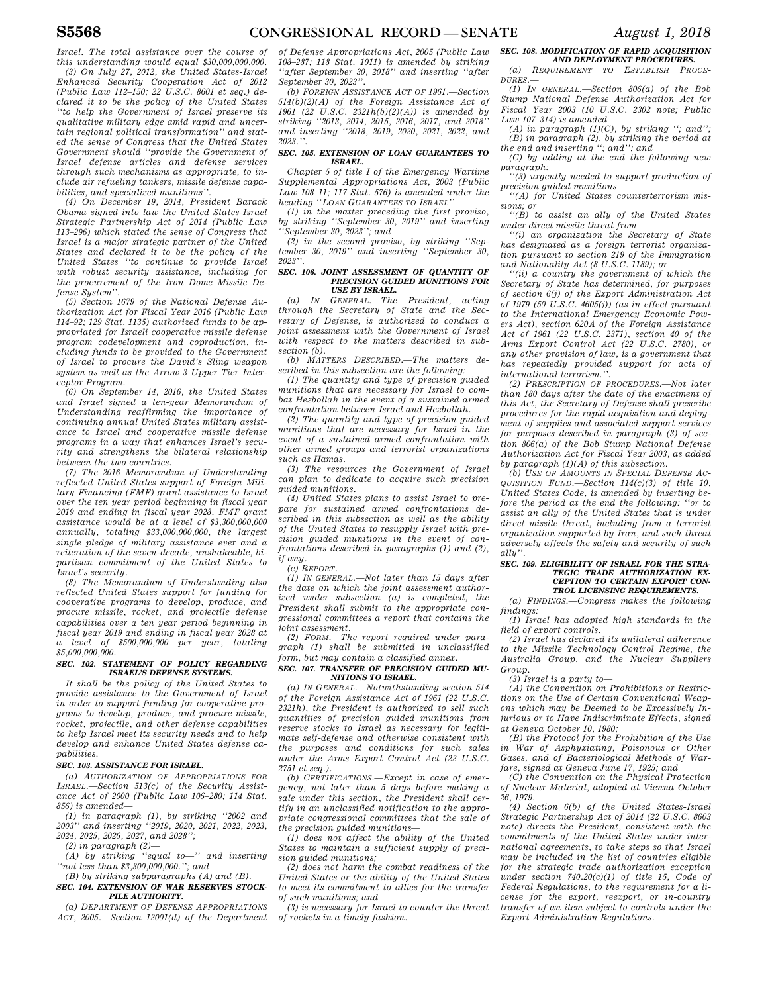*Israel. The total assistance over the course of this understanding would equal \$30,000,000,000.* 

*(3) On July 27, 2012, the United States-Israel Enhanced Security Cooperation Act of 2012 (Public Law 112–150; 22 U.S.C. 8601 et seq.) declared it to be the policy of the United States ''to help the Government of Israel preserve its qualitative military edge amid rapid and uncertain regional political transformation'' and stated the sense of Congress that the United States Government should ''provide the Government of Israel defense articles and defense services through such mechanisms as appropriate, to include air refueling tankers, missile defense capabilities, and specialized munitions''.* 

*(4) On December 19, 2014, President Barack Obama signed into law the United States-Israel Strategic Partnership Act of 2014 (Public Law 113–296) which stated the sense of Congress that Israel is a major strategic partner of the United States and declared it to be the policy of the United States ''to continue to provide Israel with robust security assistance, including for the procurement of the Iron Dome Missile Defense System''.* 

*(5) Section 1679 of the National Defense Authorization Act for Fiscal Year 2016 (Public Law 114–92; 129 Stat. 1135) authorized funds to be appropriated for Israeli cooperative missile defense program codevelopment and coproduction, including funds to be provided to the Government of Israel to procure the David's Sling weapon system as well as the Arrow 3 Upper Tier Interceptor Program.* 

*(6) On September 14, 2016, the United States and Israel signed a ten-year Memorandum of Understanding reaffirming the importance of continuing annual United States military assistance to Israel and cooperative missile defense programs in a way that enhances Israel's security and strengthens the bilateral relationship between the two countries.* 

*(7) The 2016 Memorandum of Understanding reflected United States support of Foreign Military Financing (FMF) grant assistance to Israel over the ten year period beginning in fiscal year 2019 and ending in fiscal year 2028. FMF grant assistance would be at a level of \$3,300,000,000 annually, totaling \$33,000,000,000, the largest single pledge of military assistance ever and a reiteration of the seven-decade, unshakeable, bipartisan commitment of the United States to Israel's security.* 

*(8) The Memorandum of Understanding also reflected United States support for funding for cooperative programs to develop, produce, and procure missile, rocket, and projectile defense capabilities over a ten year period beginning in fiscal year 2019 and ending in fiscal year 2028 at a level of \$500,000,000 per year, totaling \$5,000,000,000.* 

#### *SEC. 102. STATEMENT OF POLICY REGARDING ISRAEL'S DEFENSE SYSTEMS.*

*It shall be the policy of the United States to provide assistance to the Government of Israel in order to support funding for cooperative programs to develop, produce, and procure missile, rocket, projectile, and other defense capabilities to help Israel meet its security needs and to help develop and enhance United States defense capabilities.* 

### *SEC. 103. ASSISTANCE FOR ISRAEL.*

*(a) AUTHORIZATION OF APPROPRIATIONS FOR ISRAEL.—Section 513(c) of the Security Assistance Act of 2000 (Public Law 106–280; 114 Stat. 856) is amended—* 

*(1) in paragraph (1), by striking ''2002 and 2003'' and inserting ''2019, 2020, 2021, 2022, 2023, 2024, 2025, 2026, 2027, and 2028'';* 

*(2) in paragraph (2)—* 

*(A) by striking ''equal to—'' and inserting ''not less than \$3,300,000,000.''; and* 

*(B) by striking subparagraphs (A) and (B). SEC. 104. EXTENSION OF WAR RESERVES STOCK-PILE AUTHORITY.* 

*(a) DEPARTMENT OF DEFENSE APPROPRIATIONS ACT, 2005.—Section 12001(d) of the Department* 

*of Defense Appropriations Act, 2005 (Public Law 108–287; 118 Stat. 1011) is amended by striking ''after September 30, 2018'' and inserting ''after September 30, 2023''.* 

*(b) FOREIGN ASSISTANCE ACT OF 1961.—Section 514(b)(2)(A) of the Foreign Assistance Act of 1961 (22 U.S.C. 2321h(b)(2)(A)) is amended by striking ''2013, 2014, 2015, 2016, 2017, and 2018'' and inserting ''2018, 2019, 2020, 2021, 2022, and 2023.''.* 

#### *SEC. 105. EXTENSION OF LOAN GUARANTEES TO ISRAEL.*

*Chapter 5 of title I of the Emergency Wartime Supplemental Appropriations Act, 2003 (Public Law 108–11; 117 Stat. 576) is amended under the*   $heading$  "LOAN GUARANTEES TO ISRAEL"

*(1) in the matter preceding the first proviso, by striking ''September 30, 2019'' and inserting ''September 30, 2023''; and* 

*(2) in the second proviso, by striking ''September 30, 2019'' and inserting ''September 30, 2023''.* 

#### *SEC. 106. JOINT ASSESSMENT OF QUANTITY OF PRECISION GUIDED MUNITIONS FOR USE BY ISRAEL.*

*(a) IN GENERAL.—The President, acting through the Secretary of State and the Secretary of Defense, is authorized to conduct a joint assessment with the Government of Israel with respect to the matters described in subsection (b).* 

*(b) MATTERS DESCRIBED.—The matters described in this subsection are the following:* 

*(1) The quantity and type of precision guided munitions that are necessary for Israel to combat Hezbollah in the event of a sustained armed confrontation between Israel and Hezbollah.* 

*(2) The quantity and type of precision guided munitions that are necessary for Israel in the event of a sustained armed confrontation with other armed groups and terrorist organizations such as Hamas.* 

*(3) The resources the Government of Israel can plan to dedicate to acquire such precision guided munitions.* 

*(4) United States plans to assist Israel to prepare for sustained armed confrontations described in this subsection as well as the ability of the United States to resupply Israel with precision guided munitions in the event of confrontations described in paragraphs (1) and (2), if any.* 

*(c) REPORT.—* 

*(1) IN GENERAL.—Not later than 15 days after the date on which the joint assessment authorized under subsection (a) is completed, the President shall submit to the appropriate congressional committees a report that contains the joint assessment.* 

*(2) FORM.—The report required under paragraph (1) shall be submitted in unclassified form, but may contain a classified annex.* 

### *SEC. 107. TRANSFER OF PRECISION GUIDED MU-NITIONS TO ISRAEL.*

*(a) IN GENERAL.—Notwithstanding section 514 of the Foreign Assistance Act of 1961 (22 U.S.C. 2321h), the President is authorized to sell such quantities of precision guided munitions from reserve stocks to Israel as necessary for legitimate self-defense and otherwise consistent with the purposes and conditions for such sales under the Arms Export Control Act (22 U.S.C. 2751 et seq.).* 

*(b) CERTIFICATIONS.—Except in case of emergency, not later than 5 days before making a sale under this section, the President shall certify in an unclassified notification to the appropriate congressional committees that the sale of the precision guided munitions—* 

*(1) does not affect the ability of the United States to maintain a sufficient supply of precision guided munitions;* 

*(2) does not harm the combat readiness of the United States or the ability of the United States to meet its commitment to allies for the transfer of such munitions; and* 

*(3) is necessary for Israel to counter the threat of rockets in a timely fashion.* 

### *SEC. 108. MODIFICATION OF RAPID ACQUISITION*

*AND DEPLOYMENT PROCEDURES. (a) REQUIREMENT TO ESTABLISH PROCE-DURES.—* 

*(1) IN GENERAL.—Section 806(a) of the Bob Stump National Defense Authorization Act for Fiscal Year 2003 (10 U.S.C. 2302 note; Public Law 107–314) is amended—* 

*(A) in paragraph (1)(C), by striking ''; and'';* 

*(B) in paragraph (2), by striking the period at the end and inserting ''; and''; and (C) by adding at the end the following new* 

*paragraph:* 

*''(3) urgently needed to support production of precision guided munitions—* 

*''(A) for United States counterterrorism missions; or* 

*''(B) to assist an ally of the United States under direct missile threat from—* 

*''(i) an organization the Secretary of State has designated as a foreign terrorist organization pursuant to section 219 of the Immigration and Nationality Act (8 U.S.C. 1189); or* 

*''(ii) a country the government of which the Secretary of State has determined, for purposes of section 6(j) of the Export Administration Act of 1979 (50 U.S.C. 4605(j)) (as in effect pursuant to the International Emergency Economic Powers Act), section 620A of the Foreign Assistance Act of 1961 (22 U.S.C. 2371), section 40 of the Arms Export Control Act (22 U.S.C. 2780), or any other provision of law, is a government that has repeatedly provided support for acts of international terrorism.''.* 

*(2) PRESCRIPTION OF PROCEDURES.—Not later than 180 days after the date of the enactment of this Act, the Secretary of Defense shall prescribe procedures for the rapid acquisition and deployment of supplies and associated support services for purposes described in paragraph (3) of section 806(a) of the Bob Stump National Defense Authorization Act for Fiscal Year 2003, as added by paragraph (1)(A) of this subsection.* 

*(b) USE OF AMOUNTS IN SPECIAL DEFENSE AC-QUISITION FUND.—Section 114(c)(3) of title 10, United States Code, is amended by inserting before the period at the end the following: ''or to assist an ally of the United States that is under direct missile threat, including from a terrorist organization supported by Iran, and such threat adversely affects the safety and security of such ally''.* 

#### *SEC. 109. ELIGIBILITY OF ISRAEL FOR THE STRA-TEGIC TRADE AUTHORIZATION EX-CEPTION TO CERTAIN EXPORT CON-TROL LICENSING REQUIREMENTS.*

*(a) FINDINGS.—Congress makes the following findings:* 

*(1) Israel has adopted high standards in the field of export controls.* 

*(2) Israel has declared its unilateral adherence to the Missile Technology Control Regime, the Australia Group, and the Nuclear Suppliers Group.* 

*(3) Israel is a party to—* 

*(A) the Convention on Prohibitions or Restrictions on the Use of Certain Conventional Weapons which may be Deemed to be Excessively Injurious or to Have Indiscriminate Effects, signed at Geneva October 10, 1980;* 

*(B) the Protocol for the Prohibition of the Use in War of Asphyxiating, Poisonous or Other Gases, and of Bacteriological Methods of Warfare, signed at Geneva June 17, 1925; and* 

*(C) the Convention on the Physical Protection of Nuclear Material, adopted at Vienna October 26, 1979.* 

*(4) Section 6(b) of the United States-Israel Strategic Partnership Act of 2014 (22 U.S.C. 8603 note) directs the President, consistent with the commitments of the United States under international agreements, to take steps so that Israel may be included in the list of countries eligible for the strategic trade authorization exception under section 740.20(c)(1) of title 15, Code of Federal Regulations, to the requirement for a license for the export, reexport, or in-country transfer of an item subject to controls under the Export Administration Regulations.*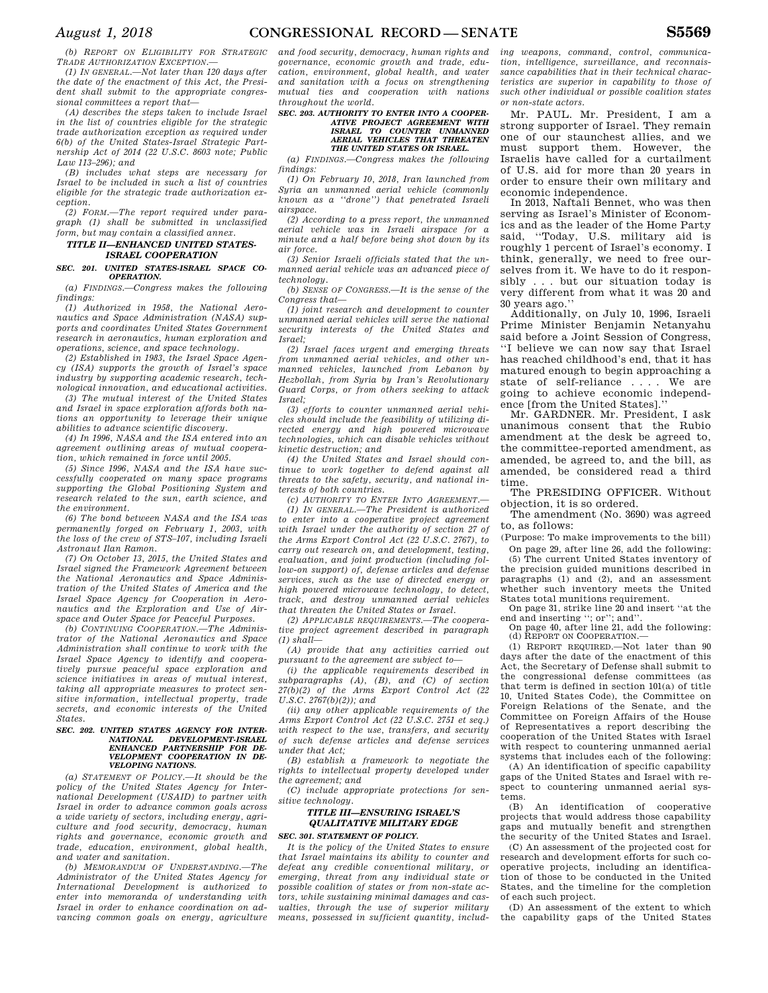*(b) REPORT ON ELIGIBILITY FOR STRATEGIC TRADE AUTHORIZATION EXCEPTION.—* 

*(1) IN GENERAL.—Not later than 120 days after the date of the enactment of this Act, the President shall submit to the appropriate congressional committees a report that—* 

*(A) describes the steps taken to include Israel in the list of countries eligible for the strategic trade authorization exception as required under 6(b) of the United States-Israel Strategic Partnership Act of 2014 (22 U.S.C. 8603 note; Public Law 113–296); and* 

*(B) includes what steps are necessary for Israel to be included in such a list of countries eligible for the strategic trade authorization exception.* 

*(2) FORM.—The report required under paragraph (1) shall be submitted in unclassified form, but may contain a classified annex.* 

### *TITLE II—ENHANCED UNITED STATES-ISRAEL COOPERATION*

*SEC. 201. UNITED STATES-ISRAEL SPACE CO-OPERATION.* 

*(a) FINDINGS.—Congress makes the following findings:* 

*(1) Authorized in 1958, the National Aeronautics and Space Administration (NASA) supports and coordinates United States Government research in aeronautics, human exploration and operations, science, and space technology.* 

*(2) Established in 1983, the Israel Space Agency (ISA) supports the growth of Israel's space industry by supporting academic research, technological innovation, and educational activities.* 

*(3) The mutual interest of the United States and Israel in space exploration affords both nations an opportunity to leverage their unique abilities to advance scientific discovery.* 

*(4) In 1996, NASA and the ISA entered into an agreement outlining areas of mutual cooperation, which remained in force until 2005.* 

*(5) Since 1996, NASA and the ISA have successfully cooperated on many space programs supporting the Global Positioning System and research related to the sun, earth science, and the environment.* 

*(6) The bond between NASA and the ISA was permanently forged on February 1, 2003, with the loss of the crew of STS–107, including Israeli Astronaut Ilan Ramon.* 

*(7) On October 13, 2015, the United States and Israel signed the Framework Agreement between the National Aeronautics and Space Administration of the United States of America and the Israel Space Agency for Cooperation in Aeronautics and the Exploration and Use of Airspace and Outer Space for Peaceful Purposes.* 

*(b) CONTINUING COOPERATION.—The Administrator of the National Aeronautics and Space Administration shall continue to work with the Israel Space Agency to identify and cooperatively pursue peaceful space exploration and science initiatives in areas of mutual interest, taking all appropriate measures to protect sensitive information, intellectual property, trade secrets, and economic interests of the United States.* 

#### *SEC. 202. UNITED STATES AGENCY FOR INTER-NATIONAL DEVELOPMENT-ISRAEL ENHANCED PARTNERSHIP FOR DE-VELOPMENT COOPERATION IN DE-VELOPING NATIONS.*

*(a) STATEMENT OF POLICY.—It should be the policy of the United States Agency for International Development (USAID) to partner with Israel in order to advance common goals across a wide variety of sectors, including energy, agriculture and food security, democracy, human rights and governance, economic growth and trade, education, environment, global health, and water and sanitation.* 

*(b) MEMORANDUM OF UNDERSTANDING.—The Administrator of the United States Agency for International Development is authorized to enter into memoranda of understanding with Israel in order to enhance coordination on advancing common goals on energy, agriculture* 

*and food security, democracy, human rights and governance, economic growth and trade, education, environment, global health, and water and sanitation with a focus on strengthening mutual ties and cooperation with nations throughout the world.* 

### *SEC. 203. AUTHORITY TO ENTER INTO A COOPER-ATIVE PROJECT AGREEMENT WITH ISRAEL TO COUNTER UNMANNED AERIAL VEHICLES THAT THREATEN THE UNITED STATES OR ISRAEL.*

*(a) FINDINGS.—Congress makes the following findings:* 

*(1) On February 10, 2018, Iran launched from Syria an unmanned aerial vehicle (commonly known as a ''drone'') that penetrated Israeli airspace.* 

*(2) According to a press report, the unmanned aerial vehicle was in Israeli airspace for a minute and a half before being shot down by its air force.* 

*(3) Senior Israeli officials stated that the unmanned aerial vehicle was an advanced piece of technology.* 

*(b) SENSE OF CONGRESS.—It is the sense of the Congress that—* 

*(1) joint research and development to counter unmanned aerial vehicles will serve the national security interests of the United States and Israel;* 

*(2) Israel faces urgent and emerging threats from unmanned aerial vehicles, and other unmanned vehicles, launched from Lebanon by Hezbollah, from Syria by Iran's Revolutionary Guard Corps, or from others seeking to attack Israel;* 

*(3) efforts to counter unmanned aerial vehicles should include the feasibility of utilizing directed energy and high powered microwave technologies, which can disable vehicles without kinetic destruction; and* 

*(4) the United States and Israel should continue to work together to defend against all threats to the safety, security, and national interests of both countries.* 

*(c) AUTHORITY TO ENTER INTO AGREEMENT.—* 

*(1) IN GENERAL.—The President is authorized to enter into a cooperative project agreement with Israel under the authority of section 27 of the Arms Export Control Act (22 U.S.C. 2767), to carry out research on, and development, testing, evaluation, and joint production (including follow-on support) of, defense articles and defense services, such as the use of directed energy or high powered microwave technology, to detect, track, and destroy unmanned aerial vehicles that threaten the United States or Israel.* 

*(2) APPLICABLE REQUIREMENTS.—The cooperative project agreement described in paragraph (1) shall—* 

*(A) provide that any activities carried out pursuant to the agreement are subject to—* 

*(i) the applicable requirements described in subparagraphs (A), (B), and (C) of section 27(b)(2) of the Arms Export Control Act (22 U.S.C. 2767(b)(2)); and* 

*(ii) any other applicable requirements of the Arms Export Control Act (22 U.S.C. 2751 et seq.) with respect to the use, transfers, and security of such defense articles and defense services under that Act;* 

*(B) establish a framework to negotiate the rights to intellectual property developed under the agreement; and* 

*(C) include appropriate protections for sensitive technology.* 

### *TITLE III—ENSURING ISRAEL'S QUALITATIVE MILITARY EDGE SEC. 301. STATEMENT OF POLICY.*

*It is the policy of the United States to ensure that Israel maintains its ability to counter and defeat any credible conventional military, or emerging, threat from any individual state or possible coalition of states or from non-state actors, while sustaining minimal damages and casualties, through the use of superior military means, possessed in sufficient quantity, includ-* *ing weapons, command, control, communication, intelligence, surveillance, and reconnaissance capabilities that in their technical characteristics are superior in capability to those of such other individual or possible coalition states or non-state actors.* 

Mr. PAUL. Mr. President, I am a strong supporter of Israel. They remain one of our staunchest allies, and we must support them. However, the Israelis have called for a curtailment of U.S. aid for more than 20 years in order to ensure their own military and economic independence.

In 2013, Naftali Bennet, who was then serving as Israel's Minister of Economics and as the leader of the Home Party said, ''Today, U.S. military aid is roughly 1 percent of Israel's economy. I think, generally, we need to free ourselves from it. We have to do it responsibly . . . but our situation today is very different from what it was 20 and 30 years ago.''

Additionally, on July 10, 1996, Israeli Prime Minister Benjamin Netanyahu said before a Joint Session of Congress, ''I believe we can now say that Israel has reached childhood's end, that it has matured enough to begin approaching a state of self-reliance . . . . We are going to achieve economic independence [from the United States].''

Mr. GARDNER. Mr. President, I ask unanimous consent that the Rubio amendment at the desk be agreed to, the committee-reported amendment, as amended, be agreed to, and the bill, as amended, be considered read a third time.

The PRESIDING OFFICER. Without objection, it is so ordered.

The amendment (No. 3690) was agreed to, as follows:

(Purpose: To make improvements to the bill) On page 29, after line 26, add the following:

(5) The current United States inventory of the precision guided munitions described in paragraphs (1) and (2), and an assessment whether such inventory meets the United States total munitions requirement.

On page 31, strike line 20 and insert ''at the end and inserting ''; or''; and''. On page 40, after line 21, add the following:

(d) REPORT ON COOPERATION.—

(1) REPORT REQUIRED.—Not later than 90 days after the date of the enactment of this Act, the Secretary of Defense shall submit to the congressional defense committees (as that term is defined in section 101(a) of title 10, United States Code), the Committee on Foreign Relations of the Senate, and the Committee on Foreign Affairs of the House of Representatives a report describing the cooperation of the United States with Israel with respect to countering unmanned aerial systems that includes each of the following:

(A) An identification of specific capability gaps of the United States and Israel with respect to countering unmanned aerial systems.

(B) An identification of cooperative projects that would address those capability gaps and mutually benefit and strengthen the security of the United States and Israel.

(C) An assessment of the projected cost for research and development efforts for such cooperative projects, including an identification of those to be conducted in the United States, and the timeline for the completion of each such project.

(D) An assessment of the extent to which the capability gaps of the United States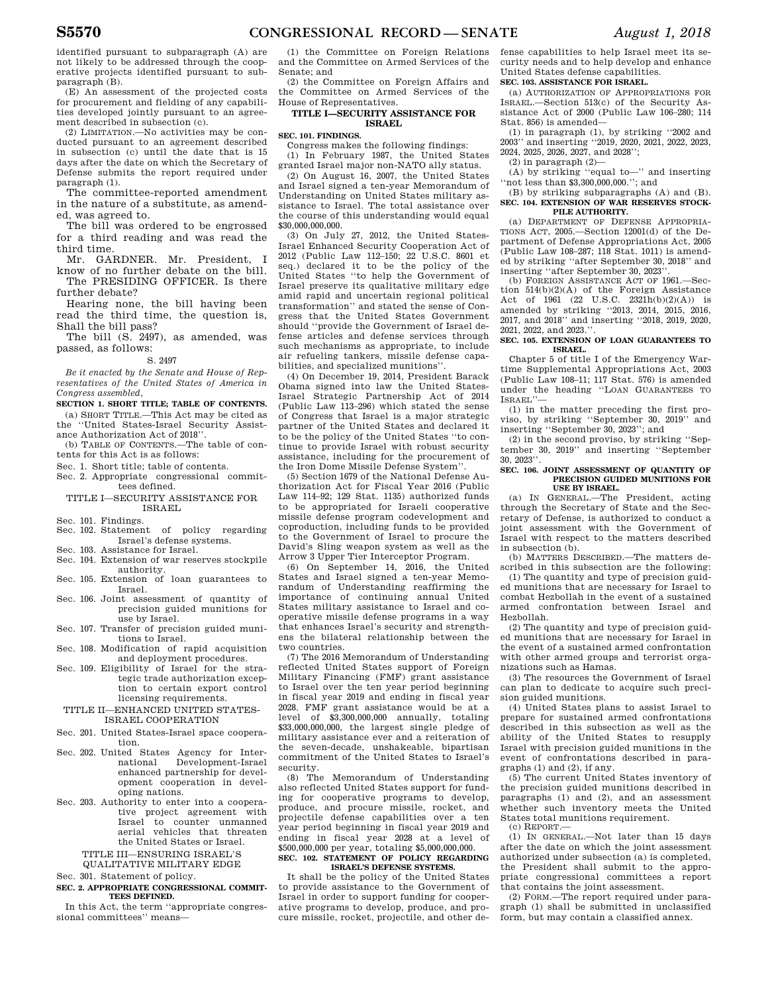identified pursuant to subparagraph (A) are not likely to be addressed through the cooperative projects identified pursuant to subparagraph (B).

(E) An assessment of the projected costs for procurement and fielding of any capabilities developed jointly pursuant to an agreement described in subsection (c).

(2) LIMITATION.—No activities may be conducted pursuant to an agreement described in subsection (c) until the date that is 15 days after the date on which the Secretary of Defense submits the report required under paragraph (1).

The committee-reported amendment in the nature of a substitute, as amended, was agreed to.

The bill was ordered to be engrossed for a third reading and was read the third time.

Mr. GARDNER. Mr. President, I know of no further debate on the bill.

The PRESIDING OFFICER. Is there further debate?

Hearing none, the bill having been read the third time, the question is, Shall the bill pass?

The bill (S. 2497), as amended, was passed, as follows:

#### S. 2497

*Be it enacted by the Senate and House of Representatives of the United States of America in Congress assembled,* 

### **SECTION 1. SHORT TITLE; TABLE OF CONTENTS.**

(a) SHORT TITLE.—This Act may be cited as the ''United States-Israel Security Assistance Authorization Act of 2018''.

- (b) TABLE OF CONTENTS.—The table of contents for this Act is as follows:
- Sec. 1. Short title; table of contents.
- Sec. 2. Appropriate congressional committees defined.

### TITLE L-SECURITY ASSISTANCE FOR ISRAEL

Sec. 101. Findings.

- Sec. 102. Statement of policy regarding Israel's defense systems. Sec. 103. Assistance for Israel.
- Sec. 104. Extension of war reserves stockpile authority.
- Sec. 105. Extension of loan guarantees to Israel.
- Sec. 106. Joint assessment of quantity of precision guided munitions for use by Israel.
- Sec. 107. Transfer of precision guided munitions to Israel.
- Sec. 108. Modification of rapid acquisition and deployment procedures.
- Sec. 109. Eligibility of Israel for the strategic trade authorization exception to certain export control licensing requirements.

### TITLE II—ENHANCED UNITED STATES-ISRAEL COOPERATION

- Sec. 201. United States-Israel space cooperation.
- Sec. 202. United States Agency for International Development-Israel enhanced partnership for development cooperation in developing nations.
- Sec. 203. Authority to enter into a cooperative project agreement with Israel to counter unmanned aerial vehicles that threaten the United States or Israel.

### TITLE III—ENSURING ISRAEL'S

QUALITATIVE MILITARY EDGE

### Sec. 301. Statement of policy.

### **SEC. 2. APPROPRIATE CONGRESSIONAL COMMIT-TEES DEFINED.**

In this Act, the term ''appropriate congressional committees'' means—

(1) the Committee on Foreign Relations and the Committee on Armed Services of the Senate; and

(2) the Committee on Foreign Affairs and the Committee on Armed Services of the House of Representatives.

#### **TITLE I—SECURITY ASSISTANCE FOR ISRAEL**

### **SEC. 101. FINDINGS.**

Congress makes the following findings:

(1) In February 1987, the United States granted Israel major non-NATO ally status.

(2) On August 16, 2007, the United States and Israel signed a ten-year Memorandum of Understanding on United States military assistance to Israel. The total assistance over the course of this understanding would equal \$30,000,000,000.

(3) On July 27, 2012, the United States-Israel Enhanced Security Cooperation Act of 2012 (Public Law 112–150; 22 U.S.C. 8601 et seq.) declared it to be the policy of the United States ''to help the Government of Israel preserve its qualitative military edge amid rapid and uncertain regional political transformation'' and stated the sense of Congress that the United States Government should ''provide the Government of Israel defense articles and defense services through such mechanisms as appropriate, to include air refueling tankers, missile defense capabilities, and specialized munitions''.

(4) On December 19, 2014, President Barack Obama signed into law the United States-Israel Strategic Partnership Act of 2014 (Public Law 113–296) which stated the sense of Congress that Israel is a major strategic partner of the United States and declared it to be the policy of the United States ''to continue to provide Israel with robust security assistance, including for the procurement of the Iron Dome Missile Defense System''.

(5) Section 1679 of the National Defense Authorization Act for Fiscal Year 2016 (Public Law 114–92; 129 Stat. 1135) authorized funds to be appropriated for Israeli cooperative missile defense program codevelopment and coproduction, including funds to be provided to the Government of Israel to procure the David's Sling weapon system as well as the Arrow 3 Upper Tier Interceptor Program.

(6) On September 14, 2016, the United States and Israel signed a ten-year Memorandum of Understanding reaffirming the importance of continuing annual United States military assistance to Israel and cooperative missile defense programs in a way that enhances Israel's security and strengthens the bilateral relationship between the two countries.

(7) The 2016 Memorandum of Understanding reflected United States support of Foreign Military Financing (FMF) grant assistance to Israel over the ten year period beginning in fiscal year 2019 and ending in fiscal year 2028. FMF grant assistance would be at a level of \$3,300,000,000 annually, totaling \$33,000,000,000, the largest single pledge of military assistance ever and a reiteration of the seven-decade, unshakeable, bipartisan commitment of the United States to Israel's security.

(8) The Memorandum of Understanding also reflected United States support for funding for cooperative programs to develop, produce, and procure missile, rocket, and projectile defense capabilities over a ten year period beginning in fiscal year 2019 and ending in fiscal year 2028 at a level of \$500,000,000 per year, totaling \$5,000,000,000.

### **SEC. 102. STATEMENT OF POLICY REGARDING ISRAEL'S DEFENSE SYSTEMS.**

It shall be the policy of the United States to provide assistance to the Government of Israel in order to support funding for cooperative programs to develop, produce, and procure missile, rocket, projectile, and other defense capabilities to help Israel meet its security needs and to help develop and enhance United States defense capabilities.

### **SEC. 103. ASSISTANCE FOR ISRAEL.**

(a) AUTHORIZATION OF APPROPRIATIONS FOR ISRAEL.—Section 513(c) of the Security Assistance Act of 2000 (Public Law 106–280; 114 Stat. 856) is amended—

(1) in paragraph (1), by striking ''2002 and 2003'' and inserting ''2019, 2020, 2021, 2022, 2023, 2024, 2025, 2026, 2027, and 2028'';

 $(2)$  in paragraph  $(2)$ —

(A) by striking ''equal to—'' and inserting ''not less than \$3,300,000,000.''; and

(B) by striking subparagraphs (A) and (B). **SEC. 104. EXTENSION OF WAR RESERVES STOCK-PILE AUTHORITY.** 

(a) DEPARTMENT OF DEFENSE APPROPRIA-TIONS ACT, 2005.—Section 12001(d) of the Department of Defense Appropriations Act, 2005 (Public Law 108–287; 118 Stat. 1011) is amended by striking ''after September 30, 2018'' and inserting ''after September 30, 2023''.

(b) FOREIGN ASSISTANCE ACT OF 1961.—Section 514(b)(2)(A) of the Foreign Assistance Act of 1961 (22 U.S.C. 2321h(b)(2)(A)) is amended by striking ''2013, 2014, 2015, 2016, 2017, and 2018'' and inserting ''2018, 2019, 2020, 2021, 2022, and 2023.'

#### **SEC. 105. EXTENSION OF LOAN GUARANTEES TO ISRAEL.**

Chapter 5 of title I of the Emergency Wartime Supplemental Appropriations Act, 2003 (Public Law 108–11; 117 Stat. 576) is amended under the heading ''LOAN GUARANTEES TO ISRAEL''

(1) in the matter preceding the first proviso, by striking ''September 30, 2019'' and inserting ''September 30, 2023''; and

(2) in the second proviso, by striking ''September 30, 2019'' and inserting ''September 30, 2023''.

#### **SEC. 106. JOINT ASSESSMENT OF QUANTITY OF PRECISION GUIDED MUNITIONS FOR USE BY ISRAEL.**

(a) IN GENERAL.—The President, acting through the Secretary of State and the Secretary of Defense, is authorized to conduct a joint assessment with the Government of Israel with respect to the matters described in subsection (b).

(b) MATTERS DESCRIBED.—The matters described in this subsection are the following:

(1) The quantity and type of precision guided munitions that are necessary for Israel to combat Hezbollah in the event of a sustained armed confrontation between Israel and Hezbollah.

(2) The quantity and type of precision guided munitions that are necessary for Israel in the event of a sustained armed confrontation with other armed groups and terrorist organizations such as Hamas.

(3) The resources the Government of Israel can plan to dedicate to acquire such precision guided munitions.

(4) United States plans to assist Israel to prepare for sustained armed confrontations described in this subsection as well as the ability of the United States to resupply Israel with precision guided munitions in the event of confrontations described in paragraphs (1) and (2), if any.

(5) The current United States inventory of the precision guided munitions described in paragraphs (1) and (2), and an assessment whether such inventory meets the United States total munitions requirement. (c) REPORT.—

(1) IN GENERAL.—Not later than 15 days after the date on which the joint assessment authorized under subsection (a) is completed, the President shall submit to the appropriate congressional committees a report that contains the joint assessment.

(2) FORM.—The report required under paragraph (1) shall be submitted in unclassified form, but may contain a classified annex.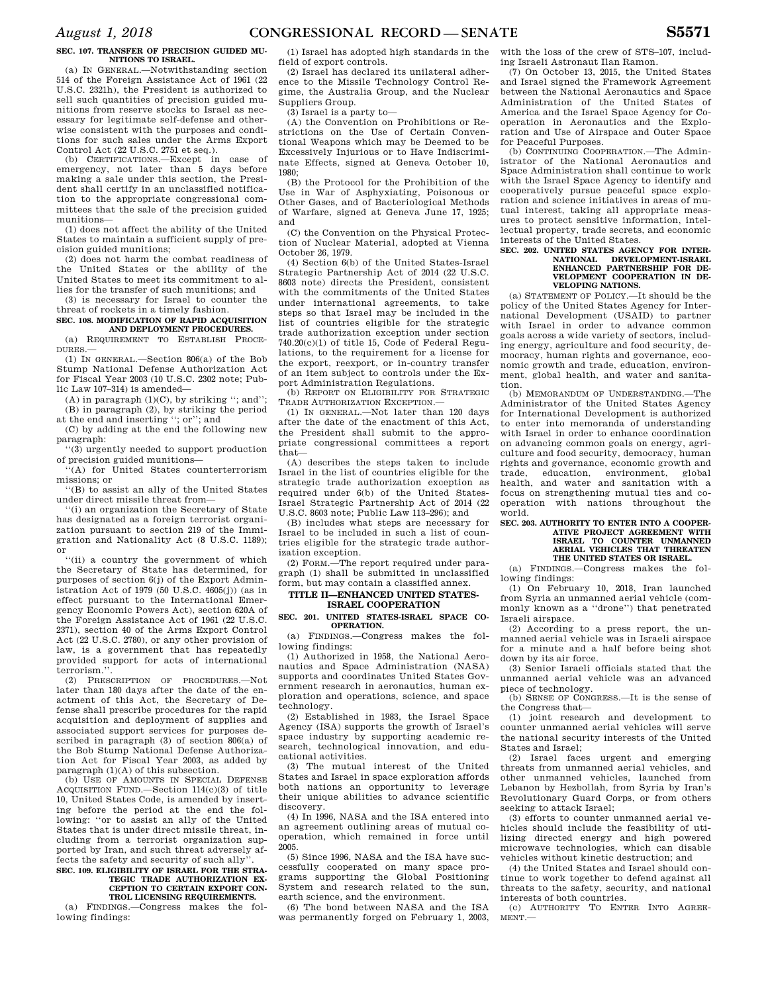#### **SEC. 107. TRANSFER OF PRECISION GUIDED MU-NITIONS TO ISRAEL.**

(a) IN GENERAL.—Notwithstanding section 514 of the Foreign Assistance Act of 1961 (22 U.S.C. 2321h), the President is authorized to sell such quantities of precision guided munitions from reserve stocks to Israel as necessary for legitimate self-defense and otherwise consistent with the purposes and conditions for such sales under the Arms Export Control Act (22 U.S.C. 2751 et seq.).

(b) CERTIFICATIONS.—Except in case of emergency, not later than 5 days before making a sale under this section, the President shall certify in an unclassified notification to the appropriate congressional committees that the sale of the precision guided munitions—

(1) does not affect the ability of the United States to maintain a sufficient supply of precision guided munitions;

(2) does not harm the combat readiness of the United States or the ability of the United States to meet its commitment to allies for the transfer of such munitions; and

(3) is necessary for Israel to counter the threat of rockets in a timely fashion.

**SEC. 108. MODIFICATION OF RAPID ACQUISITION AND DEPLOYMENT PROCEDURES.** 

(a) REQUIREMENT TO ESTABLISH PROCE-DURES.— (1) IN GENERAL.—Section 806(a) of the Bob

Stump National Defense Authorization Act for Fiscal Year 2003 (10 U.S.C. 2302 note; Public Law 107–314) is amended—

 $(A)$  in paragraph  $(1)(C)$ , by striking "; and"; (B) in paragraph (2), by striking the period at the end and inserting ''; or''; and

(C) by adding at the end the following new paragraph:

''(3) urgently needed to support production of precision guided munitions—

 $f(A)$  for United States counterterrorism missions; or

''(B) to assist an ally of the United States under direct missile threat from—

''(i) an organization the Secretary of State has designated as a foreign terrorist organization pursuant to section 219 of the Immigration and Nationality Act (8 U.S.C. 1189); or

''(ii) a country the government of which the Secretary of State has determined, for purposes of section 6(j) of the Export Administration Act of 1979 (50 U.S.C.  $4605(i)$ ) (as in effect pursuant to the International Emergency Economic Powers Act), section 620A of the Foreign Assistance Act of 1961 (22 U.S.C. 2371), section 40 of the Arms Export Control Act (22 U.S.C. 2780), or any other provision of law, is a government that has repeatedly provided support for acts of international terrorism.''.

(2) PRESCRIPTION OF PROCEDURES.—Not later than 180 days after the date of the enactment of this Act, the Secretary of Defense shall prescribe procedures for the rapid acquisition and deployment of supplies and associated support services for purposes described in paragraph (3) of section 806(a) of the Bob Stump National Defense Authorization Act for Fiscal Year 2003, as added by paragraph (1)(A) of this subsection.

(b) USE OF AMOUNTS IN SPECIAL DEFENSE ACQUISITION FUND.—Section 114(c)(3) of title 10, United States Code, is amended by inserting before the period at the end the following: ''or to assist an ally of the United States that is under direct missile threat, including from a terrorist organization supported by Iran, and such threat adversely affects the safety and security of such ally''.

#### **SEC. 109. ELIGIBILITY OF ISRAEL FOR THE STRA-TEGIC TRADE AUTHORIZATION EX-CEPTION TO CERTAIN EXPORT CON-TROL LICENSING REQUIREMENTS.**

(a) FINDINGS.—Congress makes the following findings:

(1) Israel has adopted high standards in the field of export controls.

(2) Israel has declared its unilateral adherence to the Missile Technology Control Regime, the Australia Group, and the Nuclear Suppliers Group.

(3) Israel is a party to—

(A) the Convention on Prohibitions or Restrictions on the Use of Certain Conventional Weapons which may be Deemed to be Excessively Injurious or to Have Indiscriminate Effects, signed at Geneva October 10, 1980;

(B) the Protocol for the Prohibition of the Use in War of Asphyxiating, Poisonous or Other Gases, and of Bacteriological Methods of Warfare, signed at Geneva June 17, 1925; and

(C) the Convention on the Physical Protection of Nuclear Material, adopted at Vienna October 26, 1979.

(4) Section 6(b) of the United States-Israel Strategic Partnership Act of 2014 (22 U.S.C. 8603 note) directs the President, consistent with the commitments of the United States under international agreements, to take steps so that Israel may be included in the list of countries eligible for the strategic trade authorization exception under section 740.20(c)(1) of title 15, Code of Federal Regulations, to the requirement for a license for the export, reexport, or in-country transfer of an item subject to controls under the Export Administration Regulations.

(b) REPORT ON ELIGIBILITY FOR STRATEGIC TRADE AUTHORIZATION EXCEPTION.—

(1) IN GENERAL.—Not later than 120 days after the date of the enactment of this Act, the President shall submit to the appropriate congressional committees a report that—

(A) describes the steps taken to include Israel in the list of countries eligible for the strategic trade authorization exception as required under 6(b) of the United States-Israel Strategic Partnership Act of 2014 (22 U.S.C. 8603 note; Public Law 113–296); and

(B) includes what steps are necessary for Israel to be included in such a list of countries eligible for the strategic trade authorization exception.

(2) FORM.—The report required under paragraph (1) shall be submitted in unclassified form, but may contain a classified annex.

#### **TITLE II—ENHANCED UNITED STATES-ISRAEL COOPERATION**

### **SEC. 201. UNITED STATES-ISRAEL SPACE CO-OPERATION.**

(a) FINDINGS.—Congress makes the following findings:

(1) Authorized in 1958, the National Aeronautics and Space Administration (NASA) supports and coordinates United States Government research in aeronautics, human exploration and operations, science, and space technology.

(2) Established in 1983, the Israel Space Agency (ISA) supports the growth of Israel's space industry by supporting academic research, technological innovation, and educational activities.

(3) The mutual interest of the United States and Israel in space exploration affords both nations an opportunity to leverage their unique abilities to advance scientific discovery.

(4) In 1996, NASA and the ISA entered into an agreement outlining areas of mutual cooperation, which remained in force until 2005.

(5) Since 1996, NASA and the ISA have successfully cooperated on many space programs supporting the Global Positioning System and research related to the sun, earth science, and the environment.

(6) The bond between NASA and the ISA was permanently forged on February 1, 2003, with the loss of the crew of STS–107, including Israeli Astronaut Ilan Ramon.

(7) On October 13, 2015, the United States and Israel signed the Framework Agreement between the National Aeronautics and Space Administration of the United States of America and the Israel Space Agency for Cooperation in Aeronautics and the Exploration and Use of Airspace and Outer Space for Peaceful Purposes.

(b) CONTINUING COOPERATION.—The Administrator of the National Aeronautics and Space Administration shall continue to work with the Israel Space Agency to identify and cooperatively pursue peaceful space exploration and science initiatives in areas of mutual interest, taking all appropriate measures to protect sensitive information, intellectual property, trade secrets, and economic interests of the United States.

### **SEC. 202. UNITED STATES AGENCY FOR INTER-NATIONAL DEVELOPMENT-ISRAEL ENHANCED PARTNERSHIP FOR DE-VELOPMENT COOPERATION IN DE-VELOPING NATIONS.**

(a) STATEMENT OF POLICY.—It should be the policy of the United States Agency for International Development (USAID) to partner with Israel in order to advance common goals across a wide variety of sectors, including energy, agriculture and food security, democracy, human rights and governance, economic growth and trade, education, environment, global health, and water and sanitation.

(b) MEMORANDUM OF UNDERSTANDING.—The Administrator of the United States Agency for International Development is authorized to enter into memoranda of understanding with Israel in order to enhance coordination on advancing common goals on energy, agriculture and food security, democracy, human rights and governance, economic growth and trade, education, environment, global health, and water and sanitation with a focus on strengthening mutual ties and cooperation with nations throughout world.

### **SEC. 203. AUTHORITY TO ENTER INTO A COOPER-ATIVE PROJECT AGREEMENT WITH ISRAEL TO COUNTER UNMANNED AERIAL VEHICLES THAT THREATEN THE UNITED STATES OR ISRAEL.**

(a) FINDINGS.—Congress makes the following findings:

(1) On February 10, 2018, Iran launched from Syria an unmanned aerial vehicle (commonly known as a ''drone'') that penetrated Israeli airspace.

(2) According to a press report, the unmanned aerial vehicle was in Israeli airspace for a minute and a half before being shot down by its air force.

(3) Senior Israeli officials stated that the unmanned aerial vehicle was an advanced piece of technology.

(b) SENSE OF CONGRESS.—It is the sense of the Congress that—

(1) joint research and development to counter unmanned aerial vehicles will serve the national security interests of the United States and Israel;

(2) Israel faces urgent and emerging threats from unmanned aerial vehicles, and other unmanned vehicles, launched from Lebanon by Hezbollah, from Syria by Iran's Revolutionary Guard Corps, or from others seeking to attack Israel;

(3) efforts to counter unmanned aerial vehicles should include the feasibility of utilizing directed energy and high powered microwave technologies, which can disable vehicles without kinetic destruction; and

(4) the United States and Israel should continue to work together to defend against all threats to the safety, security, and national interests of both countries.

(c) AUTHORITY TO ENTER INTO AGREE-MENT.—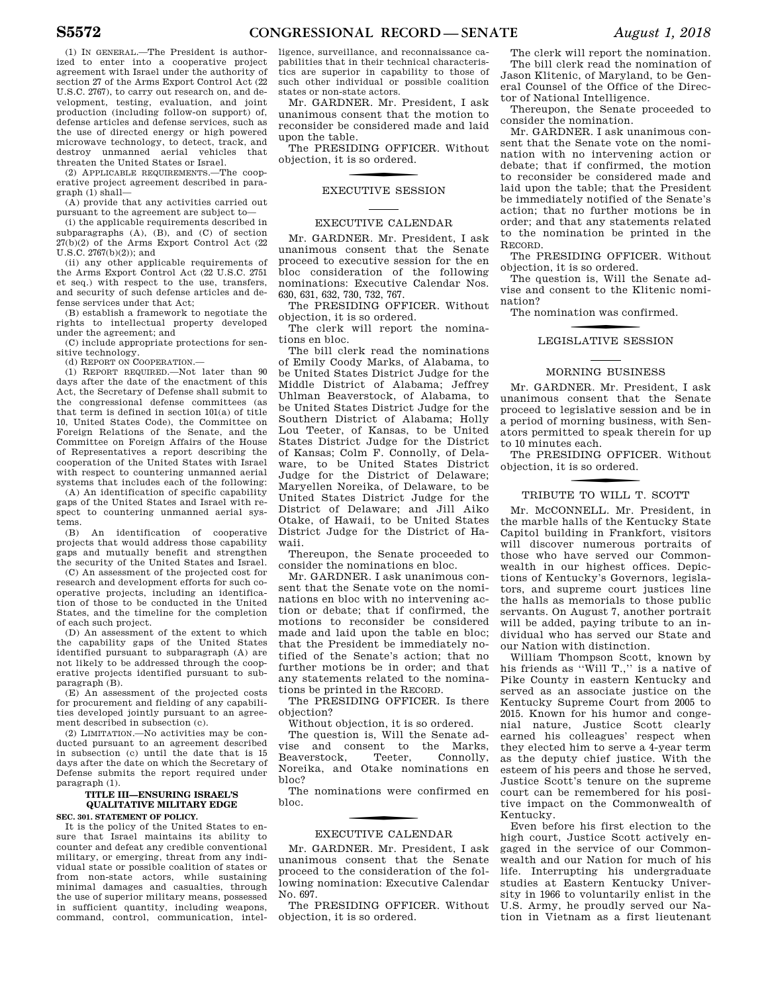(2) APPLICABLE REQUIREMENTS.—The cooperative project agreement described in para $graph(1) shall-$ 

(A) provide that any activities carried out pursuant to the agreement are subject to—

(i) the applicable requirements described in subparagraphs (A), (B), and (C) of section 27(b)(2) of the Arms Export Control Act (22 U.S.C. 2767(b)(2)); and

(ii) any other applicable requirements of the Arms Export Control Act (22 U.S.C. 2751 et seq.) with respect to the use, transfers, and security of such defense articles and defense services under that Act;

(B) establish a framework to negotiate the rights to intellectual property developed under the agreement; and

(C) include appropriate protections for sen-

sitive technology. (d) REPORT ON COOPERATION.—

(1) REPORT REQUIRED.—Not later than 90 days after the date of the enactment of this Act, the Secretary of Defense shall submit to the congressional defense committees (as that term is defined in section 101(a) of title 10, United States Code), the Committee on Foreign Relations of the Senate, and the Committee on Foreign Affairs of the House of Representatives a report describing the cooperation of the United States with Israel with respect to countering unmanned aerial systems that includes each of the following:

(A) An identification of specific capability gaps of the United States and Israel with respect to countering unmanned aerial systems.

(B) An identification of cooperative projects that would address those capability gaps and mutually benefit and strengthen the security of the United States and Israel.

(C) An assessment of the projected cost for research and development efforts for such cooperative projects, including an identification of those to be conducted in the United States, and the timeline for the completion of each such project.

(D) An assessment of the extent to which the capability gaps of the United States identified pursuant to subparagraph (A) are not likely to be addressed through the cooperative projects identified pursuant to subparagraph (B).

(E) An assessment of the projected costs for procurement and fielding of any capabilities developed jointly pursuant to an agreement described in subsection (c).

(2) LIMITATION.—No activities may be conducted pursuant to an agreement described in subsection (c) until the date that is 15 days after the date on which the Secretary of Defense submits the report required under paragraph (1).

### **TITLE III—ENSURING ISRAEL'S QUALITATIVE MILITARY EDGE**

**SEC. 301. STATEMENT OF POLICY.** 

It is the policy of the United States to ensure that Israel maintains its ability to counter and defeat any credible conventional military, or emerging, threat from any individual state or possible coalition of states or from non-state actors, while sustaining minimal damages and casualties, through the use of superior military means, possessed in sufficient quantity, including weapons, command, control, communication, intelligence, surveillance, and reconnaissance capabilities that in their technical characteristics are superior in capability to those of such other individual or possible coalition states or non-state actors.

Mr. GARDNER. Mr. President, I ask unanimous consent that the motion to reconsider be considered made and laid upon the table.

The PRESIDING OFFICER. Without objection, it is so ordered.

## f EXECUTIVE SESSION

### EXECUTIVE CALENDAR

Mr. GARDNER. Mr. President, I ask unanimous consent that the Senate proceed to executive session for the en bloc consideration of the following nominations: Executive Calendar Nos. 630, 631, 632, 730, 732, 767.

The PRESIDING OFFICER. Without objection, it is so ordered.

The clerk will report the nominations en bloc.

The bill clerk read the nominations of Emily Coody Marks, of Alabama, to be United States District Judge for the Middle District of Alabama; Jeffrey Uhlman Beaverstock, of Alabama, to be United States District Judge for the Southern District of Alabama; Holly Lou Teeter, of Kansas, to be United States District Judge for the District of Kansas; Colm F. Connolly, of Delaware, to be United States District Judge for the District of Delaware; Maryellen Noreika, of Delaware, to be United States District Judge for the District of Delaware; and Jill Aiko Otake, of Hawaii, to be United States District Judge for the District of Hawaii.

Thereupon, the Senate proceeded to consider the nominations en bloc.

Mr. GARDNER. I ask unanimous consent that the Senate vote on the nominations en bloc with no intervening action or debate; that if confirmed, the motions to reconsider be considered made and laid upon the table en bloc; that the President be immediately notified of the Senate's action; that no further motions be in order; and that any statements related to the nominations be printed in the RECORD.

The PRESIDING OFFICER. Is there objection?

Without objection, it is so ordered.

The question is, Will the Senate advise and consent to the Marks,<br>Beaverstock, Teeter, Connolly, Beaverstock, Noreika, and Otake nominations en bloc?

The nominations were confirmed en bloc.

### f EXECUTIVE CALENDAR

Mr. GARDNER. Mr. President, I ask unanimous consent that the Senate proceed to the consideration of the following nomination: Executive Calendar No. 697.

The PRESIDING OFFICER. Without objection, it is so ordered.

The clerk will report the nomination. The bill clerk read the nomination of Jason Klitenic, of Maryland, to be General Counsel of the Office of the Director of National Intelligence.

Thereupon, the Senate proceeded to consider the nomination.

Mr. GARDNER. I ask unanimous consent that the Senate vote on the nomination with no intervening action or debate; that if confirmed, the motion to reconsider be considered made and laid upon the table; that the President be immediately notified of the Senate's action; that no further motions be in order; and that any statements related to the nomination be printed in the RECORD.

The PRESIDING OFFICER. Without objection, it is so ordered.

The question is, Will the Senate advise and consent to the Klitenic nomination?

The nomination was confirmed.

### LEGISLATIVE SESSION

### MORNING BUSINESS

Mr. GARDNER. Mr. President, I ask unanimous consent that the Senate proceed to legislative session and be in a period of morning business, with Senators permitted to speak therein for up to 10 minutes each.

The PRESIDING OFFICER. Without objection, it is so ordered.

### f TRIBUTE TO WILL T. SCOTT

Mr. MCCONNELL. Mr. President, in the marble halls of the Kentucky State Capitol building in Frankfort, visitors will discover numerous portraits of those who have served our Commonwealth in our highest offices. Depictions of Kentucky's Governors, legislators, and supreme court justices line the halls as memorials to those public servants. On August 7, another portrait will be added, paying tribute to an individual who has served our State and our Nation with distinction.

William Thompson Scott, known by his friends as ''Will T.,'' is a native of Pike County in eastern Kentucky and served as an associate justice on the Kentucky Supreme Court from 2005 to 2015. Known for his humor and congenial nature, Justice Scott clearly earned his colleagues' respect when they elected him to serve a 4-year term as the deputy chief justice. With the esteem of his peers and those he served, Justice Scott's tenure on the supreme court can be remembered for his positive impact on the Commonwealth of Kentucky.

Even before his first election to the high court, Justice Scott actively engaged in the service of our Commonwealth and our Nation for much of his life. Interrupting his undergraduate studies at Eastern Kentucky University in 1966 to voluntarily enlist in the U.S. Army, he proudly served our Nation in Vietnam as a first lieutenant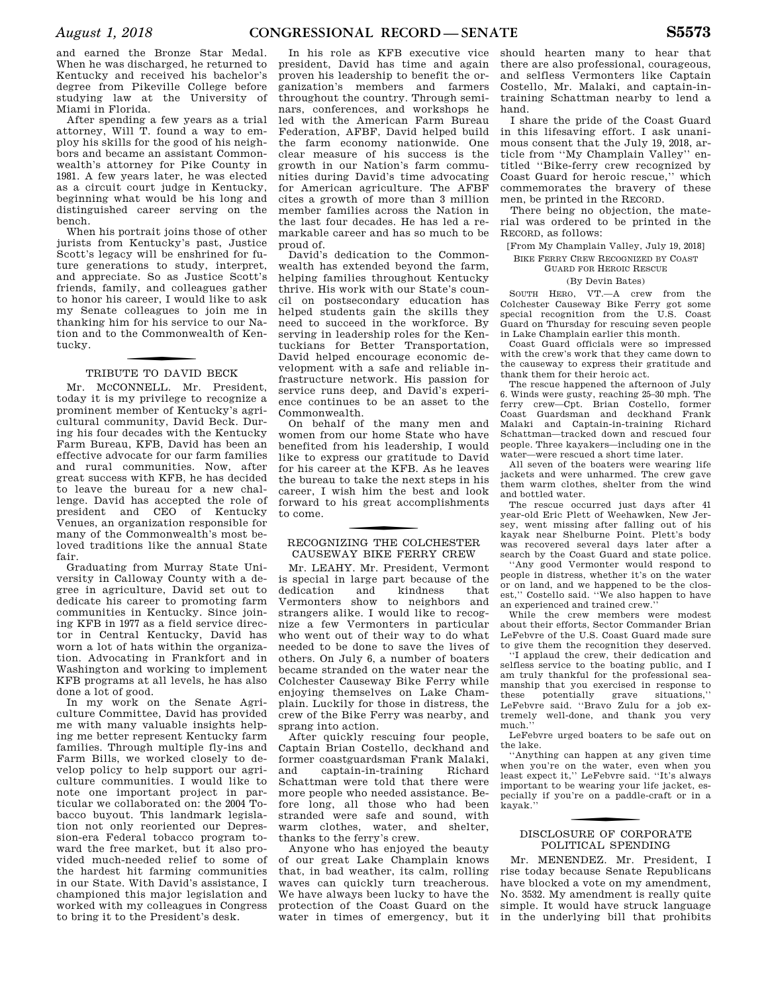and earned the Bronze Star Medal. When he was discharged, he returned to Kentucky and received his bachelor's degree from Pikeville College before studying law at the University of Miami in Florida.

After spending a few years as a trial attorney, Will T. found a way to employ his skills for the good of his neighbors and became an assistant Commonwealth's attorney for Pike County in 1981. A few years later, he was elected as a circuit court judge in Kentucky, beginning what would be his long and distinguished career serving on the bench.

When his portrait joins those of other jurists from Kentucky's past, Justice Scott's legacy will be enshrined for future generations to study, interpret, and appreciate. So as Justice Scott's friends, family, and colleagues gather to honor his career, I would like to ask my Senate colleagues to join me in thanking him for his service to our Nation and to the Commonwealth of Kentucky.

### f TRIBUTE TO DAVID BECK

Mr. McCONNELL. Mr. President, today it is my privilege to recognize a prominent member of Kentucky's agricultural community, David Beck. During his four decades with the Kentucky Farm Bureau, KFB, David has been an effective advocate for our farm families and rural communities. Now, after great success with KFB, he has decided to leave the bureau for a new challenge. David has accepted the role of president and CEO of Kentucky Venues, an organization responsible for many of the Commonwealth's most beloved traditions like the annual State fair.

Graduating from Murray State University in Calloway County with a degree in agriculture, David set out to dedicate his career to promoting farm communities in Kentucky. Since joining KFB in 1977 as a field service director in Central Kentucky, David has worn a lot of hats within the organization. Advocating in Frankfort and in Washington and working to implement KFB programs at all levels, he has also done a lot of good.

In my work on the Senate Agriculture Committee, David has provided me with many valuable insights helping me better represent Kentucky farm families. Through multiple fly-ins and Farm Bills, we worked closely to develop policy to help support our agriculture communities. I would like to note one important project in particular we collaborated on: the 2004 Tobacco buyout. This landmark legislation not only reoriented our Depression-era Federal tobacco program toward the free market, but it also provided much-needed relief to some of the hardest hit farming communities in our State. With David's assistance, I championed this major legislation and worked with my colleagues in Congress to bring it to the President's desk.

In his role as KFB executive vice president, David has time and again proven his leadership to benefit the organization's members and farmers throughout the country. Through seminars, conferences, and workshops he led with the American Farm Bureau Federation, AFBF, David helped build the farm economy nationwide. One clear measure of his success is the growth in our Nation's farm communities during David's time advocating for American agriculture. The AFBF cites a growth of more than 3 million member families across the Nation in the last four decades. He has led a remarkable career and has so much to be proud of.

David's dedication to the Commonwealth has extended beyond the farm, helping families throughout Kentucky thrive. His work with our State's council on postsecondary education has helped students gain the skills they need to succeed in the workforce. By serving in leadership roles for the Kentuckians for Better Transportation, David helped encourage economic development with a safe and reliable infrastructure network. His passion for service runs deep, and David's experience continues to be an asset to the Commonwealth.

On behalf of the many men and women from our home State who have benefited from his leadership, I would like to express our gratitude to David for his career at the KFB. As he leaves the bureau to take the next steps in his career, I wish him the best and look forward to his great accomplishments to come.

### f RECOGNIZING THE COLCHESTER CAUSEWAY BIKE FERRY CREW

Mr. LEAHY. Mr. President, Vermont is special in large part because of the dedication and kindness that Vermonters show to neighbors and strangers alike. I would like to recognize a few Vermonters in particular who went out of their way to do what needed to be done to save the lives of others. On July 6, a number of boaters became stranded on the water near the Colchester Causeway Bike Ferry while enjoying themselves on Lake Champlain. Luckily for those in distress, the crew of the Bike Ferry was nearby, and sprang into action.

After quickly rescuing four people, Captain Brian Costello, deckhand and former coastguardsman Frank Malaki,<br>and captain-in-training Richard and captain-in-training Schattman were told that there were more people who needed assistance. Before long, all those who had been stranded were safe and sound, with warm clothes, water, and shelter, thanks to the ferry's crew.

Anyone who has enjoyed the beauty of our great Lake Champlain knows that, in bad weather, its calm, rolling waves can quickly turn treacherous. We have always been lucky to have the protection of the Coast Guard on the water in times of emergency, but it

should hearten many to hear that there are also professional, courageous, and selfless Vermonters like Captain Costello, Mr. Malaki, and captain-intraining Schattman nearby to lend a hand.

I share the pride of the Coast Guard in this lifesaving effort. I ask unanimous consent that the July 19, 2018, article from ''My Champlain Valley'' entitled ''Bike-ferry crew recognized by Coast Guard for heroic rescue,'' which commemorates the bravery of these men, be printed in the RECORD.

There being no objection, the material was ordered to be printed in the RECORD, as follows:

[From My Champlain Valley, July 19, 2018] BIKE FERRY CREW RECOGNIZED BY COAST

GUARD FOR HEROIC RESCUE

### (By Devin Bates)

SOUTH HERO, VT.—A crew from the Colchester Causeway Bike Ferry got some special recognition from the U.S. Coast Guard on Thursday for rescuing seven people in Lake Champlain earlier this month.

Coast Guard officials were so impressed with the crew's work that they came down to the causeway to express their gratitude and thank them for their heroic act.

The rescue happened the afternoon of July 6. Winds were gusty, reaching 25–30 mph. The ferry crew—Cpt. Brian Costello, former Coast Guardsman and deckhand Frank Malaki and Captain-in-training Richard Schattman—tracked down and rescued four people. Three kayakers—including one in the water—were rescued a short time later.

All seven of the boaters were wearing life jackets and were unharmed. The crew gave them warm clothes, shelter from the wind and bottled water.

The rescue occurred just days after 41 year-old Eric Plett of Weehawken, New Jersey, went missing after falling out of his kayak near Shelburne Point. Plett's body was recovered several days later after a search by the Coast Guard and state police.

''Any good Vermonter would respond to people in distress, whether it's on the water or on land, and we happened to be the closest,'' Costello said. ''We also happen to have an experienced and trained crew.''

While the crew members were modest about their efforts, Sector Commander Brian LeFebvre of the U.S. Coast Guard made sure to give them the recognition they deserved.

''I applaud the crew, their dedication and selfless service to the boating public, and I am truly thankful for the professional seamanship that you exercised in response to<br>these potentially grave situations," potentially LeFebvre said. ''Bravo Zulu for a job extremely well-done, and thank you very much.''

LeFebvre urged boaters to be safe out on the lake.

''Anything can happen at any given time when you're on the water, even when you least expect it,'' LeFebvre said. ''It's always important to be wearing your life jacket, especially if you're on a paddle-craft or in a kayak.''

### f DISCLOSURE OF CORPORATE POLITICAL SPENDING

Mr. MENENDEZ. Mr. President, I rise today because Senate Republicans have blocked a vote on my amendment, No. 3532. My amendment is really quite simple. It would have struck language in the underlying bill that prohibits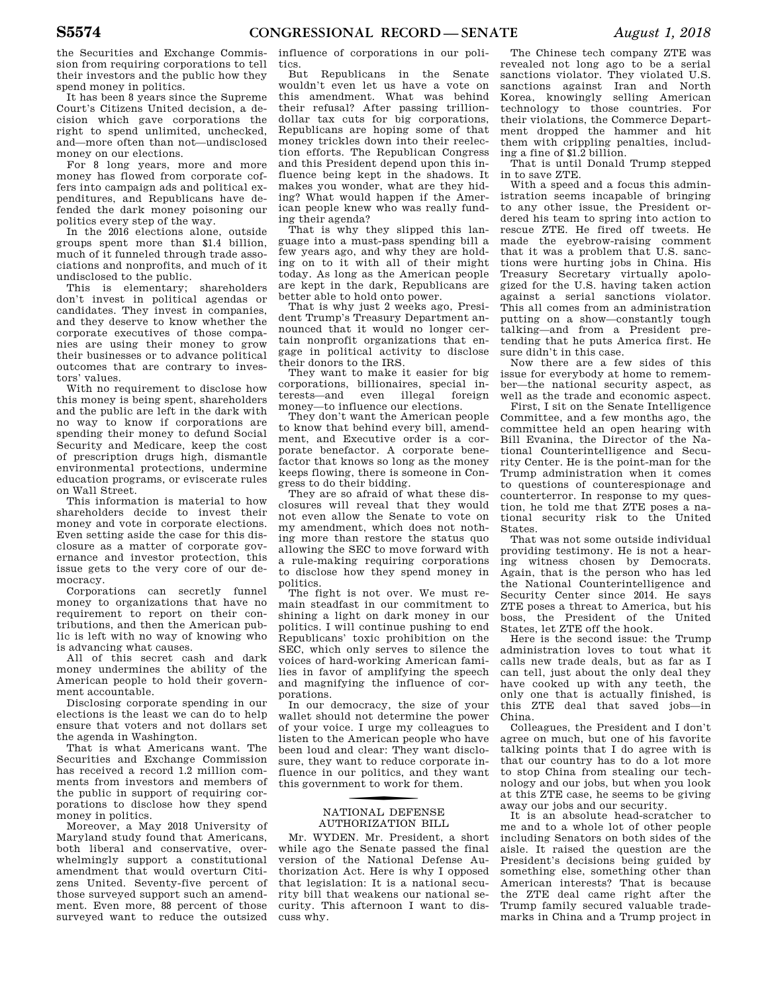the Securities and Exchange Commission from requiring corporations to tell their investors and the public how they spend money in politics.

It has been 8 years since the Supreme Court's Citizens United decision, a decision which gave corporations the right to spend unlimited, unchecked, and—more often than not—undisclosed money on our elections.

For 8 long years, more and more money has flowed from corporate coffers into campaign ads and political expenditures, and Republicans have defended the dark money poisoning our politics every step of the way.

In the 2016 elections alone, outside groups spent more than \$1.4 billion, much of it funneled through trade associations and nonprofits, and much of it undisclosed to the public.

This is elementary; shareholders don't invest in political agendas or candidates. They invest in companies, and they deserve to know whether the corporate executives of those companies are using their money to grow their businesses or to advance political outcomes that are contrary to investors' values.

With no requirement to disclose how this money is being spent, shareholders and the public are left in the dark with no way to know if corporations are spending their money to defund Social Security and Medicare, keep the cost of prescription drugs high, dismantle environmental protections, undermine education programs, or eviscerate rules on Wall Street.

This information is material to how shareholders decide to invest their money and vote in corporate elections. Even setting aside the case for this disclosure as a matter of corporate governance and investor protection, this issue gets to the very core of our democracy.

Corporations can secretly funnel money to organizations that have no requirement to report on their contributions, and then the American public is left with no way of knowing who is advancing what causes.

All of this secret cash and dark money undermines the ability of the American people to hold their government accountable.

Disclosing corporate spending in our elections is the least we can do to help ensure that voters and not dollars set the agenda in Washington.

That is what Americans want. The Securities and Exchange Commission has received a record 1.2 million comments from investors and members of the public in support of requiring corporations to disclose how they spend money in politics.

Moreover, a May 2018 University of Maryland study found that Americans, both liberal and conservative, overwhelmingly support a constitutional amendment that would overturn Citizens United. Seventy-five percent of those surveyed support such an amendment. Even more, 88 percent of those surveyed want to reduce the outsized

influence of corporations in our politics.

But Republicans in the Senate wouldn't even let us have a vote on this amendment. What was behind their refusal? After passing trilliondollar tax cuts for big corporations, Republicans are hoping some of that money trickles down into their reelection efforts. The Republican Congress and this President depend upon this influence being kept in the shadows. It makes you wonder, what are they hiding? What would happen if the American people knew who was really funding their agenda?

That is why they slipped this language into a must-pass spending bill a few years ago, and why they are holding on to it with all of their might today. As long as the American people are kept in the dark, Republicans are better able to hold onto power.

That is why just 2 weeks ago, President Trump's Treasury Department announced that it would no longer certain nonprofit organizations that engage in political activity to disclose their donors to the IRS.

They want to make it easier for big corporations, billionaires, special interests—and even illegal foreign money—to influence our elections.

They don't want the American people to know that behind every bill, amendment, and Executive order is a corporate benefactor. A corporate benefactor that knows so long as the money keeps flowing, there is someone in Congress to do their bidding.

They are so afraid of what these disclosures will reveal that they would not even allow the Senate to vote on my amendment, which does not nothing more than restore the status quo allowing the SEC to move forward with a rule-making requiring corporations to disclose how they spend money in politics.

The fight is not over. We must remain steadfast in our commitment to shining a light on dark money in our politics. I will continue pushing to end Republicans' toxic prohibition on the SEC, which only serves to silence the voices of hard-working American families in favor of amplifying the speech and magnifying the influence of corporations.

In our democracy, the size of your wallet should not determine the power of your voice. I urge my colleagues to listen to the American people who have been loud and clear: They want disclosure, they want to reduce corporate influence in our politics, and they want this government to work for them.

### f NATIONAL DEFENSE AUTHORIZATION BILL

Mr. WYDEN. Mr. President, a short while ago the Senate passed the final version of the National Defense Authorization Act. Here is why I opposed that legislation: It is a national security bill that weakens our national security. This afternoon I want to discuss why.

The Chinese tech company ZTE was revealed not long ago to be a serial sanctions violator. They violated U.S. sanctions against Iran and North Korea, knowingly selling American technology to those countries. For their violations, the Commerce Department dropped the hammer and hit them with crippling penalties, including a fine of \$1.2 billion.

That is until Donald Trump stepped in to save ZTE.

With a speed and a focus this administration seems incapable of bringing to any other issue, the President ordered his team to spring into action to rescue ZTE. He fired off tweets. He made the eyebrow-raising comment that it was a problem that U.S. sanctions were hurting jobs in China. His Treasury Secretary virtually apologized for the U.S. having taken action against a serial sanctions violator. This all comes from an administration putting on a show—constantly tough talking—and from a President pretending that he puts America first. He sure didn't in this case.

Now there are a few sides of this issue for everybody at home to remember—the national security aspect, as well as the trade and economic aspect.

First, I sit on the Senate Intelligence Committee, and a few months ago, the committee held an open hearing with Bill Evanina, the Director of the National Counterintelligence and Security Center. He is the point-man for the Trump administration when it comes to questions of counterespionage and counterterror. In response to my question, he told me that ZTE poses a national security risk to the United States.

That was not some outside individual providing testimony. He is not a hearing witness chosen by Democrats. Again, that is the person who has led the National Counterintelligence and Security Center since 2014. He says ZTE poses a threat to America, but his boss, the President of the United States, let ZTE off the hook.

Here is the second issue: the Trump administration loves to tout what it calls new trade deals, but as far as I can tell, just about the only deal they have cooked up with any teeth, the only one that is actually finished, is this ZTE deal that saved jobs—in China.

Colleagues, the President and I don't agree on much, but one of his favorite talking points that I do agree with is that our country has to do a lot more to stop China from stealing our technology and our jobs, but when you look at this ZTE case, he seems to be giving away our jobs and our security.

It is an absolute head-scratcher to me and to a whole lot of other people including Senators on both sides of the aisle. It raised the question are the President's decisions being guided by something else, something other than American interests? That is because the ZTE deal came right after the Trump family secured valuable trademarks in China and a Trump project in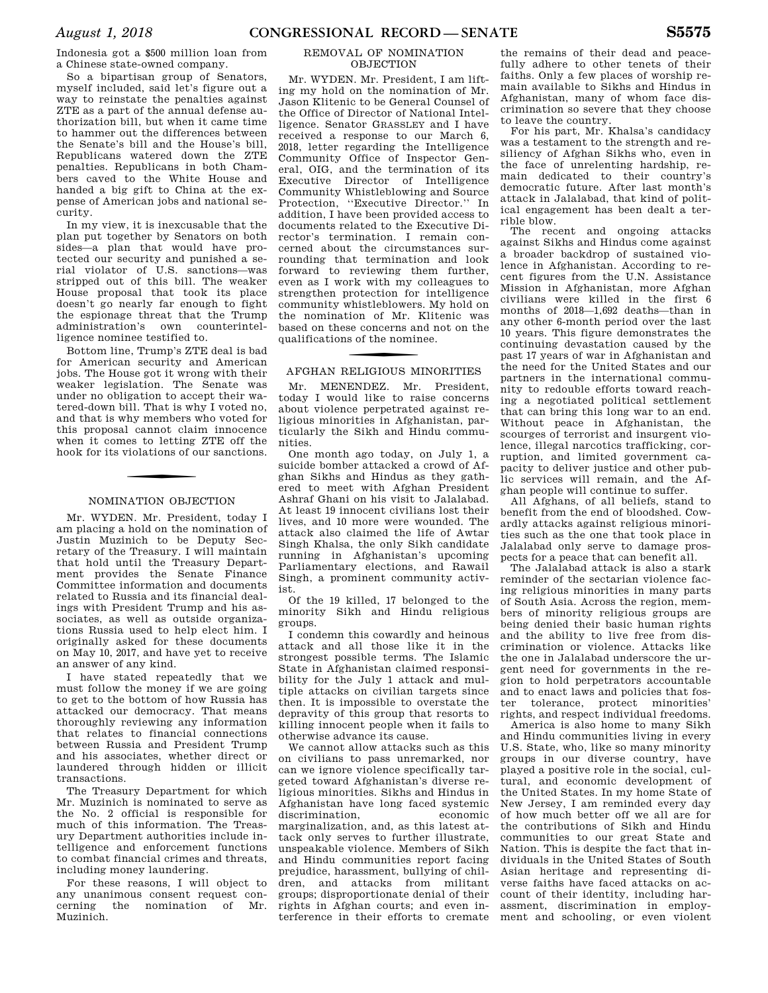Indonesia got a \$500 million loan from a Chinese state-owned company.

So a bipartisan group of Senators, myself included, said let's figure out a way to reinstate the penalties against ZTE as a part of the annual defense authorization bill, but when it came time to hammer out the differences between the Senate's bill and the House's bill, Republicans watered down the ZTE penalties. Republicans in both Chambers caved to the White House and handed a big gift to China at the expense of American jobs and national security.

In my view, it is inexcusable that the plan put together by Senators on both sides—a plan that would have protected our security and punished a serial violator of U.S. sanctions—was stripped out of this bill. The weaker House proposal that took its place doesn't go nearly far enough to fight the espionage threat that the Trump administration's own counterintelligence nominee testified to.

Bottom line, Trump's ZTE deal is bad for American security and American jobs. The House got it wrong with their weaker legislation. The Senate was under no obligation to accept their watered-down bill. That is why I voted no, and that is why members who voted for this proposal cannot claim innocence when it comes to letting ZTE off the hook for its violations of our sanctions.

### NOMINATION OBJECTION

Mr. WYDEN. Mr. President, today I am placing a hold on the nomination of Justin Muzinich to be Deputy Secretary of the Treasury. I will maintain that hold until the Treasury Department provides the Senate Finance Committee information and documents related to Russia and its financial dealings with President Trump and his associates, as well as outside organizations Russia used to help elect him. I originally asked for these documents on May 10, 2017, and have yet to receive an answer of any kind.

I have stated repeatedly that we must follow the money if we are going to get to the bottom of how Russia has attacked our democracy. That means thoroughly reviewing any information that relates to financial connections between Russia and President Trump and his associates, whether direct or laundered through hidden or illicit transactions.

The Treasury Department for which Mr. Muzinich is nominated to serve as the No. 2 official is responsible for much of this information. The Treasury Department authorities include intelligence and enforcement functions to combat financial crimes and threats, including money laundering.

For these reasons, I will object to any unanimous consent request concerning the nomination of Mr. Muzinich.

### REMOVAL OF NOMINATION OBJECTION

Mr. WYDEN. Mr. President, I am lifting my hold on the nomination of Mr. Jason Klitenic to be General Counsel of the Office of Director of National Intelligence. Senator GRASSLEY and I have received a response to our March 6, 2018, letter regarding the Intelligence Community Office of Inspector General, OIG, and the termination of its Executive Director of Intelligence Community Whistleblowing and Source Protection, ''Executive Director.'' In addition, I have been provided access to documents related to the Executive Director's termination. I remain concerned about the circumstances surrounding that termination and look forward to reviewing them further, even as I work with my colleagues to strengthen protection for intelligence community whistleblowers. My hold on the nomination of Mr. Klitenic was based on these concerns and not on the qualifications of the nominee.

## f AFGHAN RELIGIOUS MINORITIES

Mr. MENENDEZ. Mr. President, today I would like to raise concerns about violence perpetrated against religious minorities in Afghanistan, particularly the Sikh and Hindu communities.

One month ago today, on July 1, a suicide bomber attacked a crowd of Afghan Sikhs and Hindus as they gathered to meet with Afghan President Ashraf Ghani on his visit to Jalalabad. At least 19 innocent civilians lost their lives, and 10 more were wounded. The attack also claimed the life of Awtar Singh Khalsa, the only Sikh candidate running in Afghanistan's upcoming Parliamentary elections, and Rawail Singh, a prominent community activist.

Of the 19 killed, 17 belonged to the minority Sikh and Hindu religious groups.

I condemn this cowardly and heinous attack and all those like it in the strongest possible terms. The Islamic State in Afghanistan claimed responsibility for the July 1 attack and multiple attacks on civilian targets since then. It is impossible to overstate the depravity of this group that resorts to killing innocent people when it fails to otherwise advance its cause.

We cannot allow attacks such as this on civilians to pass unremarked, nor can we ignore violence specifically targeted toward Afghanistan's diverse religious minorities. Sikhs and Hindus in Afghanistan have long faced systemic discrimination, economic marginalization, and, as this latest attack only serves to further illustrate, unspeakable violence. Members of Sikh and Hindu communities report facing prejudice, harassment, bullying of children, and attacks from militant groups; disproportionate denial of their rights in Afghan courts; and even interference in their efforts to cremate

the remains of their dead and peacefully adhere to other tenets of their faiths. Only a few places of worship remain available to Sikhs and Hindus in Afghanistan, many of whom face discrimination so severe that they choose to leave the country.

For his part, Mr. Khalsa's candidacy was a testament to the strength and resiliency of Afghan Sikhs who, even in the face of unrelenting hardship, remain dedicated to their country's democratic future. After last month's attack in Jalalabad, that kind of political engagement has been dealt a terrible blow.

The recent and ongoing attacks against Sikhs and Hindus come against a broader backdrop of sustained violence in Afghanistan. According to recent figures from the U.N. Assistance Mission in Afghanistan, more Afghan civilians were killed in the first 6 months of 2018—1,692 deaths—than in any other 6-month period over the last 10 years. This figure demonstrates the continuing devastation caused by the past 17 years of war in Afghanistan and the need for the United States and our partners in the international community to redouble efforts toward reaching a negotiated political settlement that can bring this long war to an end. Without peace in Afghanistan, the scourges of terrorist and insurgent violence, illegal narcotics trafficking, corruption, and limited government capacity to deliver justice and other public services will remain, and the Afghan people will continue to suffer.

All Afghans, of all beliefs, stand to benefit from the end of bloodshed. Cowardly attacks against religious minorities such as the one that took place in Jalalabad only serve to damage prospects for a peace that can benefit all.

The Jalalabad attack is also a stark reminder of the sectarian violence facing religious minorities in many parts of South Asia. Across the region, members of minority religious groups are being denied their basic human rights and the ability to live free from discrimination or violence. Attacks like the one in Jalalabad underscore the urgent need for governments in the region to hold perpetrators accountable and to enact laws and policies that foster tolerance, protect minorities' rights, and respect individual freedoms.

America is also home to many Sikh and Hindu communities living in every U.S. State, who, like so many minority groups in our diverse country, have played a positive role in the social, cultural, and economic development of the United States. In my home State of New Jersey, I am reminded every day of how much better off we all are for the contributions of Sikh and Hindu communities to our great State and Nation. This is despite the fact that individuals in the United States of South Asian heritage and representing diverse faiths have faced attacks on account of their identity, including harassment, discrimination in employment and schooling, or even violent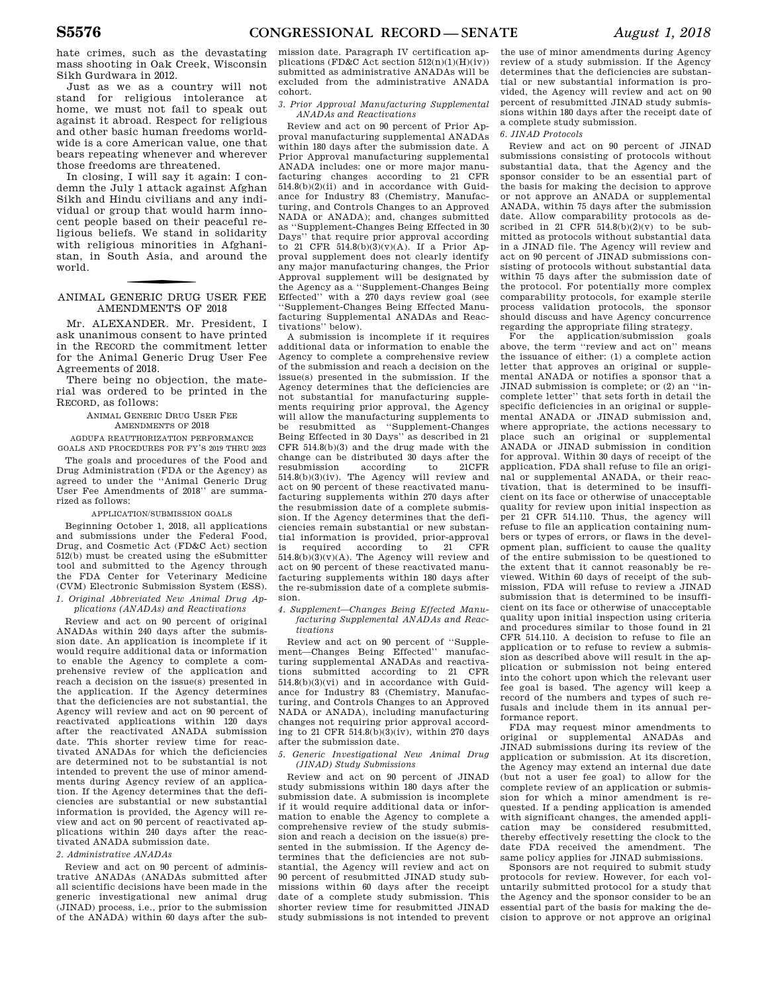hate crimes, such as the devastating mass shooting in Oak Creek, Wisconsin Sikh Gurdwara in 2012.

Just as we as a country will not stand for religious intolerance at home, we must not fail to speak out against it abroad. Respect for religious and other basic human freedoms worldwide is a core American value, one that bears repeating whenever and wherever those freedoms are threatened.

In closing, I will say it again: I condemn the July 1 attack against Afghan Sikh and Hindu civilians and any individual or group that would harm innocent people based on their peaceful religious beliefs. We stand in solidarity with religious minorities in Afghanistan, in South Asia, and around the world.

### f ANIMAL GENERIC DRUG USER FEE AMENDMENTS OF 2018

Mr. ALEXANDER. Mr. President, I ask unanimous consent to have printed in the RECORD the commitment letter for the Animal Generic Drug User Fee Agreements of 2018.

There being no objection, the material was ordered to be printed in the RECORD, as follows:

> ANIMAL GENERIC DRUG USER FEE AMENDMENTS OF 2018

AGDUFA REAUTHORIZATION PERFORMANCE GOALS AND PROCEDURES FOR FY'S 2019 THRU 2023

The goals and procedures of the Food and Drug Administration (FDA or the Agency) as agreed to under the ''Animal Generic Drug User Fee Amendments of 2018'' are summarized as follows:

### APPLICATION/SUBMISSION GOALS

Beginning October 1, 2018, all applications and submissions under the Federal Food, Drug, and Cosmetic Act (FD&C Act) section 512(b) must be created using the eSubmitter tool and submitted to the Agency through the FDA Center for Veterinary Medicine (CVM) Electronic Submission System (ESS). *1. Original Abbreviated New Animal Drug Ap-*

*plications (ANADAs) and Reactivations* 

Review and act on 90 percent of original ANADAs within 240 days after the submission date. An application is incomplete if it would require additional data or information to enable the Agency to complete a comprehensive review of the application and reach a decision on the issue(s) presented in the application. If the Agency determines that the deficiencies are not substantial, the Agency will review and act on 90 percent of reactivated applications within 120 days after the reactivated ANADA submission date. This shorter review time for reactivated ANADAs for which the deficiencies are determined not to be substantial is not intended to prevent the use of minor amendments during Agency review of an application. If the Agency determines that the deficiencies are substantial or new substantial information is provided, the Agency will review and act on 90 percent of reactivated applications within 240 days after the reactivated ANADA submission date.

### *2. Administrative ANADAs*

Review and act on 90 percent of administrative ANADAs (ANADAs submitted after all scientific decisions have been made in the generic investigational new animal drug (JINAD) process, i.e., prior to the submission of the ANADA) within 60 days after the sub-

mission date. Paragraph IV certification applications (FD&C Act section  $512(n)(1)(H)(iv)$ ) submitted as administrative ANADAs will be excluded from the administrative ANADA cohort.

*3. Prior Approval Manufacturing Supplemental ANADAs and Reactivations* 

Review and act on 90 percent of Prior Approval manufacturing supplemental ANADAs within 180 days after the submission date. A Prior Approval manufacturing supplemental ANADA includes: one or more major manufacturing changes according to 21 CFR 514.8(b)(2)(ii) and in accordance with Guidance for Industry 83 (Chemistry, Manufacturing, and Controls Changes to an Approved NADA or ANADA); and, changes submitted as ''Supplement-Changes Being Effected in 30 Days'' that require prior approval according to 21 CFR 514.8(b)(3)(v)(A). If a Prior Approval supplement does not clearly identify any major manufacturing changes, the Prior Approval supplement will be designated by the Agency as a ''Supplement-Changes Being Effected'' with a 270 days review goal (see ''Supplement-Changes Being Effected Manufacturing Supplemental ANADAs and Reactivations'' below).

A submission is incomplete if it requires additional data or information to enable the Agency to complete a comprehensive review of the submission and reach a decision on the issue(s) presented in the submission. If the Agency determines that the deficiencies are not substantial for manufacturing supplements requiring prior approval, the Agency will allow the manufacturing supplements to be resubmitted as ''Supplement-Changes Being Effected in 30 Days'' as described in 21 CFR 514.8(b)(3) and the drug made with the change can be distributed 30 days after the<br>resubmission according to 21CFR resubmission 514.8(b)(3)(iv). The Agency will review and act on 90 percent of these reactivated manufacturing supplements within 270 days after the resubmission date of a complete submission. If the Agency determines that the deficiencies remain substantial or new substantial information is provided, prior-approval is required according to 21 CFR  $514.8(b)(3)(v)(A)$ . The Agency will review and act on 90 percent of these reactivated manufacturing supplements within 180 days after the re-submission date of a complete submission.

*4. Supplement—Changes Being Effected Manufacturing Supplemental ANADAs and Reactivations* 

Review and act on 90 percent of ''Supplement—Changes Being Effected'' manufacturing supplemental ANADAs and reactivations submitted according to 21 CFR 514.8(b)(3)(vi) and in accordance with Guidance for Industry 83 (Chemistry, Manufacturing, and Controls Changes to an Approved NADA or ANADA), including manufacturing changes not requiring prior approval according to 21 CFR 514.8(b)(3)(iv), within 270 days after the submission date.

*5. Generic Investigational New Animal Drug (JINAD) Study Submissions* 

Review and act on 90 percent of JINAD study submissions within 180 days after the submission date. A submission is incomplete if it would require additional data or information to enable the Agency to complete a comprehensive review of the study submission and reach a decision on the issue(s) presented in the submission. If the Agency determines that the deficiencies are not substantial, the Agency will review and act on 90 percent of resubmitted JINAD study submissions within 60 days after the receipt date of a complete study submission. This shorter review time for resubmitted JINAD study submissions is not intended to prevent the use of minor amendments during Agency review of a study submission. If the Agency determines that the deficiencies are substantial or new substantial information is provided, the Agency will review and act on 90 percent of resubmitted JINAD study submissions within 180 days after the receipt date of a complete study submission.

#### *6. JINAD Protocols*

Review and act on 90 percent of JINAD submissions consisting of protocols without substantial data, that the Agency and the sponsor consider to be an essential part of the basis for making the decision to approve or not approve an ANADA or supplemental ANADA, within 75 days after the submission date. Allow comparability protocols as described in 21 CFR  $514.8(b)(2)(v)$  to be submitted as protocols without substantial data in a JINAD file. The Agency will review and act on 90 percent of JINAD submissions consisting of protocols without substantial data within 75 days after the submission date of the protocol. For potentially more complex comparability protocols, for example sterile process validation protocols, the sponsor should discuss and have Agency concurrence regarding the appropriate filing strategy.

For the application/submission goals above, the term ''review and act on'' means the issuance of either: (1) a complete action letter that approves an original or supplemental ANADA or notifies a sponsor that a JINAD submission is complete; or (2) an ''incomplete letter'' that sets forth in detail the specific deficiencies in an original or supplemental ANADA or JINAD submission and, where appropriate, the actions necessary to place such an original or supplemental ANADA or JINAD submission in condition for approval. Within 30 days of receipt of the application, FDA shall refuse to file an original or supplemental ANADA, or their reactivation, that is determined to be insufficient on its face or otherwise of unacceptable quality for review upon initial inspection as per 21 CFR 514.110. Thus, the agency will refuse to file an application containing numbers or types of errors, or flaws in the development plan, sufficient to cause the quality of the entire submission to be questioned to the extent that it cannot reasonably be reviewed. Within 60 days of receipt of the submission, FDA will refuse to review a JINAD submission that is determined to be insufficient on its face or otherwise of unacceptable quality upon initial inspection using criteria and procedures similar to those found in 21 CFR 514.110. A decision to refuse to file an application or to refuse to review a submission as described above will result in the application or submission not being entered into the cohort upon which the relevant user fee goal is based. The agency will keep a record of the numbers and types of such refusals and include them in its annual performance report.

FDA may request minor amendments to original or supplemental ANADAs and JINAD submissions during its review of the application or submission. At its discretion, the Agency may extend an internal due date (but not a user fee goal) to allow for the complete review of an application or submission for which a minor amendment is requested. If a pending application is amended with significant changes, the amended application may be considered resubmitted, thereby effectively resetting the clock to the date FDA received the amendment. The same policy applies for JINAD submissions.

Sponsors are not required to submit study protocols for review. However, for each voluntarily submitted protocol for a study that the Agency and the sponsor consider to be an essential part of the basis for making the decision to approve or not approve an original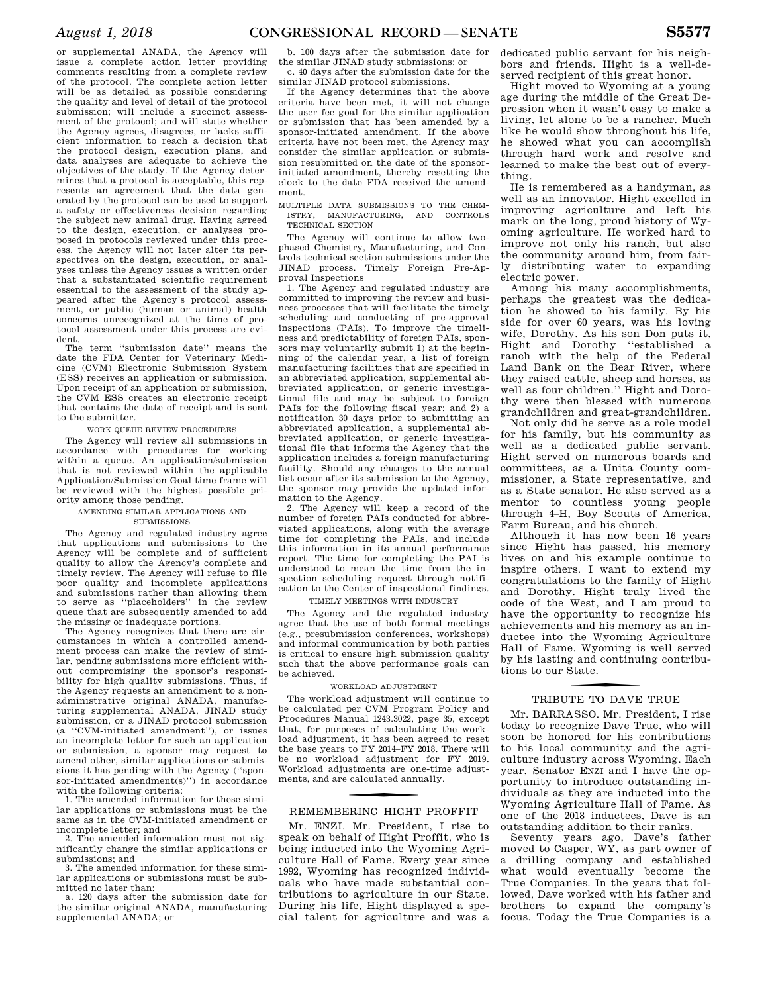or supplemental ANADA, the Agency will issue a complete action letter providing comments resulting from a complete review of the protocol. The complete action letter will be as detailed as possible considering the quality and level of detail of the protocol submission; will include a succinct assessment of the protocol; and will state whether the Agency agrees, disagrees, or lacks sufficient information to reach a decision that the protocol design, execution plans, and data analyses are adequate to achieve the objectives of the study. If the Agency determines that a protocol is acceptable, this represents an agreement that the data generated by the protocol can be used to support a safety or effectiveness decision regarding the subject new animal drug. Having agreed to the design, execution, or analyses proposed in protocols reviewed under this process, the Agency will not later alter its perspectives on the design, execution, or analyses unless the Agency issues a written order that a substantiated scientific requirement essential to the assessment of the study appeared after the Agency's protocol assessment, or public (human or animal) health concerns unrecognized at the time of protocol assessment under this process are evident.

The term ''submission date'' means the date the FDA Center for Veterinary Medicine (CVM) Electronic Submission System (ESS) receives an application or submission. Upon receipt of an application or submission, the CVM ESS creates an electronic receipt that contains the date of receipt and is sent to the submitter.

### WORK QUEUE REVIEW PROCEDURES

The Agency will review all submissions in accordance with procedures for working within a queue. An application/submission that is not reviewed within the applicable Application/Submission Goal time frame will be reviewed with the highest possible priority among those pending.

### AMENDING SIMILAR APPLICATIONS AND **SUBMISSIONS**

The Agency and regulated industry agree that applications and submissions to the Agency will be complete and of sufficient quality to allow the Agency's complete and timely review. The Agency will refuse to file poor quality and incomplete applications and submissions rather than allowing them to serve as ''placeholders'' in the review queue that are subsequently amended to add the missing or inadequate portions.

The Agency recognizes that there are circumstances in which a controlled amendment process can make the review of similar, pending submissions more efficient without compromising the sponsor's responsibility for high quality submissions. Thus, if the Agency requests an amendment to a nonadministrative original ANADA, manufacturing supplemental ANADA, JINAD study submission, or a JINAD protocol submission (a ''CVM-initiated amendment''), or issues an incomplete letter for such an application or submission, a sponsor may request to amend other, similar applications or submissions it has pending with the Agency (''sponsor-initiated amendment(s)'') in accordance with the following criteria:

1. The amended information for these similar applications or submissions must be the same as in the CVM-initiated amendment or incomplete letter; and

2. The amended information must not significantly change the similar applications or submissions; and

3. The amended information for these similar applications or submissions must be submitted no later than:

a. 120 days after the submission date for the similar original ANADA, manufacturing supplemental ANADA; or

b. 100 days after the submission date for the similar JINAD study submissions; or

c. 40 days after the submission date for the similar JINAD protocol submissions.

If the Agency determines that the above criteria have been met, it will not change the user fee goal for the similar application or submission that has been amended by a sponsor-initiated amendment. If the above criteria have not been met, the Agency may consider the similar application or submission resubmitted on the date of the sponsorinitiated amendment, thereby resetting the clock to the date FDA received the amendment.

MULTIPLE DATA SUBMISSIONS TO THE CHEM-ISTRY, MANUFACTURING, AND CONTROLS TECHNICAL SECTION

The Agency will continue to allow twophased Chemistry, Manufacturing, and Controls technical section submissions under the JINAD process. Timely Foreign Pre-Approval Inspections

1. The Agency and regulated industry are committed to improving the review and business processes that will facilitate the timely scheduling and conducting of pre-approval inspections (PAIs). To improve the timeliness and predictability of foreign PAIs, sponsors may voluntarily submit 1) at the beginning of the calendar year, a list of foreign manufacturing facilities that are specified in an abbreviated application, supplemental abbreviated application, or generic investigational file and may be subject to foreign PAIs for the following fiscal year; and 2) a notification 30 days prior to submitting an abbreviated application, a supplemental abbreviated application, or generic investigational file that informs the Agency that the application includes a foreign manufacturing facility. Should any changes to the annual list occur after its submission to the Agency, the sponsor may provide the updated information to the Agency.

2. The Agency will keep a record of the number of foreign PAIs conducted for abbreviated applications, along with the average time for completing the PAIs, and include this information in its annual performance report. The time for completing the PAI is understood to mean the time from the inspection scheduling request through notification to the Center of inspectional findings.

### TIMELY MEETINGS WITH INDUSTRY

The Agency and the regulated industry agree that the use of both formal meetings (e.g., presubmission conferences, workshops) and informal communication by both parties is critical to ensure high submission quality such that the above performance goals can be achieved.

#### WORKLOAD ADJUSTMENT

The workload adjustment will continue to be calculated per CVM Program Policy and Procedures Manual 1243.3022, page 35, except that, for purposes of calculating the workload adjustment, it has been agreed to reset the base years to FY 2014–FY 2018. There will be no workload adjustment for FY 2019. Workload adjustments are one-time adjustments, and are calculated annually.

### REMEMBERING HIGHT PROFFIT

Mr. ENZI. Mr. President, I rise to speak on behalf of Hight Proffit, who is being inducted into the Wyoming Agriculture Hall of Fame. Every year since 1992, Wyoming has recognized individuals who have made substantial contributions to agriculture in our State. During his life, Hight displayed a special talent for agriculture and was a

dedicated public servant for his neighbors and friends. Hight is a well-deserved recipient of this great honor.

Hight moved to Wyoming at a young age during the middle of the Great Depression when it wasn't easy to make a living, let alone to be a rancher. Much like he would show throughout his life, he showed what you can accomplish through hard work and resolve and learned to make the best out of everything.

He is remembered as a handyman, as well as an innovator. Hight excelled in improving agriculture and left his mark on the long, proud history of Wyoming agriculture. He worked hard to improve not only his ranch, but also the community around him, from fairly distributing water to expanding electric power.

Among his many accomplishments, perhaps the greatest was the dedication he showed to his family. By his side for over 60 years, was his loving wife, Dorothy. As his son Don puts it, Hight and Dorothy ''established a ranch with the help of the Federal Land Bank on the Bear River, where they raised cattle, sheep and horses, as well as four children.'' Hight and Dorothy were then blessed with numerous grandchildren and great-grandchildren.

Not only did he serve as a role model for his family, but his community as well as a dedicated public servant. Hight served on numerous boards and committees, as a Unita County commissioner, a State representative, and as a State senator. He also served as a mentor to countless young people through 4–H, Boy Scouts of America, Farm Bureau, and his church.

Although it has now been 16 years since Hight has passed, his memory lives on and his example continue to inspire others. I want to extend my congratulations to the family of Hight and Dorothy. Hight truly lived the code of the West, and I am proud to have the opportunity to recognize his achievements and his memory as an inductee into the Wyoming Agriculture Hall of Fame. Wyoming is well served by his lasting and continuing contributions to our State.

### TRIBUTE TO DAVE TRUE

Mr. BARRASSO. Mr. President, I rise today to recognize Dave True, who will soon be honored for his contributions to his local community and the agriculture industry across Wyoming. Each year, Senator ENZI and I have the opportunity to introduce outstanding individuals as they are inducted into the Wyoming Agriculture Hall of Fame. As one of the 2018 inductees, Dave is an outstanding addition to their ranks.

Seventy years ago, Dave's father moved to Casper, WY, as part owner of a drilling company and established what would eventually become the True Companies. In the years that followed, Dave worked with his father and brothers to expand the company's focus. Today the True Companies is a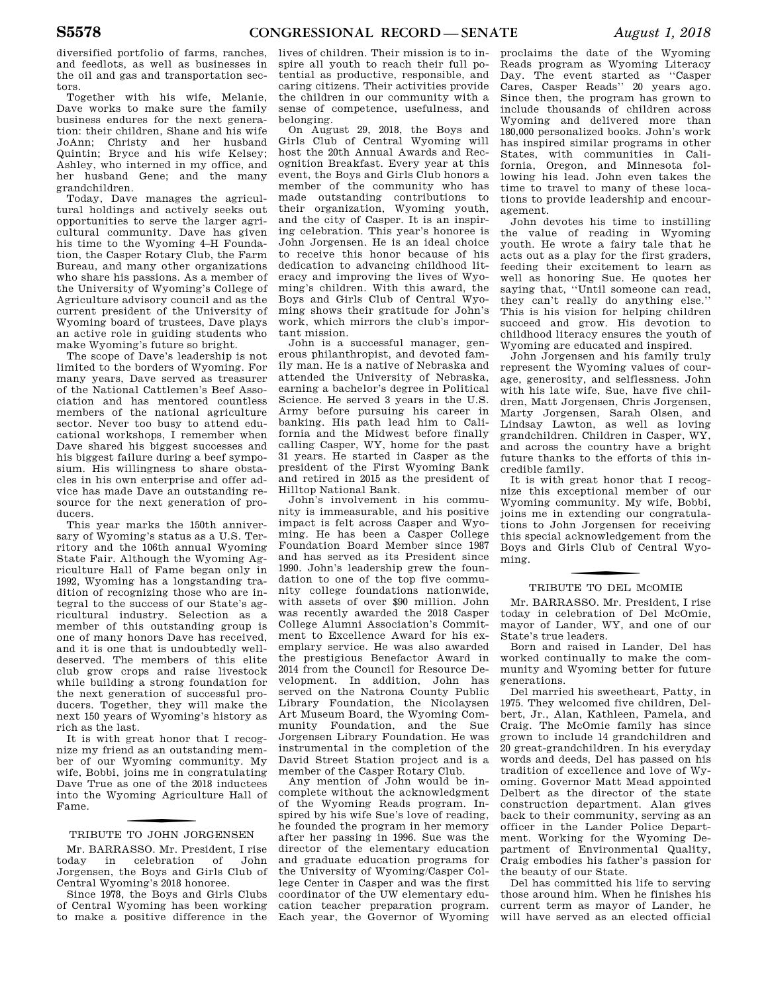diversified portfolio of farms, ranches, and feedlots, as well as businesses in the oil and gas and transportation sectors.

Together with his wife, Melanie, Dave works to make sure the family business endures for the next generation: their children, Shane and his wife JoAnn; Christy and her husband Quintin; Bryce and his wife Kelsey; Ashley, who interned in my office, and her husband Gene; and the many grandchildren.

Today, Dave manages the agricultural holdings and actively seeks out opportunities to serve the larger agricultural community. Dave has given his time to the Wyoming 4–H Foundation, the Casper Rotary Club, the Farm Bureau, and many other organizations who share his passions. As a member of the University of Wyoming's College of Agriculture advisory council and as the current president of the University of Wyoming board of trustees, Dave plays an active role in guiding students who make Wyoming's future so bright.

The scope of Dave's leadership is not limited to the borders of Wyoming. For many years, Dave served as treasurer of the National Cattlemen's Beef Association and has mentored countless members of the national agriculture sector. Never too busy to attend educational workshops, I remember when Dave shared his biggest successes and his biggest failure during a beef symposium. His willingness to share obstacles in his own enterprise and offer advice has made Dave an outstanding resource for the next generation of producers.

This year marks the 150th anniversary of Wyoming's status as a U.S. Territory and the 106th annual Wyoming State Fair. Although the Wyoming Agriculture Hall of Fame began only in 1992, Wyoming has a longstanding tradition of recognizing those who are integral to the success of our State's agricultural industry. Selection as a member of this outstanding group is one of many honors Dave has received, and it is one that is undoubtedly welldeserved. The members of this elite club grow crops and raise livestock while building a strong foundation for the next generation of successful producers. Together, they will make the next 150 years of Wyoming's history as rich as the last.

It is with great honor that I recognize my friend as an outstanding member of our Wyoming community. My wife, Bobbi, joins me in congratulating Dave True as one of the 2018 inductees into the Wyoming Agriculture Hall of Fame.

### f TRIBUTE TO JOHN JORGENSEN

Mr. BARRASSO. Mr. President, I rise<br>today in celebration of John celebration Jorgensen, the Boys and Girls Club of Central Wyoming's 2018 honoree.

Since 1978, the Boys and Girls Clubs of Central Wyoming has been working to make a positive difference in the

lives of children. Their mission is to inspire all youth to reach their full potential as productive, responsible, and caring citizens. Their activities provide the children in our community with a sense of competence, usefulness, and belonging.

On August 29, 2018, the Boys and Girls Club of Central Wyoming will host the 20th Annual Awards and Recognition Breakfast. Every year at this event, the Boys and Girls Club honors a member of the community who has made outstanding contributions to their organization, Wyoming youth, and the city of Casper. It is an inspiring celebration. This year's honoree is John Jorgensen. He is an ideal choice to receive this honor because of his dedication to advancing childhood literacy and improving the lives of Wyoming's children. With this award, the Boys and Girls Club of Central Wyoming shows their gratitude for John's work, which mirrors the club's important mission.

John is a successful manager, generous philanthropist, and devoted family man. He is a native of Nebraska and attended the University of Nebraska, earning a bachelor's degree in Political Science. He served 3 years in the U.S. Army before pursuing his career in banking. His path lead him to California and the Midwest before finally calling Casper, WY, home for the past 31 years. He started in Casper as the president of the First Wyoming Bank and retired in 2015 as the president of Hilltop National Bank.

John's involvement in his community is immeasurable, and his positive impact is felt across Casper and Wyoming. He has been a Casper College Foundation Board Member since 1987 and has served as its President since 1990. John's leadership grew the foundation to one of the top five community college foundations nationwide, with assets of over \$90 million. John was recently awarded the 2018 Casper College Alumni Association's Commitment to Excellence Award for his exemplary service. He was also awarded the prestigious Benefactor Award in 2014 from the Council for Resource Development. In addition, John has served on the Natrona County Public Library Foundation, the Nicolaysen Art Museum Board, the Wyoming Community Foundation, and the Sue Jorgensen Library Foundation. He was instrumental in the completion of the David Street Station project and is a member of the Casper Rotary Club.

Any mention of John would be incomplete without the acknowledgment of the Wyoming Reads program. Inspired by his wife Sue's love of reading, he founded the program in her memory after her passing in 1996. Sue was the director of the elementary education and graduate education programs for the University of Wyoming/Casper College Center in Casper and was the first coordinator of the UW elementary education teacher preparation program. Each year, the Governor of Wyoming

proclaims the date of the Wyoming Reads program as Wyoming Literacy Day. The event started as ''Casper Cares, Casper Reads'' 20 years ago. Since then, the program has grown to include thousands of children across Wyoming and delivered more than 180,000 personalized books. John's work has inspired similar programs in other States, with communities in California, Oregon, and Minnesota following his lead. John even takes the time to travel to many of these locations to provide leadership and encouragement.

John devotes his time to instilling the value of reading in Wyoming youth. He wrote a fairy tale that he acts out as a play for the first graders, feeding their excitement to learn as well as honoring Sue. He quotes her saying that, "Until someone can read. they can't really do anything else.'' This is his vision for helping children succeed and grow. His devotion to childhood literacy ensures the youth of Wyoming are educated and inspired.

John Jorgensen and his family truly represent the Wyoming values of courage, generosity, and selflessness. John with his late wife, Sue, have five children, Matt Jorgensen, Chris Jorgensen, Marty Jorgensen, Sarah Olsen, and Lindsay Lawton, as well as loving grandchildren. Children in Casper, WY, and across the country have a bright future thanks to the efforts of this incredible family.

It is with great honor that I recognize this exceptional member of our Wyoming community. My wife, Bobbi, joins me in extending our congratulations to John Jorgensen for receiving this special acknowledgement from the Boys and Girls Club of Central Wyoming.

### f TRIBUTE TO DEL MCOMIE

Mr. BARRASSO. Mr. President, I rise today in celebration of Del McOmie, mayor of Lander, WY, and one of our State's true leaders.

Born and raised in Lander, Del has worked continually to make the community and Wyoming better for future generations.

Del married his sweetheart, Patty, in 1975. They welcomed five children, Delbert, Jr., Alan, Kathleen, Pamela, and Craig. The McOmie family has since grown to include 14 grandchildren and 20 great-grandchildren. In his everyday words and deeds, Del has passed on his tradition of excellence and love of Wyoming. Governor Matt Mead appointed Delbert as the director of the state construction department. Alan gives back to their community, serving as an officer in the Lander Police Department. Working for the Wyoming Department of Environmental Quality, Craig embodies his father's passion for the beauty of our State.

Del has committed his life to serving those around him. When he finishes his current term as mayor of Lander, he will have served as an elected official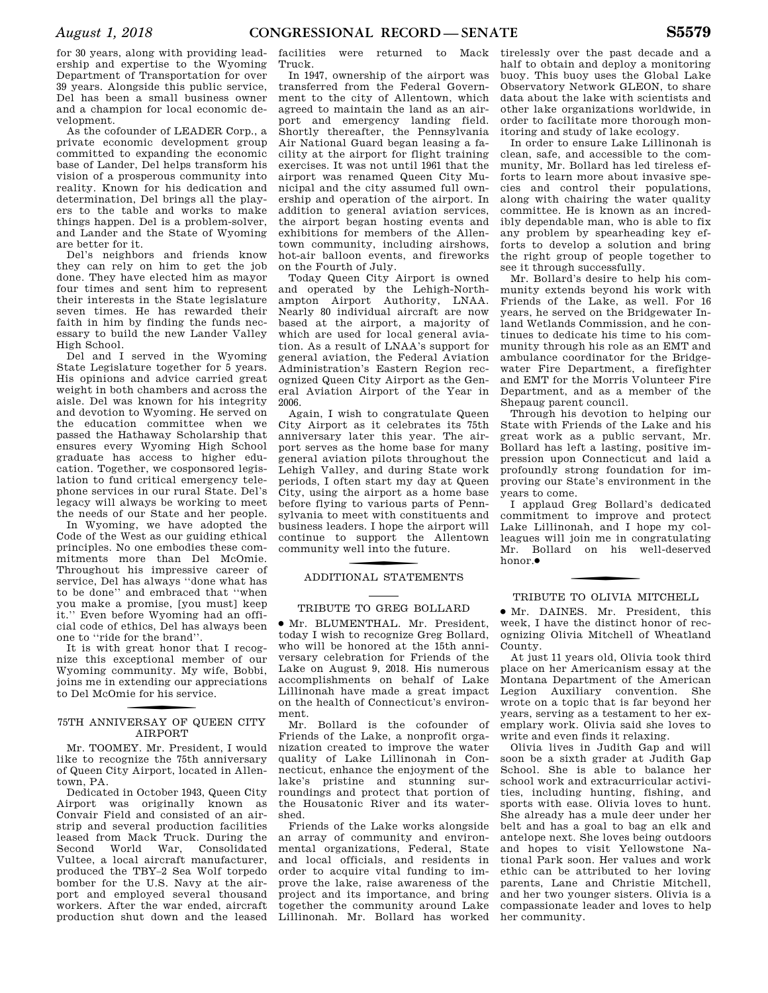for 30 years, along with providing leadership and expertise to the Wyoming Department of Transportation for over 39 years. Alongside this public service, Del has been a small business owner and a champion for local economic development.

As the cofounder of LEADER Corp., a private economic development group committed to expanding the economic base of Lander, Del helps transform his vision of a prosperous community into reality. Known for his dedication and determination, Del brings all the players to the table and works to make things happen. Del is a problem-solver, and Lander and the State of Wyoming are better for it.

Del's neighbors and friends know they can rely on him to get the job done. They have elected him as mayor four times and sent him to represent their interests in the State legislature seven times. He has rewarded their faith in him by finding the funds necessary to build the new Lander Valley High School.

Del and I served in the Wyoming State Legislature together for 5 years. His opinions and advice carried great weight in both chambers and across the aisle. Del was known for his integrity and devotion to Wyoming. He served on the education committee when we passed the Hathaway Scholarship that ensures every Wyoming High School graduate has access to higher education. Together, we cosponsored legislation to fund critical emergency telephone services in our rural State. Del's legacy will always be working to meet the needs of our State and her people.

In Wyoming, we have adopted the Code of the West as our guiding ethical principles. No one embodies these commitments more than Del McOmie. Throughout his impressive career of service, Del has always ''done what has to be done'' and embraced that ''when you make a promise, [you must] keep it.'' Even before Wyoming had an official code of ethics, Del has always been one to ''ride for the brand''.

It is with great honor that I recognize this exceptional member of our Wyoming community. My wife, Bobbi, joins me in extending our appreciations to Del McOmie for his service.

### 75TH ANNIVERSAY OF QUEEN CITY AIRPORT

Mr. TOOMEY. Mr. President, I would like to recognize the 75th anniversary of Queen City Airport, located in Allentown, PA.

Dedicated in October 1943, Queen City Airport was originally known as Convair Field and consisted of an airstrip and several production facilities leased from Mack Truck. During the Second World War, Consolidated Vultee, a local aircraft manufacturer, produced the TBY–2 Sea Wolf torpedo bomber for the U.S. Navy at the airport and employed several thousand workers. After the war ended, aircraft production shut down and the leased

facilities were returned to Mack Truck.

In 1947, ownership of the airport was transferred from the Federal Government to the city of Allentown, which agreed to maintain the land as an airport and emergency landing field. Shortly thereafter, the Pennsylvania Air National Guard began leasing a facility at the airport for flight training exercises. It was not until 1961 that the airport was renamed Queen City Municipal and the city assumed full ownership and operation of the airport. In addition to general aviation services, the airport began hosting events and exhibitions for members of the Allentown community, including airshows, hot-air balloon events, and fireworks on the Fourth of July.

Today Queen City Airport is owned and operated by the Lehigh-Northampton Airport Authority, LNAA. Nearly 80 individual aircraft are now based at the airport, a majority of which are used for local general aviation. As a result of LNAA's support for general aviation, the Federal Aviation Administration's Eastern Region recognized Queen City Airport as the General Aviation Airport of the Year in 2006.

Again, I wish to congratulate Queen City Airport as it celebrates its 75th anniversary later this year. The airport serves as the home base for many general aviation pilots throughout the Lehigh Valley, and during State work periods, I often start my day at Queen City, using the airport as a home base before flying to various parts of Pennsylvania to meet with constituents and business leaders. I hope the airport will continue to support the Allentown community well into the future.

### f ADDITIONAL STATEMENTS

### TRIBUTE TO GREG BOLLARD

∑ Mr. BLUMENTHAL. Mr. President, today I wish to recognize Greg Bollard, who will be honored at the 15th anniversary celebration for Friends of the Lake on August 9, 2018. His numerous accomplishments on behalf of Lake Lillinonah have made a great impact on the health of Connecticut's environment.

Mr. Bollard is the cofounder of Friends of the Lake, a nonprofit organization created to improve the water quality of Lake Lillinonah in Connecticut, enhance the enjoyment of the lake's pristine and stunning surroundings and protect that portion of the Housatonic River and its watershed.

Friends of the Lake works alongside an array of community and environmental organizations, Federal, State and local officials, and residents in order to acquire vital funding to improve the lake, raise awareness of the project and its importance, and bring together the community around Lake Lillinonah. Mr. Bollard has worked

tirelessly over the past decade and a half to obtain and deploy a monitoring buoy. This buoy uses the Global Lake Observatory Network GLEON, to share data about the lake with scientists and other lake organizations worldwide, in order to facilitate more thorough monitoring and study of lake ecology.

In order to ensure Lake Lillinonah is clean, safe, and accessible to the community, Mr. Bollard has led tireless efforts to learn more about invasive species and control their populations, along with chairing the water quality committee. He is known as an incredibly dependable man, who is able to fix any problem by spearheading key efforts to develop a solution and bring the right group of people together to see it through successfully.

Mr. Bollard's desire to help his community extends beyond his work with Friends of the Lake, as well. For 16 years, he served on the Bridgewater Inland Wetlands Commission, and he continues to dedicate his time to his community through his role as an EMT and ambulance coordinator for the Bridgewater Fire Department, a firefighter and EMT for the Morris Volunteer Fire Department, and as a member of the Shepaug parent council.

Through his devotion to helping our State with Friends of the Lake and his great work as a public servant, Mr. Bollard has left a lasting, positive impression upon Connecticut and laid a profoundly strong foundation for improving our State's environment in the years to come.

I applaud Greg Bollard's dedicated commitment to improve and protect Lake Lillinonah, and I hope my colleagues will join me in congratulating Mr. Bollard on his well-deserved honor.●

### TRIBUTE TO OLIVIA MITCHELL

∑ Mr. DAINES. Mr. President, this week, I have the distinct honor of recognizing Olivia Mitchell of Wheatland County.

At just 11 years old, Olivia took third place on her Americanism essay at the Montana Department of the American Legion Auxiliary convention. She wrote on a topic that is far beyond her years, serving as a testament to her exemplary work. Olivia said she loves to write and even finds it relaxing.

Olivia lives in Judith Gap and will soon be a sixth grader at Judith Gap School. She is able to balance her school work and extracurricular activities, including hunting, fishing, and sports with ease. Olivia loves to hunt. She already has a mule deer under her belt and has a goal to bag an elk and antelope next. She loves being outdoors and hopes to visit Yellowstone National Park soon. Her values and work ethic can be attributed to her loving parents, Lane and Christie Mitchell, and her two younger sisters. Olivia is a compassionate leader and loves to help her community.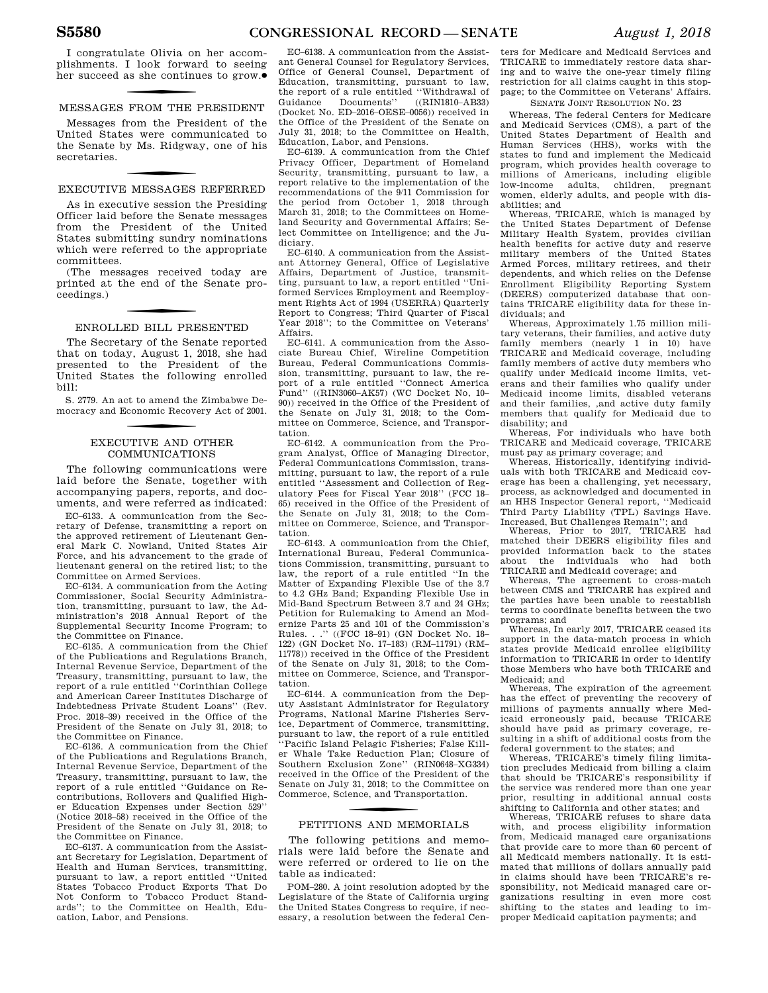I congratulate Olivia on her accomplishments. I look forward to seeing **her succeed as she continues to grow.●** 

### MESSAGES FROM THE PRESIDENT

Messages from the President of the United States were communicated to the Senate by Ms. Ridgway, one of his secretaries.

## f EXECUTIVE MESSAGES REFERRED

As in executive session the Presiding Officer laid before the Senate messages from the President of the United States submitting sundry nominations which were referred to the appropriate committees.

(The messages received today are printed at the end of the Senate proceedings.)

### ENROLLED BILL PRESENTED

The Secretary of the Senate reported that on today, August 1, 2018, she had presented to the President of the United States the following enrolled bill:

S. 2779. An act to amend the Zimbabwe Democracy and Economic Recovery Act of 2001.

### EXECUTIVE AND OTHER COMMUNICATIONS

The following communications were laid before the Senate, together with accompanying papers, reports, and documents, and were referred as indicated:

EC–6133. A communication from the Secretary of Defense, transmitting a report on the approved retirement of Lieutenant General Mark C. Nowland, United States Air Force, and his advancement to the grade of lieutenant general on the retired list; to the Committee on Armed Services.

EC–6134. A communication from the Acting Commissioner, Social Security Administration, transmitting, pursuant to law, the Administration's 2018 Annual Report of the Supplemental Security Income Program; to the Committee on Finance.

EC–6135. A communication from the Chief of the Publications and Regulations Branch, Internal Revenue Service, Department of the Treasury, transmitting, pursuant to law, the report of a rule entitled ''Corinthian College and American Career Institutes Discharge of Indebtedness Private Student Loans'' (Rev. Proc. 2018–39) received in the Office of the President of the Senate on July 31, 2018; to the Committee on Finance.

EC–6136. A communication from the Chief of the Publications and Regulations Branch, Internal Revenue Service, Department of the Treasury, transmitting, pursuant to law, the report of a rule entitled ''Guidance on Recontributions, Rollovers and Qualified Higher Education Expenses under Section 529'' (Notice 2018–58) received in the Office of the President of the Senate on July 31, 2018; to the Committee on Finance.

EC–6137. A communication from the Assistant Secretary for Legislation, Department of Health and Human Services, transmitting, pursuant to law, a report entitled ''United States Tobacco Product Exports That Do Not Conform to Tobacco Product Standards''; to the Committee on Health, Education, Labor, and Pensions.

EC–6138. A communication from the Assistant General Counsel for Regulatory Services, Office of General Counsel, Department of Education, transmitting, pursuant to law, the report of a rule entitled "Withdrawal of Guidance Documents" ((RIN1810–AB33) Guidance Documents" (Docket No. ED–2016–OESE–0056)) received in the Office of the President of the Senate on July 31, 2018; to the Committee on Health, Education, Labor, and Pensions.

EC–6139. A communication from the Chief Privacy Officer, Department of Homeland Security, transmitting, pursuant to law, a report relative to the implementation of the recommendations of the 9/11 Commission for the period from October 1, 2018 through March 31, 2018; to the Committees on Homeland Security and Governmental Affairs; Select Committee on Intelligence; and the Judiciary.

EC–6140. A communication from the Assistant Attorney General, Office of Legislative Affairs, Department of Justice, transmitting, pursuant to law, a report entitled ''Uniformed Services Employment and Reemployment Rights Act of 1994 (USERRA) Quarterly Report to Congress; Third Quarter of Fiscal Year 2018''; to the Committee on Veterans' Affairs.

EC–6141. A communication from the Associate Bureau Chief, Wireline Competition Bureau, Federal Communications Commission, transmitting, pursuant to law, the report of a rule entitled ''Connect America Fund'' ((RIN3060–AK57) (WC Docket No, 10– 90)) received in the Office of the President of the Senate on July 31, 2018; to the Committee on Commerce, Science, and Transportation.

EC–6142. A communication from the Program Analyst, Office of Managing Director, Federal Communications Commission, transmitting, pursuant to law, the report of a rule entitled ''Assessment and Collection of Regulatory Fees for Fiscal Year 2018'' (FCC 18– 65) received in the Office of the President of the Senate on July 31, 2018; to the Committee on Commerce, Science, and Transportation.

EC–6143. A communication from the Chief, International Bureau, Federal Communications Commission, transmitting, pursuant to law, the report of a rule entitled ''In the Matter of Expanding Flexible Use of the 3.7 to 4.2 GHz Band; Expanding Flexible Use in Mid-Band Spectrum Between 3.7 and 24 GHz; Petition for Rulemaking to Amend an Modernize Parts 25 and 101 of the Commission's Rules. . .'' ((FCC 18–91) (GN Docket No. 18– 122) (GN Docket No. 17–183) (RM–11791) (RM– 11778)) received in the Office of the President of the Senate on July 31, 2018; to the Committee on Commerce, Science, and Transportation.

EC–6144. A communication from the Deputy Assistant Administrator for Regulatory Programs, National Marine Fisheries Service, Department of Commerce, transmitting, pursuant to law, the report of a rule entitled ''Pacific Island Pelagic Fisheries; False Killer Whale Take Reduction Plan; Closure of Southern Exclusion Zone'' (RIN0648–XG334) received in the Office of the President of the Senate on July 31, 2018; to the Committee on Commerce, Science, and Transportation.

### f PETITIONS AND MEMORIALS

The following petitions and memorials were laid before the Senate and were referred or ordered to lie on the table as indicated:

POM–280. A joint resolution adopted by the Legislature of the State of California urging the United States Congress to require, if necessary, a resolution between the federal Cen-

ters for Medicare and Medicaid Services and TRICARE to immediately restore data sharing and to waive the one-year timely filing restriction for all claims caught in this stoppage; to the Committee on Veterans' Affairs.

SENATE JOINT RESOLUTION NO. 23

Whereas, The federal Centers for Medicare and Medicaid Services (CMS), a part of the United States Department of Health and Human Services (HHS), works with the states to fund and implement the Medicaid program, which provides health coverage to millions of Americans, including eligible low-income adults, children, pregnant women, elderly adults, and people with disabilities; and

Whereas, TRICARE, which is managed by the United States Department of Defense Military Health System, provides civilian health benefits for active duty and reserve military members of the United States Armed Forces, military retirees, and their dependents, and which relies on the Defense Enrollment Eligibility Reporting System (DEERS) computerized database that contains TRICARE eligibility data for these individuals; and

Whereas, Approximately 1.75 million military veterans, their families, and active duty family members (nearly 1 in 10) have TRICARE and Medicaid coverage, including family members of active duty members who qualify under Medicaid income limits, veterans and their families who qualify under Medicaid income limits, disabled veterans and their families, ,and active duty family members that qualify for Medicaid due to disability; and

Whereas, For individuals who have both TRICARE and Medicaid coverage, TRICARE

must pay as primary coverage; and Whereas, Historically, identifying individuals with both TRICARE and Medicaid coverage has been a challenging, yet necessary, process, as acknowledged and documented in an HHS Inspector General report, ''Medicaid Third Party Liability (TPL) Savings Have. Increased, But Challenges Remain''; and

Whereas, Prior to 2017, TRICARE had matched their DEERS eligibility files and provided information back to the states about the individuals who had both TRICARE and Medicaid coverage; and

Whereas, The agreement to cross-match between CMS and TRICARE has expired and the parties have been unable to reestablish terms to coordinate benefits between the two programs; and

Whereas, In early 2017, TRICARE ceased its support in the data-match process in which states provide Medicaid enrollee eligibility information to TRICARE in order to identify those Members who have both TRICARE and Medicaid; and

Whereas, The expiration of the agreement has the effect of preventing the recovery of millions of payments annually where Medicaid erroneously paid, because TRICARE should have paid as primary coverage, resulting in a shift of additional costs from the federal government to the states; and

Whereas, TRICARE's timely filing limitation precludes Medicaid from billing a claim that should be TRICARE's responsibility if the service was rendered more than one year prior, resulting in additional annual costs shifting to California and other states; and

Whereas, TRICARE refuses to share data with, and process eligibility information from, Medicaid managed care organizations that provide care to more than 60 percent of all Medicaid members nationally. It is estimated that millions of dollars annually paid in claims should have been TRICARE's responsibility, not Medicaid managed care organizations resulting in even more cost shifting to the states and leading to improper Medicaid capitation payments; and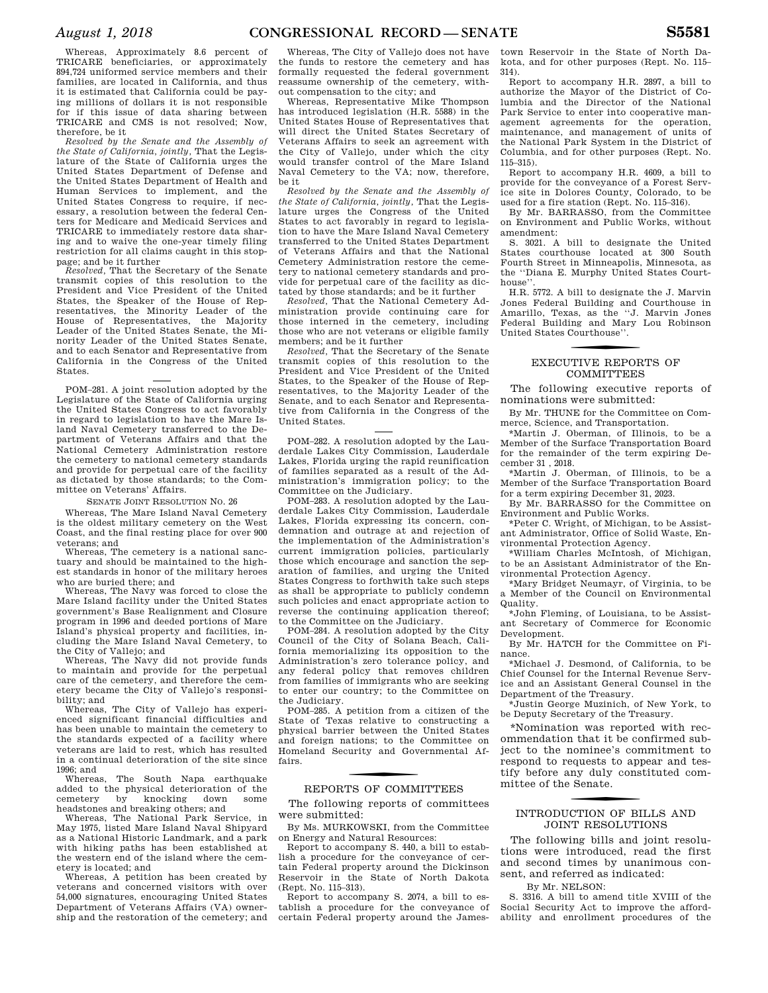Whereas, Approximately 8.6 percent of TRICARE beneficiaries, or approximately 894,724 uniformed service members and their families, are located in California, and thus it is estimated that California could be paying millions of dollars it is not responsible for if this issue of data sharing between TRICARE and CMS is not resolved; Now, therefore, be it

*Resolved by the Senate and the Assembly of the State of California, jointly,* That the Legislature of the State of California urges the United States Department of Defense and the United States Department of Health and Human Services to implement, and the United States Congress to require, if necessary, a resolution between the federal Centers for Medicare and Medicaid Services and TRICARE to immediately restore data sharing and to waive the one-year timely filing restriction for all claims caught in this stoppage; and be it further

*Resolved,* That the Secretary of the Senate transmit copies of this resolution to the President and Vice President of the United States, the Speaker of the House of Representatives, the Minority Leader of the House of Representatives, the Majority Leader of the United States Senate, the Minority Leader of the United States Senate, and to each Senator and Representative from California in the Congress of the United States.

POM–281. A joint resolution adopted by the Legislature of the State of California urging the United States Congress to act favorably in regard to legislation to have the Mare Island Naval Cemetery transferred to the Department of Veterans Affairs and that the National Cemetery Administration restore the cemetery to national cemetery standards and provide for perpetual care of the facility as dictated by those standards; to the Committee on Veterans' Affairs.

#### SENATE JOINT RESOLUTION NO. 26

Whereas, The Mare Island Naval Cemetery is the oldest military cemetery on the West Coast, and the final resting place for over 900 veterans; and

Whereas, The cemetery is a national sanctuary and should be maintained to the highest standards in honor of the military heroes who are buried there; and

Whereas, The Navy was forced to close the Mare Island facility under the United States government's Base Realignment and Closure program in 1996 and deeded portions of Mare Island's physical property and facilities, including the Mare Island Naval Cemetery, to the City of Vallejo; and

Whereas, The Navy did not provide funds to maintain and provide for the perpetual care of the cemetery, and therefore the cemetery became the City of Vallejo's responsibility; and

Whereas, The City of Vallejo has experienced significant financial difficulties and has been unable to maintain the cemetery to the standards expected of a facility where veterans are laid to rest, which has resulted in a continual deterioration of the site since 1996; and

The South Napa earthquake added to the physical deterioration of the cemetery by knocking down some headstones and breaking others; and

Whereas, The National Park Service, in May 1975, listed Mare Island Naval Shipyard as a National Historic Landmark, and a park with hiking paths has been established at the western end of the island where the cemetery is located; and

Whereas, A petition has been created by veterans and concerned visitors with over 54,000 signatures, encouraging United States Department of Veterans Affairs (VA) ownership and the restoration of the cemetery; and

Whereas, The City of Vallejo does not have the funds to restore the cemetery and has formally requested the federal government reassume ownership of the cemetery, without compensation to the city; and

Whereas, Representative Mike Thompson has introduced legislation (H.R. 5588) in the United States House of Representatives that will direct the United States Secretary of Veterans Affairs to seek an agreement with the City of Vallejo, under which the city would transfer control of the Mare Island Naval Cemetery to the VA; now, therefore, be it

*Resolved by the Senate and the Assembly of the State of California, jointly,* That the Legislature urges the Congress of the United States to act favorably in regard to legislation to have the Mare Island Naval Cemetery transferred to the United States Department of Veterans Affairs and that the National Cemetery Administration restore the cemetery to national cemetery standards and provide for perpetual care of the facility as dictated by those standards; and be it further

*Resolved,* That the National Cemetery Administration provide continuing care for those interned in the cemetery, including those who are not veterans or eligible family members; and be it further

*Resolved,* That the Secretary of the Senate transmit copies of this resolution to the President and Vice President of the United States, to the Speaker of the House of Representatives, to the Majority Leader of the Senate, and to each Senator and Representative from California in the Congress of the United States.

POM–282. A resolution adopted by the Lauderdale Lakes City Commission, Lauderdale Lakes, Florida urging the rapid reunification of families separated as a result of the Administration's immigration policy; to the Committee on the Judiciary.

POM–283. A resolution adopted by the Lauderdale Lakes City Commission, Lauderdale Lakes, Florida expressing its concern, condemnation and outrage at and rejection of the implementation of the Administration's current immigration policies, particularly those which encourage and sanction the separation of families, and urging the United States Congress to forthwith take such steps as shall be appropriate to publicly condemn such policies and enact appropriate action to reverse the continuing application thereof; to the Committee on the Judiciary.

POM–284. A resolution adopted by the City Council of the City of Solana Beach, California memorializing its opposition to the Administration's zero tolerance policy, and any federal policy that removes children from families of immigrants who are seeking to enter our country; to the Committee on the Judiciary.

POM–285. A petition from a citizen of the State of Texas relative to constructing a physical barrier between the United States and foreign nations; to the Committee on Homeland Security and Governmental Affairs.

### f REPORTS OF COMMITTEES

The following reports of committees were submitted:

By Ms. MURKOWSKI, from the Committee on Energy and Natural Resources:

Report to accompany S. 440, a bill to establish a procedure for the conveyance of certain Federal property around the Dickinson Reservoir in the State of North Dakota (Rept. No. 115–313).

Report to accompany S. 2074, a bill to establish a procedure for the conveyance of certain Federal property around the James-

town Reservoir in the State of North Dakota, and for other purposes (Rept. No. 115– 314).

Report to accompany H.R. 2897, a bill to authorize the Mayor of the District of Columbia and the Director of the National Park Service to enter into cooperative management agreements for the operation, maintenance, and management of units of the National Park System in the District of Columbia, and for other purposes (Rept. No. 115–315).

Report to accompany H.R. 4609, a bill to provide for the conveyance of a Forest Service site in Dolores County, Colorado, to be used for a fire station (Rept. No. 115–316).

By Mr. BARRASSO, from the Committee on Environment and Public Works, without amendment:

S. 3021. A bill to designate the United States courthouse located at 300 South Fourth Street in Minneapolis, Minnesota, as the ''Diana E. Murphy United States Courthouse''.

H.R. 5772. A bill to designate the J. Marvin Jones Federal Building and Courthouse in Amarillo, Texas, as the ''J. Marvin Jones Federal Building and Mary Lou Robinson United States Courthouse''.

### f EXECUTIVE REPORTS OF **COMMITTEES**

The following executive reports of nominations were submitted:

By Mr. THUNE for the Committee on Commerce, Science, and Transportation.

\*Martin J. Oberman, of Illinois, to be a Member of the Surface Transportation Board for the remainder of the term expiring December 31 , 2018.

\*Martin J. Oberman, of Illinois, to be a Member of the Surface Transportation Board for a term expiring December 31, 2023.

By Mr. BARRASSO for the Committee on Environment and Public Works.

\*Peter C. Wright, of Michigan, to be Assistant Administrator, Office of Solid Waste, Environmental Protection Agency.

\*William Charles McIntosh, of Michigan, to be an Assistant Administrator of the Environmental Protection Agency.

\*Mary Bridget Neumayr, of Virginia, to be a Member of the Council on Environmental Quality.

\*John Fleming, of Louisiana, to be Assistant Secretary of Commerce for Economic Development.

By Mr. HATCH for the Committee on Finance.

\*Michael J. Desmond, of California, to be Chief Counsel for the Internal Revenue Service and an Assistant General Counsel in the Department of the Treasury.

\*Justin George Muzinich, of New York, to be Deputy Secretary of the Treasury.

\*Nomination was reported with recommendation that it be confirmed subject to the nominee's commitment to respond to requests to appear and testify before any duly constituted committee of the Senate.

### f INTRODUCTION OF BILLS AND JOINT RESOLUTIONS

The following bills and joint resolutions were introduced, read the first and second times by unanimous consent, and referred as indicated:

By Mr. NELSON:

S. 3316. A bill to amend title XVIII of the Social Security Act to improve the affordability and enrollment procedures of the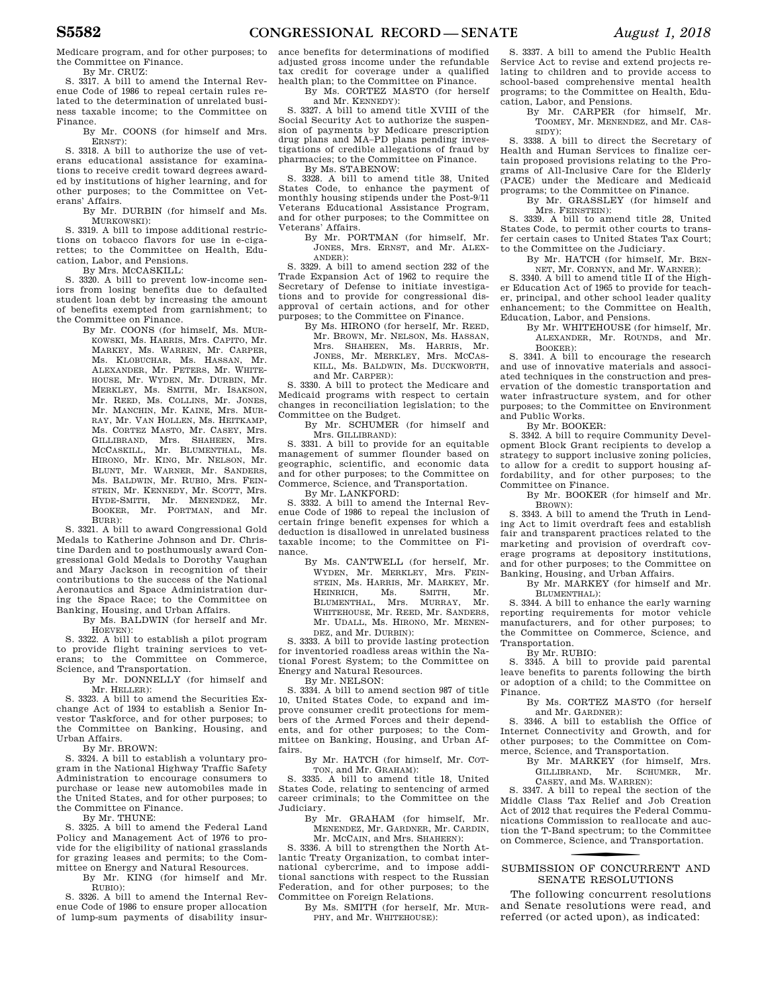Medicare program, and for other purposes; to the Committee on Finance.

By Mr. CRUZ:

S. 3317. A bill to amend the Internal Revenue Code of 1986 to repeal certain rules related to the determination of unrelated business taxable income; to the Committee on Finance.

By Mr. COONS (for himself and Mrs. ERNST):

S. 3318. A bill to authorize the use of veterans educational assistance for examinations to receive credit toward degrees awarded by institutions of higher learning, and for other purposes; to the Committee on Veterans' Affairs.

By Mr. DURBIN (for himself and Ms. MURKOWSKI):

S. 3319. A bill to impose additional restrictions on tobacco flavors for use in e-cigarettes; to the Committee on Health, Education, Labor, and Pensions.

By Mrs. MCCASKILL:

S. 3320. A bill to prevent low-income seniors from losing benefits due to defaulted student loan debt by increasing the amount of benefits exempted from garnishment; to the Committee on Finance.

By Mr. COONS (for himself, Ms. MUR-KOWSKI, Ms. HARRIS, Mrs. CAPITO, Mr. MARKEY, Ms. WARREN, Mr. CARPER, Ms. KLOBUCHAR, Ms. HASSAN, Mr. ALEXANDER, Mr. PETERS, Mr. WHITE-HOUSE, Mr. WYDEN, Mr. DURBIN, Mr. MERKLEY, Ms. SMITH, Mr. ISAKSON, Mr. REED, Ms. COLLINS, Mr. JONES, Mr. MANCHIN, Mr. KAINE, Mrs. MUR-RAY, Mr. VAN HOLLEN, Ms. HEITKAMP, Ms. CORTEZ MASTO, Mr. CASEY, Mrs. GILLIBRAND, Mrs. SHAHEEN, Mrs. MCCASKILL, Mr. BLUMENTHAL, Ms. HIRONO, Mr. KING, Mr. NELSON, Mr. BLUNT, Mr. WARNER, Mr. SANDERS, Ms. BALDWIN, Mr. RUBIO, Mrs. FEIN-STEIN, Mr. KENNEDY, Mr. SCOTT, Mrs. HYDE-SMITH, Mr. MENENDEZ, Mr. BOOKER, Mr. PORTMAN, and BURR):

S. 3321. A bill to award Congressional Gold Medals to Katherine Johnson and Dr. Christine Darden and to posthumously award Congressional Gold Medals to Dorothy Vaughan and Mary Jackson in recognition of their contributions to the success of the National Aeronautics and Space Administration during the Space Race; to the Committee on Banking, Housing, and Urban Affairs.

By Ms. BALDWIN (for herself and Mr. HOEVEN):

S. 3322. A bill to establish a pilot program to provide flight training services to veterans; to the Committee on Commerce, Science, and Transportation.

By Mr. DONNELLY (for himself and Mr. HELLER):

S. 3323. A bill to amend the Securities Exchange Act of 1934 to establish a Senior Investor Taskforce, and for other purposes; to the Committee on Banking, Housing, and Urban Affairs.

By Mr. BROWN:

S. 3324. A bill to establish a voluntary program in the National Highway Traffic Safety Administration to encourage consumers to purchase or lease new automobiles made in the United States, and for other purposes; to the Committee on Finance.

By Mr. THUNE:

S. 3325. A bill to amend the Federal Land Policy and Management Act of 1976 to provide for the eligibility of national grasslands for grazing leases and permits; to the Committee on Energy and Natural Resources.

> By Mr. KING (for himself and Mr. RUBIO):

S. 3326. A bill to amend the Internal Revenue Code of 1986 to ensure proper allocation of lump-sum payments of disability insur-

ance benefits for determinations of modified adjusted gross income under the refundable tax credit for coverage under a qualified health plan; to the Committee on Finance.

By Ms. CORTEZ MASTO (for herself and Mr. KENNEDY):

S. 3327. A bill to amend title XVIII of the Social Security Act to authorize the suspension of payments by Medicare prescription drug plans and MA–PD plans pending investigations of credible allegations of fraud by pharmacies; to the Committee on Finance. By Ms. STABENOW:

S. 3328. A bill to amend title 38, United States Code, to enhance the payment of monthly housing stipends under the Post-9/11 Veterans Educational Assistance Program, and for other purposes; to the Committee on Veterans' Affairs.

By Mr. PORTMAN (for himself, Mr. JONES, Mrs. ERNST, and Mr. ALEX-ANDER):

S. 3329. A bill to amend section 232 of the Trade Expansion Act of 1962 to require the Secretary of Defense to initiate investigations and to provide for congressional disapproval of certain actions, and for other purposes; to the Committee on Finance.

> By Ms. HIRONO (for herself, Mr. REED, Mr. BROWN, Mr. NELSON, Ms. HASSAN, Mrs. SHAHEEN, Ms. HARRIS, Mr. JONES, Mr. MERKLEY, Mrs. MCCAS-KILL, Ms. BALDWIN, Ms. DUCKWORTH, and Mr. CARPER):

S. 3330. A bill to protect the Medicare and Medicaid programs with respect to certain changes in reconciliation legislation; to the Committee on the Budget.

By Mr. SCHUMER (for himself and Mrs. GILLIBRAND):

S. 3331. A bill to provide for an equitable management of summer flounder based on geographic, scientific, and economic data and for other purposes; to the Committee on Commerce, Science, and Transportation.

By Mr. LANKFORD:

S. 3332. A bill to amend the Internal Revenue Code of 1986 to repeal the inclusion of certain fringe benefit expenses for which a deduction is disallowed in unrelated business taxable income; to the Committee on Finance.

By Ms. CANTWELL (for herself, Mr. WYDEN, Mr. MERKLEY, Mrs. FEIN-STEIN, Ms. HARRIS, Mr. MARKEY, Mr.<br>HEINRICH, Ms. SMITH, Mr. HEINRICH. BLUMENTHAL, Mrs. MURRAY, Mr. WHITEHOUSE, Mr. REED, Mr. SANDERS, Mr. UDALL, Ms. HIRONO, Mr. MENEN-DEZ, and Mr. DURBIN):

S. 3333. A bill to provide lasting protection for inventoried roadless areas within the National Forest System; to the Committee on Energy and Natural Resources.

By Mr. NELSON:

S. 3334. A bill to amend section 987 of title 10, United States Code, to expand and improve consumer credit protections for members of the Armed Forces and their dependents, and for other purposes; to the Committee on Banking, Housing, and Urban Affairs.

By Mr. HATCH (for himself, Mr. COT-TON, and Mr. GRAHAM):

S. 3335. A bill to amend title 18, United States Code, relating to sentencing of armed career criminals; to the Committee on the Judiciary.

By Mr. GRAHAM (for himself, Mr. MENENDEZ, Mr. GARDNER, Mr. CARDIN, Mr. MCCAIN, and Mrs. SHAHEEN):

S. 3336. A bill to strengthen the North Atlantic Treaty Organization, to combat international cybercrime, and to impose additional sanctions with respect to the Russian Federation, and for other purposes; to the Committee on Foreign Relations.

By Ms. SMITH (for herself, Mr. MUR-PHY, and Mr. WHITEHOUSE):

S. 3337. A bill to amend the Public Health Service Act to revise and extend projects relating to children and to provide access to school-based comprehensive mental health programs; to the Committee on Health, Education, Labor, and Pensions.

By Mr. CARPER (for himself, Mr. TOOMEY, Mr. MENENDEZ, and Mr. CAS-SIDY):

S. 3338. A bill to direct the Secretary of Health and Human Services to finalize certain proposed provisions relating to the Programs of All-Inclusive Care for the Elderly (PACE) under the Medicare and Medicaid programs; to the Committee on Finance.

By Mr. GRASSLEY (for himself and Mrs. FEINSTEIN):

S. 3339. A bill to amend title 28, United States Code, to permit other courts to transfer certain cases to United States Tax Court; to the Committee on the Judiciary.

By Mr. HATCH (for himself, Mr. BEN-NET, Mr. CORNYN, and Mr. WARNER):

S. 3340. A bill to amend title II of the Higher Education Act of 1965 to provide for teacher, principal, and other school leader quality enhancement; to the Committee on Health, Education, Labor, and Pensions.

By Mr. WHITEHOUSE (for himself, Mr. ALEXANDER, Mr. ROUNDS, and Mr. BOOKER):

S. 3341. A bill to encourage the research and use of innovative materials and associated techniques in the construction and preservation of the domestic transportation and water infrastructure system, and for other purposes; to the Committee on Environment and Public Works.

By Mr. BOOKER:

S. 3342. A bill to require Community Development Block Grant recipients to develop a strategy to support inclusive zoning policies, to allow for a credit to support housing affordability, and for other purposes; to the Committee on Finance.

By Mr. BOOKER (for himself and Mr. BROWN):

S. 3343. A bill to amend the Truth in Lending Act to limit overdraft fees and establish fair and transparent practices related to the marketing and provision of overdraft coverage programs at depository institutions, and for other purposes; to the Committee on Banking, Housing, and Urban Affairs.

By Mr. MARKEY (for himself and Mr. BLUMENTHAL):

S. 3344. A bill to enhance the early warning reporting requirements for motor vehicle manufacturers, and for other purposes; to the Committee on Commerce, Science, and Transportation.

By Mr. RUBIO:

S. 3345. A bill to provide paid parental leave benefits to parents following the birth or adoption of a child; to the Committee on Finance.

By Ms. CORTEZ MASTO (for herself and Mr. GARDNER):

S. 3346. A bill to establish the Office of Internet Connectivity and Growth, and for other purposes; to the Committee on Commerce, Science, and Transportation.

By Mr. MARKEY (for himself, Mrs. GILLIBRAND, Mr. SCHUMER, Mr. CASEY, and Ms. WARREN):

S. 3347. A bill to repeal the section of the Middle Class Tax Relief and Job Creation Act of 2012 that requires the Federal Communications Commission to reallocate and auction the T-Band spectrum; to the Committee on Commerce, Science, and Transportation.

### SUBMISSION OF CONCURRENT AND SENATE RESOLUTIONS

The following concurrent resolutions and Senate resolutions were read, and referred (or acted upon), as indicated: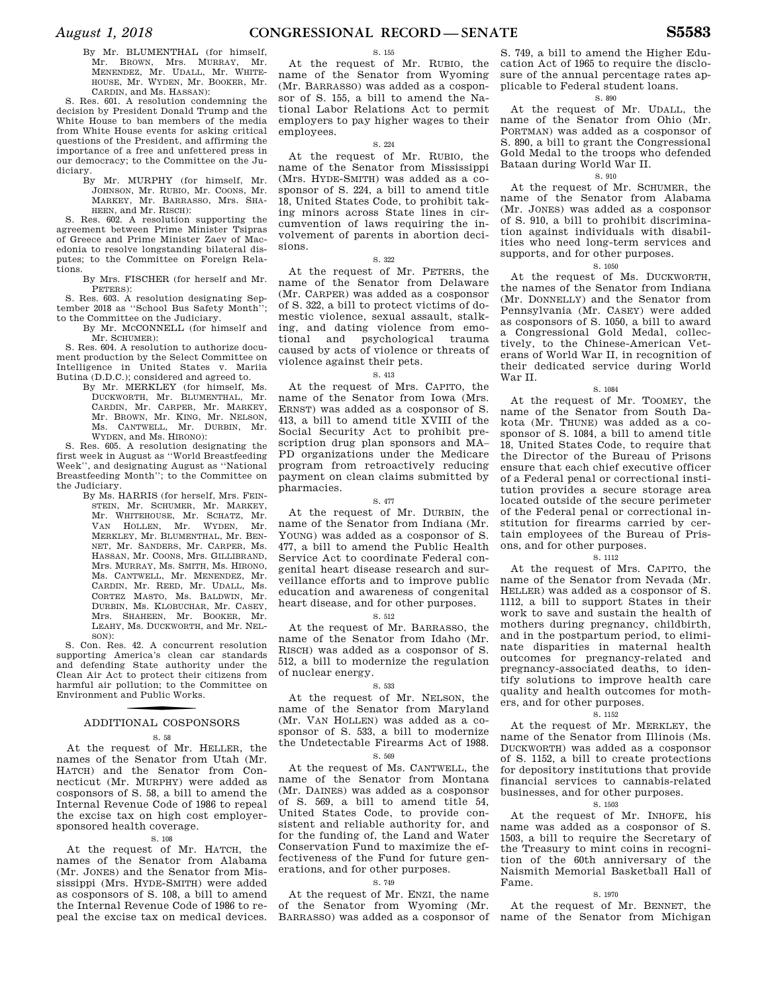By Mr. BLUMENTHAL (for himself, Mr. BROWN, Mrs. MURRAY, Mr. MENENDEZ, Mr. UDALL, Mr. WHITE-HOUSE, Mr. WYDEN, Mr. BOOKER, Mr. CARDIN, and Ms. HASSAN):

S. Res. 601. A resolution condemning the decision by President Donald Trump and the White House to ban members of the media from White House events for asking critical questions of the President, and affirming the importance of a free and unfettered press in our democracy; to the Committee on the Judiciary.

By Mr. MURPHY (for himself, Mr. JOHNSON, Mr. RUBIO, Mr. COONS, Mr. MARKEY, Mr. BARRASSO, Mrs. SHA-HEEN, and Mr. RISCH):

S. Res. 602. A resolution supporting the agreement between Prime Minister Tsipras of Greece and Prime Minister Zaev of Macedonia to resolve longstanding bilateral disputes; to the Committee on Foreign Relations.

By Mrs. FISCHER (for herself and Mr. PETERS):

S. Res. 603. A resolution designating September 2018 as "School Bus Safety Month' to the Committee on the Judiciary.

#### By Mr. MCCONNELL (for himself and Mr. SCHUMER):

S. Res. 604. A resolution to authorize document production by the Select Committee on Intelligence in United States v. Mariia Butina (D.D.C.); considered and agreed to.

By Mr. MERKLEY (for himself, Ms. DUCKWORTH, Mr. BLUMENTHAL, Mr. CARDIN, Mr. CARPER, Mr. MARKEY, Mr. BROWN, Mr. KING, Mr. NELSON, Ms. CANTWELL, Mr. DURBIN, Mr. WYDEN, and Ms. HIRONO):

S. Res. 605. A resolution designating the first week in August as ''World Breastfeeding Week'', and designating August as ''National Breastfeeding Month''; to the Committee on the Judiciary.

By Ms. HARRIS (for herself, Mrs. FEIN-STEIN, Mr. SCHUMER, Mr. MARKEY, Mr. WHITEHOUSE, Mr. SCHATZ, Mr. VAN HOLLEN, Mr. WYDEN, Mr. MERKLEY, Mr. BLUMENTHAL, Mr. BEN-NET, Mr. SANDERS, Mr. CARPER, Ms. HASSAN, Mr. COONS, Mrs. GILLIBRAND, Mrs. MURRAY, Ms. SMITH, Ms. HIRONO, Ms. CANTWELL, Mr. MENENDEZ, Mr. CARDIN, Mr. REED, Mr. UDALL, Ms. CORTEZ MASTO, Ms. BALDWIN, Mr. DURBIN, Ms. KLOBUCHAR, Mr. CASEY, Mrs. SHAHEEN, Mr. BOOKER, Mr. LEAHY, Ms. DUCKWORTH, and Mr. NEL-SON):

S. Con. Res. 42. A concurrent resolution supporting America's clean car standards and defending State authority under the Clean Air Act to protect their citizens from harmful air pollution; to the Committee on Environment and Public Works.

### f ADDITIONAL COSPONSORS

### S. 58

At the request of Mr. HELLER, the names of the Senator from Utah (Mr. HATCH) and the Senator from Connecticut (Mr. MURPHY) were added as cosponsors of S. 58, a bill to amend the Internal Revenue Code of 1986 to repeal the excise tax on high cost employersponsored health coverage.

#### S. 108

At the request of Mr. HATCH, the names of the Senator from Alabama (Mr. JONES) and the Senator from Mississippi (Mrs. HYDE-SMITH) were added as cosponsors of S. 108, a bill to amend the Internal Revenue Code of 1986 to repeal the excise tax on medical devices.

### S. 155

At the request of Mr. RUBIO, the name of the Senator from Wyoming (Mr. BARRASSO) was added as a cosponsor of S. 155, a bill to amend the National Labor Relations Act to permit employers to pay higher wages to their employees.

### S. 224

At the request of Mr. RUBIO, the name of the Senator from Mississippi (Mrs. HYDE-SMITH) was added as a cosponsor of S. 224, a bill to amend title 18, United States Code, to prohibit taking minors across State lines in circumvention of laws requiring the involvement of parents in abortion decisions.

#### S. 322

At the request of Mr. PETERS, the name of the Senator from Delaware (Mr. CARPER) was added as a cosponsor of S. 322, a bill to protect victims of domestic violence, sexual assault, stalking, and dating violence from emotional and psychological trauma caused by acts of violence or threats of violence against their pets.

### S. 413

At the request of Mrs. CAPITO, the name of the Senator from Iowa (Mrs. ERNST) was added as a cosponsor of S. 413, a bill to amend title XVIII of the Social Security Act to prohibit prescription drug plan sponsors and MA– PD organizations under the Medicare program from retroactively reducing payment on clean claims submitted by pharmacies.

#### S. 477

At the request of Mr. DURBIN, the name of the Senator from Indiana (Mr. YOUNG) was added as a cosponsor of S. 477, a bill to amend the Public Health Service Act to coordinate Federal congenital heart disease research and surveillance efforts and to improve public education and awareness of congenital heart disease, and for other purposes.

### S. 512

At the request of Mr. BARRASSO, the name of the Senator from Idaho (Mr. RISCH) was added as a cosponsor of S. 512, a bill to modernize the regulation of nuclear energy.

#### S. 533

At the request of Mr. NELSON, the name of the Senator from Maryland (Mr. VAN HOLLEN) was added as a cosponsor of S. 533, a bill to modernize the Undetectable Firearms Act of 1988.

### S. 569

At the request of Ms. CANTWELL, the name of the Senator from Montana (Mr. DAINES) was added as a cosponsor of S. 569, a bill to amend title 54, United States Code, to provide consistent and reliable authority for, and for the funding of, the Land and Water Conservation Fund to maximize the effectiveness of the Fund for future generations, and for other purposes.

#### S. 749

At the request of Mr. ENZI, the name of the Senator from Wyoming (Mr. BARRASSO) was added as a cosponsor of

S. 749, a bill to amend the Higher Education Act of 1965 to require the disclosure of the annual percentage rates applicable to Federal student loans.

### S. 890

At the request of Mr. UDALL, the name of the Senator from Ohio (Mr. PORTMAN) was added as a cosponsor of S. 890, a bill to grant the Congressional Gold Medal to the troops who defended Bataan during World War II.

### S. 910

At the request of Mr. SCHUMER, the name of the Senator from Alabama (Mr. JONES) was added as a cosponsor of S. 910, a bill to prohibit discrimination against individuals with disabilities who need long-term services and supports, and for other purposes.

#### S. 1050

At the request of Ms. DUCKWORTH, the names of the Senator from Indiana (Mr. DONNELLY) and the Senator from Pennsylvania (Mr. CASEY) were added as cosponsors of S. 1050, a bill to award a Congressional Gold Medal, collectively, to the Chinese-American Veterans of World War II, in recognition of their dedicated service during World War II.

#### S. 1084

At the request of Mr. TOOMEY, the name of the Senator from South Dakota (Mr. THUNE) was added as a cosponsor of S. 1084, a bill to amend title 18, United States Code, to require that the Director of the Bureau of Prisons ensure that each chief executive officer of a Federal penal or correctional institution provides a secure storage area located outside of the secure perimeter of the Federal penal or correctional institution for firearms carried by certain employees of the Bureau of Prisons, and for other purposes.

### S. 1112

At the request of Mrs. CAPITO, the name of the Senator from Nevada (Mr. HELLER) was added as a cosponsor of S. 1112, a bill to support States in their work to save and sustain the health of mothers during pregnancy, childbirth, and in the postpartum period, to eliminate disparities in maternal health outcomes for pregnancy-related and pregnancy-associated deaths, to identify solutions to improve health care quality and health outcomes for mothers, and for other purposes.

#### S. 1152

At the request of Mr. MERKLEY, the name of the Senator from Illinois (Ms. DUCKWORTH) was added as a cosponsor of S. 1152, a bill to create protections for depository institutions that provide financial services to cannabis-related businesses, and for other purposes.

### S. 1503

At the request of Mr. INHOFE, his name was added as a cosponsor of S. 1503, a bill to require the Secretary of the Treasury to mint coins in recognition of the 60th anniversary of the Naismith Memorial Basketball Hall of Fame.

#### S. 1970

At the request of Mr. BENNET, the name of the Senator from Michigan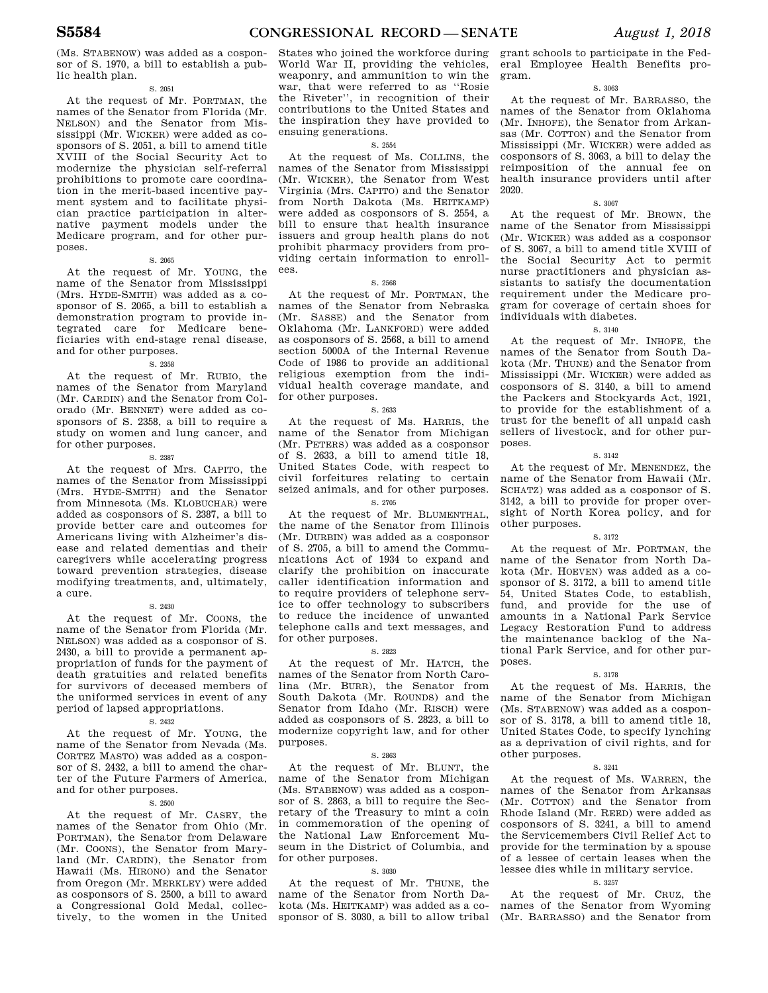(Ms. STABENOW) was added as a cosponsor of S. 1970, a bill to establish a public health plan.

### S. 2051

At the request of Mr. PORTMAN, the names of the Senator from Florida (Mr. NELSON) and the Senator from Mississippi (Mr. WICKER) were added as cosponsors of S. 2051, a bill to amend title XVIII of the Social Security Act to modernize the physician self-referral prohibitions to promote care coordination in the merit-based incentive payment system and to facilitate physician practice participation in alternative payment models under the Medicare program, and for other purposes.

S. 2065

At the request of Mr. YOUNG, the name of the Senator from Mississippi (Mrs. HYDE-SMITH) was added as a cosponsor of S. 2065, a bill to establish a demonstration program to provide integrated care for Medicare beneficiaries with end-stage renal disease, and for other purposes.

#### S. 2358

At the request of Mr. RUBIO, the names of the Senator from Maryland (Mr. CARDIN) and the Senator from Colorado (Mr. BENNET) were added as cosponsors of S. 2358, a bill to require a study on women and lung cancer, and for other purposes.

S. 2387

At the request of Mrs. CAPITO, the names of the Senator from Mississippi (Mrs. HYDE-SMITH) and the Senator from Minnesota (Ms. KLOBUCHAR) were added as cosponsors of S. 2387, a bill to provide better care and outcomes for Americans living with Alzheimer's disease and related dementias and their caregivers while accelerating progress toward prevention strategies, disease modifying treatments, and, ultimately, a cure.

#### S. 2430

At the request of Mr. COONS, the name of the Senator from Florida (Mr. NELSON) was added as a cosponsor of S. 2430, a bill to provide a permanent appropriation of funds for the payment of death gratuities and related benefits for survivors of deceased members of the uniformed services in event of any period of lapsed appropriations.

### S. 2432

At the request of Mr. YOUNG, the name of the Senator from Nevada (Ms. CORTEZ MASTO) was added as a cosponsor of S. 2432, a bill to amend the charter of the Future Farmers of America, and for other purposes.

### S. 2500

At the request of Mr. CASEY, the names of the Senator from Ohio (Mr. PORTMAN), the Senator from Delaware (Mr. COONS), the Senator from Maryland (Mr. CARDIN), the Senator from Hawaii (Ms. HIRONO) and the Senator from Oregon (Mr. MERKLEY) were added as cosponsors of S. 2500, a bill to award a Congressional Gold Medal, collectively, to the women in the United States who joined the workforce during World War II, providing the vehicles, weaponry, and ammunition to win the war, that were referred to as ''Rosie the Riveter'', in recognition of their contributions to the United States and the inspiration they have provided to ensuing generations.

### S. 2554

At the request of Ms. COLLINS, the names of the Senator from Mississippi (Mr. WICKER), the Senator from West Virginia (Mrs. CAPITO) and the Senator from North Dakota (Ms. HEITKAMP) were added as cosponsors of S. 2554, a bill to ensure that health insurance issuers and group health plans do not prohibit pharmacy providers from providing certain information to enrollees.

#### S. 2568

At the request of Mr. PORTMAN, the names of the Senator from Nebraska (Mr. SASSE) and the Senator from Oklahoma (Mr. LANKFORD) were added as cosponsors of S. 2568, a bill to amend section 5000A of the Internal Revenue Code of 1986 to provide an additional religious exemption from the individual health coverage mandate, and for other purposes.

#### S. 2633

At the request of Ms. HARRIS, the name of the Senator from Michigan (Mr. PETERS) was added as a cosponsor of S. 2633, a bill to amend title 18, United States Code, with respect to civil forfeitures relating to certain seized animals, and for other purposes.

### S. 2705

At the request of Mr. BLUMENTHAL, the name of the Senator from Illinois (Mr. DURBIN) was added as a cosponsor of S. 2705, a bill to amend the Communications Act of 1934 to expand and clarify the prohibition on inaccurate caller identification information and to require providers of telephone service to offer technology to subscribers to reduce the incidence of unwanted telephone calls and text messages, and for other purposes.

### S. 2823

At the request of Mr. HATCH, the names of the Senator from North Carolina (Mr. BURR), the Senator from South Dakota (Mr. ROUNDS) and the Senator from Idaho (Mr. RISCH) were added as cosponsors of S. 2823, a bill to modernize copyright law, and for other purposes.

#### S. 2863

At the request of Mr. BLUNT, the name of the Senator from Michigan (Ms. STABENOW) was added as a cosponsor of S. 2863, a bill to require the Secretary of the Treasury to mint a coin in commemoration of the opening of the National Law Enforcement Museum in the District of Columbia, and for other purposes.

### S. 3030

At the request of Mr. THUNE, the name of the Senator from North Dakota (Ms. HEITKAMP) was added as a cosponsor of S. 3030, a bill to allow tribal

grant schools to participate in the Federal Employee Health Benefits program.

### S. 3063

At the request of Mr. BARRASSO, the names of the Senator from Oklahoma (Mr. INHOFE), the Senator from Arkansas (Mr. COTTON) and the Senator from Mississippi (Mr. WICKER) were added as cosponsors of S. 3063, a bill to delay the reimposition of the annual fee on health insurance providers until after 2020.

#### S. 3067

At the request of Mr. BROWN, the name of the Senator from Mississippi (Mr. WICKER) was added as a cosponsor of S. 3067, a bill to amend title XVIII of the Social Security Act to permit nurse practitioners and physician assistants to satisfy the documentation requirement under the Medicare program for coverage of certain shoes for individuals with diabetes.

### S. 3140

At the request of Mr. INHOFE, the names of the Senator from South Dakota (Mr. THUNE) and the Senator from Mississippi (Mr. WICKER) were added as cosponsors of S. 3140, a bill to amend the Packers and Stockyards Act, 1921, to provide for the establishment of a trust for the benefit of all unpaid cash sellers of livestock, and for other purposes.

#### S. 3142

At the request of Mr. MENENDEZ, the name of the Senator from Hawaii (Mr. SCHATZ) was added as a cosponsor of S. 3142, a bill to provide for proper oversight of North Korea policy, and for other purposes.

#### S. 3172

At the request of Mr. PORTMAN, the name of the Senator from North Dakota (Mr. HOEVEN) was added as a cosponsor of S. 3172, a bill to amend title 54, United States Code, to establish, fund, and provide for the use of amounts in a National Park Service Legacy Restoration Fund to address the maintenance backlog of the National Park Service, and for other purposes.

### S. 3178

At the request of Ms. HARRIS, the name of the Senator from Michigan (Ms. STABENOW) was added as a cosponsor of S. 3178, a bill to amend title 18, United States Code, to specify lynching as a deprivation of civil rights, and for other purposes.

### S. 3241

At the request of Ms. WARREN, the names of the Senator from Arkansas (Mr. COTTON) and the Senator from Rhode Island (Mr. REED) were added as cosponsors of S. 3241, a bill to amend the Servicemembers Civil Relief Act to provide for the termination by a spouse of a lessee of certain leases when the lessee dies while in military service.

### S. 3257

At the request of Mr. CRUZ, the names of the Senator from Wyoming (Mr. BARRASSO) and the Senator from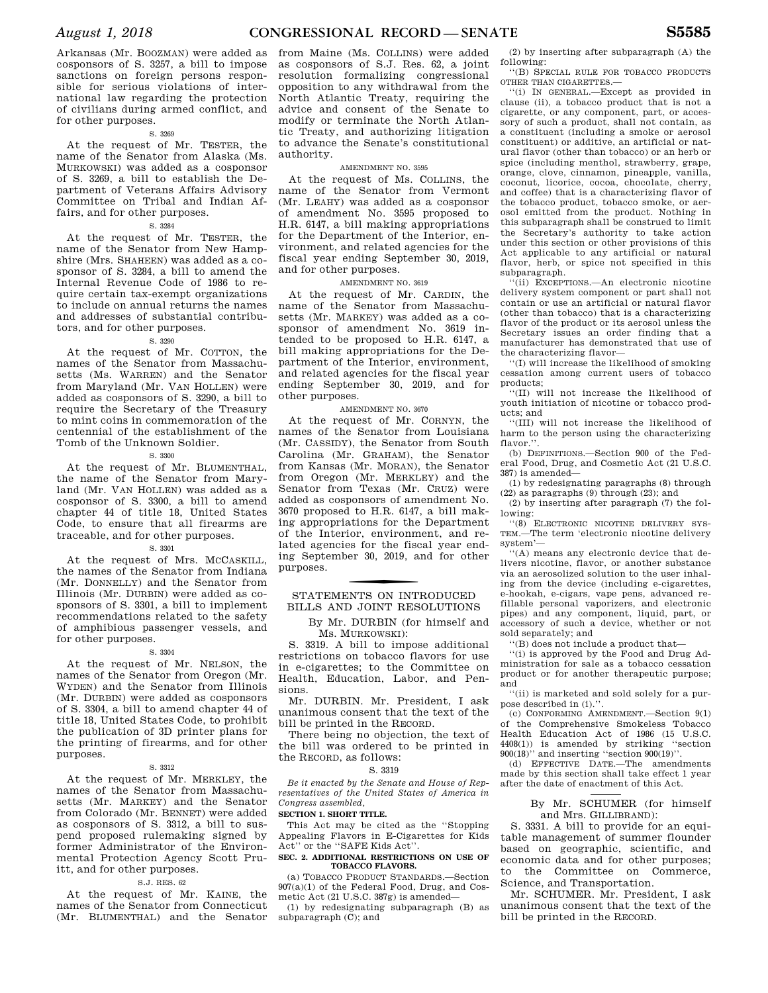Arkansas (Mr. BOOZMAN) were added as cosponsors of S. 3257, a bill to impose sanctions on foreign persons responsible for serious violations of international law regarding the protection of civilians during armed conflict, and for other purposes.

#### S. 3269

At the request of Mr. TESTER, the name of the Senator from Alaska (Ms. MURKOWSKI) was added as a cosponsor of S. 3269, a bill to establish the Department of Veterans Affairs Advisory Committee on Tribal and Indian Affairs, and for other purposes.

### S. 3284

At the request of Mr. TESTER, the name of the Senator from New Hampshire (Mrs. SHAHEEN) was added as a cosponsor of S. 3284, a bill to amend the Internal Revenue Code of 1986 to require certain tax-exempt organizations to include on annual returns the names and addresses of substantial contributors, and for other purposes.

### S. 3290

At the request of Mr. COTTON, the names of the Senator from Massachusetts (Ms. WARREN) and the Senator from Maryland (Mr. VAN HOLLEN) were added as cosponsors of S. 3290, a bill to require the Secretary of the Treasury to mint coins in commemoration of the centennial of the establishment of the Tomb of the Unknown Soldier.

### S. 3300

At the request of Mr. BLUMENTHAL, the name of the Senator from Maryland (Mr. VAN HOLLEN) was added as a cosponsor of S. 3300, a bill to amend chapter 44 of title 18, United States Code, to ensure that all firearms are traceable, and for other purposes.

#### S. 3301

At the request of Mrs. MCCASKILL, the names of the Senator from Indiana (Mr. DONNELLY) and the Senator from Illinois (Mr. DURBIN) were added as cosponsors of S. 3301, a bill to implement recommendations related to the safety of amphibious passenger vessels, and for other purposes.

### S. 3304

At the request of Mr. NELSON, the names of the Senator from Oregon (Mr. WYDEN) and the Senator from Illinois (Mr. DURBIN) were added as cosponsors of S. 3304, a bill to amend chapter 44 of title 18, United States Code, to prohibit the publication of 3D printer plans for the printing of firearms, and for other purposes.

### S. 3312

At the request of Mr. MERKLEY, the names of the Senator from Massachusetts (Mr. MARKEY) and the Senator from Colorado (Mr. BENNET) were added as cosponsors of S. 3312, a bill to suspend proposed rulemaking signed by former Administrator of the Environmental Protection Agency Scott Pruitt, and for other purposes.

#### S.J. RES. 62

At the request of Mr. KAINE, the names of the Senator from Connecticut (Mr. BLUMENTHAL) and the Senator

from Maine (Ms. COLLINS) were added as cosponsors of S.J. Res. 62, a joint resolution formalizing congressional opposition to any withdrawal from the North Atlantic Treaty, requiring the advice and consent of the Senate to modify or terminate the North Atlantic Treaty, and authorizing litigation to advance the Senate's constitutional authority.

### AMENDMENT NO. 3595

At the request of Ms. COLLINS, the name of the Senator from Vermont (Mr. LEAHY) was added as a cosponsor of amendment No. 3595 proposed to H.R. 6147, a bill making appropriations for the Department of the Interior, environment, and related agencies for the fiscal year ending September 30, 2019, and for other purposes.

### AMENDMENT NO. 3619

At the request of Mr. CARDIN, the name of the Senator from Massachusetts (Mr. MARKEY) was added as a cosponsor of amendment No. 3619 intended to be proposed to H.R. 6147, a bill making appropriations for the Department of the Interior, environment, and related agencies for the fiscal year ending September 30, 2019, and for other purposes.

### AMENDMENT NO. 3670

At the request of Mr. CORNYN, the names of the Senator from Louisiana (Mr. CASSIDY), the Senator from South Carolina (Mr. GRAHAM), the Senator from Kansas (Mr. MORAN), the Senator from Oregon (Mr. MERKLEY) and the Senator from Texas (Mr. CRUZ) were added as cosponsors of amendment No. 3670 proposed to H.R. 6147, a bill making appropriations for the Department of the Interior, environment, and related agencies for the fiscal year ending September 30, 2019, and for other purposes.

### STATEMENTS ON INTRODUCED BILLS AND JOINT RESOLUTIONS

By Mr. DURBIN (for himself and Ms. MURKOWSKI):

S. 3319. A bill to impose additional restrictions on tobacco flavors for use in e-cigarettes; to the Committee on Health, Education, Labor, and Pensions.

Mr. DURBIN. Mr. President, I ask unanimous consent that the text of the bill be printed in the RECORD.

There being no objection, the text of the bill was ordered to be printed in the RECORD, as follows:

### S. 3319

*Be it enacted by the Senate and House of Representatives of the United States of America in Congress assembled,* 

### **SECTION 1. SHORT TITLE.**

This Act may be cited as the ''Stopping Appealing Flavors in E-Cigarettes for Kids Act'' or the ''SAFE Kids Act''.

### **SEC. 2. ADDITIONAL RESTRICTIONS ON USE OF TOBACCO FLAVORS.**

(a) TOBACCO PRODUCT STANDARDS.—Section 907(a)(1) of the Federal Food, Drug, and Cosmetic Act (21 U.S.C. 387g) is amended—

(1) by redesignating subparagraph (B) as subparagraph (C); and

(2) by inserting after subparagraph (A) the following:

''(B) SPECIAL RULE FOR TOBACCO PRODUCTS OTHER THAN CIGARETTES.—

''(i) IN GENERAL.—Except as provided in clause (ii), a tobacco product that is not a cigarette, or any component, part, or accessory of such a product, shall not contain, as a constituent (including a smoke or aerosol constituent) or additive, an artificial or natural flavor (other than tobacco) or an herb or spice (including menthol, strawberry, grape, orange, clove, cinnamon, pineapple, vanilla, coconut, licorice, cocoa, chocolate, cherry, and coffee) that is a characterizing flavor of the tobacco product, tobacco smoke, or aerosol emitted from the product. Nothing in this subparagraph shall be construed to limit the Secretary's authority to take action under this section or other provisions of this Act applicable to any artificial or natural flavor, herb, or spice not specified in this subparagraph.

''(ii) EXCEPTIONS.—An electronic nicotine delivery system component or part shall not contain or use an artificial or natural flavor (other than tobacco) that is a characterizing flavor of the product or its aerosol unless the Secretary issues an order finding that a manufacturer has demonstrated that use of the characterizing flavor—

''(I) will increase the likelihood of smoking cessation among current users of tobacco products;

''(II) will not increase the likelihood of youth initiation of nicotine or tobacco products; and

''(III) will not increase the likelihood of harm to the person using the characterizing flavor."

(b) DEFINITIONS.—Section 900 of the Federal Food, Drug, and Cosmetic Act (21 U.S.C. 387) is amended—

(1) by redesignating paragraphs (8) through (22) as paragraphs (9) through (23); and

(2) by inserting after paragraph (7) the following:

''(8) ELECTRONIC NICOTINE DELIVERY SYS-TEM.—The term 'electronic nicotine delivery system'—

''(A) means any electronic device that delivers nicotine, flavor, or another substance via an aerosolized solution to the user inhaling from the device (including e-cigarettes, e-hookah, e-cigars, vape pens, advanced refillable personal vaporizers, and electronic pipes) and any component, liquid, part, or accessory of such a device, whether or not sold separately; and

''(B) does not include a product that—

''(i) is approved by the Food and Drug Administration for sale as a tobacco cessation product or for another therapeutic purpose; and

''(ii) is marketed and sold solely for a purpose described in (i).''.

(c) CONFORMING AMENDMENT.—Section 9(1) of the Comprehensive Smokeless Tobacco Health Education Act of 1986 (15 U.S.C. 4408(1)) is amended by striking ''section 900(18)'' and inserting ''section 900(19)''.

(d) EFFECTIVE DATE.—The amendments made by this section shall take effect 1 year after the date of enactment of this Act.

### By Mr. SCHUMER (for himself and Mrs. GILLIBRAND):

S. 3331. A bill to provide for an equitable management of summer flounder based on geographic, scientific, and economic data and for other purposes; to the Committee on Commerce, Science, and Transportation.

Mr. SCHUMER. Mr. President, I ask unanimous consent that the text of the bill be printed in the RECORD.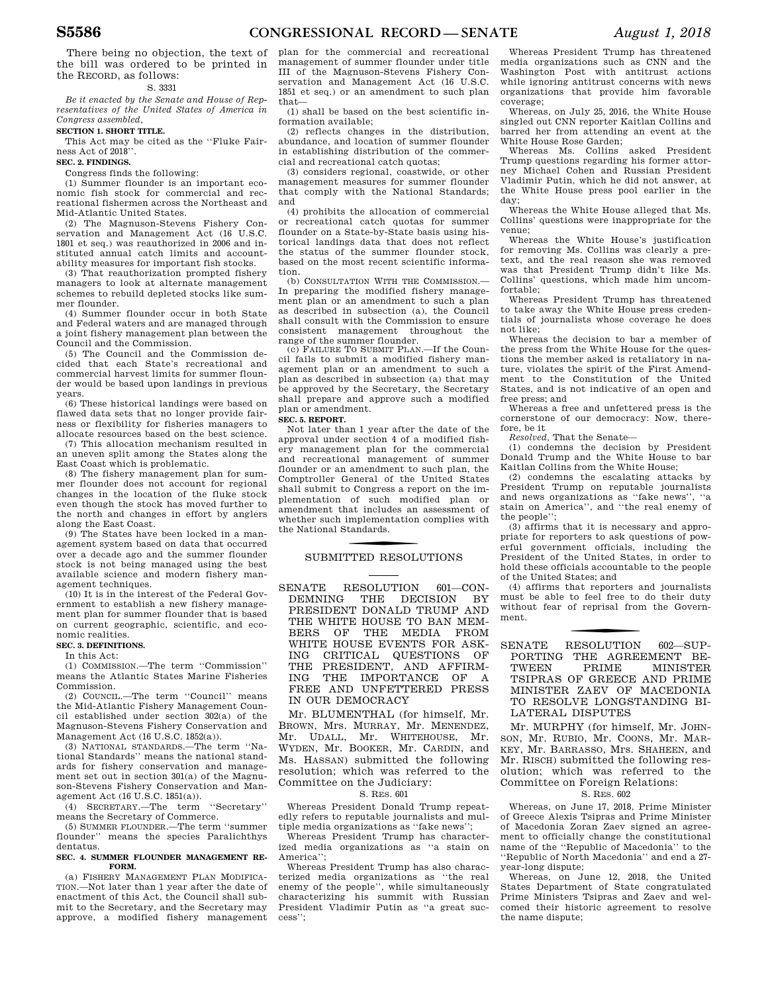There being no objection, the text of the bill was ordered to be printed in the RECORD, as follows:

#### S. 3331

*Be it enacted by the Senate and House of Representatives of the United States of America in Congress assembled,* 

### **SECTION 1. SHORT TITLE.**

This Act may be cited as the ''Fluke Fairness Act of 2018''.

**SEC. 2. FINDINGS.** 

Congress finds the following:

(1) Summer flounder is an important economic fish stock for commercial and recreational fishermen across the Northeast and Mid-Atlantic United States.

(2) The Magnuson-Stevens Fishery Conservation and Management Act (16 U.S.C. 1801 et seq.) was reauthorized in 2006 and instituted annual catch limits and accountability measures for important fish stocks.

(3) That reauthorization prompted fishery managers to look at alternate management schemes to rebuild depleted stocks like summer flounder.

(4) Summer flounder occur in both State and Federal waters and are managed through a joint fishery management plan between the Council and the Commission.

(5) The Council and the Commission decided that each State's recreational and commercial harvest limits for summer flounder would be based upon landings in previous years.

(6) These historical landings were based on flawed data sets that no longer provide fairness or flexibility for fisheries managers to allocate resources based on the best science.

(7) This allocation mechanism resulted in an uneven split among the States along the East Coast which is problematic.

(8) The fishery management plan for summer flounder does not account for regional changes in the location of the fluke stock even though the stock has moved further to the north and changes in effort by anglers along the East Coast.

(9) The States have been locked in a management system based on data that occurred over a decade ago and the summer flounder stock is not being managed using the best available science and modern fishery management techniques.

(10) It is in the interest of the Federal Government to establish a new fishery management plan for summer flounder that is based on current geographic, scientific, and economic realities.

#### **SEC. 3. DEFINITIONS.**

In this Act:

(1) COMMISSION.—The term ''Commission'' means the Atlantic States Marine Fisheries Commission.

(2) COUNCIL.—The term ''Council'' means the Mid-Atlantic Fishery Management Council established under section 302(a) of the Magnuson-Stevens Fishery Conservation and Management, Act  $(16 \text{ H S C} 1852(a))$ .

(3) NATIONAL STANDARDS.—The term ''National Standards'' means the national standards for fishery conservation and management set out in section 301(a) of the Magnuson-Stevens Fishery Conservation and Management Act (16 U.S.C. 1851(a)).

(4) SECRETARY.—The term ''Secretary'' means the Secretary of Commerce.

(5) SUMMER FLOUNDER.—The term ''summer flounder'' means the species Paralichthys dentatus.

#### **SEC. 4. SUMMER FLOUNDER MANAGEMENT RE-FORM.**

(a) FISHERY MANAGEMENT PLAN MODIFICA-TION.—Not later than 1 year after the date of enactment of this Act, the Council shall submit to the Secretary, and the Secretary may approve, a modified fishery management plan for the commercial and recreational management of summer flounder under title III of the Magnuson-Stevens Fishery Conservation and Management Act (16 U.S.C. 1851 et seq.) or an amendment to such plan that—

(1) shall be based on the best scientific information available;

(2) reflects changes in the distribution, abundance, and location of summer flounder in establishing distribution of the commercial and recreational catch quotas;

(3) considers regional, coastwide, or other management measures for summer flounder that comply with the National Standards; and

(4) prohibits the allocation of commercial or recreational catch quotas for summer flounder on a State-by-State basis using historical landings data that does not reflect the status of the summer flounder stock, based on the most recent scientific information.

(b) CONSULTATION WITH THE COMMISSION.— In preparing the modified fishery management plan or an amendment to such a plan as described in subsection (a), the Council shall consult with the Commission to ensure<br>consistent management throughout the consistent management throughout range of the summer flounder.

(c) FAILURE TO SUBMIT PLAN.—If the Council fails to submit a modified fishery management plan or an amendment to such a plan as described in subsection (a) that may be approved by the Secretary, the Secretary shall prepare and approve such a modified plan or amendment.

#### **SEC. 5. REPORT.**

Not later than 1 year after the date of the approval under section 4 of a modified fishery management plan for the commercial and recreational management of summer flounder or an amendment to such plan, the Comptroller General of the United States shall submit to Congress a report on the implementation of such modified plan or amendment that includes an assessment of whether such implementation complies with the National Standards.

### SUBMITTED RESOLUTIONS

SENATE RESOLUTION 601—CON-DEMNING THE DECISION BY PRESIDENT DONALD TRUMP AND THE WHITE HOUSE TO BAN MEM-BERS OF THE MEDIA FROM WHITE HOUSE EVENTS FOR ASK-ING CRITICAL QUESTIONS OF THE PRESIDENT, AND AFFIRM-ING THE IMPORTANCE OF A FREE AND UNFETTERED PRESS IN OUR DEMOCRACY

Mr. BLUMENTHAL (for himself, Mr. BROWN, Mrs. MURRAY, Mr. MENENDEZ, Mr. UDALL, Mr. WHITEHOUSE, Mr. WYDEN, Mr. BOOKER, Mr. CARDIN, and Ms. HASSAN) submitted the following resolution; which was referred to the Committee on the Judiciary:

### S. RES. 601

Whereas President Donald Trump repeatedly refers to reputable journalists and multiple media organizations as ''fake news'';

Whereas President Trump has characterized media organizations as ''a stain on America'';

Whereas President Trump has also characterized media organizations as ''the real enemy of the people'', while simultaneously characterizing his summit with Russian President Vladimir Putin as ''a great success'';

Whereas President Trump has threatened media organizations such as CNN and the Washington Post with antitrust actions while ignoring antitrust concerns with news organizations that provide him favorable coverage;

Whereas, on July 25, 2016, the White House singled out CNN reporter Kaitlan Collins and barred her from attending an event at the White House Rose Garden;

Whereas Ms. Collins asked President Trump questions regarding his former attorney Michael Cohen and Russian President Vladimir Putin, which he did not answer, at the White House press pool earlier in the day;

Whereas the White House alleged that Ms. Collins' questions were inappropriate for the venue;

Whereas the White House's justification for removing Ms. Collins was clearly a pretext, and the real reason she was removed was that President Trump didn't like Ms. Collins' questions, which made him uncomfortable;

Whereas President Trump has threatened to take away the White House press credentials of journalists whose coverage he does not like;

Whereas the decision to bar a member of the press from the White House for the questions the member asked is retaliatory in nature, violates the spirit of the First Amendment to the Constitution of the United States, and is not indicative of an open and free press; and

Whereas a free and unfettered press is the cornerstone of our democracy: Now, therefore, be it

*Resolved,* That the Senate—

(1) condemns the decision by President Donald Trump and the White House to bar Kaitlan Collins from the White House;

(2) condemns the escalating attacks by President Trump on reputable journalists and news organizations as ''fake news'', ''a stain on America'', and ''the real enemy of the people'';

(3) affirms that it is necessary and appropriate for reporters to ask questions of powerful government officials, including the President of the United States, in order to hold these officials accountable to the people of the United States; and

(4) affirms that reporters and journalists must be able to feel free to do their duty without fear of reprisal from the Government.

SENATE RESOLUTION 602-SUP-PORTING THE AGREEMENT BE-TWEEN PRIME MINISTER **MINISTER** TSIPRAS OF GREECE AND PRIME MINISTER ZAEV OF MACEDONIA TO RESOLVE LONGSTANDING BI-LATERAL DISPUTES

Mr. MURPHY (for himself, Mr. JOHN-SON, Mr. RUBIO, Mr. COONS, Mr. MAR-KEY, Mr. BARRASSO, Mrs. SHAHEEN, and Mr. RISCH) submitted the following resolution; which was referred to the Committee on Foreign Relations:

### S. RES. 602

Whereas, on June 17, 2018, Prime Minister of Greece Alexis Tsipras and Prime Minister of Macedonia Zoran Zaev signed an agreement to officially change the constitutional name of the ''Republic of Macedonia'' to the ''Republic of North Macedonia'' and end a 27 year-long dispute;

Whereas, on June 12, 2018, the United States Department of State congratulated Prime Ministers Tsipras and Zaev and welcomed their historic agreement to resolve the name dispute;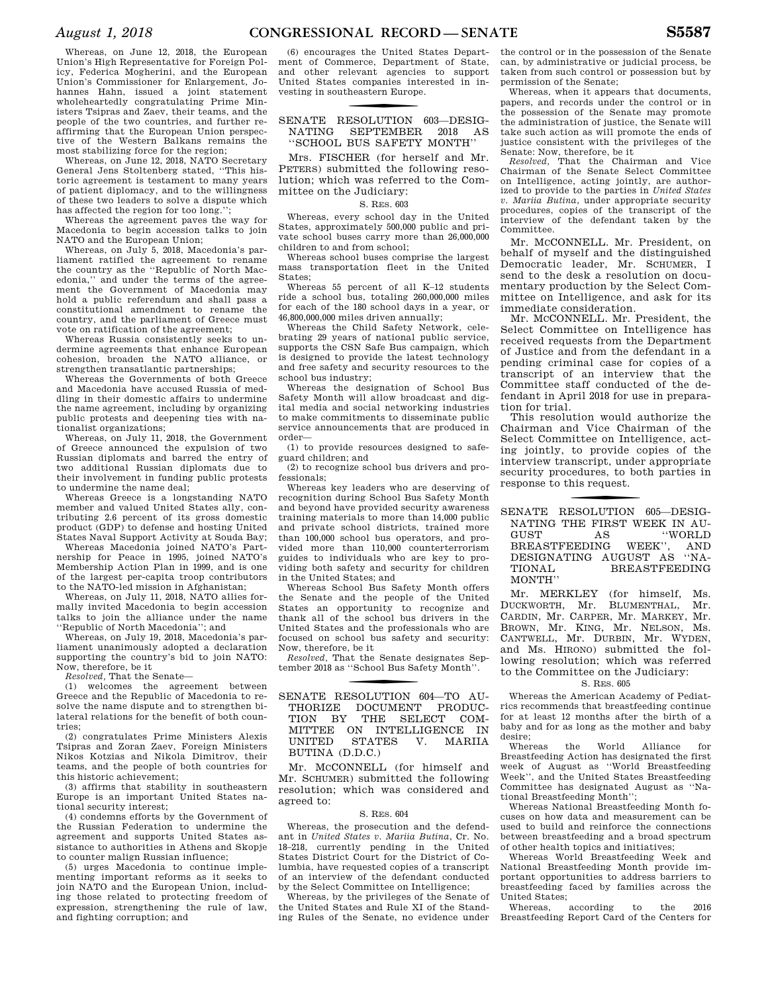Whereas, on June 12, 2018, the European Union's High Representative for Foreign Policy, Federica Mogherini, and the European Union's Commissioner for Enlargement, Johannes Hahn, issued a joint statement wholeheartedly congratulating Prime Ministers Tsipras and Zaev, their teams, and the people of the two countries, and further reaffirming that the European Union perspective of the Western Balkans remains the most stabilizing force for the region;

Whereas, on June 12, 2018, NATO Secretary General Jens Stoltenberg stated, ''This historic agreement is testament to many years of patient diplomacy, and to the willingness of these two leaders to solve a dispute which has affected the region for too long.'';

Whereas the agreement paves the way for Macedonia to begin accession talks to join NATO and the European Union;

Whereas, on July 5, 2018, Macedonia's parliament ratified the agreement to rename the country as the ''Republic of North Macedonia,'' and under the terms of the agreement the Government of Macedonia may hold a public referendum and shall pass a constitutional amendment to rename the country, and the parliament of Greece must vote on ratification of the agreement;

Whereas Russia consistently seeks to undermine agreements that enhance European cohesion, broaden the NATO alliance, or strengthen transatlantic partnerships;

Whereas the Governments of both Greece and Macedonia have accused Russia of meddling in their domestic affairs to undermine the name agreement, including by organizing public protests and deepening ties with nationalist organizations; Whereas, on July 11, 2018, the Government

of Greece announced the expulsion of two Russian diplomats and barred the entry of two additional Russian diplomats due to their involvement in funding public protests to undermine the name deal;

Whereas Greece is a longstanding NATO member and valued United States ally, contributing 2.6 percent of its gross domestic product (GDP) to defense and hosting United States Naval Support Activity at Souda Bay;

Whereas Macedonia joined NATO's Partnership for Peace in 1995, joined NATO's Membership Action Plan in 1999, and is one of the largest per-capita troop contributors to the NATO-led mission in Afghanistan;

Whereas, on July 11, 2018, NATO allies formally invited Macedonia to begin accession talks to join the alliance under the name ''Republic of North Macedonia''; and

Whereas, on July 19, 2018, Macedonia's parliament unanimously adopted a declaration supporting the country's bid to join NATO: Now, therefore, be it

*Resolved,* That the Senate—

(1) welcomes the agreement between Greece and the Republic of Macedonia to resolve the name dispute and to strengthen bilateral relations for the benefit of both countries;

(2) congratulates Prime Ministers Alexis Tsipras and Zoran Zaev, Foreign Ministers Nikos Kotzias and Nikola Dimitrov, their teams, and the people of both countries for this historic achievement;

(3) affirms that stability in southeastern Europe is an important United States national security interest;

(4) condemns efforts by the Government of the Russian Federation to undermine the agreement and supports United States assistance to authorities in Athens and Skopje to counter malign Russian influence;

(5) urges Macedonia to continue implementing important reforms as it seeks to join NATO and the European Union, including those related to protecting freedom of expression, strengthening the rule of law, and fighting corruption; and

(6) encourages the United States Department of Commerce, Department of State, and other relevant agencies to support United States companies interested in investing in southeastern Europe.

SENATE RESOLUTION 603-DESIG-NATING SEPTEMBER 2018 AS ''SCHOOL BUS SAFETY MONTH''

Mrs. FISCHER (for herself and Mr. PETERS) submitted the following resolution; which was referred to the Committee on the Judiciary:

S. RES. 603

Whereas, every school day in the United States, approximately 500,000 public and private school buses carry more than 26,000,000 children to and from school;

Whereas school buses comprise the largest mass transportation fleet in the United States;

Whereas 55 percent of all K–12 students ride a school bus, totaling 260,000,000 miles for each of the 180 school days in a year, or 46,800,000,000 miles driven annually;

Whereas the Child Safety Network, celebrating 29 years of national public service, supports the CSN Safe Bus campaign, which is designed to provide the latest technology and free safety and security resources to the school bus industry;

Whereas the designation of School Bus Safety Month will allow broadcast and digital media and social networking industries to make commitments to disseminate public service announcements that are produced in order—

(1) to provide resources designed to safeguard children; and

(2) to recognize school bus drivers and professionals;

Whereas key leaders who are deserving of recognition during School Bus Safety Month and beyond have provided security awareness training materials to more than 14,000 public and private school districts, trained more than 100,000 school bus operators, and provided more than 110,000 counterterrorism guides to individuals who are key to providing both safety and security for children in the United States; and

Whereas School Bus Safety Month offers the Senate and the people of the United States an opportunity to recognize and thank all of the school bus drivers in the United States and the professionals who are focused on school bus safety and security: Now, therefore, be it

*Resolved,* That the Senate designates September 2018 as ''School Bus Safety Month''.

### SENATE RESOLUTION 604-TO AU-THORIZE DOCUMENT PRODUC-TION BY THE SELECT COM-MITTEE ON INTELLIGENCE IN UNITED STATES V. MARIIA BUTINA (D.D.C.)

Mr. MCCONNELL (for himself and Mr. SCHUMER) submitted the following resolution; which was considered and agreed to:

### S. RES. 604

Whereas, the prosecution and the defendant in *United States v. Mariia Butina*, Cr. No. 18–218, currently pending in the United States District Court for the District of Columbia, have requested copies of a transcript of an interview of the defendant conducted by the Select Committee on Intelligence;

Whereas, by the privileges of the Senate of the United States and Rule XI of the Standing Rules of the Senate, no evidence under

the control or in the possession of the Senate can, by administrative or judicial process, be taken from such control or possession but by permission of the Senate;

Whereas, when it appears that documents, papers, and records under the control or in the possession of the Senate may promote the administration of justice, the Senate will take such action as will promote the ends of justice consistent with the privileges of the Senate: Now, therefore, be it

*Resolved,* That the Chairman and Vice Chairman of the Senate Select Committee on Intelligence, acting jointly, are authorized to provide to the parties in *United States v. Mariia Butina*, under appropriate security procedures, copies of the transcript of the interview of the defendant taken by the Committee.

Mr. MCCONNELL. Mr. President, on behalf of myself and the distinguished Democratic leader, Mr. SCHUMER, I send to the desk a resolution on documentary production by the Select Committee on Intelligence, and ask for its immediate consideration.

Mr. MCCONNELL. Mr. President, the Select Committee on Intelligence has received requests from the Department of Justice and from the defendant in a pending criminal case for copies of a transcript of an interview that the Committee staff conducted of the defendant in April 2018 for use in preparation for trial.

This resolution would authorize the Chairman and Vice Chairman of the Select Committee on Intelligence, acting jointly, to provide copies of the interview transcript, under appropriate security procedures, to both parties in response to this request.

SENATE RESOLUTION 605-DESIG-NATING THE FIRST WEEK IN AU-GUST AS "WORLD BREASTFEEDING WEEK", AND BREASTFEEDING DESIGNATING AUGUST AS ''NA-TIONAL BREASTFEEDING MONTH''

Mr. MERKLEY (for himself, Ms. DUCKWORTH, Mr. BLUMENTHAL, Mr. CARDIN, Mr. CARPER, Mr. MARKEY, Mr. BROWN, Mr. KING, Mr. NELSON, Ms. CANTWELL, Mr. DURBIN, Mr. WYDEN, and Ms. HIRONO) submitted the following resolution; which was referred to the Committee on the Judiciary:

### S. RES. 605

Whereas the American Academy of Pediatrics recommends that breastfeeding continue for at least 12 months after the birth of a baby and for as long as the mother and baby desire;

Whereas the World Alliance for Breastfeeding Action has designated the first week of August as ''World Breastfeeding Week'', and the United States Breastfeeding Committee has designated August as ''National Breastfeeding Month'';

Whereas National Breastfeeding Month focuses on how data and measurement can be used to build and reinforce the connections between breastfeeding and a broad spectrum of other health topics and initiatives;

Whereas World Breastfeeding Week and National Breastfeeding Month provide important opportunities to address barriers to breastfeeding faced by families across the United States;

Whereas, according to the 2016 Breastfeeding Report Card of the Centers for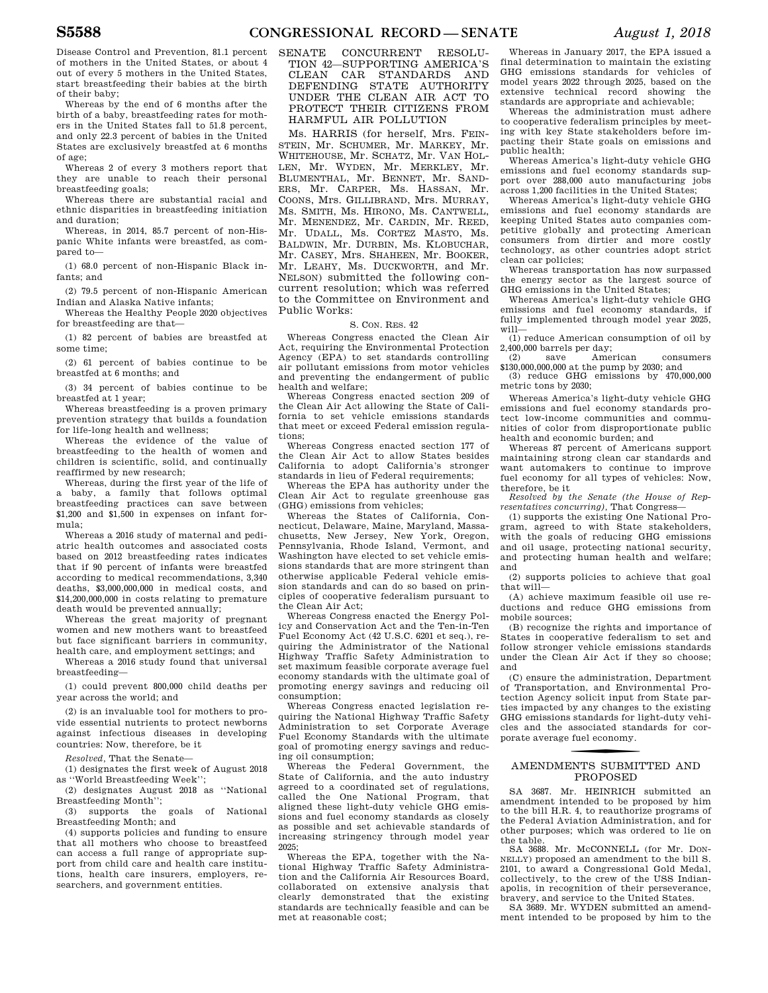Disease Control and Prevention, 81.1 percent of mothers in the United States, or about 4 out of every 5 mothers in the United States, start breastfeeding their babies at the birth of their baby;

Whereas by the end of 6 months after the birth of a baby, breastfeeding rates for mothers in the United States fall to 51.8 percent, and only 22.3 percent of babies in the United States are exclusively breastfed at 6 months of age;

Whereas 2 of every 3 mothers report that they are unable to reach their personal breastfeeding goals;

Whereas there are substantial racial and ethnic disparities in breastfeeding initiation and duration;

Whereas, in 2014, 85.7 percent of non-Hispanic White infants were breastfed, as compared to—

(1) 68.0 percent of non-Hispanic Black infants; and

(2) 79.5 percent of non-Hispanic American Indian and Alaska Native infants;

Whereas the Healthy People 2020 objectives for breastfeeding are that—

(1) 82 percent of babies are breastfed at some time;

(2) 61 percent of babies continue to be breastfed at 6 months; and

(3) 34 percent of babies continue to be breastfed at 1 year;

Whereas breastfeeding is a proven primary prevention strategy that builds a foundation for life-long health and wellness;

Whereas the evidence of the value of breastfeeding to the health of women and children is scientific, solid, and continually reaffirmed by new research;

Whereas, during the first year of the life of a baby, a family that follows optimal breastfeeding practices can save between \$1,200 and \$1,500 in expenses on infant formula;

Whereas a 2016 study of maternal and pediatric health outcomes and associated costs based on 2012 breastfeeding rates indicates that if 90 percent of infants were breastfed according to medical recommendations, 3,340 deaths, \$3,000,000,000 in medical costs, and \$14,200,000,000 in costs relating to premature death would be prevented annually;

Whereas the great majority of pregnant women and new mothers want to breastfeed but face significant barriers in community, health care, and employment settings; and

Whereas a 2016 study found that universal breastfeeding—

(1) could prevent 800,000 child deaths per year across the world; and

(2) is an invaluable tool for mothers to provide essential nutrients to protect newborns against infectious diseases in developing countries: Now, therefore, be it

*Resolved,* That the Senate—

(1) designates the first week of August 2018 as ''World Breastfeeding Week'';

(2) designates August 2018 as ''National Breastfeeding Month'';

(3) supports the goals of National Breastfeeding Month; and

(4) supports policies and funding to ensure that all mothers who choose to breastfeed can access a full range of appropriate support from child care and health care institutions, health care insurers, employers, researchers, and government entities.

SENATE CONCURRENT RESOLU-TION 42—SUPPORTING AMERICA'S CLEAN CAR STANDARDS AND DEFENDING STATE AUTHORITY UNDER THE CLEAN AIR ACT TO PROTECT THEIR CITIZENS FROM HARMFUL AIR POLLUTION

Ms. HARRIS (for herself, Mrs. FEIN-STEIN, Mr. SCHUMER, Mr. MARKEY, Mr. WHITEHOUSE, Mr. SCHATZ, Mr. VAN HOL-LEN, Mr. WYDEN, Mr. MERKLEY, Mr. BLUMENTHAL, Mr. BENNET, Mr. SAND-ERS, Mr. CARPER, Ms. HASSAN, Mr. COONS, Mrs. GILLIBRAND, Mrs. MURRAY, Ms. SMITH, Ms. HIRONO, Ms. CANTWELL, Mr. MENENDEZ, Mr. CARDIN, Mr. REED, Mr. UDALL, Ms. CORTEZ MASTO, Ms. BALDWIN, Mr. DURBIN, Ms. KLOBUCHAR, Mr. CASEY, Mrs. SHAHEEN, Mr. BOOKER, Mr. LEAHY, Ms. DUCKWORTH, and Mr. NELSON) submitted the following concurrent resolution; which was referred to the Committee on Environment and Public Works:

#### S. CON. RES. 42

Whereas Congress enacted the Clean Air Act, requiring the Environmental Protection Agency (EPA) to set standards controlling air pollutant emissions from motor vehicles and preventing the endangerment of public health and welfare;

Whereas Congress enacted section 209 of the Clean Air Act allowing the State of California to set vehicle emissions standards that meet or exceed Federal emission regulations;

Whereas Congress enacted section 177 of the Clean Air Act to allow States besides California to adopt California's stronger standards in lieu of Federal requirements;

Whereas the EPA has authority under the Clean Air Act to regulate greenhouse gas (GHG) emissions from vehicles;

Whereas the States of California, Connecticut, Delaware, Maine, Maryland, Massachusetts, New Jersey, New York, Oregon, Pennsylvania, Rhode Island, Vermont, and Washington have elected to set vehicle emissions standards that are more stringent than otherwise applicable Federal vehicle emission standards and can do so based on principles of cooperative federalism pursuant to the Clean Air Act;

Whereas Congress enacted the Energy Policy and Conservation Act and the Ten-in-Ten Fuel Economy Act (42 U.S.C. 6201 et seq.), requiring the Administrator of the National Highway Traffic Safety Administration to set maximum feasible corporate average fuel economy standards with the ultimate goal of promoting energy savings and reducing oil consumption;

Whereas Congress enacted legislation requiring the National Highway Traffic Safety Administration to set Corporate Average Fuel Economy Standards with the ultimate goal of promoting energy savings and reducing oil consumption;

Whereas the Federal Government, the State of California, and the auto industry agreed to a coordinated set of regulations, called the One National Program, that aligned these light-duty vehicle GHG emissions and fuel economy standards as closely as possible and set achievable standards of increasing stringency through model year 2025;

Whereas the EPA, together with the National Highway Traffic Safety Administration and the California Air Resources Board, collaborated on extensive analysis that clearly demonstrated that the existing standards are technically feasible and can be met at reasonable cost;

Whereas in January 2017, the EPA issued a final determination to maintain the existing GHG emissions standards for vehicles of model years 2022 through 2025, based on the extensive technical record showing the standards are appropriate and achievable;

Whereas the administration must adhere to cooperative federalism principles by meeting with key State stakeholders before impacting their State goals on emissions and public health;

Whereas America's light-duty vehicle GHG emissions and fuel economy standards support over 288,000 auto manufacturing jobs across 1,200 facilities in the United States;

Whereas America's light-duty vehicle GHG emissions and fuel economy standards are keeping United States auto companies competitive globally and protecting American consumers from dirtier and more costly technology, as other countries adopt strict clean car policies;

Whereas transportation has now surpassed the energy sector as the largest source of GHG emissions in the United States;

Whereas America's light-duty vehicle GHG emissions and fuel economy standards, if fully implemented through model year 2025, will—

(1) reduce American consumption of oil by  $2,400,000$  barrels per day;<br>(2) save American

consumers \$130,000,000,000 at the pump by 2030; and

(3) reduce GHG emissions by 470,000,000 metric tons by 2030;

Whereas America's light-duty vehicle GHG emissions and fuel economy standards protect low-income communities and communities of color from disproportionate public health and economic burden; and

Whereas 87 percent of Americans support maintaining strong clean car standards and want automakers to continue to improve fuel economy for all types of vehicles: Now, therefore, be it

*Resolved by the Senate (the House of Representatives concurring),* That Congress—

(1) supports the existing One National Program, agreed to with State stakeholders, with the goals of reducing GHG emissions and oil usage, protecting national security, and protecting human health and welfare; and

(2) supports policies to achieve that goal that will—

(A) achieve maximum feasible oil use reductions and reduce GHG emissions from mobile sources;

(B) recognize the rights and importance of States in cooperative federalism to set and follow stronger vehicle emissions standards under the Clean Air Act if they so choose; and

(C) ensure the administration, Department of Transportation, and Environmental Protection Agency solicit input from State parties impacted by any changes to the existing GHG emissions standards for light-duty vehicles and the associated standards for corporate average fuel economy.

### f AMENDMENTS SUBMITTED AND PROPOSED

SA 3687. Mr. HEINRICH submitted an amendment intended to be proposed by him to the bill H.R. 4, to reauthorize programs of the Federal Aviation Administration, and for other purposes; which was ordered to lie on the table.

SA 3688. Mr. McCONNELL (for Mr. DON-NELLY) proposed an amendment to the bill S. 2101, to award a Congressional Gold Medal, collectively, to the crew of the USS Indianapolis, in recognition of their perseverance, bravery, and service to the United States.

SA 3689. Mr. WYDEN submitted an amendment intended to be proposed by him to the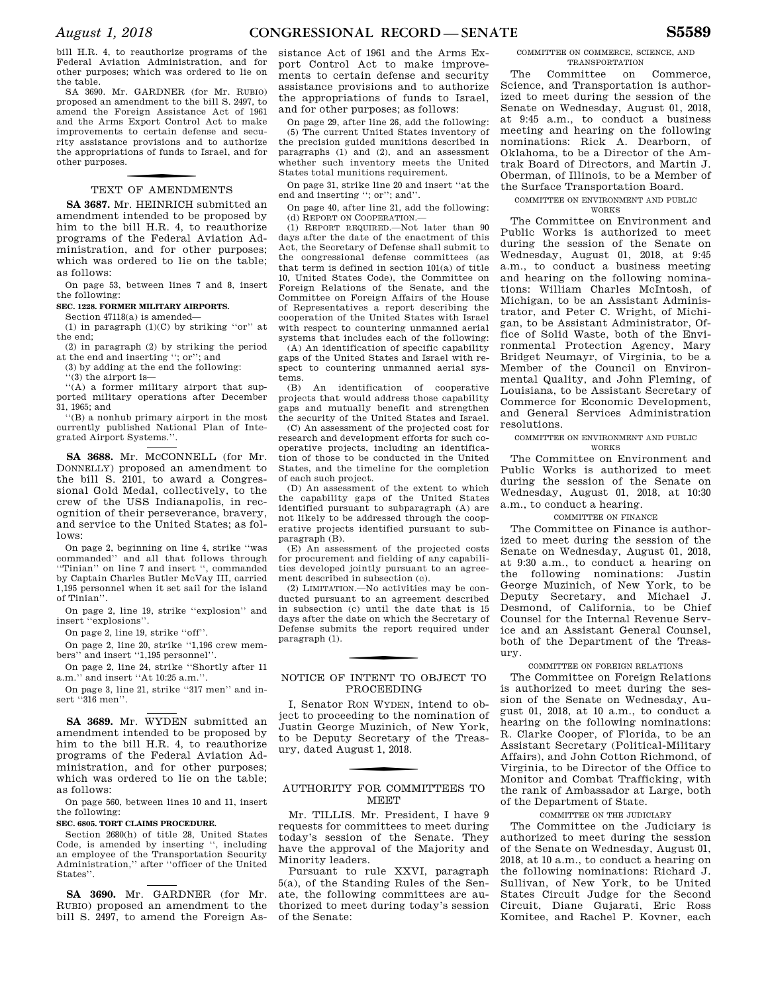bill H.R. 4, to reauthorize programs of the Federal Aviation Administration, and for other purposes; which was ordered to lie on the table.

SA 3690. Mr. GARDNER (for Mr. RUBIO) proposed an amendment to the bill S. 2497, to amend the Foreign Assistance Act of 1961 and the Arms Export Control Act to make improvements to certain defense and security assistance provisions and to authorize the appropriations of funds to Israel, and for other purposes.

### TEXT OF AMENDMENTS

**SA 3687.** Mr. HEINRICH submitted an amendment intended to be proposed by him to the bill H.R. 4, to reauthorize programs of the Federal Aviation Administration, and for other purposes; which was ordered to lie on the table; as follows:

On page 53, between lines 7 and 8, insert the following:

**SEC. 1228. FORMER MILITARY AIRPORTS.** 

Section 47118(a) is amended— (1) in paragraph  $(1)(C)$  by striking "or" at the end;

(2) in paragraph (2) by striking the period at the end and inserting ''; or''; and

(3) by adding at the end the following:

''(3) the airport is—

''(A) a former military airport that supported military operations after December 31, 1965; and

''(B) a nonhub primary airport in the most currently published National Plan of Integrated Airport Systems.''.

SA 3688. Mr. MCCONNELL (for Mr. DONNELLY) proposed an amendment to the bill S. 2101, to award a Congressional Gold Medal, collectively, to the crew of the USS Indianapolis, in recognition of their perseverance, bravery, and service to the United States; as follows:

On page 2, beginning on line 4, strike ''was commanded'' and all that follows through ''Tinian'' on line 7 and insert '', commanded by Captain Charles Butler McVay III, carried 1,195 personnel when it set sail for the island of Tinian''.

On page 2, line 19, strike ''explosion'' and insert ''explosions''.

On page 2, line 19, strike ''off''.

On page 2, line 20, strike ''1,196 crew members'' and insert "1,195 personnel".

On page 2, line 24, strike ''Shortly after 11 a.m.'' and insert ''At 10:25 a.m.''.

On page 3, line 21, strike ''317 men'' and insert ''316 men''.

**SA 3689.** Mr. WYDEN submitted an amendment intended to be proposed by him to the bill H.R. 4, to reauthorize programs of the Federal Aviation Administration, and for other purposes; which was ordered to lie on the table; as follows:

On page 560, between lines 10 and 11, insert the following:

#### **SEC. 6805. TORT CLAIMS PROCEDURE.**

Section 2680(h) of title 28, United States Code, is amended by inserting '', including an employee of the Transportation Security Administration,'' after ''officer of the United States''.

**SA 3690.** Mr. GARDNER (for Mr. RUBIO) proposed an amendment to the bill S. 2497, to amend the Foreign As-

sistance Act of 1961 and the Arms Export Control Act to make improvements to certain defense and security assistance provisions and to authorize the appropriations of funds to Israel, and for other purposes; as follows:

On page 29, after line 26, add the following: (5) The current United States inventory of the precision guided munitions described in paragraphs (1) and (2), and an assessment whether such inventory meets the United States total munitions requirement.

On page 31, strike line 20 and insert ''at the end and inserting ''; or''; and''.

On page 40, after line 21, add the following: (d) REPORT ON COOPERATION.—

(1) REPORT REQUIRED.—Not later than 90 days after the date of the enactment of this Act, the Secretary of Defense shall submit to the congressional defense committees (as that term is defined in section 101(a) of title 10, United States Code), the Committee on Foreign Relations of the Senate, and the Committee on Foreign Affairs of the House of Representatives a report describing the cooperation of the United States with Israel with respect to countering unmanned aerial systems that includes each of the following:

(A) An identification of specific capability gaps of the United States and Israel with respect to countering unmanned aerial systems.

(B) An identification of cooperative projects that would address those capability gaps and mutually benefit and strengthen the security of the United States and Israel.

(C) An assessment of the projected cost for research and development efforts for such cooperative projects, including an identification of those to be conducted in the United States, and the timeline for the completion of each such project.

(D) An assessment of the extent to which the capability gaps of the United States identified pursuant to subparagraph (A) are not likely to be addressed through the cooperative projects identified pursuant to subparagraph (B).

(E) An assessment of the projected costs for procurement and fielding of any capabilities developed jointly pursuant to an agreement described in subsection (c).

(2) LIMITATION.—No activities may be conducted pursuant to an agreement described in subsection (c) until the date that is 15 days after the date on which the Secretary of Defense submits the report required under paragraph (1).

### NOTICE OF INTENT TO OBJECT TO PROCEEDING

I, Senator RON WYDEN, intend to object to proceeding to the nomination of Justin George Muzinich, of New York, to be Deputy Secretary of the Treasury, dated August 1, 2018.

### AUTHORITY FOR COMMITTEES TO MEET

Mr. TILLIS. Mr. President, I have 9 requests for committees to meet during today's session of the Senate. They have the approval of the Majority and Minority leaders.

Pursuant to rule XXVI, paragraph 5(a), of the Standing Rules of the Senate, the following committees are authorized to meet during today's session of the Senate:

#### COMMITTEE ON COMMERCE, SCIENCE, AND TRANSPORTATION

The Committee on Commerce, Science, and Transportation is authorized to meet during the session of the Senate on Wednesday, August 01, 2018, at 9:45 a.m., to conduct a business meeting and hearing on the following nominations: Rick A. Dearborn, of Oklahoma, to be a Director of the Amtrak Board of Directors, and Martin J. Oberman, of Illinois, to be a Member of the Surface Transportation Board.

### COMMITTEE ON ENVIRONMENT AND PUBLIC

WORKS

The Committee on Environment and Public Works is authorized to meet during the session of the Senate on Wednesday, August 01, 2018, at 9:45 a.m., to conduct a business meeting and hearing on the following nominations: William Charles McIntosh, of Michigan, to be an Assistant Administrator, and Peter C. Wright, of Michigan, to be Assistant Administrator, Office of Solid Waste, both of the Environmental Protection Agency, Mary Bridget Neumayr, of Virginia, to be a Member of the Council on Environmental Quality, and John Fleming, of Louisiana, to be Assistant Secretary of Commerce for Economic Development, and General Services Administration resolutions.

#### COMMITTEE ON ENVIRONMENT AND PUBLIC WORKS

The Committee on Environment and Public Works is authorized to meet during the session of the Senate on Wednesday, August 01, 2018, at 10:30 a.m., to conduct a hearing.

### COMMITTEE ON FINANCE

The Committee on Finance is authorized to meet during the session of the Senate on Wednesday, August 01, 2018, at 9:30 a.m., to conduct a hearing on the following nominations: Justin George Muzinich, of New York, to be Deputy Secretary, and Michael J. Desmond, of California, to be Chief Counsel for the Internal Revenue Service and an Assistant General Counsel, both of the Department of the Treasury.

#### COMMITTEE ON FOREIGN RELATIONS

The Committee on Foreign Relations is authorized to meet during the session of the Senate on Wednesday, August 01, 2018, at 10 a.m., to conduct a hearing on the following nominations: R. Clarke Cooper, of Florida, to be an Assistant Secretary (Political-Military Affairs), and John Cotton Richmond, of Virginia, to be Director of the Office to Monitor and Combat Trafficking, with the rank of Ambassador at Large, both of the Department of State.

#### COMMITTEE ON THE JUDICIARY

The Committee on the Judiciary is authorized to meet during the session of the Senate on Wednesday, August 01, 2018, at 10 a.m., to conduct a hearing on the following nominations: Richard J. Sullivan, of New York, to be United States Circuit Judge for the Second Circuit, Diane Gujarati, Eric Ross Komitee, and Rachel P. Kovner, each